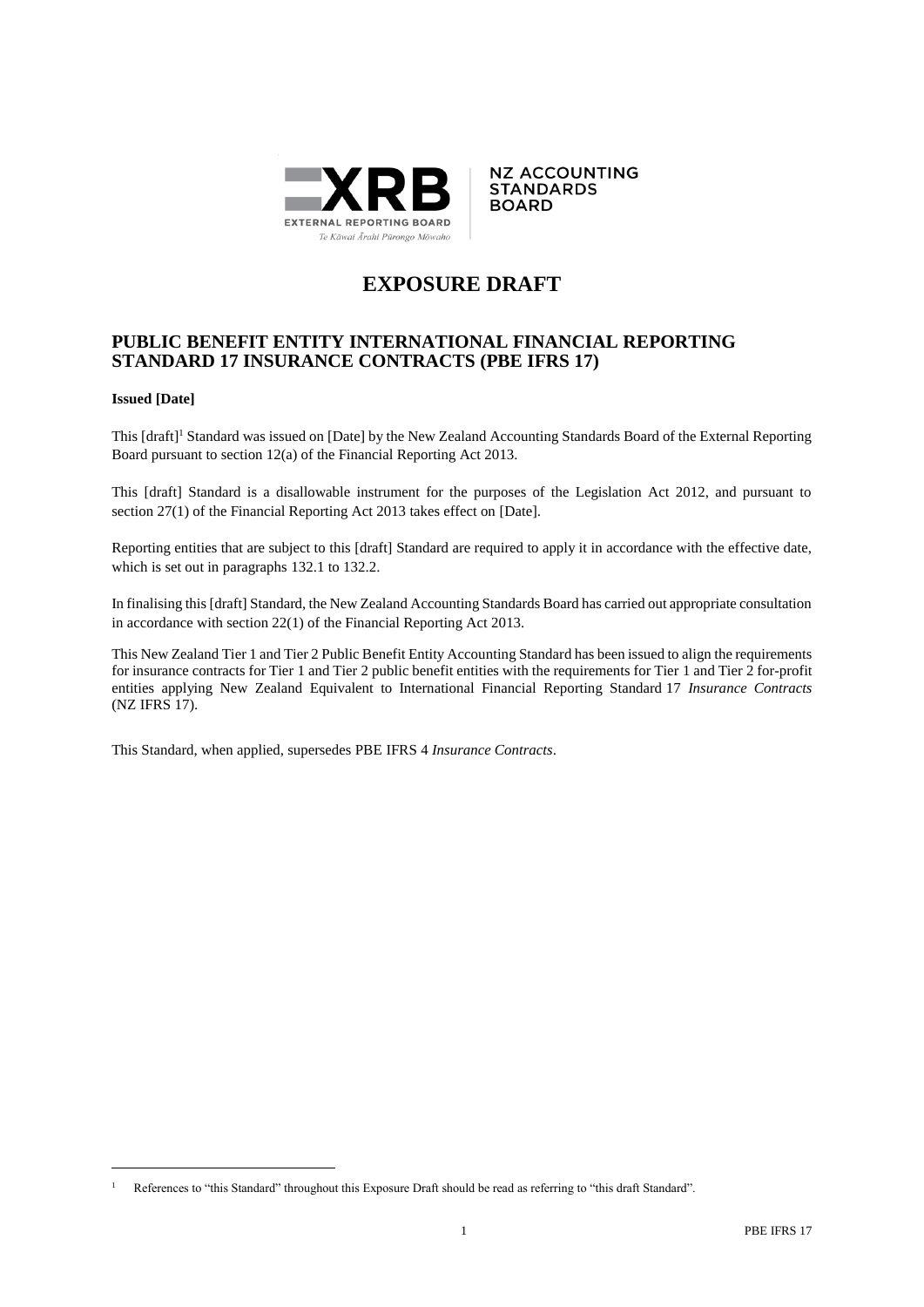



# **EXPOSURE DRAFT**

## **PUBLIC BENEFIT ENTITY INTERNATIONAL FINANCIAL REPORTING STANDARD 17 INSURANCE CONTRACTS (PBE IFRS 17)**

### **Issued [Date]**

<u>.</u>

This [draft]<sup>1</sup> Standard was issued on [Date] by the New Zealand Accounting Standards Board of the External Reporting Board pursuant to section 12(a) of the Financial Reporting Act 2013.

This [draft] Standard is a disallowable instrument for the purposes of the Legislation Act 2012, and pursuant to section 27(1) of the Financial Reporting Act 2013 takes effect on [Date].

Reporting entities that are subject to this [draft] Standard are required to apply it in accordance with the effective date, which is set out in paragraphs 132.1 to 132.2.

In finalising this [draft] Standard, the New Zealand Accounting Standards Board has carried out appropriate consultation in accordance with section 22(1) of the Financial Reporting Act 2013.

This New Zealand Tier 1 and Tier 2 Public Benefit Entity Accounting Standard has been issued to align the requirements for insurance contracts for Tier 1 and Tier 2 public benefit entities with the requirements for Tier 1 and Tier 2 for-profit entities applying New Zealand Equivalent to International Financial Reporting Standard 17 *Insurance Contracts*  (NZ IFRS 17).

This Standard, when applied, supersedes PBE IFRS 4 *Insurance Contracts*.

<sup>&</sup>lt;sup>1</sup> References to "this Standard" throughout this Exposure Draft should be read as referring to "this draft Standard".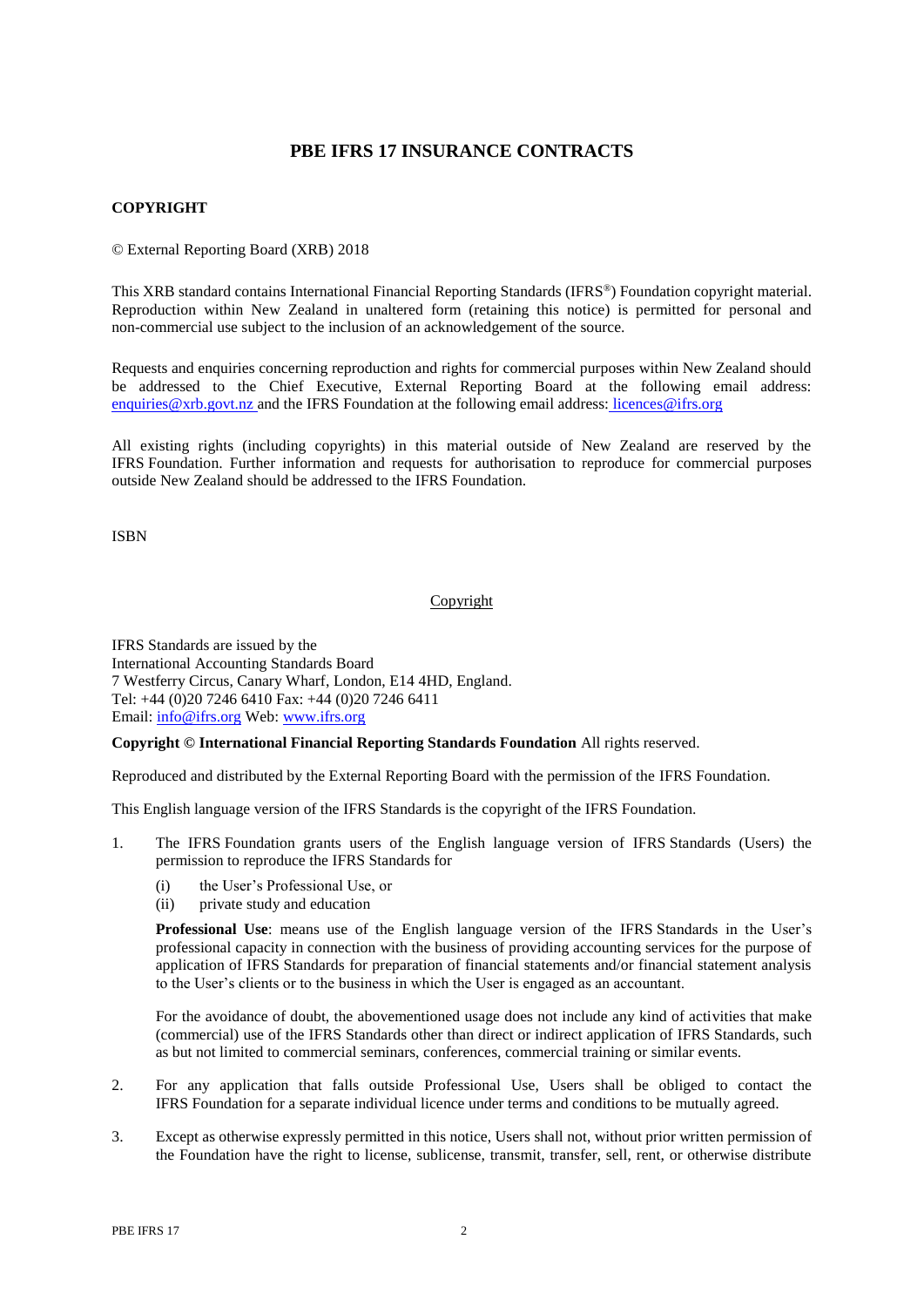## **PBE IFRS 17 INSURANCE CONTRACTS**

### **COPYRIGHT**

© External Reporting Board (XRB) 2018

This XRB standard contains International Financial Reporting Standards (IFRS®) Foundation copyright material. Reproduction within New Zealand in unaltered form (retaining this notice) is permitted for personal and non-commercial use subject to the inclusion of an acknowledgement of the source.

Requests and enquiries concerning reproduction and rights for commercial purposes within New Zealand should be addressed to the Chief Executive, External Reporting Board at the following email address: [enquiries@xrb.govt.nz](mailto:enquiries@xrb.govt.nz) and the IFRS Foundation at the following email address: licences@ifrs.org

All existing rights (including copyrights) in this material outside of New Zealand are reserved by the IFRS Foundation. Further information and requests for authorisation to reproduce for commercial purposes outside New Zealand should be addressed to the IFRS Foundation.

ISBN

### Copyright

IFRS Standards are issued by the International Accounting Standards Board 7 Westferry Circus, Canary Wharf, London, E14 4HD, England. Tel: +44 (0)20 7246 6410 Fax: +44 (0)20 7246 6411 Email: [info@ifrs.org](mailto:info@ifrs.org) Web: [www.ifrs.org](http://www.ifrs.org/)

### **Copyright © International Financial Reporting Standards Foundation** All rights reserved.

Reproduced and distributed by the External Reporting Board with the permission of the IFRS Foundation.

This English language version of the IFRS Standards is the copyright of the IFRS Foundation.

- 1. The IFRS Foundation grants users of the English language version of IFRS Standards (Users) the permission to reproduce the IFRS Standards for
	- (i) the User's Professional Use, or
	- (ii) private study and education

**Professional Use**: means use of the English language version of the IFRS Standards in the User's professional capacity in connection with the business of providing accounting services for the purpose of application of IFRS Standards for preparation of financial statements and/or financial statement analysis to the User's clients or to the business in which the User is engaged as an accountant.

For the avoidance of doubt, the abovementioned usage does not include any kind of activities that make (commercial) use of the IFRS Standards other than direct or indirect application of IFRS Standards, such as but not limited to commercial seminars, conferences, commercial training or similar events.

- 2. For any application that falls outside Professional Use, Users shall be obliged to contact the IFRS Foundation for a separate individual licence under terms and conditions to be mutually agreed.
- 3. Except as otherwise expressly permitted in this notice, Users shall not, without prior written permission of the Foundation have the right to license, sublicense, transmit, transfer, sell, rent, or otherwise distribute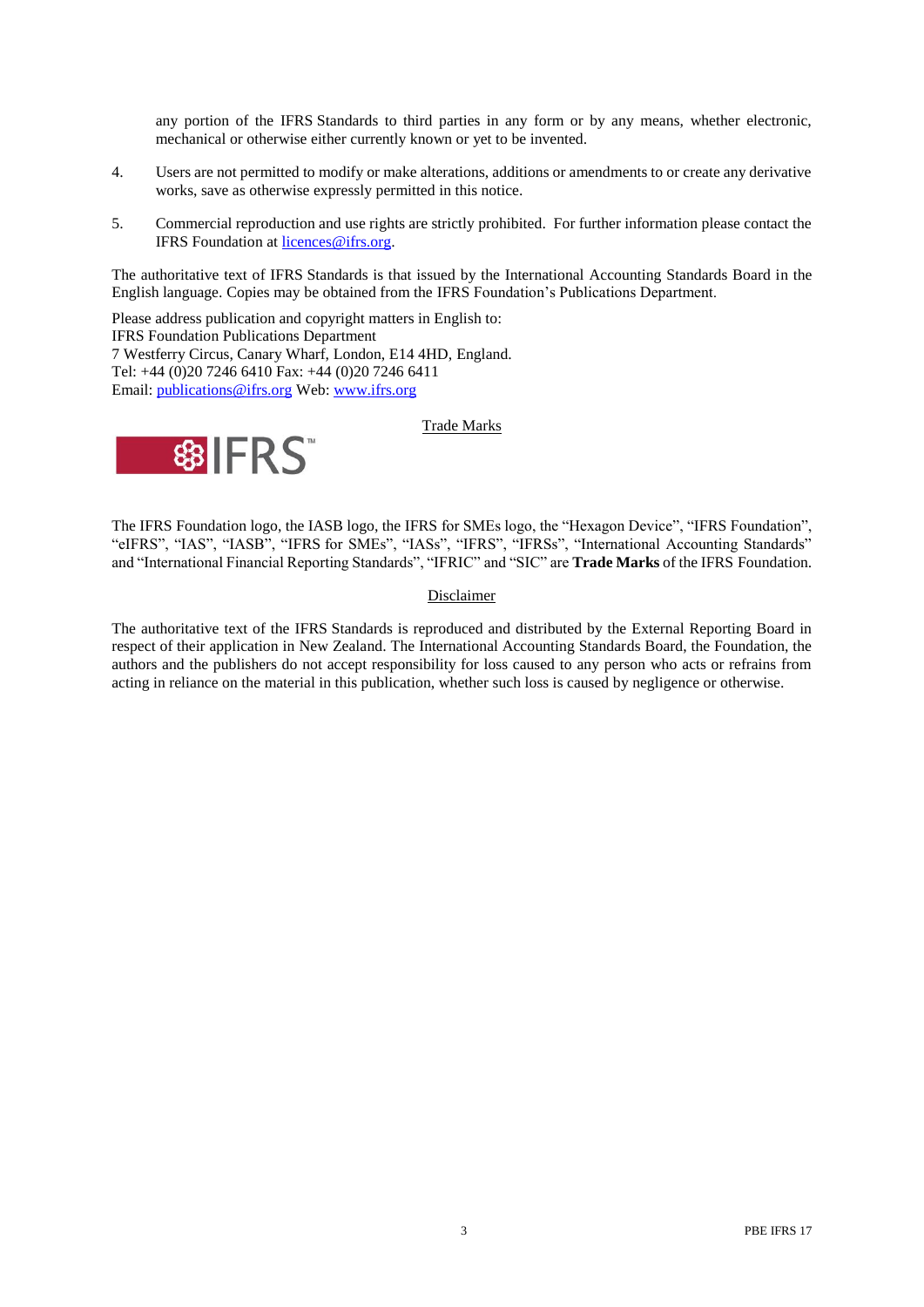any portion of the IFRS Standards to third parties in any form or by any means, whether electronic, mechanical or otherwise either currently known or yet to be invented.

- 4. Users are not permitted to modify or make alterations, additions or amendments to or create any derivative works, save as otherwise expressly permitted in this notice.
- 5. Commercial reproduction and use rights are strictly prohibited. For further information please contact the IFRS Foundation at [licences@ifrs.org.](mailto:licences@ifrs.org)

The authoritative text of IFRS Standards is that issued by the International Accounting Standards Board in the English language. Copies may be obtained from the IFRS Foundation's Publications Department.

Please address publication and copyright matters in English to: IFRS Foundation Publications Department 7 Westferry Circus, Canary Wharf, London, E14 4HD, England. Tel: +44 (0)20 7246 6410 Fax: +44 (0)20 7246 6411 Email: [publications@ifrs.org](mailto:publications@ifrs.org) Web: [www.ifrs.org](http://www.ifrs.org/)

Trade Marks



The IFRS Foundation logo, the IASB logo, the IFRS for SMEs logo, the "Hexagon Device", "IFRS Foundation", "eIFRS", "IAS", "IASB", "IFRS for SMEs", "IASs", "IFRS", "IFRSs", "International Accounting Standards" and "International Financial Reporting Standards", "IFRIC" and "SIC" are **Trade Marks** of the IFRS Foundation.

#### Disclaimer

The authoritative text of the IFRS Standards is reproduced and distributed by the External Reporting Board in respect of their application in New Zealand. The International Accounting Standards Board, the Foundation, the authors and the publishers do not accept responsibility for loss caused to any person who acts or refrains from acting in reliance on the material in this publication, whether such loss is caused by negligence or otherwise.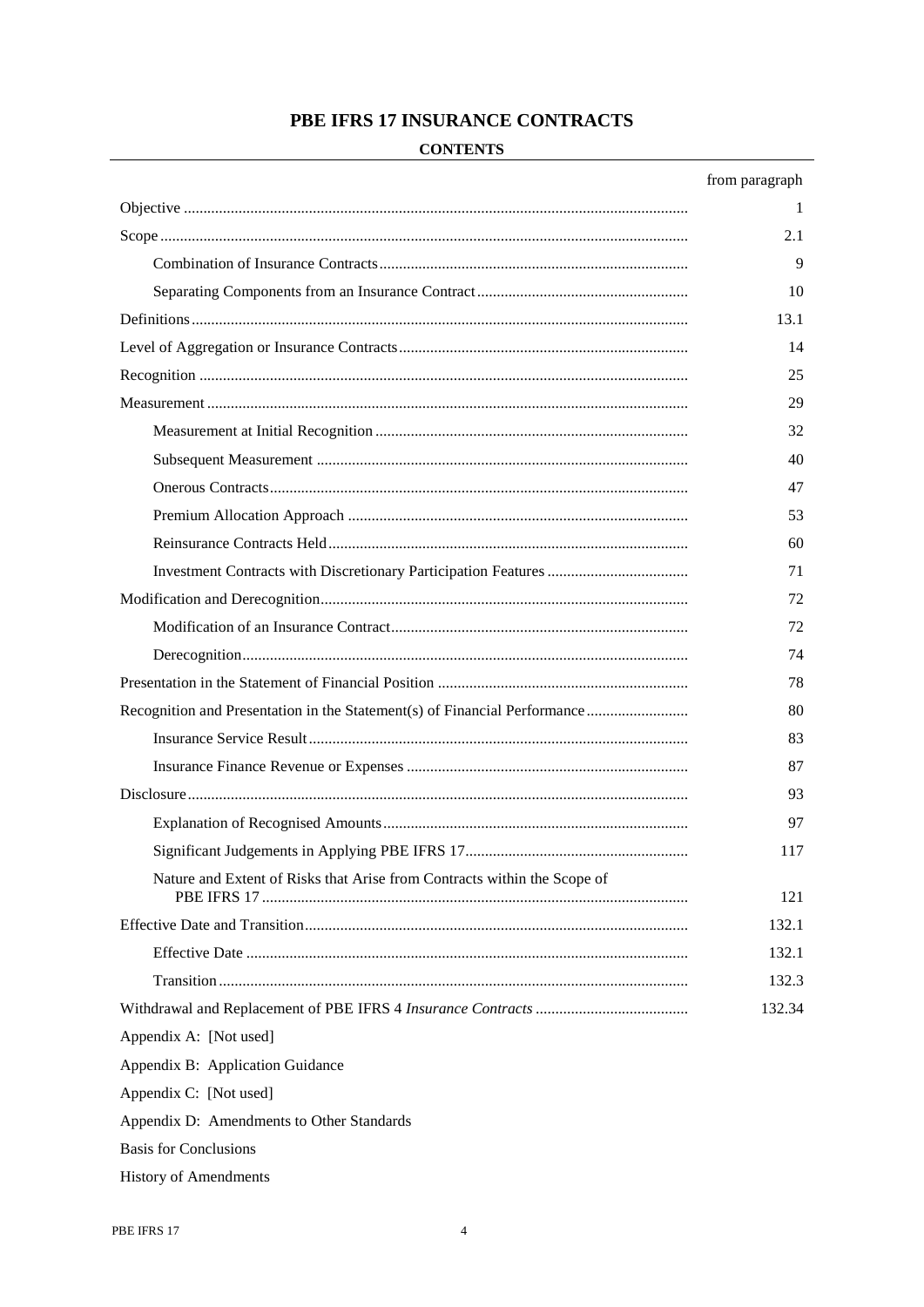# PBE IFRS 17 INSURANCE CONTRACTS

## **CONTENTS**

| -1<br>2.1<br>9<br>10<br>13.1<br>14<br>25<br>29<br>32<br>40<br>47<br>53<br>60<br>71<br>72<br>72<br>74<br>78<br>Recognition and Presentation in the Statement(s) of Financial Performance<br>80<br>83<br>87<br>93<br>97<br>117<br>Nature and Extent of Risks that Arise from Contracts within the Scope of<br>121<br>132.1<br>132.1<br>132.3<br>132.34<br>Appendix A: [Not used]<br>Appendix B: Application Guidance<br>Appendix C: [Not used]<br>Appendix D: Amendments to Other Standards |                              | from paragraph |
|-------------------------------------------------------------------------------------------------------------------------------------------------------------------------------------------------------------------------------------------------------------------------------------------------------------------------------------------------------------------------------------------------------------------------------------------------------------------------------------------|------------------------------|----------------|
|                                                                                                                                                                                                                                                                                                                                                                                                                                                                                           |                              |                |
|                                                                                                                                                                                                                                                                                                                                                                                                                                                                                           |                              |                |
|                                                                                                                                                                                                                                                                                                                                                                                                                                                                                           |                              |                |
|                                                                                                                                                                                                                                                                                                                                                                                                                                                                                           |                              |                |
|                                                                                                                                                                                                                                                                                                                                                                                                                                                                                           |                              |                |
|                                                                                                                                                                                                                                                                                                                                                                                                                                                                                           |                              |                |
|                                                                                                                                                                                                                                                                                                                                                                                                                                                                                           |                              |                |
|                                                                                                                                                                                                                                                                                                                                                                                                                                                                                           |                              |                |
|                                                                                                                                                                                                                                                                                                                                                                                                                                                                                           |                              |                |
|                                                                                                                                                                                                                                                                                                                                                                                                                                                                                           |                              |                |
|                                                                                                                                                                                                                                                                                                                                                                                                                                                                                           |                              |                |
|                                                                                                                                                                                                                                                                                                                                                                                                                                                                                           |                              |                |
|                                                                                                                                                                                                                                                                                                                                                                                                                                                                                           |                              |                |
|                                                                                                                                                                                                                                                                                                                                                                                                                                                                                           |                              |                |
|                                                                                                                                                                                                                                                                                                                                                                                                                                                                                           |                              |                |
|                                                                                                                                                                                                                                                                                                                                                                                                                                                                                           |                              |                |
|                                                                                                                                                                                                                                                                                                                                                                                                                                                                                           |                              |                |
|                                                                                                                                                                                                                                                                                                                                                                                                                                                                                           |                              |                |
|                                                                                                                                                                                                                                                                                                                                                                                                                                                                                           |                              |                |
|                                                                                                                                                                                                                                                                                                                                                                                                                                                                                           |                              |                |
|                                                                                                                                                                                                                                                                                                                                                                                                                                                                                           |                              |                |
|                                                                                                                                                                                                                                                                                                                                                                                                                                                                                           |                              |                |
|                                                                                                                                                                                                                                                                                                                                                                                                                                                                                           |                              |                |
|                                                                                                                                                                                                                                                                                                                                                                                                                                                                                           |                              |                |
|                                                                                                                                                                                                                                                                                                                                                                                                                                                                                           |                              |                |
|                                                                                                                                                                                                                                                                                                                                                                                                                                                                                           |                              |                |
|                                                                                                                                                                                                                                                                                                                                                                                                                                                                                           |                              |                |
|                                                                                                                                                                                                                                                                                                                                                                                                                                                                                           |                              |                |
|                                                                                                                                                                                                                                                                                                                                                                                                                                                                                           |                              |                |
|                                                                                                                                                                                                                                                                                                                                                                                                                                                                                           |                              |                |
|                                                                                                                                                                                                                                                                                                                                                                                                                                                                                           |                              |                |
|                                                                                                                                                                                                                                                                                                                                                                                                                                                                                           |                              |                |
|                                                                                                                                                                                                                                                                                                                                                                                                                                                                                           |                              |                |
|                                                                                                                                                                                                                                                                                                                                                                                                                                                                                           | <b>Basis for Conclusions</b> |                |

**History of Amendments**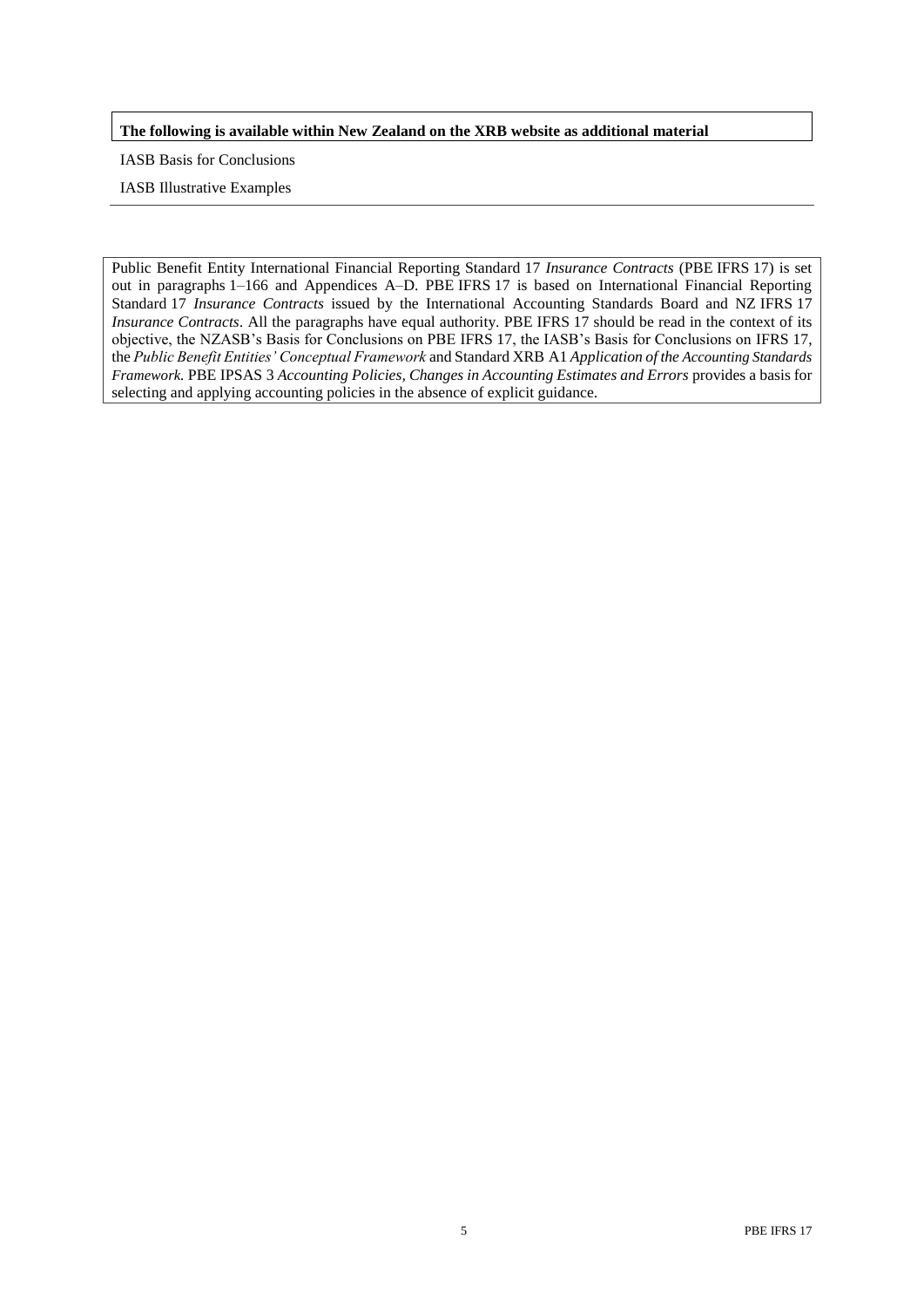#### **The following is available within New Zealand on the XRB website as additional material**

IASB Basis for Conclusions

IASB Illustrative Examples

Public Benefit Entity International Financial Reporting Standard 17 *Insurance Contracts* (PBE IFRS 17) is set out in paragraphs 1–166 and Appendices A–D. PBE IFRS 17 is based on International Financial Reporting Standard 17 *Insurance Contracts* issued by the International Accounting Standards Board and NZ IFRS 17 *Insurance Contracts*. All the paragraphs have equal authority. PBE IFRS 17 should be read in the context of its objective, the NZASB's Basis for Conclusions on PBE IFRS 17, the IASB's Basis for Conclusions on IFRS 17, the *Public Benefit Entities' Conceptual Framework* and Standard XRB A1 *Application of the Accounting Standards Framework.* PBE IPSAS 3 *Accounting Policies, Changes in Accounting Estimates and Errors* provides a basis for selecting and applying accounting policies in the absence of explicit guidance.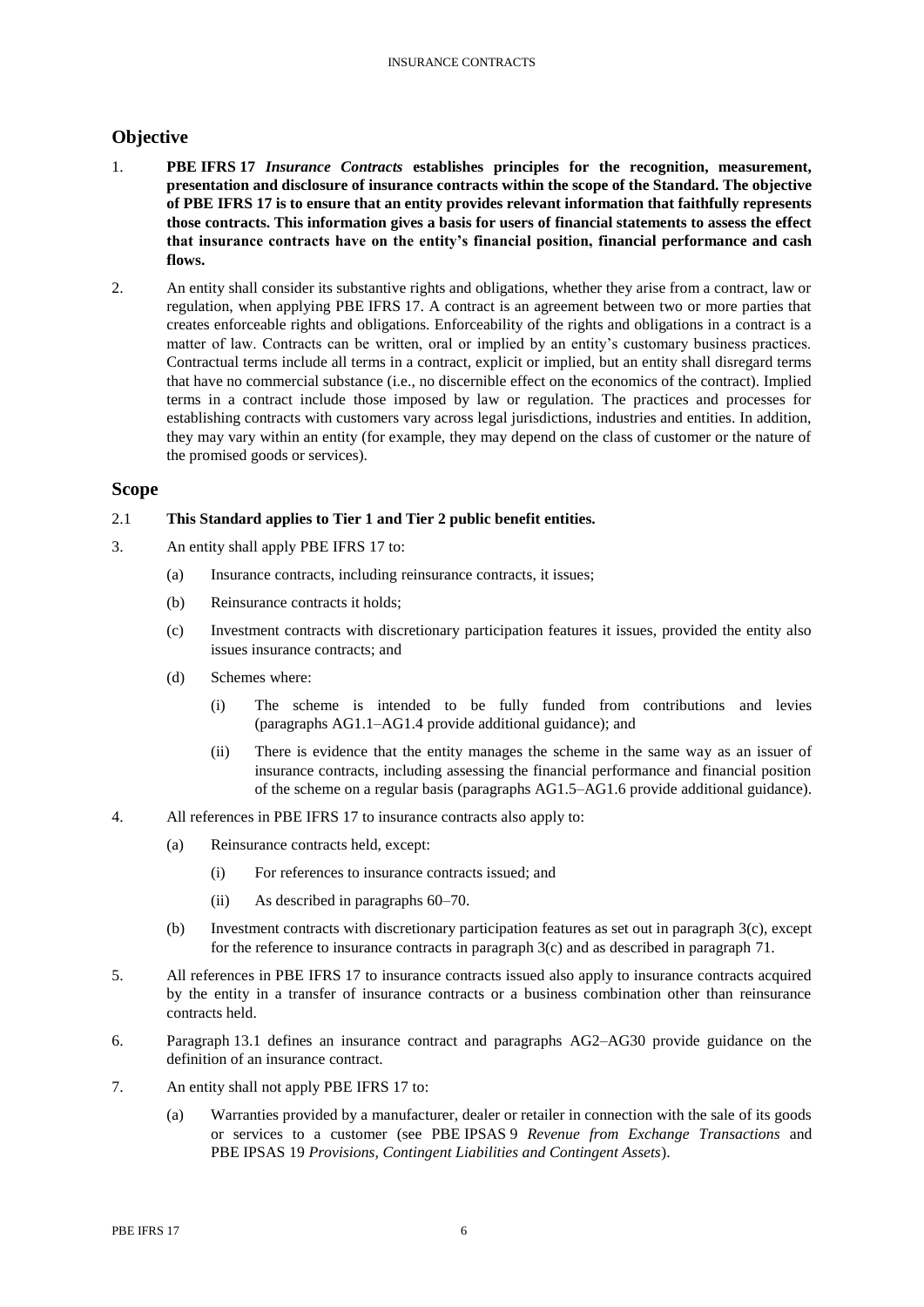## **Objective**

- 1. **PBE IFRS 17** *Insurance Contracts* **establishes principles for the recognition, measurement, presentation and disclosure of insurance contracts within the scope of the Standard. The objective of PBE IFRS 17 is to ensure that an entity provides relevant information that faithfully represents those contracts. This information gives a basis for users of financial statements to assess the effect that insurance contracts have on the entity's financial position, financial performance and cash flows.**
- 2. An entity shall consider its substantive rights and obligations, whether they arise from a contract, law or regulation, when applying PBE IFRS 17. A contract is an agreement between two or more parties that creates enforceable rights and obligations. Enforceability of the rights and obligations in a contract is a matter of law. Contracts can be written, oral or implied by an entity's customary business practices. Contractual terms include all terms in a contract, explicit or implied, but an entity shall disregard terms that have no commercial substance (i.e., no discernible effect on the economics of the contract). Implied terms in a contract include those imposed by law or regulation. The practices and processes for establishing contracts with customers vary across legal jurisdictions, industries and entities. In addition, they may vary within an entity (for example, they may depend on the class of customer or the nature of the promised goods or services).

### **Scope**

### 2.1 **This Standard applies to Tier 1 and Tier 2 public benefit entities.**

- 3. An entity shall apply PBE IFRS 17 to:
	- (a) Insurance contracts, including reinsurance contracts, it issues;
	- (b) Reinsurance contracts it holds;
	- (c) Investment contracts with discretionary participation features it issues, provided the entity also issues insurance contracts; and
	- (d) Schemes where:
		- (i) The scheme is intended to be fully funded from contributions and levies (paragraphs AG1.1–AG1.4 provide additional guidance); and
		- (ii) There is evidence that the entity manages the scheme in the same way as an issuer of insurance contracts, including assessing the financial performance and financial position of the scheme on a regular basis (paragraphs AG1.5–AG1.6 provide additional guidance).
- 4. All references in PBE IFRS 17 to insurance contracts also apply to:
	- (a) Reinsurance contracts held, except:
		- (i) For references to insurance contracts issued; and
		- (ii) As described in paragraphs 60–70.
	- (b) Investment contracts with discretionary participation features as set out in paragraph 3(c), except for the reference to insurance contracts in paragraph 3(c) and as described in paragraph 71.
- 5. All references in PBE IFRS 17 to insurance contracts issued also apply to insurance contracts acquired by the entity in a transfer of insurance contracts or a business combination other than reinsurance contracts held.
- 6. Paragraph 13.1 defines an insurance contract and paragraphs AG2–AG30 provide guidance on the definition of an insurance contract.
- 7. An entity shall not apply PBE IFRS 17 to:
	- (a) Warranties provided by a manufacturer, dealer or retailer in connection with the sale of its goods or services to a customer (see PBE IPSAS 9 *Revenue from Exchange Transactions* and PBE IPSAS 19 *Provisions, Contingent Liabilities and Contingent Assets*).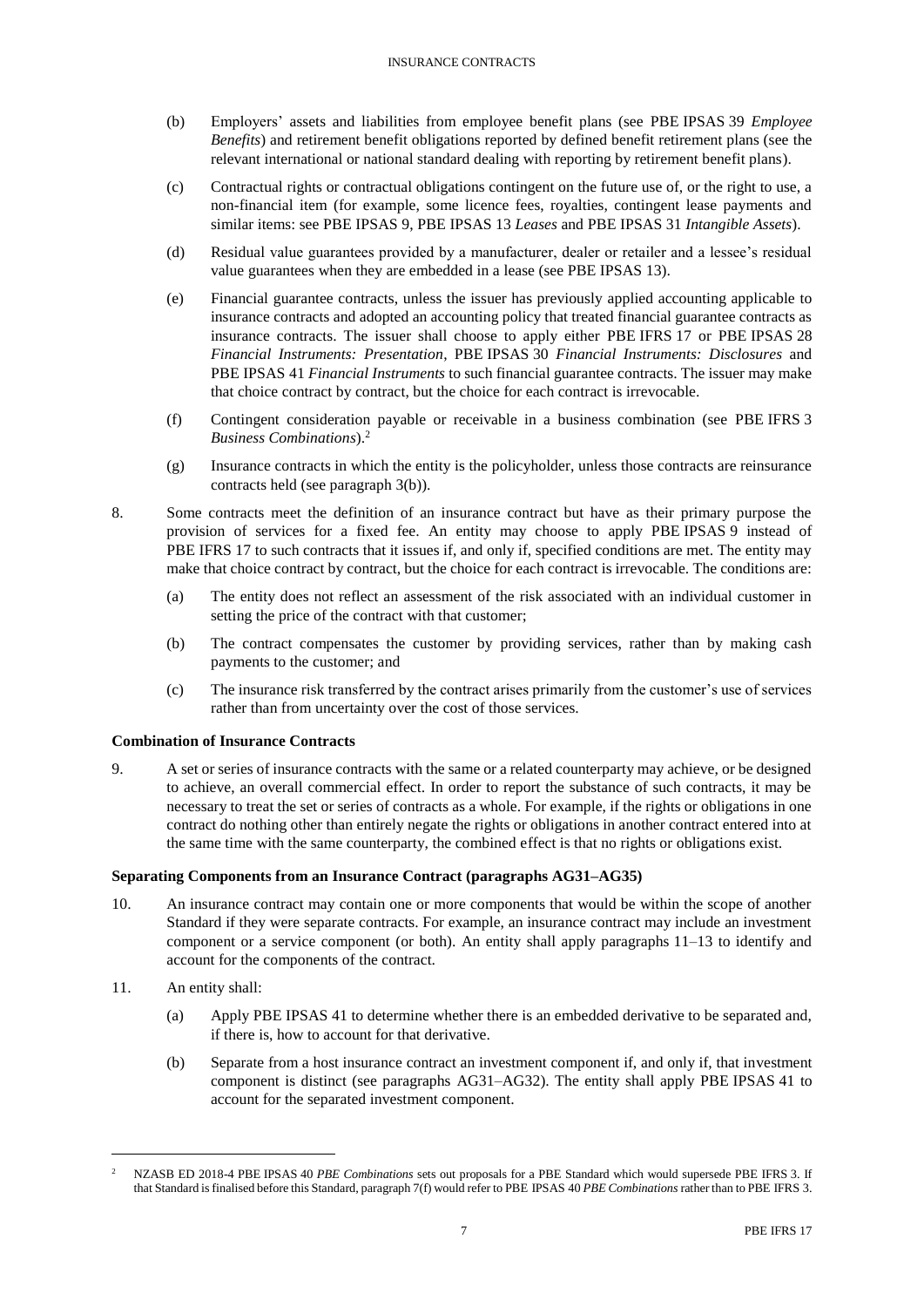#### INSURANCE CONTRACTS

- (b) Employers' assets and liabilities from employee benefit plans (see PBE IPSAS 39 *Employee Benefits*) and retirement benefit obligations reported by defined benefit retirement plans (see the relevant international or national standard dealing with reporting by retirement benefit plans).
- (c) Contractual rights or contractual obligations contingent on the future use of, or the right to use, a non-financial item (for example, some licence fees, royalties, contingent lease payments and similar items: see PBE IPSAS 9, PBE IPSAS 13 *Leases* and PBE IPSAS 31 *Intangible Assets*).
- (d) Residual value guarantees provided by a manufacturer, dealer or retailer and a lessee's residual value guarantees when they are embedded in a lease (see PBE IPSAS 13).
- (e) Financial guarantee contracts, unless the issuer has previously applied accounting applicable to insurance contracts and adopted an accounting policy that treated financial guarantee contracts as insurance contracts. The issuer shall choose to apply either PBE IFRS 17 or PBE IPSAS 28 *Financial Instruments: Presentation*, PBE IPSAS 30 *Financial Instruments: Disclosures* and PBE IPSAS 41 *Financial Instruments* to such financial guarantee contracts. The issuer may make that choice contract by contract, but the choice for each contract is irrevocable.
- (f) Contingent consideration payable or receivable in a business combination (see PBE IFRS 3 *Business Combinations*).<sup>2</sup>
- (g) Insurance contracts in which the entity is the policyholder, unless those contracts are reinsurance contracts held (see paragraph 3(b)).
- 8. Some contracts meet the definition of an insurance contract but have as their primary purpose the provision of services for a fixed fee. An entity may choose to apply PBE IPSAS 9 instead of PBE IFRS 17 to such contracts that it issues if, and only if, specified conditions are met. The entity may make that choice contract by contract, but the choice for each contract is irrevocable. The conditions are:
	- (a) The entity does not reflect an assessment of the risk associated with an individual customer in setting the price of the contract with that customer;
	- (b) The contract compensates the customer by providing services, rather than by making cash payments to the customer; and
	- (c) The insurance risk transferred by the contract arises primarily from the customer's use of services rather than from uncertainty over the cost of those services.

### **Combination of Insurance Contracts**

9. A set or series of insurance contracts with the same or a related counterparty may achieve, or be designed to achieve, an overall commercial effect. In order to report the substance of such contracts, it may be necessary to treat the set or series of contracts as a whole. For example, if the rights or obligations in one contract do nothing other than entirely negate the rights or obligations in another contract entered into at the same time with the same counterparty, the combined effect is that no rights or obligations exist.

### **Separating Components from an Insurance Contract (paragraphs AG31–AG35)**

- 10. An insurance contract may contain one or more components that would be within the scope of another Standard if they were separate contracts. For example, an insurance contract may include an investment component or a service component (or both). An entity shall apply paragraphs 11–13 to identify and account for the components of the contract.
- 11. An entity shall:

1

- (a) Apply PBE IPSAS 41 to determine whether there is an embedded derivative to be separated and, if there is, how to account for that derivative.
- (b) Separate from a host insurance contract an investment component if, and only if, that investment component is distinct (see paragraphs AG31–AG32). The entity shall apply PBE IPSAS 41 to account for the separated investment component.

<sup>2</sup> NZASB ED 2018-4 PBE IPSAS 40 *PBE Combinations* sets out proposals for a PBE Standard which would supersede PBE IFRS 3. If that Standard is finalised before this Standard, paragraph 7(f) would refer to PBE IPSAS 40 *PBE Combinations* rather than to PBE IFRS 3.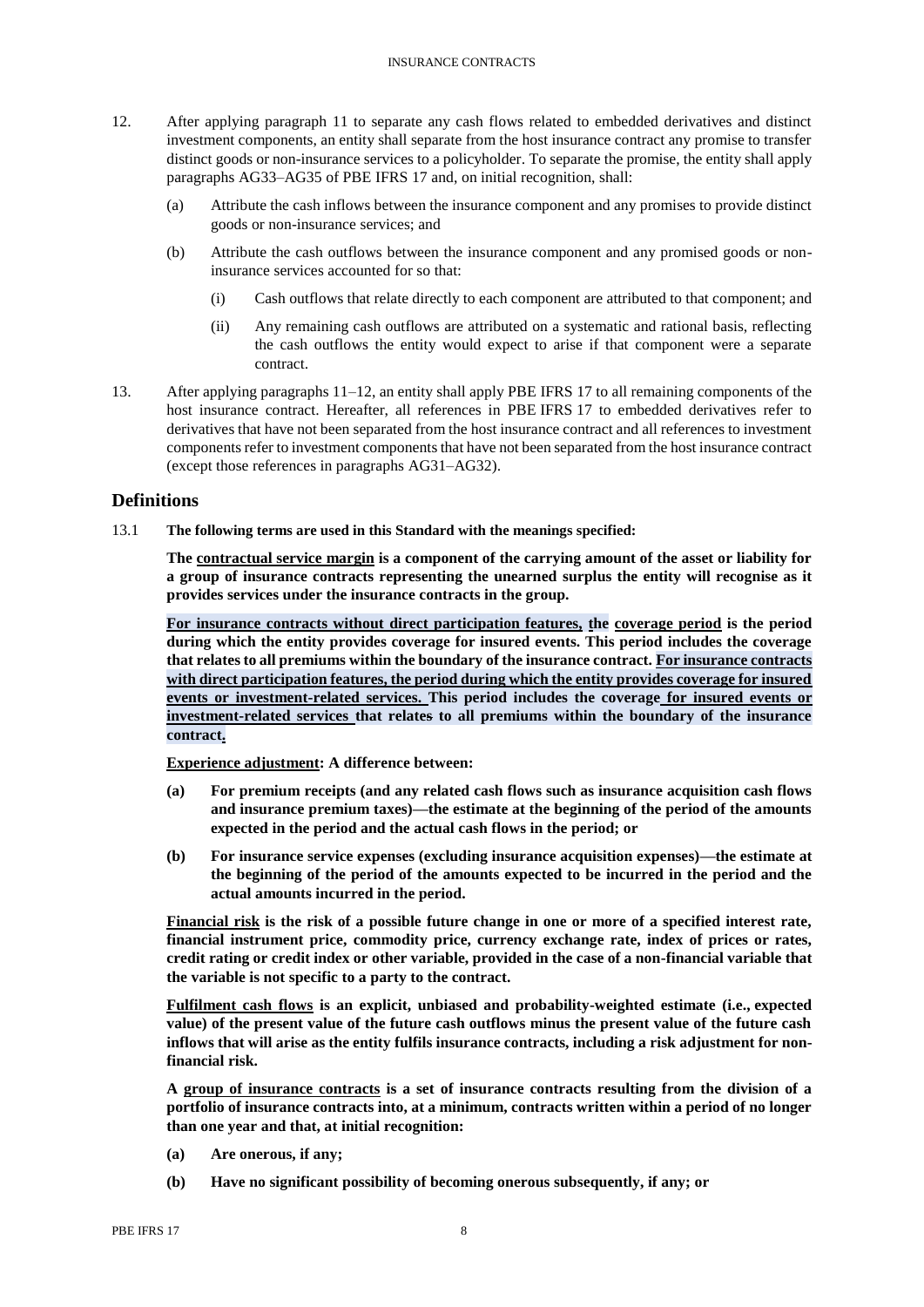- 12. After applying paragraph 11 to separate any cash flows related to embedded derivatives and distinct investment components, an entity shall separate from the host insurance contract any promise to transfer distinct goods or non-insurance services to a policyholder. To separate the promise, the entity shall apply paragraphs AG33–AG35 of PBE IFRS 17 and, on initial recognition, shall:
	- (a) Attribute the cash inflows between the insurance component and any promises to provide distinct goods or non-insurance services; and
	- (b) Attribute the cash outflows between the insurance component and any promised goods or noninsurance services accounted for so that:
		- (i) Cash outflows that relate directly to each component are attributed to that component; and
		- (ii) Any remaining cash outflows are attributed on a systematic and rational basis, reflecting the cash outflows the entity would expect to arise if that component were a separate contract.
- 13. After applying paragraphs 11–12, an entity shall apply PBE IFRS 17 to all remaining components of the host insurance contract. Hereafter, all references in PBE IFRS 17 to embedded derivatives refer to derivatives that have not been separated from the host insurance contract and all references to investment components refer to investment components that have not been separated from the host insurance contract (except those references in paragraphs AG31–AG32).

## **Definitions**

13.1 **The following terms are used in this Standard with the meanings specified:**

**The contractual service margin is a component of the carrying amount of the asset or liability for a group of insurance contracts representing the unearned surplus the entity will recognise as it provides services under the insurance contracts in the group.**

**For insurance contracts without direct participation features, the coverage period is the period during which the entity provides coverage for insured events. This period includes the coverage that relates to all premiums within the boundary of the insurance contract. For insurance contracts with direct participation features, the period during which the entity provides coverage for insured events or investment-related services. This period includes the coverage for insured events or investment-related services that relates to all premiums within the boundary of the insurance contract.**

**Experience adjustment: A difference between:** 

- **(a) For premium receipts (and any related cash flows such as insurance acquisition cash flows and insurance premium taxes)—the estimate at the beginning of the period of the amounts expected in the period and the actual cash flows in the period; or**
- **(b) For insurance service expenses (excluding insurance acquisition expenses)—the estimate at the beginning of the period of the amounts expected to be incurred in the period and the actual amounts incurred in the period.**

**Financial risk is the risk of a possible future change in one or more of a specified interest rate, financial instrument price, commodity price, currency exchange rate, index of prices or rates, credit rating or credit index or other variable, provided in the case of a non-financial variable that the variable is not specific to a party to the contract.**

**Fulfilment cash flows is an explicit, unbiased and probability-weighted estimate (i.e., expected value) of the present value of the future cash outflows minus the present value of the future cash inflows that will arise as the entity fulfils insurance contracts, including a risk adjustment for nonfinancial risk.**

**A group of insurance contracts is a set of insurance contracts resulting from the division of a portfolio of insurance contracts into, at a minimum, contracts written within a period of no longer than one year and that, at initial recognition:**

- **(a) Are onerous, if any;**
- **(b) Have no significant possibility of becoming onerous subsequently, if any; or**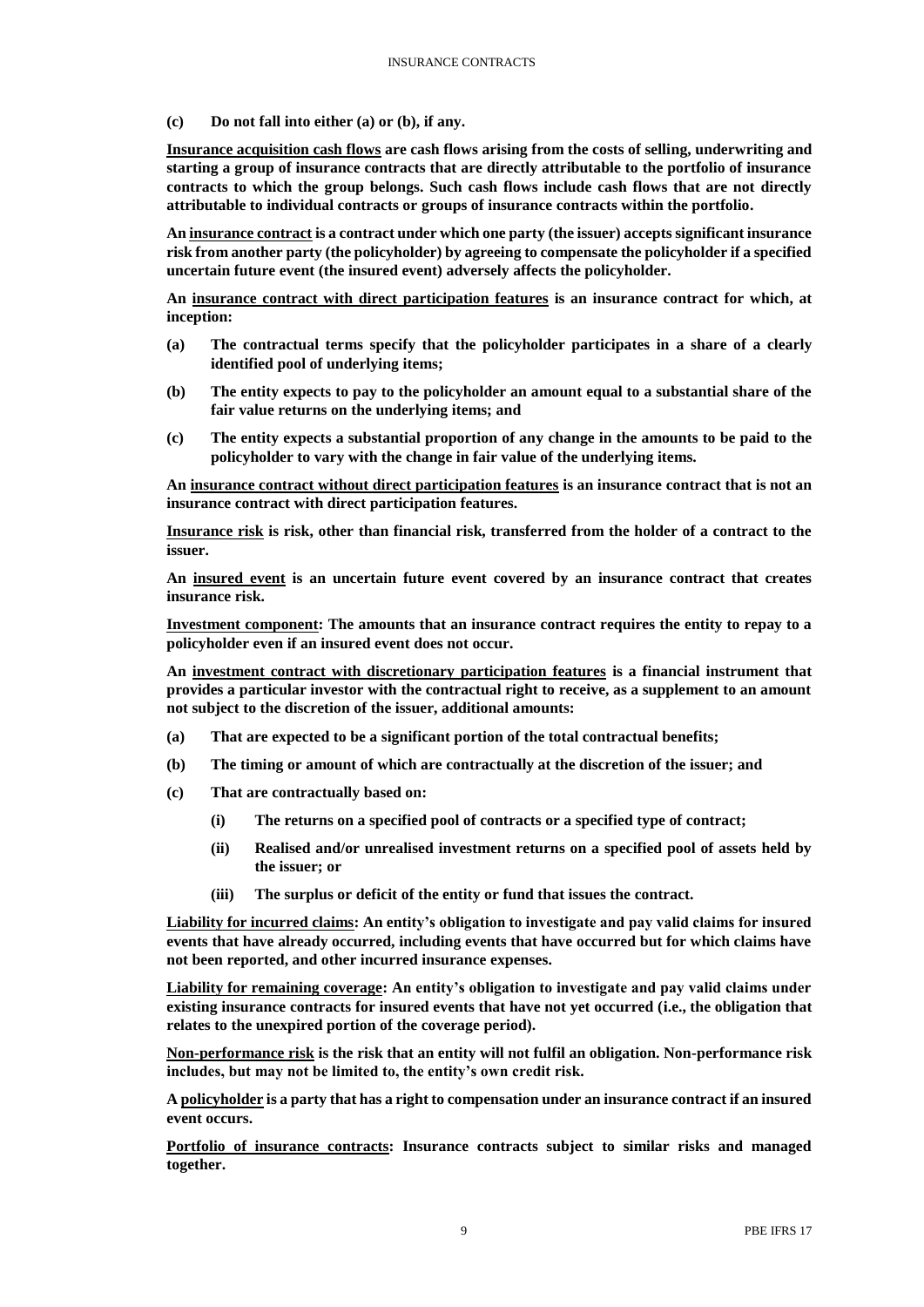**(c) Do not fall into either (a) or (b), if any.**

**Insurance acquisition cash flows are cash flows arising from the costs of selling, underwriting and starting a group of insurance contracts that are directly attributable to the portfolio of insurance contracts to which the group belongs. Such cash flows include cash flows that are not directly attributable to individual contracts or groups of insurance contracts within the portfolio.**

**An insurance contract is a contract under which one party (the issuer) accepts significant insurance risk from another party (the policyholder) by agreeing to compensate the policyholder if a specified uncertain future event (the insured event) adversely affects the policyholder.**

**An insurance contract with direct participation features is an insurance contract for which, at inception:**

- **(a) The contractual terms specify that the policyholder participates in a share of a clearly identified pool of underlying items;**
- **(b) The entity expects to pay to the policyholder an amount equal to a substantial share of the fair value returns on the underlying items; and**
- **(c) The entity expects a substantial proportion of any change in the amounts to be paid to the policyholder to vary with the change in fair value of the underlying items.**

**An insurance contract without direct participation features is an insurance contract that is not an insurance contract with direct participation features.**

**Insurance risk is risk, other than financial risk, transferred from the holder of a contract to the issuer.**

**An insured event is an uncertain future event covered by an insurance contract that creates insurance risk.**

**Investment component: The amounts that an insurance contract requires the entity to repay to a policyholder even if an insured event does not occur.**

**An investment contract with discretionary participation features is a financial instrument that provides a particular investor with the contractual right to receive, as a supplement to an amount not subject to the discretion of the issuer, additional amounts:**

- **(a) That are expected to be a significant portion of the total contractual benefits;**
- **(b) The timing or amount of which are contractually at the discretion of the issuer; and**
- **(c) That are contractually based on:** 
	- **(i) The returns on a specified pool of contracts or a specified type of contract;**
	- **(ii) Realised and/or unrealised investment returns on a specified pool of assets held by the issuer; or**
	- **(iii) The surplus or deficit of the entity or fund that issues the contract.**

**Liability for incurred claims: An entity's obligation to investigate and pay valid claims for insured events that have already occurred, including events that have occurred but for which claims have not been reported, and other incurred insurance expenses.**

**Liability for remaining coverage: An entity's obligation to investigate and pay valid claims under existing insurance contracts for insured events that have not yet occurred (i.e., the obligation that relates to the unexpired portion of the coverage period).**

**Non-performance risk is the risk that an entity will not fulfil an obligation. Non-performance risk includes, but may not be limited to, the entity's own credit risk.**

**A policyholder is a party that has a right to compensation under an insurance contract if an insured event occurs.**

**Portfolio of insurance contracts: Insurance contracts subject to similar risks and managed together.**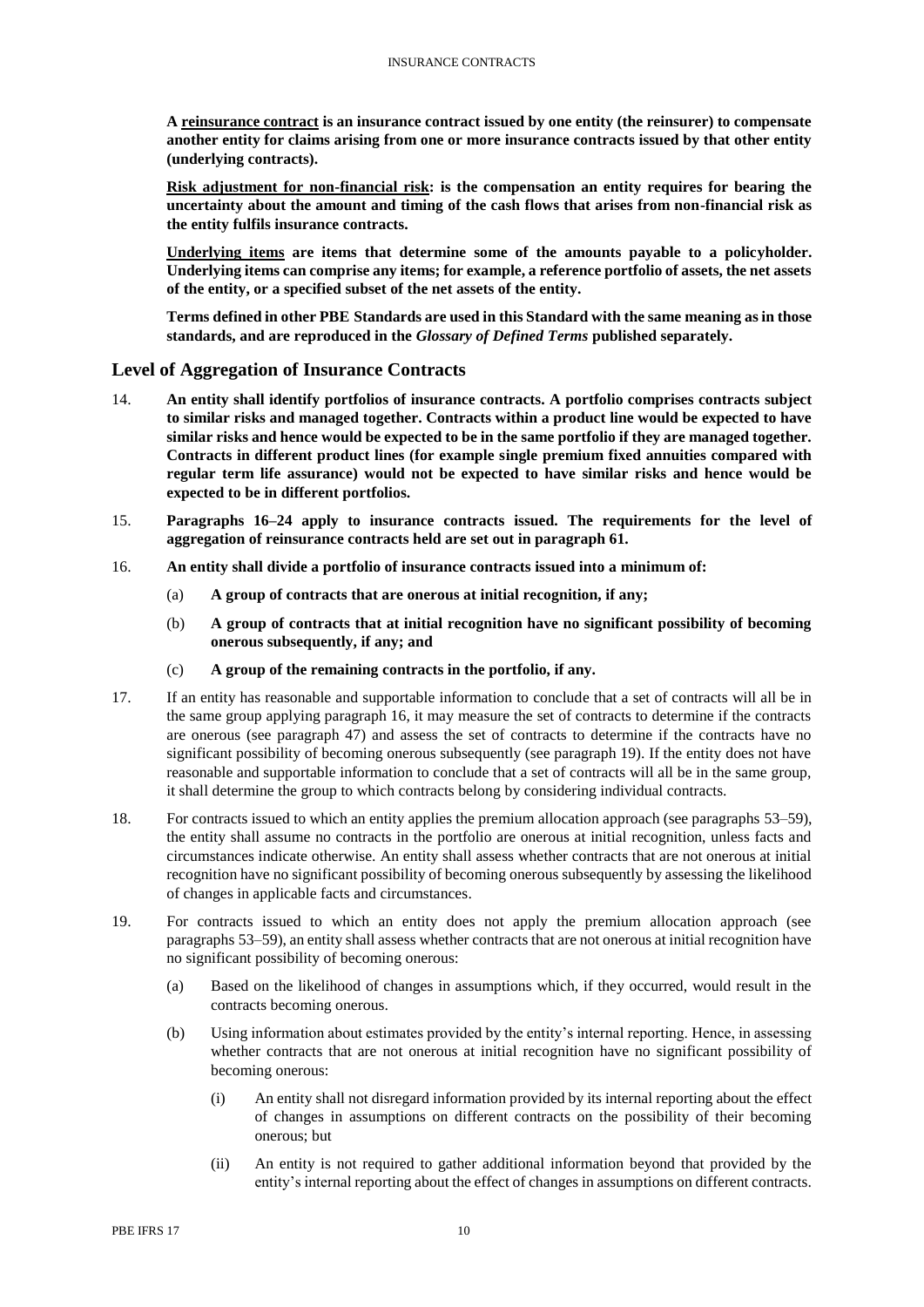**A reinsurance contract is an insurance contract issued by one entity (the reinsurer) to compensate another entity for claims arising from one or more insurance contracts issued by that other entity (underlying contracts).**

**Risk adjustment for non-financial risk: is the compensation an entity requires for bearing the uncertainty about the amount and timing of the cash flows that arises from non-financial risk as the entity fulfils insurance contracts.**

**Underlying items are items that determine some of the amounts payable to a policyholder. Underlying items can comprise any items; for example, a reference portfolio of assets, the net assets of the entity, or a specified subset of the net assets of the entity.**

**Terms defined in other PBE Standards are used in this Standard with the same meaning as in those standards, and are reproduced in the** *Glossary of Defined Terms* **published separately.**

## **Level of Aggregation of Insurance Contracts**

- 14. **An entity shall identify portfolios of insurance contracts. A portfolio comprises contracts subject to similar risks and managed together. Contracts within a product line would be expected to have similar risks and hence would be expected to be in the same portfolio if they are managed together. Contracts in different product lines (for example single premium fixed annuities compared with regular term life assurance) would not be expected to have similar risks and hence would be expected to be in different portfolios.**
- 15. **Paragraphs 16–24 apply to insurance contracts issued. The requirements for the level of aggregation of reinsurance contracts held are set out in paragraph 61.**
- 16. **An entity shall divide a portfolio of insurance contracts issued into a minimum of:** 
	- (a) **A group of contracts that are onerous at initial recognition, if any;**
	- (b) **A group of contracts that at initial recognition have no significant possibility of becoming onerous subsequently, if any; and**
	- (c) **A group of the remaining contracts in the portfolio, if any.**
- 17. If an entity has reasonable and supportable information to conclude that a set of contracts will all be in the same group applying paragraph 16, it may measure the set of contracts to determine if the contracts are onerous (see paragraph 47) and assess the set of contracts to determine if the contracts have no significant possibility of becoming onerous subsequently (see paragraph 19). If the entity does not have reasonable and supportable information to conclude that a set of contracts will all be in the same group, it shall determine the group to which contracts belong by considering individual contracts.
- 18. For contracts issued to which an entity applies the premium allocation approach (see paragraphs 53–59), the entity shall assume no contracts in the portfolio are onerous at initial recognition, unless facts and circumstances indicate otherwise. An entity shall assess whether contracts that are not onerous at initial recognition have no significant possibility of becoming onerous subsequently by assessing the likelihood of changes in applicable facts and circumstances.
- 19. For contracts issued to which an entity does not apply the premium allocation approach (see paragraphs 53–59), an entity shall assess whether contracts that are not onerous at initial recognition have no significant possibility of becoming onerous:
	- (a) Based on the likelihood of changes in assumptions which, if they occurred, would result in the contracts becoming onerous.
	- (b) Using information about estimates provided by the entity's internal reporting. Hence, in assessing whether contracts that are not onerous at initial recognition have no significant possibility of becoming onerous:
		- (i) An entity shall not disregard information provided by its internal reporting about the effect of changes in assumptions on different contracts on the possibility of their becoming onerous; but
		- (ii) An entity is not required to gather additional information beyond that provided by the entity's internal reporting about the effect of changes in assumptions on different contracts.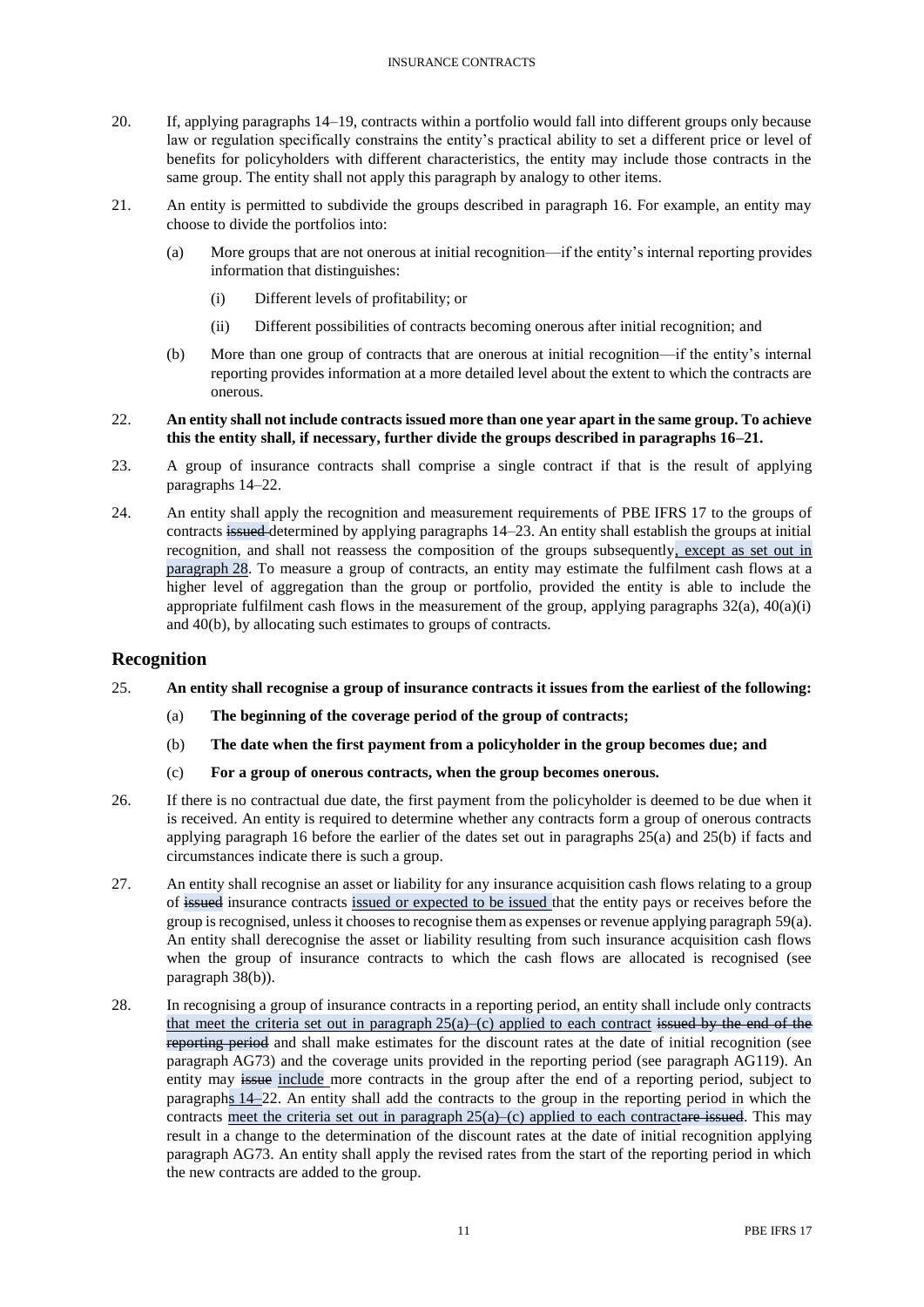- 20. If, applying paragraphs 14–19, contracts within a portfolio would fall into different groups only because law or regulation specifically constrains the entity's practical ability to set a different price or level of benefits for policyholders with different characteristics, the entity may include those contracts in the same group. The entity shall not apply this paragraph by analogy to other items.
- 21. An entity is permitted to subdivide the groups described in paragraph 16. For example, an entity may choose to divide the portfolios into:
	- (a) More groups that are not onerous at initial recognition—if the entity's internal reporting provides information that distinguishes:
		- (i) Different levels of profitability; or
		- (ii) Different possibilities of contracts becoming onerous after initial recognition; and
	- (b) More than one group of contracts that are onerous at initial recognition—if the entity's internal reporting provides information at a more detailed level about the extent to which the contracts are onerous.
- 22. **An entity shall not include contracts issued more than one year apart in the same group. To achieve this the entity shall, if necessary, further divide the groups described in paragraphs 16–21.**
- 23. A group of insurance contracts shall comprise a single contract if that is the result of applying paragraphs 14–22.
- 24. An entity shall apply the recognition and measurement requirements of PBE IFRS 17 to the groups of contracts issued determined by applying paragraphs 14–23. An entity shall establish the groups at initial recognition, and shall not reassess the composition of the groups subsequently, except as set out in paragraph 28. To measure a group of contracts, an entity may estimate the fulfilment cash flows at a higher level of aggregation than the group or portfolio, provided the entity is able to include the appropriate fulfilment cash flows in the measurement of the group, applying paragraphs  $32(a)$ ,  $40(a)(i)$ and 40(b), by allocating such estimates to groups of contracts.

## **Recognition**

- 25. **An entity shall recognise a group of insurance contracts it issues from the earliest of the following:** 
	- (a) **The beginning of the coverage period of the group of contracts;**
	- (b) **The date when the first payment from a policyholder in the group becomes due; and**
	- (c) **For a group of onerous contracts, when the group becomes onerous.**
- 26. If there is no contractual due date, the first payment from the policyholder is deemed to be due when it is received. An entity is required to determine whether any contracts form a group of onerous contracts applying paragraph 16 before the earlier of the dates set out in paragraphs 25(a) and 25(b) if facts and circumstances indicate there is such a group.
- 27. An entity shall recognise an asset or liability for any insurance acquisition cash flows relating to a group of issued insurance contracts issued or expected to be issued that the entity pays or receives before the group is recognised, unless it chooses to recognise them as expenses or revenue applying paragraph 59(a). An entity shall derecognise the asset or liability resulting from such insurance acquisition cash flows when the group of insurance contracts to which the cash flows are allocated is recognised (see paragraph 38(b)).
- 28. In recognising a group of insurance contracts in a reporting period, an entity shall include only contracts that meet the criteria set out in paragraph  $25(a)$ –(c) applied to each contract issued by the end of the reporting period and shall make estimates for the discount rates at the date of initial recognition (see paragraph AG73) and the coverage units provided in the reporting period (see paragraph AG119). An entity may issue include more contracts in the group after the end of a reporting period, subject to paragraphs 14–22. An entity shall add the contracts to the group in the reporting period in which the contracts meet the criteria set out in paragraph  $25(a)$ –(c) applied to each contractare issued. This may result in a change to the determination of the discount rates at the date of initial recognition applying paragraph AG73. An entity shall apply the revised rates from the start of the reporting period in which the new contracts are added to the group.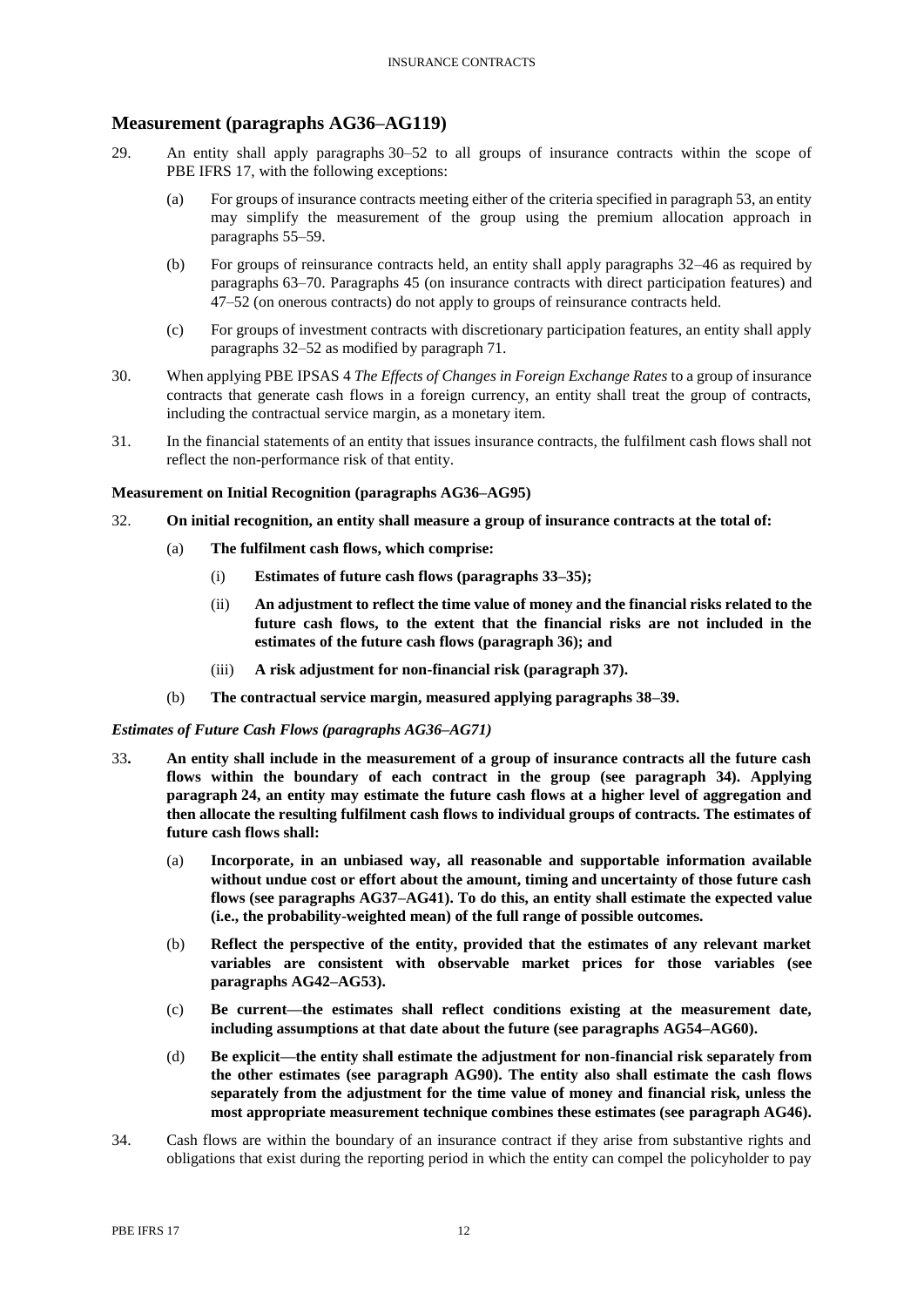## **Measurement (paragraphs AG36–AG119)**

- 29. An entity shall apply paragraphs 30–52 to all groups of insurance contracts within the scope of PBE IFRS 17, with the following exceptions:
	- (a) For groups of insurance contracts meeting either of the criteria specified in paragraph 53, an entity may simplify the measurement of the group using the premium allocation approach in paragraphs 55–59.
	- (b) For groups of reinsurance contracts held, an entity shall apply paragraphs 32–46 as required by paragraphs 63–70. Paragraphs 45 (on insurance contracts with direct participation features) and 47–52 (on onerous contracts) do not apply to groups of reinsurance contracts held.
	- (c) For groups of investment contracts with discretionary participation features, an entity shall apply paragraphs 32–52 as modified by paragraph 71.
- 30. When applying PBE IPSAS 4 *The Effects of Changes in Foreign Exchange Rates* to a group of insurance contracts that generate cash flows in a foreign currency, an entity shall treat the group of contracts, including the contractual service margin, as a monetary item.
- 31. In the financial statements of an entity that issues insurance contracts, the fulfilment cash flows shall not reflect the non-performance risk of that entity.

### **Measurement on Initial Recognition (paragraphs AG36–AG95)**

- 32. **On initial recognition, an entity shall measure a group of insurance contracts at the total of:** 
	- (a) **The fulfilment cash flows, which comprise:**
		- (i) **Estimates of future cash flows (paragraphs 33–35);**
		- (ii) **An adjustment to reflect the time value of money and the financial risks related to the future cash flows, to the extent that the financial risks are not included in the estimates of the future cash flows (paragraph 36); and**
		- (iii) **A risk adjustment for non-financial risk (paragraph 37).**
	- (b) **The contractual service margin, measured applying paragraphs 38–39.**

### *Estimates of Future Cash Flows (paragraphs AG36–AG71)*

- 33**. An entity shall include in the measurement of a group of insurance contracts all the future cash flows within the boundary of each contract in the group (see paragraph 34). Applying paragraph 24, an entity may estimate the future cash flows at a higher level of aggregation and then allocate the resulting fulfilment cash flows to individual groups of contracts. The estimates of future cash flows shall:** 
	- (a) **Incorporate, in an unbiased way, all reasonable and supportable information available without undue cost or effort about the amount, timing and uncertainty of those future cash flows (see paragraphs AG37–AG41). To do this, an entity shall estimate the expected value (i.e., the probability-weighted mean) of the full range of possible outcomes.**
	- (b) **Reflect the perspective of the entity, provided that the estimates of any relevant market variables are consistent with observable market prices for those variables (see paragraphs AG42–AG53).**
	- (c) **Be current—the estimates shall reflect conditions existing at the measurement date, including assumptions at that date about the future (see paragraphs AG54–AG60).**
	- (d) **Be explicit—the entity shall estimate the adjustment for non-financial risk separately from the other estimates (see paragraph AG90). The entity also shall estimate the cash flows separately from the adjustment for the time value of money and financial risk, unless the most appropriate measurement technique combines these estimates (see paragraph AG46).**
- 34. Cash flows are within the boundary of an insurance contract if they arise from substantive rights and obligations that exist during the reporting period in which the entity can compel the policyholder to pay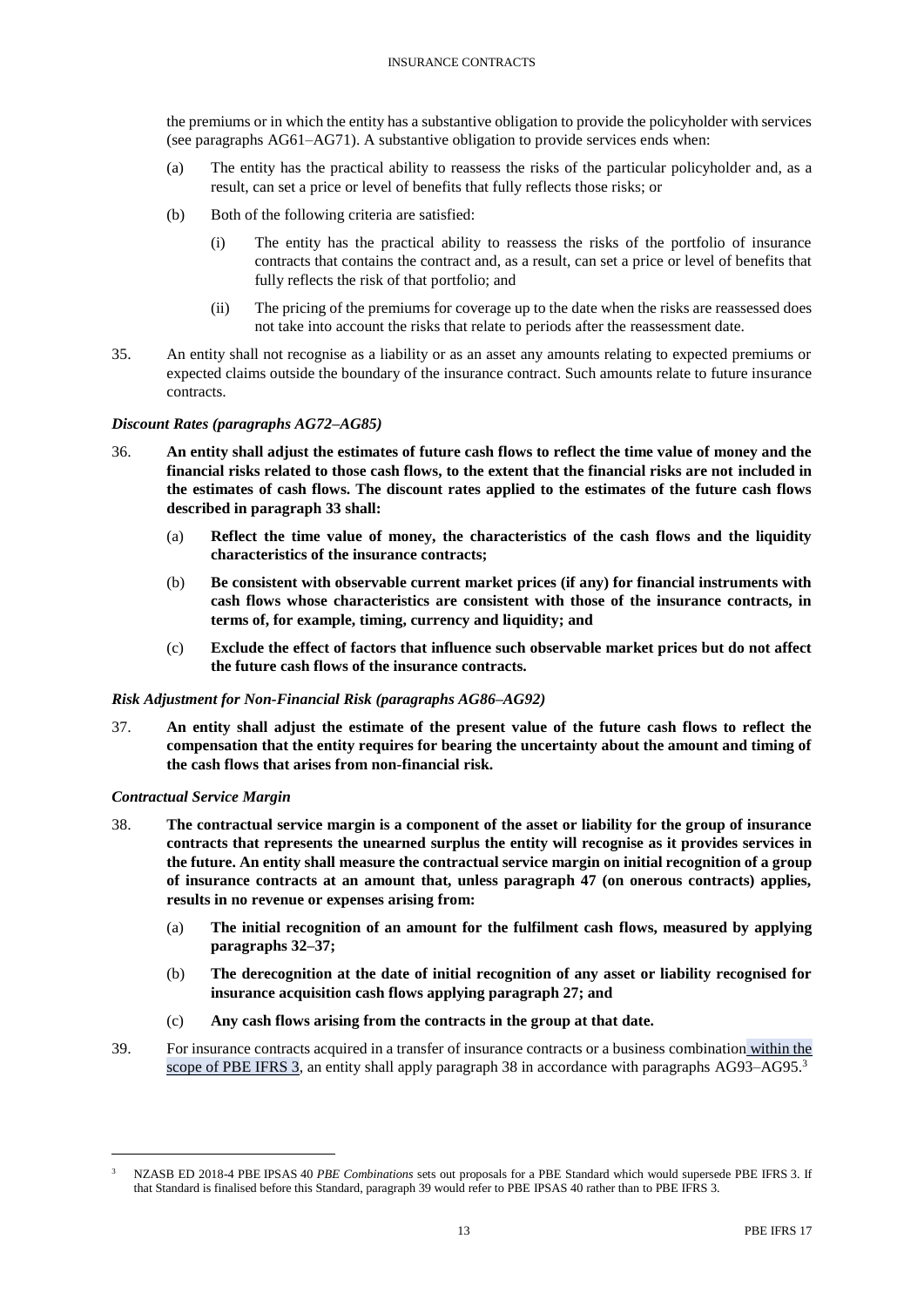the premiums or in which the entity has a substantive obligation to provide the policyholder with services (see paragraphs AG61–AG71). A substantive obligation to provide services ends when:

- (a) The entity has the practical ability to reassess the risks of the particular policyholder and, as a result, can set a price or level of benefits that fully reflects those risks; or
- (b) Both of the following criteria are satisfied:
	- (i) The entity has the practical ability to reassess the risks of the portfolio of insurance contracts that contains the contract and, as a result, can set a price or level of benefits that fully reflects the risk of that portfolio; and
	- (ii) The pricing of the premiums for coverage up to the date when the risks are reassessed does not take into account the risks that relate to periods after the reassessment date.
- 35. An entity shall not recognise as a liability or as an asset any amounts relating to expected premiums or expected claims outside the boundary of the insurance contract. Such amounts relate to future insurance contracts.

### *Discount Rates (paragraphs AG72–AG85)*

- 36. **An entity shall adjust the estimates of future cash flows to reflect the time value of money and the financial risks related to those cash flows, to the extent that the financial risks are not included in the estimates of cash flows. The discount rates applied to the estimates of the future cash flows described in paragraph 33 shall:**
	- (a) **Reflect the time value of money, the characteristics of the cash flows and the liquidity characteristics of the insurance contracts;**
	- (b) **Be consistent with observable current market prices (if any) for financial instruments with cash flows whose characteristics are consistent with those of the insurance contracts, in terms of, for example, timing, currency and liquidity; and**
	- (c) **Exclude the effect of factors that influence such observable market prices but do not affect the future cash flows of the insurance contracts.**

### *Risk Adjustment for Non-Financial Risk (paragraphs AG86–AG92)*

37. **An entity shall adjust the estimate of the present value of the future cash flows to reflect the compensation that the entity requires for bearing the uncertainty about the amount and timing of the cash flows that arises from non-financial risk.**

### *Contractual Service Margin*

1

- 38. **The contractual service margin is a component of the asset or liability for the group of insurance contracts that represents the unearned surplus the entity will recognise as it provides services in the future. An entity shall measure the contractual service margin on initial recognition of a group of insurance contracts at an amount that, unless paragraph 47 (on onerous contracts) applies, results in no revenue or expenses arising from:** 
	- (a) **The initial recognition of an amount for the fulfilment cash flows, measured by applying paragraphs 32–37;**
	- (b) **The derecognition at the date of initial recognition of any asset or liability recognised for insurance acquisition cash flows applying paragraph 27; and**
	- (c) **Any cash flows arising from the contracts in the group at that date.**
- 39. For insurance contracts acquired in a transfer of insurance contracts or a business combination within the scope of PBE IFRS 3, an entity shall apply paragraph 38 in accordance with paragraphs AG93–AG95.<sup>3</sup>

<sup>3</sup> NZASB ED 2018-4 PBE IPSAS 40 *PBE Combinations* sets out proposals for a PBE Standard which would supersede PBE IFRS 3. If that Standard is finalised before this Standard, paragraph 39 would refer to PBE IPSAS 40 rather than to PBE IFRS 3.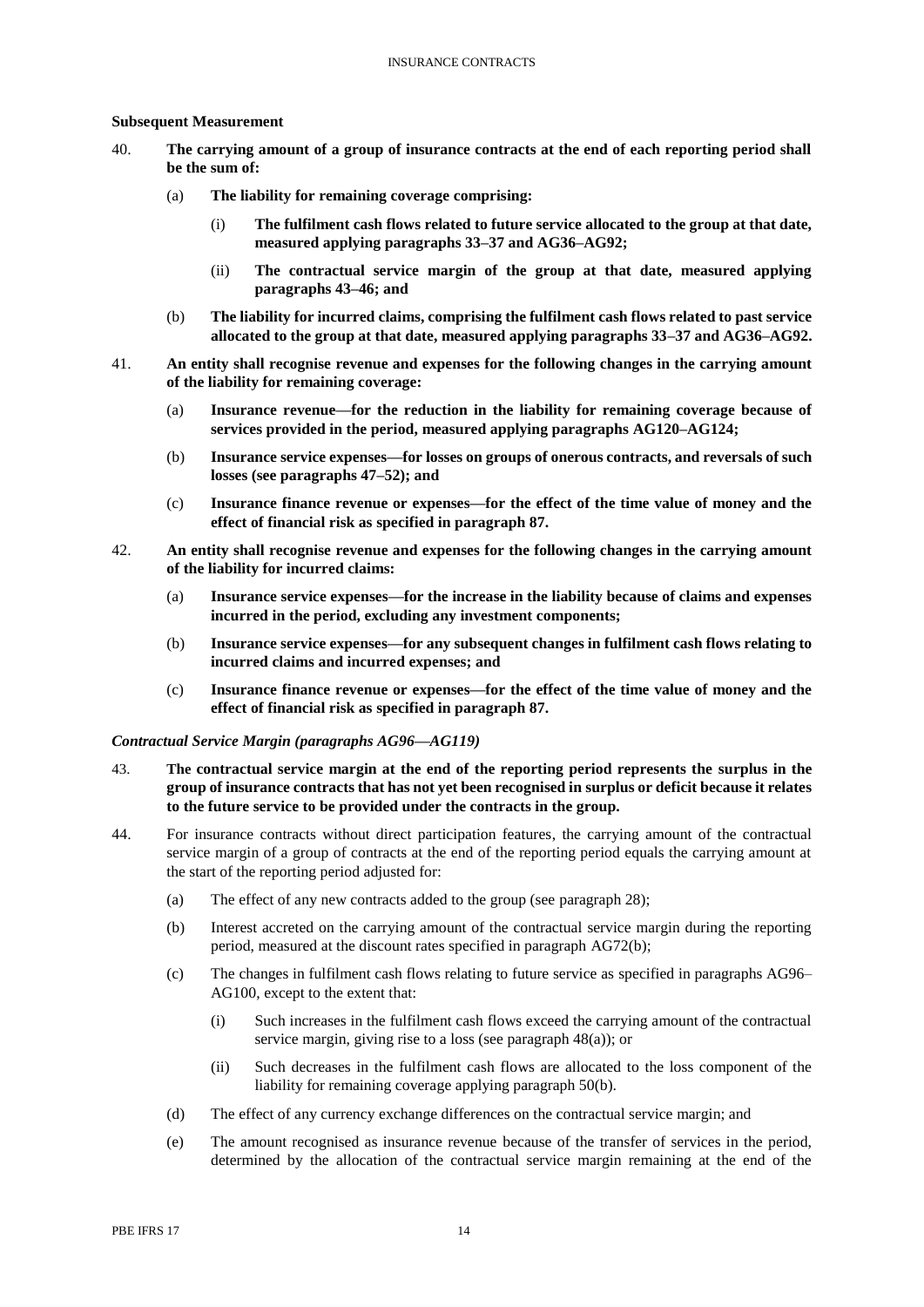#### **Subsequent Measurement**

- 40. **The carrying amount of a group of insurance contracts at the end of each reporting period shall be the sum of:** 
	- (a) **The liability for remaining coverage comprising:**
		- (i) **The fulfilment cash flows related to future service allocated to the group at that date, measured applying paragraphs 33–37 and AG36–AG92;**
		- (ii) **The contractual service margin of the group at that date, measured applying paragraphs 43–46; and**
	- (b) **The liability for incurred claims, comprising the fulfilment cash flows related to past service allocated to the group at that date, measured applying paragraphs 33–37 and AG36–AG92.**
- 41. **An entity shall recognise revenue and expenses for the following changes in the carrying amount of the liability for remaining coverage:** 
	- (a) **Insurance revenue—for the reduction in the liability for remaining coverage because of services provided in the period, measured applying paragraphs AG120–AG124;**
	- (b) **Insurance service expenses—for losses on groups of onerous contracts, and reversals of such losses (see paragraphs 47–52); and**
	- (c) **Insurance finance revenue or expenses—for the effect of the time value of money and the effect of financial risk as specified in paragraph 87.**
- 42. **An entity shall recognise revenue and expenses for the following changes in the carrying amount of the liability for incurred claims:** 
	- (a) **Insurance service expenses—for the increase in the liability because of claims and expenses incurred in the period, excluding any investment components;**
	- (b) **Insurance service expenses—for any subsequent changes in fulfilment cash flows relating to incurred claims and incurred expenses; and**
	- (c) **Insurance finance revenue or expenses—for the effect of the time value of money and the effect of financial risk as specified in paragraph 87.**

#### *Contractual Service Margin (paragraphs AG96—AG119)*

- 43. **The contractual service margin at the end of the reporting period represents the surplus in the group of insurance contracts that has not yet been recognised in surplus or deficit because it relates to the future service to be provided under the contracts in the group.**
- 44. For insurance contracts without direct participation features, the carrying amount of the contractual service margin of a group of contracts at the end of the reporting period equals the carrying amount at the start of the reporting period adjusted for:
	- (a) The effect of any new contracts added to the group (see paragraph 28);
	- (b) Interest accreted on the carrying amount of the contractual service margin during the reporting period, measured at the discount rates specified in paragraph AG72(b);
	- (c) The changes in fulfilment cash flows relating to future service as specified in paragraphs AG96– AG100, except to the extent that:
		- (i) Such increases in the fulfilment cash flows exceed the carrying amount of the contractual service margin, giving rise to a loss (see paragraph 48(a)); or
		- (ii) Such decreases in the fulfilment cash flows are allocated to the loss component of the liability for remaining coverage applying paragraph 50(b).
	- (d) The effect of any currency exchange differences on the contractual service margin; and
	- (e) The amount recognised as insurance revenue because of the transfer of services in the period, determined by the allocation of the contractual service margin remaining at the end of the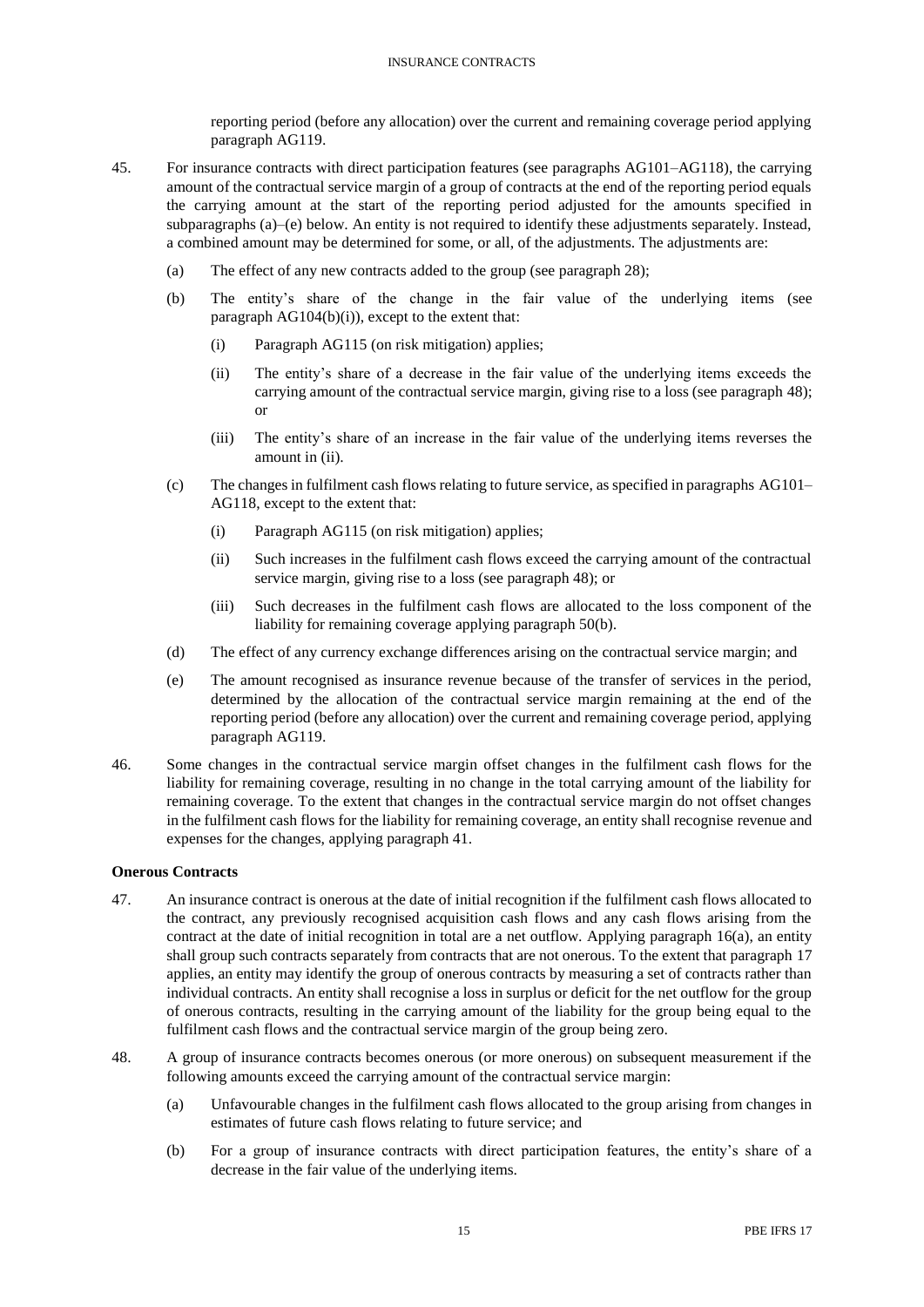reporting period (before any allocation) over the current and remaining coverage period applying paragraph AG119.

- 45. For insurance contracts with direct participation features (see paragraphs AG101–AG118), the carrying amount of the contractual service margin of a group of contracts at the end of the reporting period equals the carrying amount at the start of the reporting period adjusted for the amounts specified in subparagraphs (a)–(e) below. An entity is not required to identify these adjustments separately. Instead, a combined amount may be determined for some, or all, of the adjustments. The adjustments are:
	- (a) The effect of any new contracts added to the group (see paragraph 28);
	- (b) The entity's share of the change in the fair value of the underlying items (see paragraph  $AG104(b)(i)$ , except to the extent that:
		- (i) Paragraph AG115 (on risk mitigation) applies;
		- (ii) The entity's share of a decrease in the fair value of the underlying items exceeds the carrying amount of the contractual service margin, giving rise to a loss (see paragraph 48); or
		- (iii) The entity's share of an increase in the fair value of the underlying items reverses the amount in (ii).
	- (c) The changes in fulfilment cash flows relating to future service, as specified in paragraphs AG101– AG118, except to the extent that:
		- (i) Paragraph AG115 (on risk mitigation) applies;
		- (ii) Such increases in the fulfilment cash flows exceed the carrying amount of the contractual service margin, giving rise to a loss (see paragraph 48); or
		- (iii) Such decreases in the fulfilment cash flows are allocated to the loss component of the liability for remaining coverage applying paragraph 50(b).
	- (d) The effect of any currency exchange differences arising on the contractual service margin; and
	- (e) The amount recognised as insurance revenue because of the transfer of services in the period, determined by the allocation of the contractual service margin remaining at the end of the reporting period (before any allocation) over the current and remaining coverage period, applying paragraph AG119.
- 46. Some changes in the contractual service margin offset changes in the fulfilment cash flows for the liability for remaining coverage, resulting in no change in the total carrying amount of the liability for remaining coverage. To the extent that changes in the contractual service margin do not offset changes in the fulfilment cash flows for the liability for remaining coverage, an entity shall recognise revenue and expenses for the changes, applying paragraph 41.

#### **Onerous Contracts**

- 47. An insurance contract is onerous at the date of initial recognition if the fulfilment cash flows allocated to the contract, any previously recognised acquisition cash flows and any cash flows arising from the contract at the date of initial recognition in total are a net outflow. Applying paragraph 16(a), an entity shall group such contracts separately from contracts that are not onerous. To the extent that paragraph 17 applies, an entity may identify the group of onerous contracts by measuring a set of contracts rather than individual contracts. An entity shall recognise a loss in surplus or deficit for the net outflow for the group of onerous contracts, resulting in the carrying amount of the liability for the group being equal to the fulfilment cash flows and the contractual service margin of the group being zero.
- 48. A group of insurance contracts becomes onerous (or more onerous) on subsequent measurement if the following amounts exceed the carrying amount of the contractual service margin:
	- (a) Unfavourable changes in the fulfilment cash flows allocated to the group arising from changes in estimates of future cash flows relating to future service; and
	- (b) For a group of insurance contracts with direct participation features, the entity's share of a decrease in the fair value of the underlying items.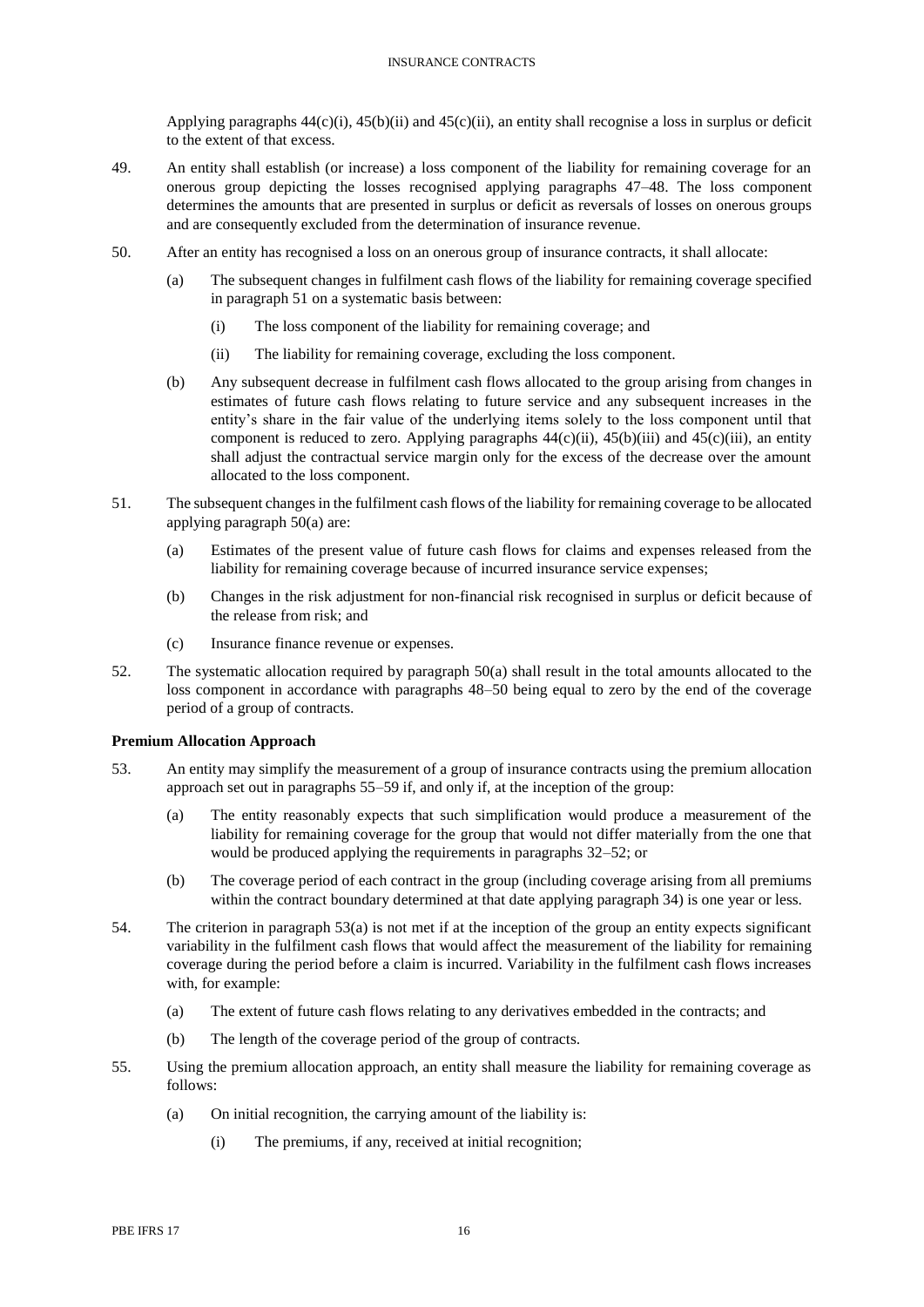Applying paragraphs  $44(c)(i)$ ,  $45(b)(ii)$  and  $45(c)(ii)$ , an entity shall recognise a loss in surplus or deficit to the extent of that excess.

- 49. An entity shall establish (or increase) a loss component of the liability for remaining coverage for an onerous group depicting the losses recognised applying paragraphs 47–48. The loss component determines the amounts that are presented in surplus or deficit as reversals of losses on onerous groups and are consequently excluded from the determination of insurance revenue.
- 50. After an entity has recognised a loss on an onerous group of insurance contracts, it shall allocate:
	- (a) The subsequent changes in fulfilment cash flows of the liability for remaining coverage specified in paragraph 51 on a systematic basis between:
		- (i) The loss component of the liability for remaining coverage; and
		- (ii) The liability for remaining coverage, excluding the loss component.
	- (b) Any subsequent decrease in fulfilment cash flows allocated to the group arising from changes in estimates of future cash flows relating to future service and any subsequent increases in the entity's share in the fair value of the underlying items solely to the loss component until that component is reduced to zero. Applying paragraphs  $44(c)(ii)$ ,  $45(b)(iii)$  and  $45(c)(iii)$ , an entity shall adjust the contractual service margin only for the excess of the decrease over the amount allocated to the loss component.
- 51. The subsequent changes in the fulfilment cash flows of the liability for remaining coverage to be allocated applying paragraph 50(a) are:
	- (a) Estimates of the present value of future cash flows for claims and expenses released from the liability for remaining coverage because of incurred insurance service expenses;
	- (b) Changes in the risk adjustment for non-financial risk recognised in surplus or deficit because of the release from risk; and
	- (c) Insurance finance revenue or expenses.
- 52. The systematic allocation required by paragraph 50(a) shall result in the total amounts allocated to the loss component in accordance with paragraphs 48–50 being equal to zero by the end of the coverage period of a group of contracts.

### **Premium Allocation Approach**

- 53. An entity may simplify the measurement of a group of insurance contracts using the premium allocation approach set out in paragraphs 55–59 if, and only if, at the inception of the group:
	- (a) The entity reasonably expects that such simplification would produce a measurement of the liability for remaining coverage for the group that would not differ materially from the one that would be produced applying the requirements in paragraphs 32–52; or
	- (b) The coverage period of each contract in the group (including coverage arising from all premiums within the contract boundary determined at that date applying paragraph 34) is one year or less.
- 54. The criterion in paragraph 53(a) is not met if at the inception of the group an entity expects significant variability in the fulfilment cash flows that would affect the measurement of the liability for remaining coverage during the period before a claim is incurred. Variability in the fulfilment cash flows increases with, for example:
	- (a) The extent of future cash flows relating to any derivatives embedded in the contracts; and
	- (b) The length of the coverage period of the group of contracts.
- 55. Using the premium allocation approach, an entity shall measure the liability for remaining coverage as follows:
	- (a) On initial recognition, the carrying amount of the liability is:
		- (i) The premiums, if any, received at initial recognition;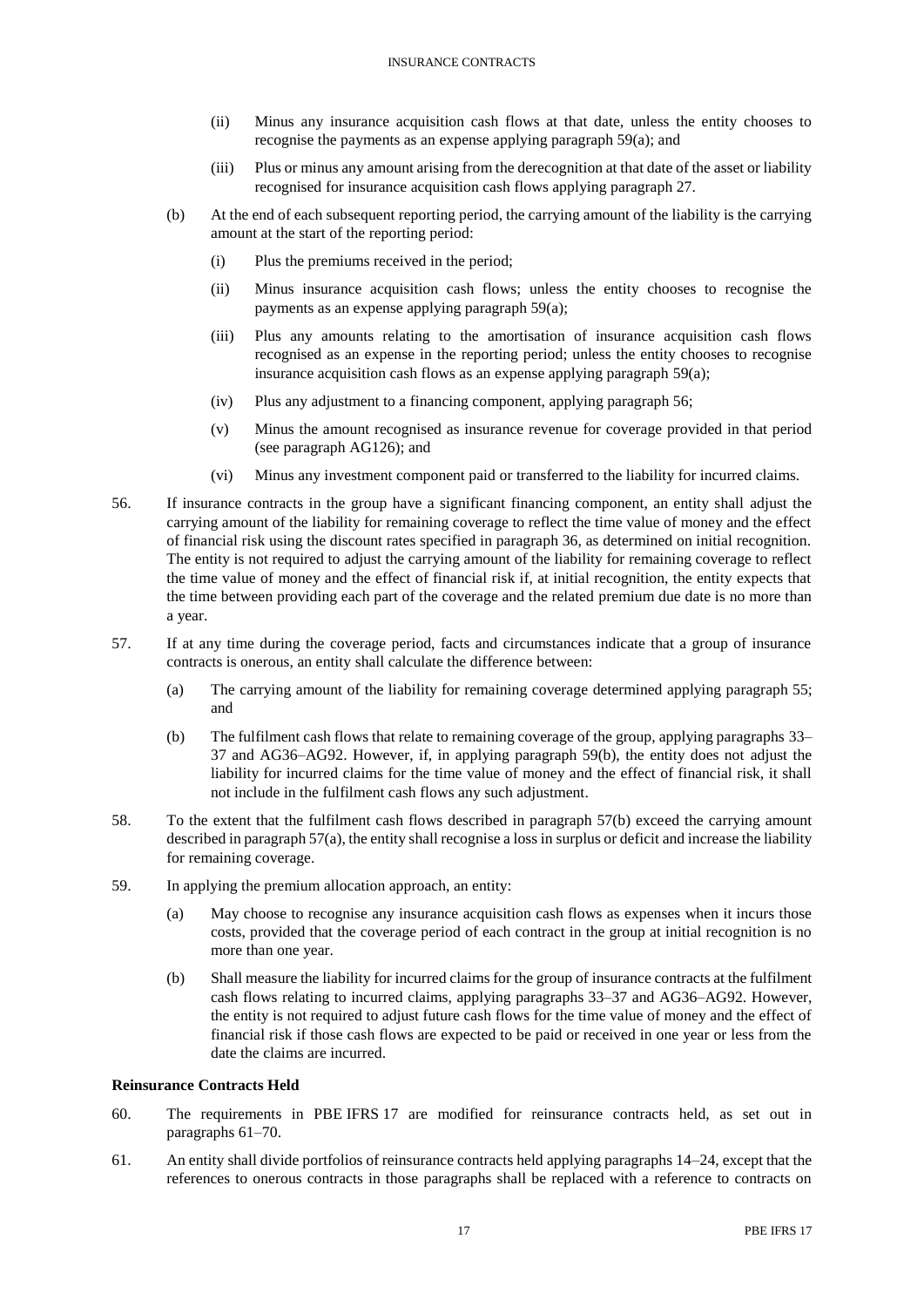#### INSURANCE CONTRACTS

- (ii) Minus any insurance acquisition cash flows at that date, unless the entity chooses to recognise the payments as an expense applying paragraph 59(a); and
- (iii) Plus or minus any amount arising from the derecognition at that date of the asset or liability recognised for insurance acquisition cash flows applying paragraph 27.
- (b) At the end of each subsequent reporting period, the carrying amount of the liability is the carrying amount at the start of the reporting period:
	- (i) Plus the premiums received in the period;
	- (ii) Minus insurance acquisition cash flows; unless the entity chooses to recognise the payments as an expense applying paragraph 59(a);
	- (iii) Plus any amounts relating to the amortisation of insurance acquisition cash flows recognised as an expense in the reporting period; unless the entity chooses to recognise insurance acquisition cash flows as an expense applying paragraph 59(a);
	- (iv) Plus any adjustment to a financing component, applying paragraph 56;
	- (v) Minus the amount recognised as insurance revenue for coverage provided in that period (see paragraph AG126); and
	- (vi) Minus any investment component paid or transferred to the liability for incurred claims.
- 56. If insurance contracts in the group have a significant financing component, an entity shall adjust the carrying amount of the liability for remaining coverage to reflect the time value of money and the effect of financial risk using the discount rates specified in paragraph 36, as determined on initial recognition. The entity is not required to adjust the carrying amount of the liability for remaining coverage to reflect the time value of money and the effect of financial risk if, at initial recognition, the entity expects that the time between providing each part of the coverage and the related premium due date is no more than a year.
- 57. If at any time during the coverage period, facts and circumstances indicate that a group of insurance contracts is onerous, an entity shall calculate the difference between:
	- (a) The carrying amount of the liability for remaining coverage determined applying paragraph 55; and
	- (b) The fulfilment cash flows that relate to remaining coverage of the group, applying paragraphs 33– 37 and AG36–AG92. However, if, in applying paragraph 59(b), the entity does not adjust the liability for incurred claims for the time value of money and the effect of financial risk, it shall not include in the fulfilment cash flows any such adjustment.
- 58. To the extent that the fulfilment cash flows described in paragraph 57(b) exceed the carrying amount described in paragraph 57(a), the entity shall recognise a loss in surplus or deficit and increase the liability for remaining coverage.
- 59. In applying the premium allocation approach, an entity:
	- (a) May choose to recognise any insurance acquisition cash flows as expenses when it incurs those costs, provided that the coverage period of each contract in the group at initial recognition is no more than one year.
	- (b) Shall measure the liability for incurred claims for the group of insurance contracts at the fulfilment cash flows relating to incurred claims, applying paragraphs 33–37 and AG36–AG92. However, the entity is not required to adjust future cash flows for the time value of money and the effect of financial risk if those cash flows are expected to be paid or received in one year or less from the date the claims are incurred.

## **Reinsurance Contracts Held**

- 60. The requirements in PBE IFRS 17 are modified for reinsurance contracts held, as set out in paragraphs 61–70.
- 61. An entity shall divide portfolios of reinsurance contracts held applying paragraphs 14–24, except that the references to onerous contracts in those paragraphs shall be replaced with a reference to contracts on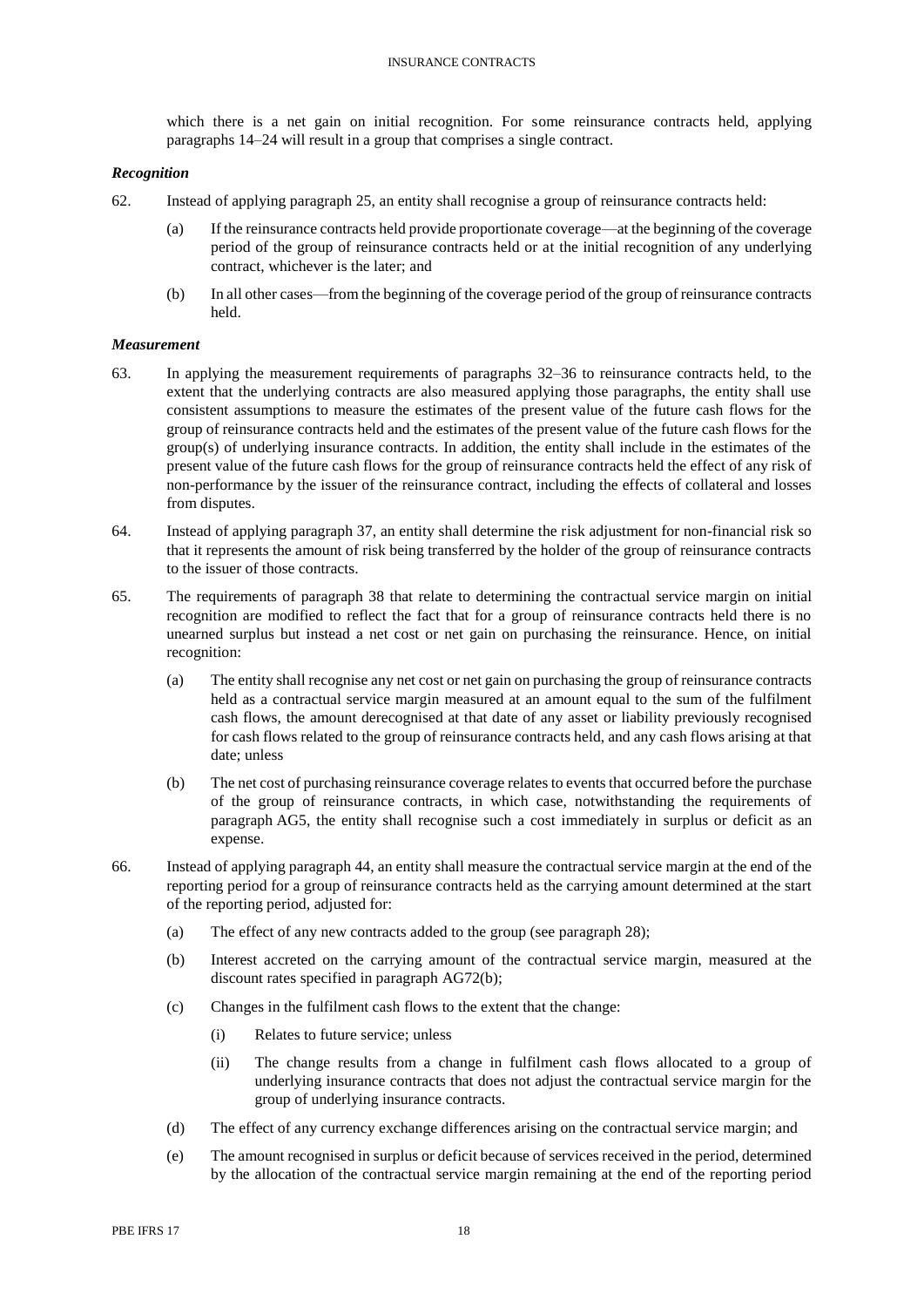which there is a net gain on initial recognition. For some reinsurance contracts held, applying paragraphs 14–24 will result in a group that comprises a single contract.

#### *Recognition*

- 62. Instead of applying paragraph 25, an entity shall recognise a group of reinsurance contracts held:
	- (a) If the reinsurance contracts held provide proportionate coverage—at the beginning of the coverage period of the group of reinsurance contracts held or at the initial recognition of any underlying contract, whichever is the later; and
	- (b) In all other cases—from the beginning of the coverage period of the group of reinsurance contracts held.

#### *Measurement*

- 63. In applying the measurement requirements of paragraphs 32–36 to reinsurance contracts held, to the extent that the underlying contracts are also measured applying those paragraphs, the entity shall use consistent assumptions to measure the estimates of the present value of the future cash flows for the group of reinsurance contracts held and the estimates of the present value of the future cash flows for the group(s) of underlying insurance contracts. In addition, the entity shall include in the estimates of the present value of the future cash flows for the group of reinsurance contracts held the effect of any risk of non-performance by the issuer of the reinsurance contract, including the effects of collateral and losses from disputes.
- 64. Instead of applying paragraph 37, an entity shall determine the risk adjustment for non-financial risk so that it represents the amount of risk being transferred by the holder of the group of reinsurance contracts to the issuer of those contracts.
- 65. The requirements of paragraph 38 that relate to determining the contractual service margin on initial recognition are modified to reflect the fact that for a group of reinsurance contracts held there is no unearned surplus but instead a net cost or net gain on purchasing the reinsurance. Hence, on initial recognition:
	- (a) The entity shall recognise any net cost or net gain on purchasing the group of reinsurance contracts held as a contractual service margin measured at an amount equal to the sum of the fulfilment cash flows, the amount derecognised at that date of any asset or liability previously recognised for cash flows related to the group of reinsurance contracts held, and any cash flows arising at that date; unless
	- (b) The net cost of purchasing reinsurance coverage relates to events that occurred before the purchase of the group of reinsurance contracts, in which case, notwithstanding the requirements of paragraph AG5, the entity shall recognise such a cost immediately in surplus or deficit as an expense.
- 66. Instead of applying paragraph 44, an entity shall measure the contractual service margin at the end of the reporting period for a group of reinsurance contracts held as the carrying amount determined at the start of the reporting period, adjusted for:
	- (a) The effect of any new contracts added to the group (see paragraph 28);
	- (b) Interest accreted on the carrying amount of the contractual service margin, measured at the discount rates specified in paragraph AG72(b);
	- (c) Changes in the fulfilment cash flows to the extent that the change:
		- (i) Relates to future service; unless
		- (ii) The change results from a change in fulfilment cash flows allocated to a group of underlying insurance contracts that does not adjust the contractual service margin for the group of underlying insurance contracts.
	- (d) The effect of any currency exchange differences arising on the contractual service margin; and
	- (e) The amount recognised in surplus or deficit because of services received in the period, determined by the allocation of the contractual service margin remaining at the end of the reporting period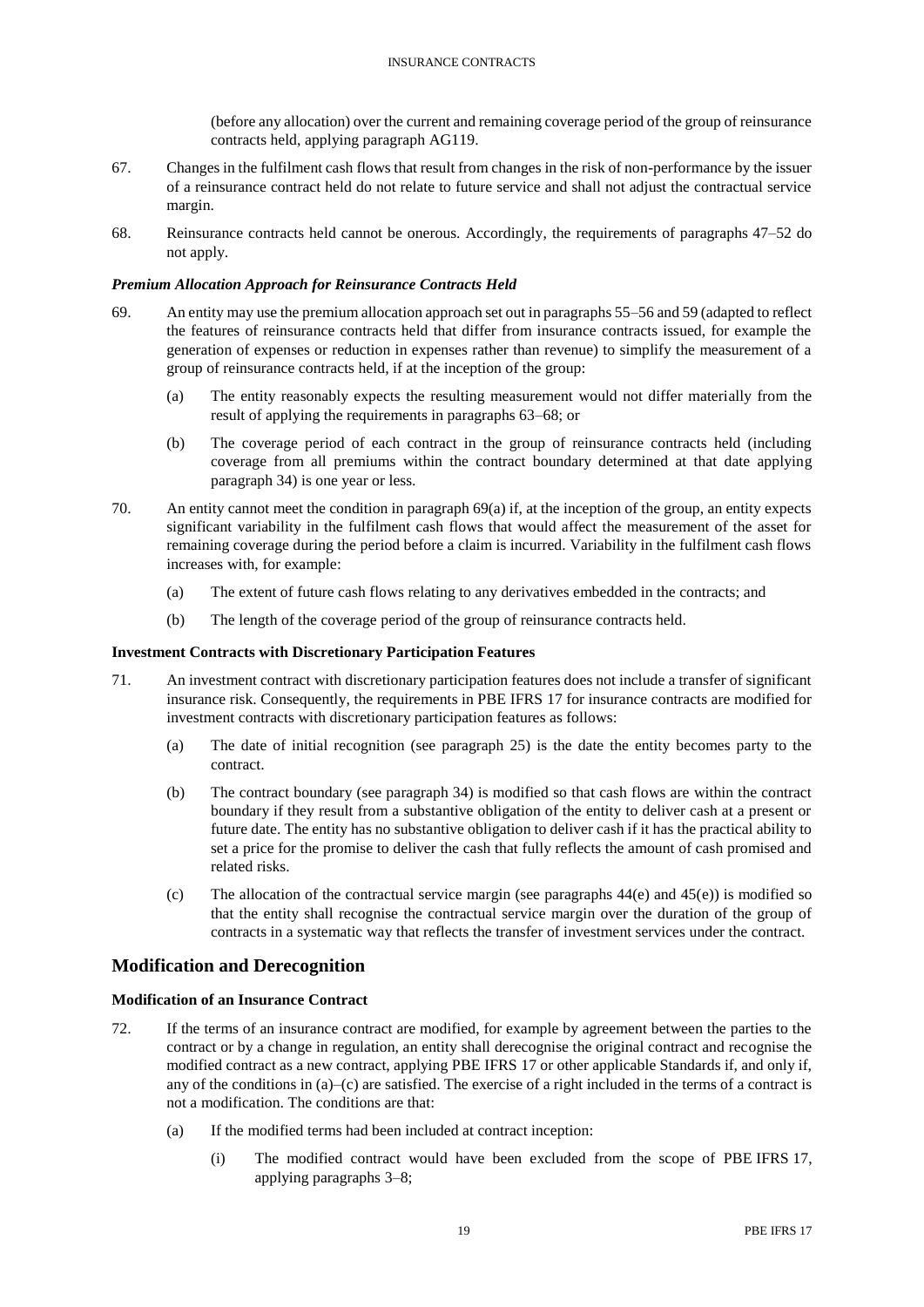(before any allocation) over the current and remaining coverage period of the group of reinsurance contracts held, applying paragraph AG119.

- 67. Changes in the fulfilment cash flows that result from changes in the risk of non-performance by the issuer of a reinsurance contract held do not relate to future service and shall not adjust the contractual service margin.
- 68. Reinsurance contracts held cannot be onerous. Accordingly, the requirements of paragraphs 47–52 do not apply.

### *Premium Allocation Approach for Reinsurance Contracts Held*

- 69. An entity may use the premium allocation approach set out in paragraphs 55–56 and 59 (adapted to reflect the features of reinsurance contracts held that differ from insurance contracts issued, for example the generation of expenses or reduction in expenses rather than revenue) to simplify the measurement of a group of reinsurance contracts held, if at the inception of the group:
	- (a) The entity reasonably expects the resulting measurement would not differ materially from the result of applying the requirements in paragraphs 63–68; or
	- (b) The coverage period of each contract in the group of reinsurance contracts held (including coverage from all premiums within the contract boundary determined at that date applying paragraph 34) is one year or less.
- 70. An entity cannot meet the condition in paragraph 69(a) if, at the inception of the group, an entity expects significant variability in the fulfilment cash flows that would affect the measurement of the asset for remaining coverage during the period before a claim is incurred. Variability in the fulfilment cash flows increases with, for example:
	- (a) The extent of future cash flows relating to any derivatives embedded in the contracts; and
	- (b) The length of the coverage period of the group of reinsurance contracts held.

### **Investment Contracts with Discretionary Participation Features**

- 71. An investment contract with discretionary participation features does not include a transfer of significant insurance risk. Consequently, the requirements in PBE IFRS 17 for insurance contracts are modified for investment contracts with discretionary participation features as follows:
	- (a) The date of initial recognition (see paragraph 25) is the date the entity becomes party to the contract.
	- (b) The contract boundary (see paragraph 34) is modified so that cash flows are within the contract boundary if they result from a substantive obligation of the entity to deliver cash at a present or future date. The entity has no substantive obligation to deliver cash if it has the practical ability to set a price for the promise to deliver the cash that fully reflects the amount of cash promised and related risks.
	- (c) The allocation of the contractual service margin (see paragraphs  $44(e)$  and  $45(e)$ ) is modified so that the entity shall recognise the contractual service margin over the duration of the group of contracts in a systematic way that reflects the transfer of investment services under the contract.

## **Modification and Derecognition**

### **Modification of an Insurance Contract**

- 72. If the terms of an insurance contract are modified, for example by agreement between the parties to the contract or by a change in regulation, an entity shall derecognise the original contract and recognise the modified contract as a new contract, applying PBE IFRS 17 or other applicable Standards if, and only if, any of the conditions in (a)–(c) are satisfied. The exercise of a right included in the terms of a contract is not a modification. The conditions are that:
	- (a) If the modified terms had been included at contract inception:
		- (i) The modified contract would have been excluded from the scope of PBE IFRS 17, applying paragraphs 3–8;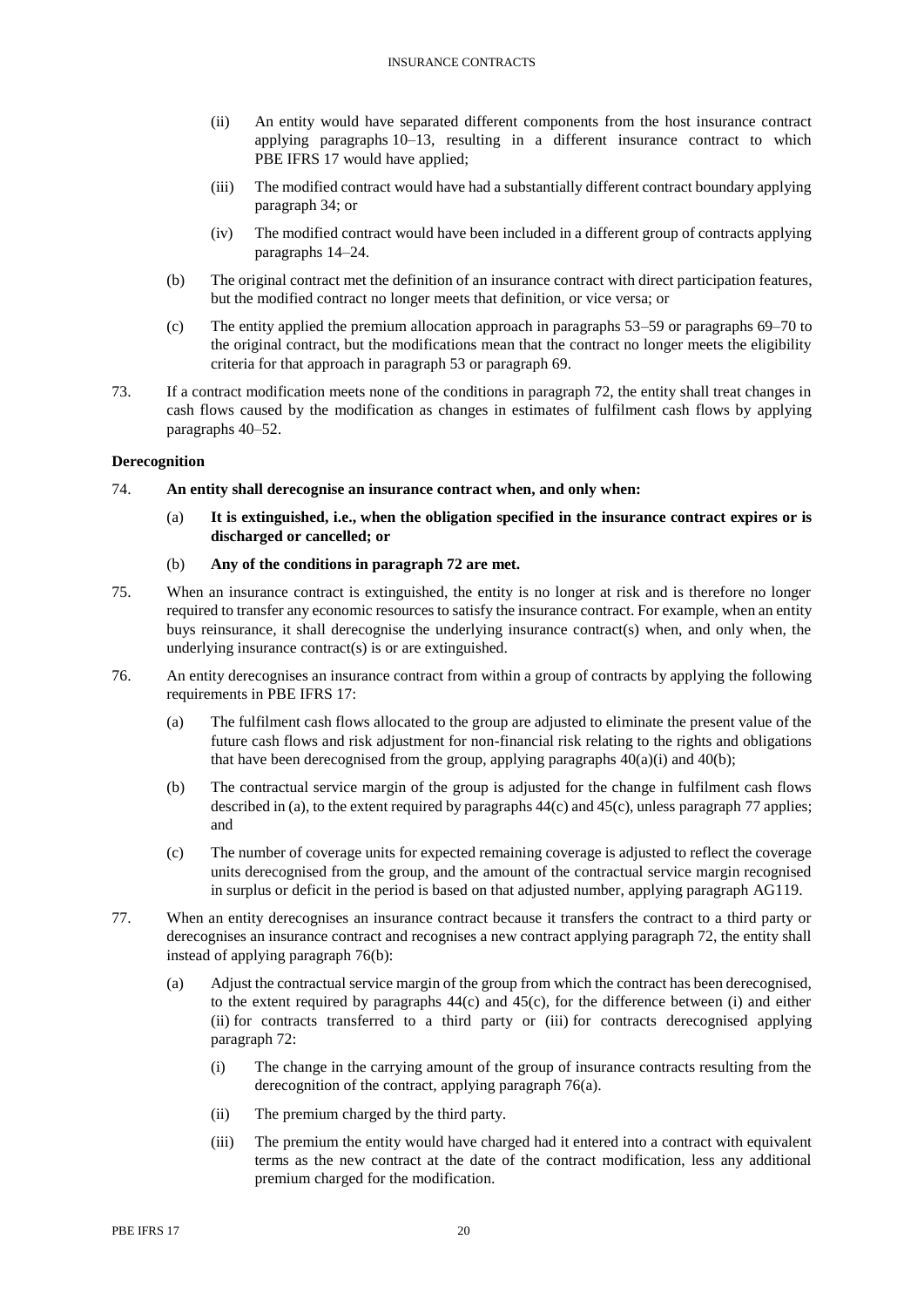- (ii) An entity would have separated different components from the host insurance contract applying paragraphs 10–13, resulting in a different insurance contract to which PBE IFRS 17 would have applied;
- (iii) The modified contract would have had a substantially different contract boundary applying paragraph 34; or
- (iv) The modified contract would have been included in a different group of contracts applying paragraphs 14–24.
- (b) The original contract met the definition of an insurance contract with direct participation features, but the modified contract no longer meets that definition, or vice versa; or
- (c) The entity applied the premium allocation approach in paragraphs 53–59 or paragraphs 69–70 to the original contract, but the modifications mean that the contract no longer meets the eligibility criteria for that approach in paragraph 53 or paragraph 69.
- 73. If a contract modification meets none of the conditions in paragraph 72, the entity shall treat changes in cash flows caused by the modification as changes in estimates of fulfilment cash flows by applying paragraphs 40–52.

#### **Derecognition**

- 74. **An entity shall derecognise an insurance contract when, and only when:** 
	- (a) **It is extinguished, i.e., when the obligation specified in the insurance contract expires or is discharged or cancelled; or**
	- (b) **Any of the conditions in paragraph 72 are met.**
- 75. When an insurance contract is extinguished, the entity is no longer at risk and is therefore no longer required to transfer any economic resources to satisfy the insurance contract. For example, when an entity buys reinsurance, it shall derecognise the underlying insurance contract(s) when, and only when, the underlying insurance contract(s) is or are extinguished.
- 76. An entity derecognises an insurance contract from within a group of contracts by applying the following requirements in PBE IFRS 17:
	- (a) The fulfilment cash flows allocated to the group are adjusted to eliminate the present value of the future cash flows and risk adjustment for non-financial risk relating to the rights and obligations that have been derecognised from the group, applying paragraphs  $40(a)(i)$  and  $40(b)$ ;
	- (b) The contractual service margin of the group is adjusted for the change in fulfilment cash flows described in (a), to the extent required by paragraphs 44(c) and 45(c), unless paragraph 77 applies; and
	- (c) The number of coverage units for expected remaining coverage is adjusted to reflect the coverage units derecognised from the group, and the amount of the contractual service margin recognised in surplus or deficit in the period is based on that adjusted number, applying paragraph AG119.
- 77. When an entity derecognises an insurance contract because it transfers the contract to a third party or derecognises an insurance contract and recognises a new contract applying paragraph 72, the entity shall instead of applying paragraph 76(b):
	- (a) Adjust the contractual service margin of the group from which the contract has been derecognised, to the extent required by paragraphs  $44(c)$  and  $45(c)$ , for the difference between (i) and either (ii) for contracts transferred to a third party or (iii) for contracts derecognised applying paragraph 72:
		- (i) The change in the carrying amount of the group of insurance contracts resulting from the derecognition of the contract, applying paragraph 76(a).
		- (ii) The premium charged by the third party.
		- (iii) The premium the entity would have charged had it entered into a contract with equivalent terms as the new contract at the date of the contract modification, less any additional premium charged for the modification.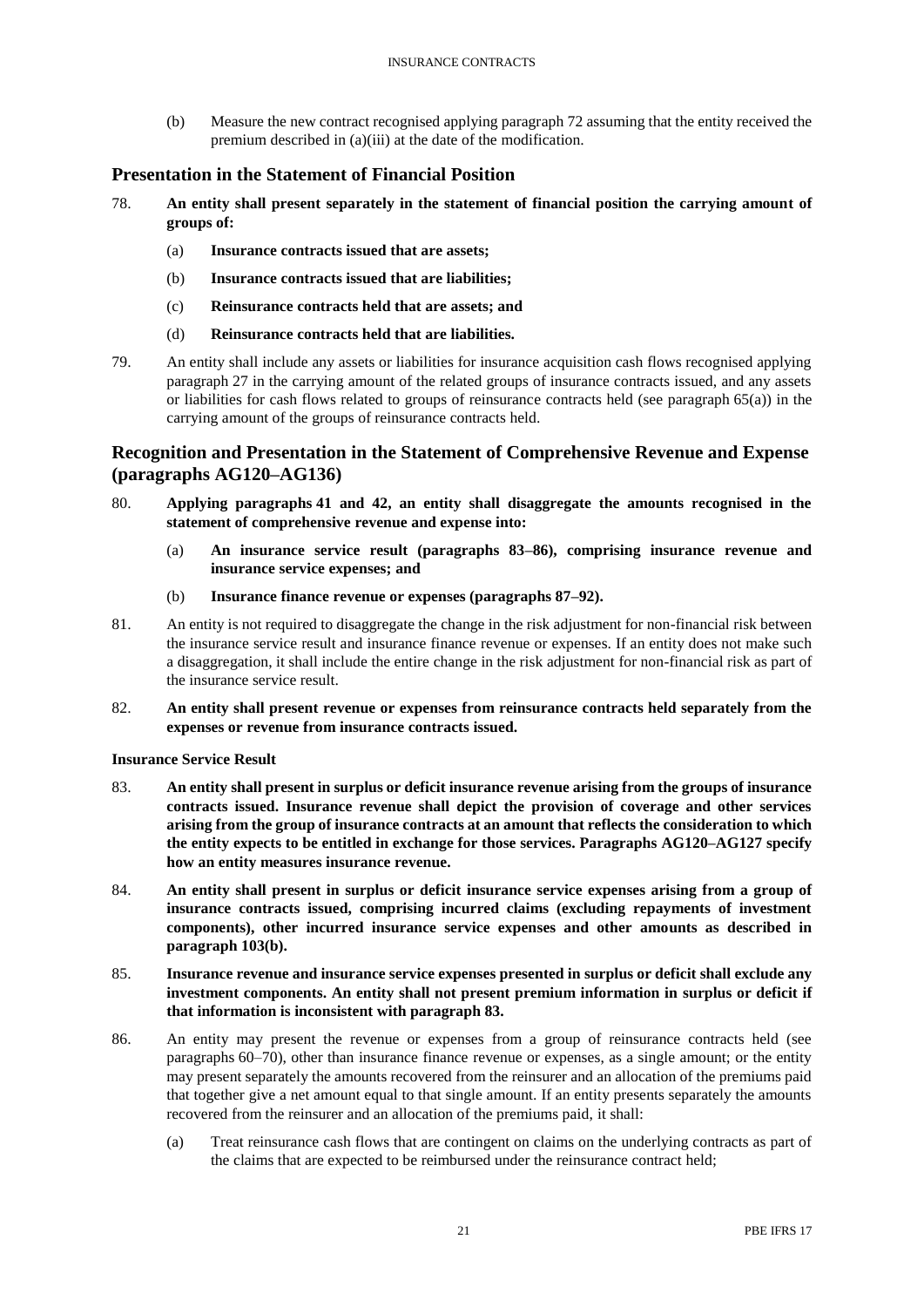(b) Measure the new contract recognised applying paragraph 72 assuming that the entity received the premium described in (a)(iii) at the date of the modification.

## **Presentation in the Statement of Financial Position**

- 78. **An entity shall present separately in the statement of financial position the carrying amount of groups of:** 
	- (a) **Insurance contracts issued that are assets;**
	- (b) **Insurance contracts issued that are liabilities;**
	- (c) **Reinsurance contracts held that are assets; and**
	- (d) **Reinsurance contracts held that are liabilities.**
- 79. An entity shall include any assets or liabilities for insurance acquisition cash flows recognised applying paragraph 27 in the carrying amount of the related groups of insurance contracts issued, and any assets or liabilities for cash flows related to groups of reinsurance contracts held (see paragraph 65(a)) in the carrying amount of the groups of reinsurance contracts held.

## **Recognition and Presentation in the Statement of Comprehensive Revenue and Expense (paragraphs AG120–AG136)**

- 80. **Applying paragraphs 41 and 42, an entity shall disaggregate the amounts recognised in the statement of comprehensive revenue and expense into:** 
	- (a) **An insurance service result (paragraphs 83–86), comprising insurance revenue and insurance service expenses; and**
	- (b) **Insurance finance revenue or expenses (paragraphs 87–92).**
- 81. An entity is not required to disaggregate the change in the risk adjustment for non-financial risk between the insurance service result and insurance finance revenue or expenses. If an entity does not make such a disaggregation, it shall include the entire change in the risk adjustment for non-financial risk as part of the insurance service result.
- 82. **An entity shall present revenue or expenses from reinsurance contracts held separately from the expenses or revenue from insurance contracts issued.**

### **Insurance Service Result**

- 83. **An entity shall present in surplus or deficit insurance revenue arising from the groups of insurance contracts issued. Insurance revenue shall depict the provision of coverage and other services arising from the group of insurance contracts at an amount that reflects the consideration to which the entity expects to be entitled in exchange for those services. Paragraphs AG120–AG127 specify how an entity measures insurance revenue.**
- 84. **An entity shall present in surplus or deficit insurance service expenses arising from a group of insurance contracts issued, comprising incurred claims (excluding repayments of investment components), other incurred insurance service expenses and other amounts as described in paragraph 103(b).**
- 85. **Insurance revenue and insurance service expenses presented in surplus or deficit shall exclude any investment components. An entity shall not present premium information in surplus or deficit if that information is inconsistent with paragraph 83.**
- 86. An entity may present the revenue or expenses from a group of reinsurance contracts held (see paragraphs 60–70), other than insurance finance revenue or expenses, as a single amount; or the entity may present separately the amounts recovered from the reinsurer and an allocation of the premiums paid that together give a net amount equal to that single amount. If an entity presents separately the amounts recovered from the reinsurer and an allocation of the premiums paid, it shall:
	- (a) Treat reinsurance cash flows that are contingent on claims on the underlying contracts as part of the claims that are expected to be reimbursed under the reinsurance contract held;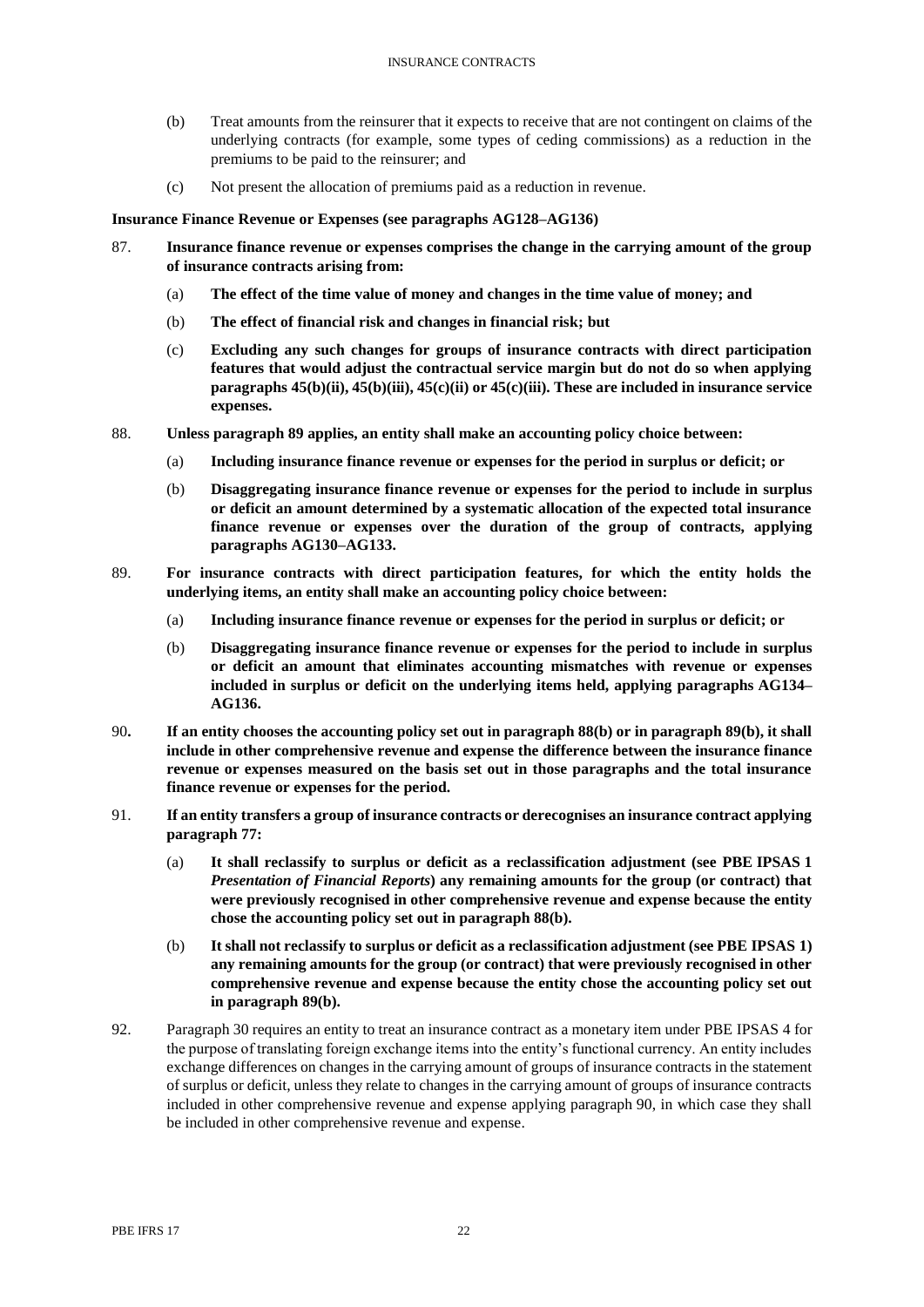- (b) Treat amounts from the reinsurer that it expects to receive that are not contingent on claims of the underlying contracts (for example, some types of ceding commissions) as a reduction in the premiums to be paid to the reinsurer; and
- (c) Not present the allocation of premiums paid as a reduction in revenue.

#### **Insurance Finance Revenue or Expenses (see paragraphs AG128–AG136)**

- 87. **Insurance finance revenue or expenses comprises the change in the carrying amount of the group of insurance contracts arising from:** 
	- (a) **The effect of the time value of money and changes in the time value of money; and**
	- (b) **The effect of financial risk and changes in financial risk; but**
	- (c) **Excluding any such changes for groups of insurance contracts with direct participation features that would adjust the contractual service margin but do not do so when applying paragraphs 45(b)(ii), 45(b)(iii), 45(c)(ii) or 45(c)(iii). These are included in insurance service expenses.**
- 88. **Unless paragraph 89 applies, an entity shall make an accounting policy choice between:** 
	- (a) **Including insurance finance revenue or expenses for the period in surplus or deficit; or**
	- (b) **Disaggregating insurance finance revenue or expenses for the period to include in surplus or deficit an amount determined by a systematic allocation of the expected total insurance finance revenue or expenses over the duration of the group of contracts, applying paragraphs AG130–AG133.**
- 89. **For insurance contracts with direct participation features, for which the entity holds the underlying items, an entity shall make an accounting policy choice between:** 
	- (a) **Including insurance finance revenue or expenses for the period in surplus or deficit; or**
	- (b) **Disaggregating insurance finance revenue or expenses for the period to include in surplus or deficit an amount that eliminates accounting mismatches with revenue or expenses included in surplus or deficit on the underlying items held, applying paragraphs AG134– AG136.**
- 90**. If an entity chooses the accounting policy set out in paragraph 88(b) or in paragraph 89(b), it shall include in other comprehensive revenue and expense the difference between the insurance finance revenue or expenses measured on the basis set out in those paragraphs and the total insurance finance revenue or expenses for the period.**
- 91. **If an entity transfers a group of insurance contracts or derecognises an insurance contract applying paragraph 77:** 
	- (a) **It shall reclassify to surplus or deficit as a reclassification adjustment (see PBE IPSAS 1**  *Presentation of Financial Reports***) any remaining amounts for the group (or contract) that were previously recognised in other comprehensive revenue and expense because the entity chose the accounting policy set out in paragraph 88(b).**
	- (b) **It shall not reclassify to surplus or deficit as a reclassification adjustment (see PBE IPSAS 1) any remaining amounts for the group (or contract) that were previously recognised in other comprehensive revenue and expense because the entity chose the accounting policy set out in paragraph 89(b).**
- 92. Paragraph 30 requires an entity to treat an insurance contract as a monetary item under PBE IPSAS 4 for the purpose of translating foreign exchange items into the entity's functional currency. An entity includes exchange differences on changes in the carrying amount of groups of insurance contracts in the statement of surplus or deficit, unless they relate to changes in the carrying amount of groups of insurance contracts included in other comprehensive revenue and expense applying paragraph 90, in which case they shall be included in other comprehensive revenue and expense.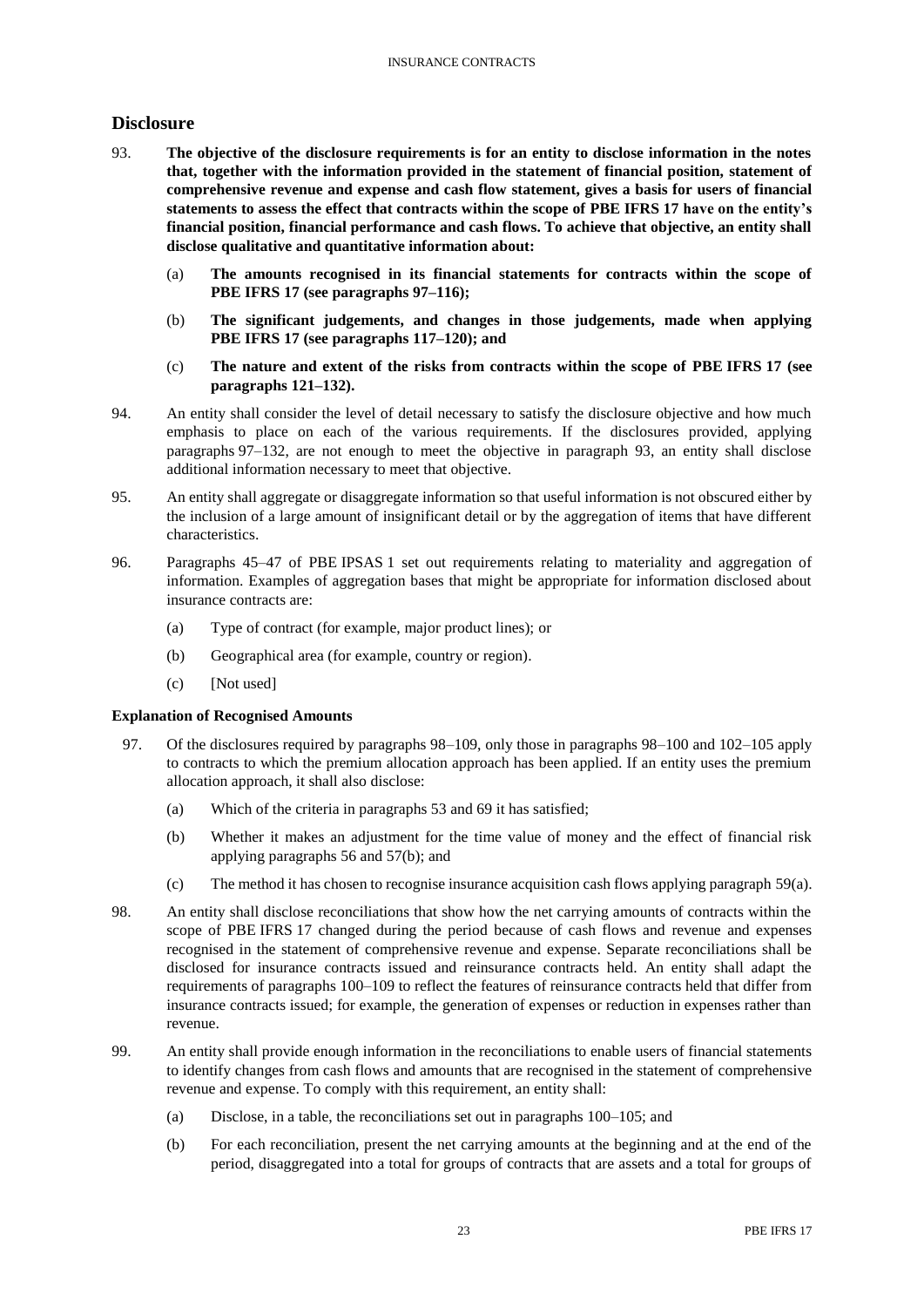## **Disclosure**

- 93. **The objective of the disclosure requirements is for an entity to disclose information in the notes that, together with the information provided in the statement of financial position, statement of comprehensive revenue and expense and cash flow statement, gives a basis for users of financial statements to assess the effect that contracts within the scope of PBE IFRS 17 have on the entity's financial position, financial performance and cash flows. To achieve that objective, an entity shall disclose qualitative and quantitative information about:** 
	- (a) **The amounts recognised in its financial statements for contracts within the scope of PBE IFRS 17 (see paragraphs 97–116);**
	- (b) **The significant judgements, and changes in those judgements, made when applying PBE IFRS 17 (see paragraphs 117–120); and**
	- (c) **The nature and extent of the risks from contracts within the scope of PBE IFRS 17 (see paragraphs 121–132).**
- 94. An entity shall consider the level of detail necessary to satisfy the disclosure objective and how much emphasis to place on each of the various requirements. If the disclosures provided, applying paragraphs 97–132, are not enough to meet the objective in paragraph 93, an entity shall disclose additional information necessary to meet that objective.
- 95. An entity shall aggregate or disaggregate information so that useful information is not obscured either by the inclusion of a large amount of insignificant detail or by the aggregation of items that have different characteristics.
- 96. Paragraphs 45–47 of PBE IPSAS 1 set out requirements relating to materiality and aggregation of information. Examples of aggregation bases that might be appropriate for information disclosed about insurance contracts are:
	- (a) Type of contract (for example, major product lines); or
	- (b) Geographical area (for example, country or region).
	- (c) [Not used]

### **Explanation of Recognised Amounts**

- 97. Of the disclosures required by paragraphs 98–109, only those in paragraphs 98–100 and 102–105 apply to contracts to which the premium allocation approach has been applied. If an entity uses the premium allocation approach, it shall also disclose:
	- (a) Which of the criteria in paragraphs 53 and 69 it has satisfied;
	- (b) Whether it makes an adjustment for the time value of money and the effect of financial risk applying paragraphs 56 and 57(b); and
	- (c) The method it has chosen to recognise insurance acquisition cash flows applying paragraph 59(a).
- 98. An entity shall disclose reconciliations that show how the net carrying amounts of contracts within the scope of PBE IFRS 17 changed during the period because of cash flows and revenue and expenses recognised in the statement of comprehensive revenue and expense. Separate reconciliations shall be disclosed for insurance contracts issued and reinsurance contracts held. An entity shall adapt the requirements of paragraphs 100–109 to reflect the features of reinsurance contracts held that differ from insurance contracts issued; for example, the generation of expenses or reduction in expenses rather than revenue.
- 99. An entity shall provide enough information in the reconciliations to enable users of financial statements to identify changes from cash flows and amounts that are recognised in the statement of comprehensive revenue and expense. To comply with this requirement, an entity shall:
	- (a) Disclose, in a table, the reconciliations set out in paragraphs 100–105; and
	- (b) For each reconciliation, present the net carrying amounts at the beginning and at the end of the period, disaggregated into a total for groups of contracts that are assets and a total for groups of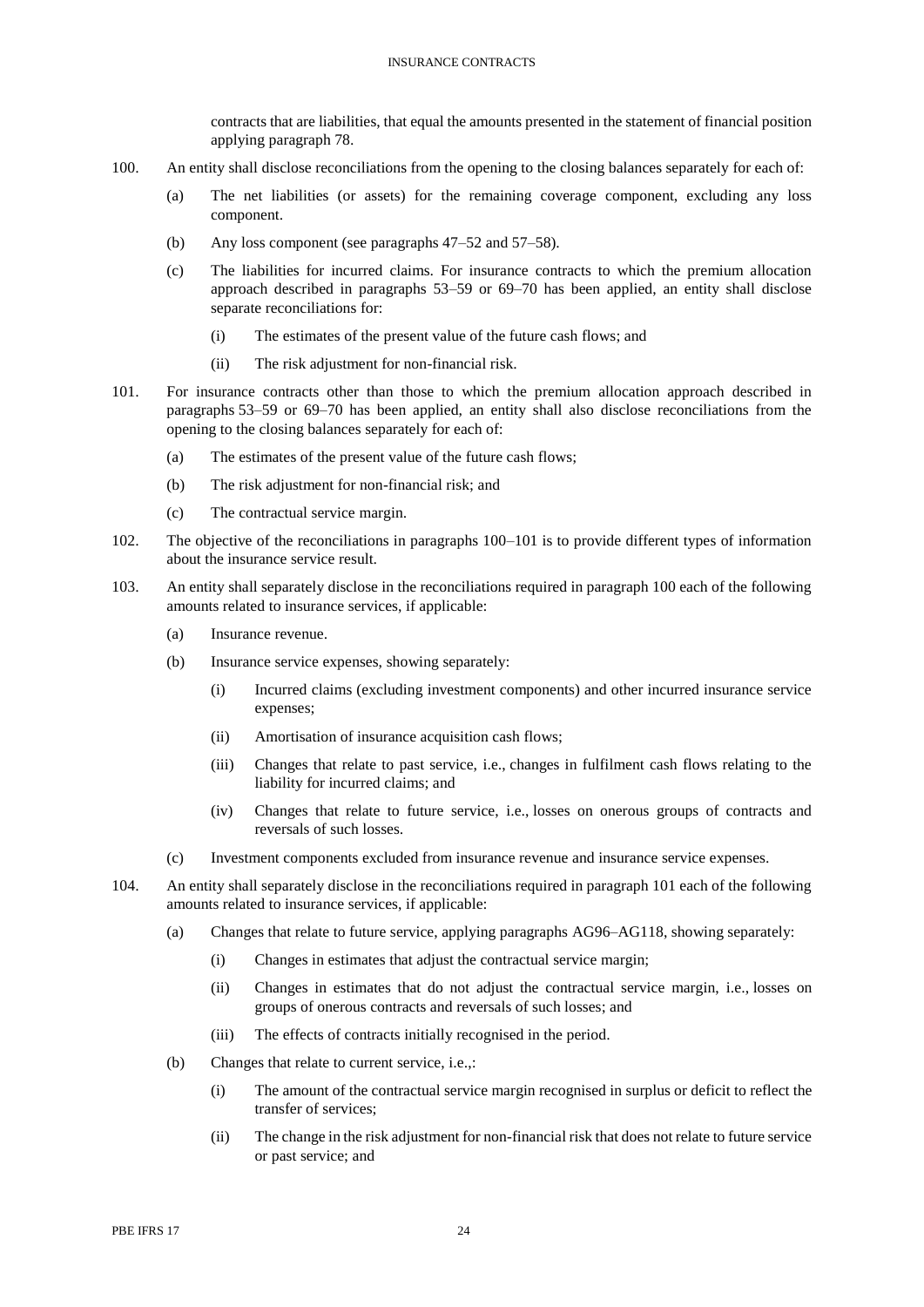contracts that are liabilities, that equal the amounts presented in the statement of financial position applying paragraph 78.

- 100. An entity shall disclose reconciliations from the opening to the closing balances separately for each of:
	- (a) The net liabilities (or assets) for the remaining coverage component, excluding any loss component.
	- (b) Any loss component (see paragraphs 47–52 and 57–58).
	- (c) The liabilities for incurred claims. For insurance contracts to which the premium allocation approach described in paragraphs 53–59 or 69–70 has been applied, an entity shall disclose separate reconciliations for:
		- (i) The estimates of the present value of the future cash flows; and
		- (ii) The risk adjustment for non-financial risk.
- 101. For insurance contracts other than those to which the premium allocation approach described in paragraphs 53–59 or 69–70 has been applied, an entity shall also disclose reconciliations from the opening to the closing balances separately for each of:
	- (a) The estimates of the present value of the future cash flows;
	- (b) The risk adjustment for non-financial risk; and
	- (c) The contractual service margin.
- 102. The objective of the reconciliations in paragraphs 100–101 is to provide different types of information about the insurance service result.
- 103. An entity shall separately disclose in the reconciliations required in paragraph 100 each of the following amounts related to insurance services, if applicable:
	- (a) Insurance revenue.
	- (b) Insurance service expenses, showing separately:
		- (i) Incurred claims (excluding investment components) and other incurred insurance service expenses;
		- (ii) Amortisation of insurance acquisition cash flows;
		- (iii) Changes that relate to past service, i.e., changes in fulfilment cash flows relating to the liability for incurred claims; and
		- (iv) Changes that relate to future service, i.e., losses on onerous groups of contracts and reversals of such losses.
	- (c) Investment components excluded from insurance revenue and insurance service expenses.
- 104. An entity shall separately disclose in the reconciliations required in paragraph 101 each of the following amounts related to insurance services, if applicable:
	- (a) Changes that relate to future service, applying paragraphs AG96–AG118, showing separately:
		- (i) Changes in estimates that adjust the contractual service margin;
		- (ii) Changes in estimates that do not adjust the contractual service margin, i.e., losses on groups of onerous contracts and reversals of such losses; and
		- (iii) The effects of contracts initially recognised in the period.
	- (b) Changes that relate to current service, i.e.,:
		- (i) The amount of the contractual service margin recognised in surplus or deficit to reflect the transfer of services;
		- (ii) The change in the risk adjustment for non-financial risk that does not relate to future service or past service; and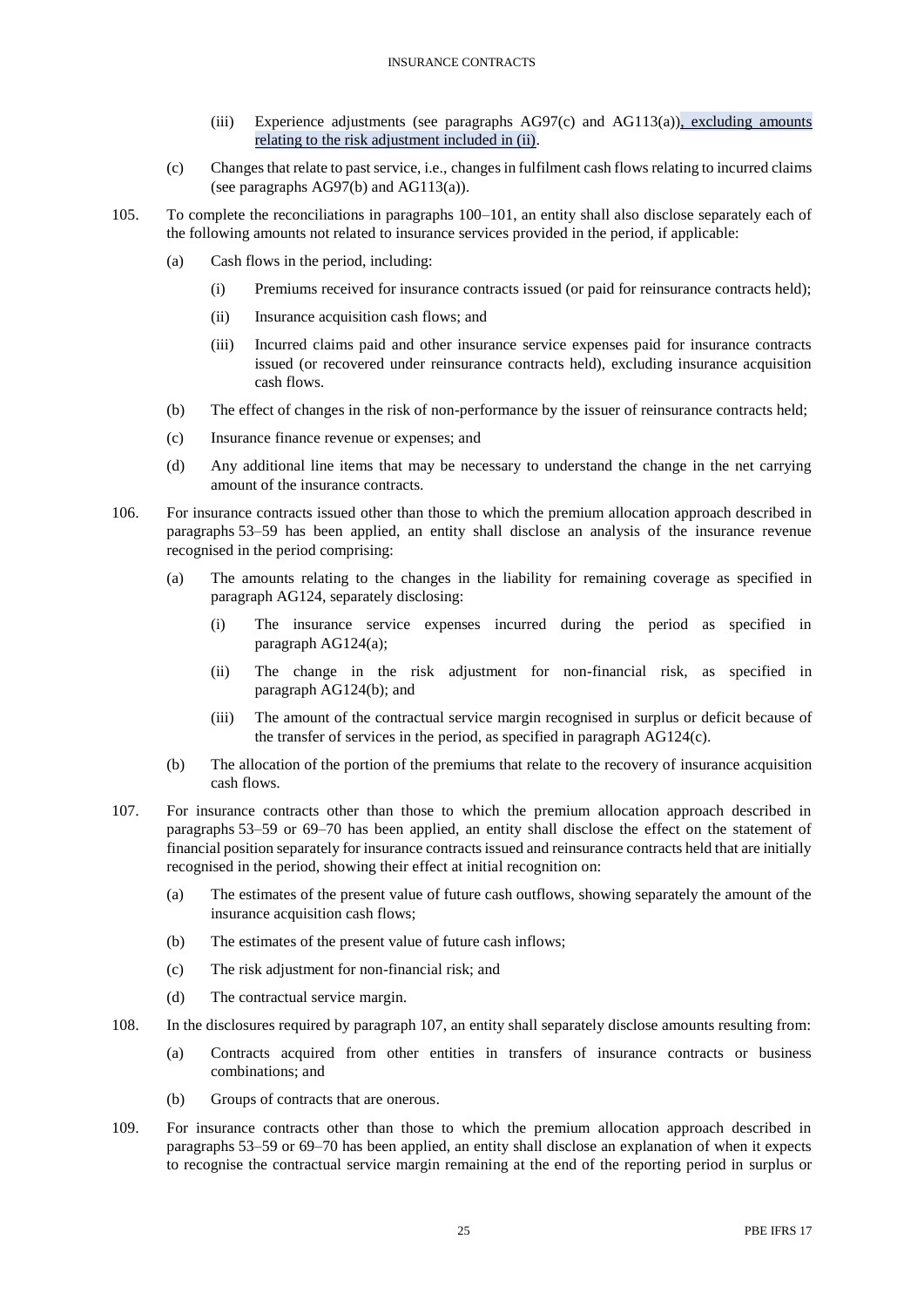#### INSURANCE CONTRACTS

- (iii) Experience adjustments (see paragraphs  $AG97(c)$  and  $AG113(a)$ ), excluding amounts relating to the risk adjustment included in (ii).
- (c) Changes that relate to past service, i.e., changes in fulfilment cash flows relating to incurred claims (see paragraphs AG97(b) and AG113(a)).
- 105. To complete the reconciliations in paragraphs 100–101, an entity shall also disclose separately each of the following amounts not related to insurance services provided in the period, if applicable:
	- (a) Cash flows in the period, including:
		- (i) Premiums received for insurance contracts issued (or paid for reinsurance contracts held);
		- (ii) Insurance acquisition cash flows; and
		- (iii) Incurred claims paid and other insurance service expenses paid for insurance contracts issued (or recovered under reinsurance contracts held), excluding insurance acquisition cash flows.
	- (b) The effect of changes in the risk of non-performance by the issuer of reinsurance contracts held;
	- (c) Insurance finance revenue or expenses; and
	- (d) Any additional line items that may be necessary to understand the change in the net carrying amount of the insurance contracts.
- 106. For insurance contracts issued other than those to which the premium allocation approach described in paragraphs 53–59 has been applied, an entity shall disclose an analysis of the insurance revenue recognised in the period comprising:
	- (a) The amounts relating to the changes in the liability for remaining coverage as specified in paragraph AG124, separately disclosing:
		- (i) The insurance service expenses incurred during the period as specified in paragraph AG124(a);
		- (ii) The change in the risk adjustment for non-financial risk, as specified in paragraph AG124(b); and
		- (iii) The amount of the contractual service margin recognised in surplus or deficit because of the transfer of services in the period, as specified in paragraph AG124(c).
	- (b) The allocation of the portion of the premiums that relate to the recovery of insurance acquisition cash flows.
- 107. For insurance contracts other than those to which the premium allocation approach described in paragraphs 53–59 or 69–70 has been applied, an entity shall disclose the effect on the statement of financial position separately for insurance contracts issued and reinsurance contracts held that are initially recognised in the period, showing their effect at initial recognition on:
	- (a) The estimates of the present value of future cash outflows, showing separately the amount of the insurance acquisition cash flows;
	- (b) The estimates of the present value of future cash inflows;
	- (c) The risk adjustment for non-financial risk; and
	- (d) The contractual service margin.
- 108. In the disclosures required by paragraph 107, an entity shall separately disclose amounts resulting from:
	- (a) Contracts acquired from other entities in transfers of insurance contracts or business combinations; and
	- (b) Groups of contracts that are onerous.
- 109. For insurance contracts other than those to which the premium allocation approach described in paragraphs 53–59 or 69–70 has been applied, an entity shall disclose an explanation of when it expects to recognise the contractual service margin remaining at the end of the reporting period in surplus or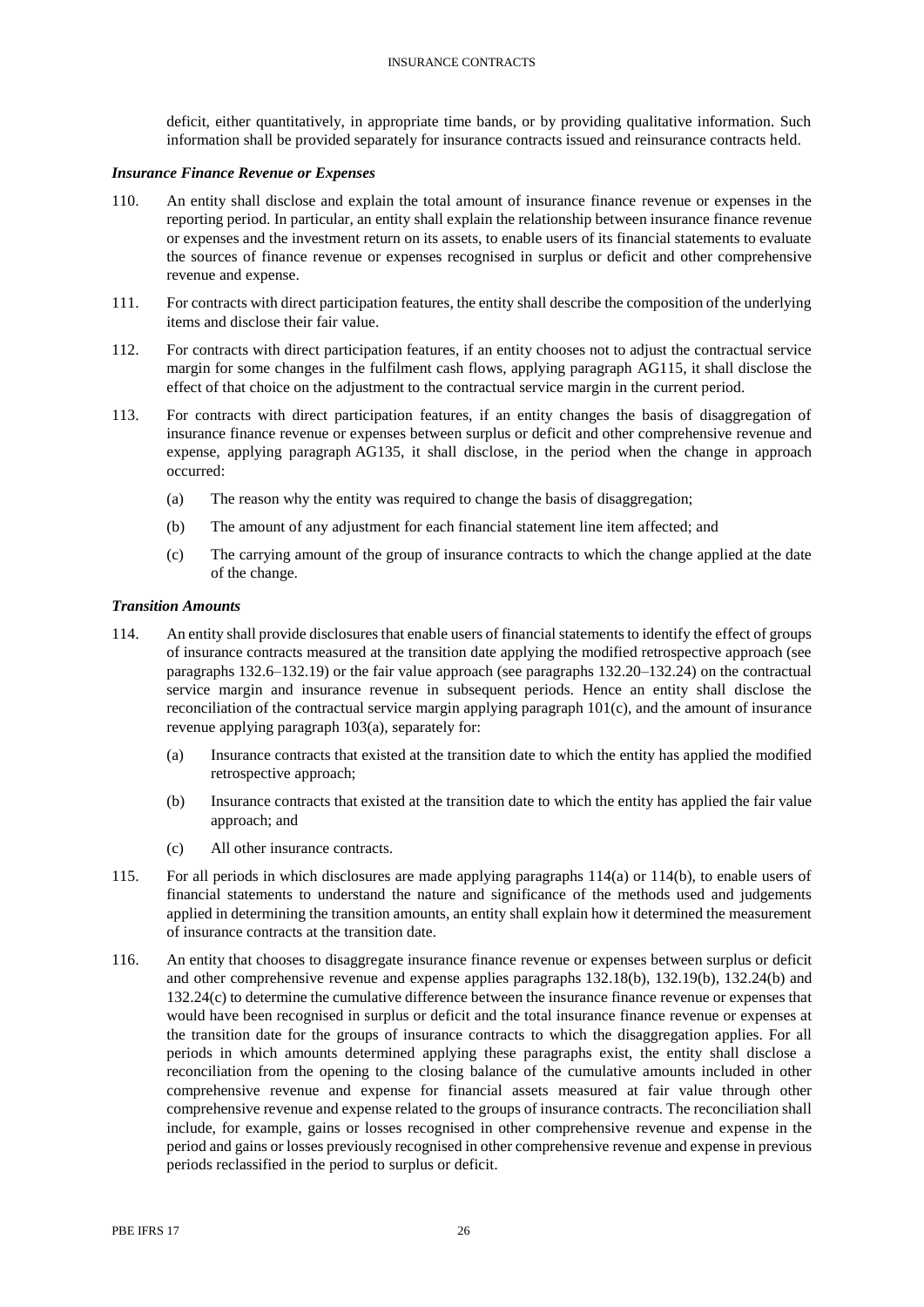deficit, either quantitatively, in appropriate time bands, or by providing qualitative information. Such information shall be provided separately for insurance contracts issued and reinsurance contracts held.

### *Insurance Finance Revenue or Expenses*

- 110. An entity shall disclose and explain the total amount of insurance finance revenue or expenses in the reporting period. In particular, an entity shall explain the relationship between insurance finance revenue or expenses and the investment return on its assets, to enable users of its financial statements to evaluate the sources of finance revenue or expenses recognised in surplus or deficit and other comprehensive revenue and expense.
- 111. For contracts with direct participation features, the entity shall describe the composition of the underlying items and disclose their fair value.
- 112. For contracts with direct participation features, if an entity chooses not to adjust the contractual service margin for some changes in the fulfilment cash flows, applying paragraph AG115, it shall disclose the effect of that choice on the adjustment to the contractual service margin in the current period.
- 113. For contracts with direct participation features, if an entity changes the basis of disaggregation of insurance finance revenue or expenses between surplus or deficit and other comprehensive revenue and expense, applying paragraph AG135, it shall disclose, in the period when the change in approach occurred:
	- (a) The reason why the entity was required to change the basis of disaggregation;
	- (b) The amount of any adjustment for each financial statement line item affected; and
	- (c) The carrying amount of the group of insurance contracts to which the change applied at the date of the change.

#### *Transition Amounts*

- 114. An entity shall provide disclosures that enable users of financial statements to identify the effect of groups of insurance contracts measured at the transition date applying the modified retrospective approach (see paragraphs 132.6–132.19) or the fair value approach (see paragraphs 132.20–132.24) on the contractual service margin and insurance revenue in subsequent periods. Hence an entity shall disclose the reconciliation of the contractual service margin applying paragraph  $101(c)$ , and the amount of insurance revenue applying paragraph 103(a), separately for:
	- (a) Insurance contracts that existed at the transition date to which the entity has applied the modified retrospective approach;
	- (b) Insurance contracts that existed at the transition date to which the entity has applied the fair value approach; and
	- (c) All other insurance contracts.
- 115. For all periods in which disclosures are made applying paragraphs 114(a) or 114(b), to enable users of financial statements to understand the nature and significance of the methods used and judgements applied in determining the transition amounts, an entity shall explain how it determined the measurement of insurance contracts at the transition date.
- 116. An entity that chooses to disaggregate insurance finance revenue or expenses between surplus or deficit and other comprehensive revenue and expense applies paragraphs 132.18(b), 132.19(b), 132.24(b) and 132.24(c) to determine the cumulative difference between the insurance finance revenue or expenses that would have been recognised in surplus or deficit and the total insurance finance revenue or expenses at the transition date for the groups of insurance contracts to which the disaggregation applies. For all periods in which amounts determined applying these paragraphs exist, the entity shall disclose a reconciliation from the opening to the closing balance of the cumulative amounts included in other comprehensive revenue and expense for financial assets measured at fair value through other comprehensive revenue and expense related to the groups of insurance contracts. The reconciliation shall include, for example, gains or losses recognised in other comprehensive revenue and expense in the period and gains or losses previously recognised in other comprehensive revenue and expense in previous periods reclassified in the period to surplus or deficit.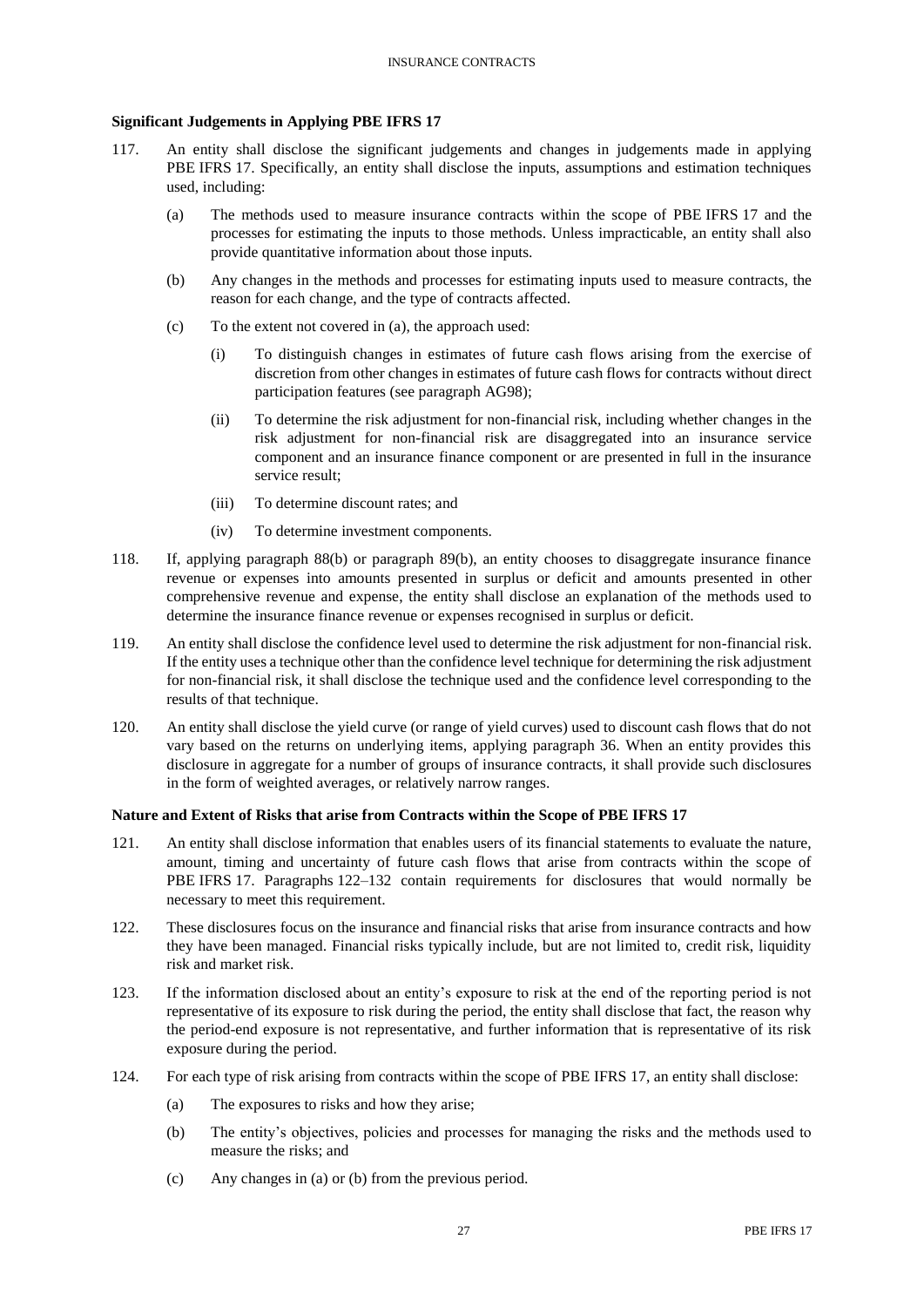#### **Significant Judgements in Applying PBE IFRS 17**

- 117. An entity shall disclose the significant judgements and changes in judgements made in applying PBE IFRS 17. Specifically, an entity shall disclose the inputs, assumptions and estimation techniques used, including:
	- (a) The methods used to measure insurance contracts within the scope of PBE IFRS 17 and the processes for estimating the inputs to those methods. Unless impracticable, an entity shall also provide quantitative information about those inputs.
	- (b) Any changes in the methods and processes for estimating inputs used to measure contracts, the reason for each change, and the type of contracts affected.
	- (c) To the extent not covered in (a), the approach used:
		- (i) To distinguish changes in estimates of future cash flows arising from the exercise of discretion from other changes in estimates of future cash flows for contracts without direct participation features (see paragraph AG98);
		- (ii) To determine the risk adjustment for non-financial risk, including whether changes in the risk adjustment for non-financial risk are disaggregated into an insurance service component and an insurance finance component or are presented in full in the insurance service result;
		- (iii) To determine discount rates; and
		- (iv) To determine investment components.
- 118. If, applying paragraph 88(b) or paragraph 89(b), an entity chooses to disaggregate insurance finance revenue or expenses into amounts presented in surplus or deficit and amounts presented in other comprehensive revenue and expense, the entity shall disclose an explanation of the methods used to determine the insurance finance revenue or expenses recognised in surplus or deficit.
- 119. An entity shall disclose the confidence level used to determine the risk adjustment for non-financial risk. If the entity uses a technique other than the confidence level technique for determining the risk adjustment for non-financial risk, it shall disclose the technique used and the confidence level corresponding to the results of that technique.
- 120. An entity shall disclose the yield curve (or range of yield curves) used to discount cash flows that do not vary based on the returns on underlying items, applying paragraph 36. When an entity provides this disclosure in aggregate for a number of groups of insurance contracts, it shall provide such disclosures in the form of weighted averages, or relatively narrow ranges.

#### **Nature and Extent of Risks that arise from Contracts within the Scope of PBE IFRS 17**

- 121. An entity shall disclose information that enables users of its financial statements to evaluate the nature, amount, timing and uncertainty of future cash flows that arise from contracts within the scope of PBE IFRS 17. Paragraphs 122–132 contain requirements for disclosures that would normally be necessary to meet this requirement.
- 122. These disclosures focus on the insurance and financial risks that arise from insurance contracts and how they have been managed. Financial risks typically include, but are not limited to, credit risk, liquidity risk and market risk.
- 123. If the information disclosed about an entity's exposure to risk at the end of the reporting period is not representative of its exposure to risk during the period, the entity shall disclose that fact, the reason why the period-end exposure is not representative, and further information that is representative of its risk exposure during the period.
- 124. For each type of risk arising from contracts within the scope of PBE IFRS 17, an entity shall disclose:
	- (a) The exposures to risks and how they arise;
	- (b) The entity's objectives, policies and processes for managing the risks and the methods used to measure the risks; and
	- (c) Any changes in (a) or (b) from the previous period.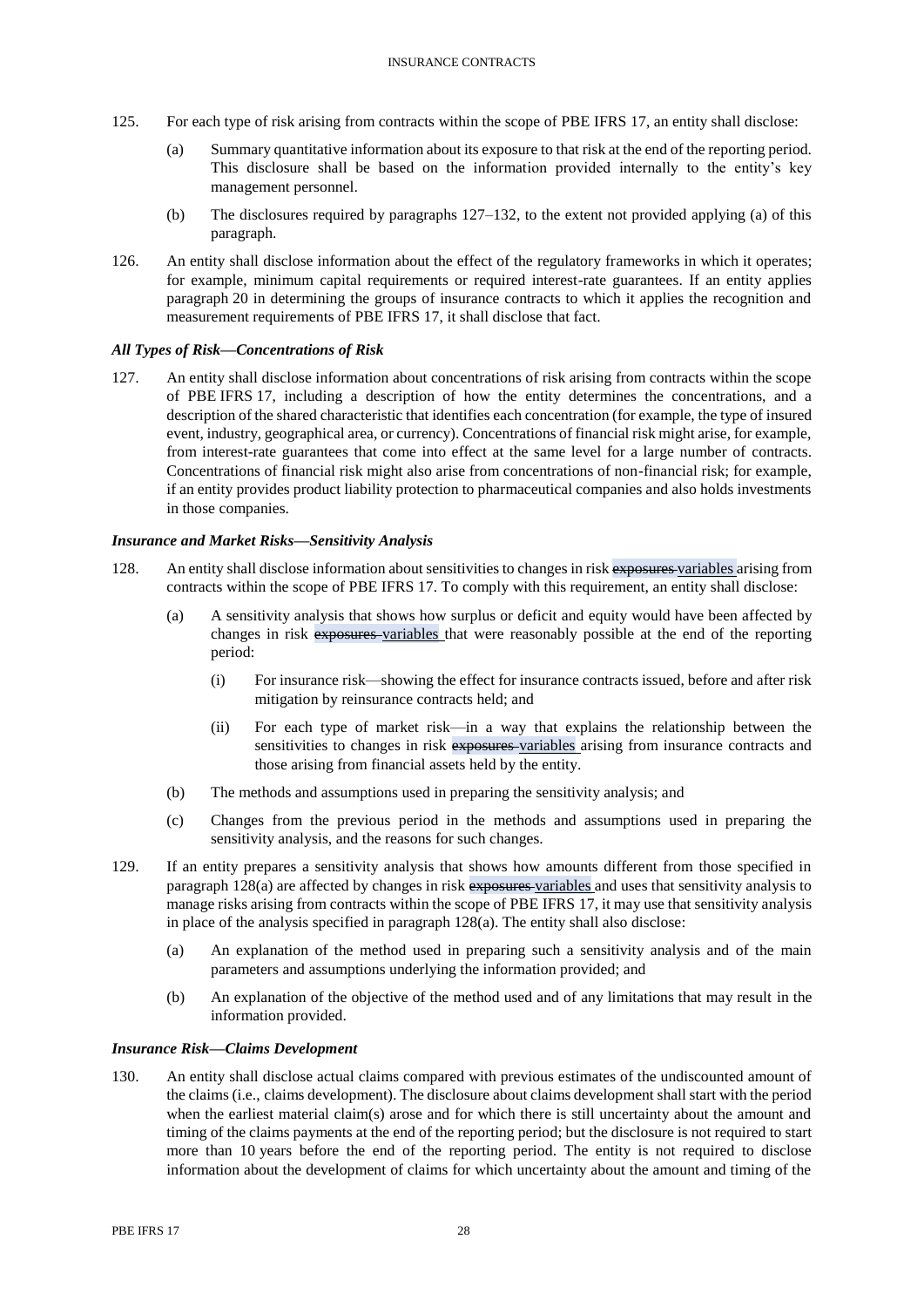- 125. For each type of risk arising from contracts within the scope of PBE IFRS 17, an entity shall disclose:
	- (a) Summary quantitative information about its exposure to that risk at the end of the reporting period. This disclosure shall be based on the information provided internally to the entity's key management personnel.
	- (b) The disclosures required by paragraphs 127–132, to the extent not provided applying (a) of this paragraph.
- 126. An entity shall disclose information about the effect of the regulatory frameworks in which it operates; for example, minimum capital requirements or required interest-rate guarantees. If an entity applies paragraph 20 in determining the groups of insurance contracts to which it applies the recognition and measurement requirements of PBE IFRS 17, it shall disclose that fact.

### *All Types of Risk—Concentrations of Risk*

127. An entity shall disclose information about concentrations of risk arising from contracts within the scope of PBE IFRS 17, including a description of how the entity determines the concentrations, and a description of the shared characteristic that identifies each concentration (for example, the type of insured event, industry, geographical area, or currency). Concentrations of financial risk might arise, for example, from interest-rate guarantees that come into effect at the same level for a large number of contracts. Concentrations of financial risk might also arise from concentrations of non-financial risk; for example, if an entity provides product liability protection to pharmaceutical companies and also holds investments in those companies.

### *Insurance and Market Risks—Sensitivity Analysis*

- 128. An entity shall disclose information about sensitivities to changes in risk exposures variables arising from contracts within the scope of PBE IFRS 17. To comply with this requirement, an entity shall disclose:
	- (a) A sensitivity analysis that shows how surplus or deficit and equity would have been affected by changes in risk exposures variables that were reasonably possible at the end of the reporting period:
		- (i) For insurance risk—showing the effect for insurance contracts issued, before and after risk mitigation by reinsurance contracts held; and
		- (ii) For each type of market risk—in a way that explains the relationship between the sensitivities to changes in risk exposures variables arising from insurance contracts and those arising from financial assets held by the entity.
	- (b) The methods and assumptions used in preparing the sensitivity analysis; and
	- (c) Changes from the previous period in the methods and assumptions used in preparing the sensitivity analysis, and the reasons for such changes.
- 129. If an entity prepares a sensitivity analysis that shows how amounts different from those specified in paragraph 128(a) are affected by changes in risk exposures variables and uses that sensitivity analysis to manage risks arising from contracts within the scope of PBE IFRS 17, it may use that sensitivity analysis in place of the analysis specified in paragraph 128(a). The entity shall also disclose:
	- (a) An explanation of the method used in preparing such a sensitivity analysis and of the main parameters and assumptions underlying the information provided; and
	- (b) An explanation of the objective of the method used and of any limitations that may result in the information provided.

### *Insurance Risk—Claims Development*

130. An entity shall disclose actual claims compared with previous estimates of the undiscounted amount of the claims (i.e., claims development). The disclosure about claims development shall start with the period when the earliest material claim(s) arose and for which there is still uncertainty about the amount and timing of the claims payments at the end of the reporting period; but the disclosure is not required to start more than 10 years before the end of the reporting period. The entity is not required to disclose information about the development of claims for which uncertainty about the amount and timing of the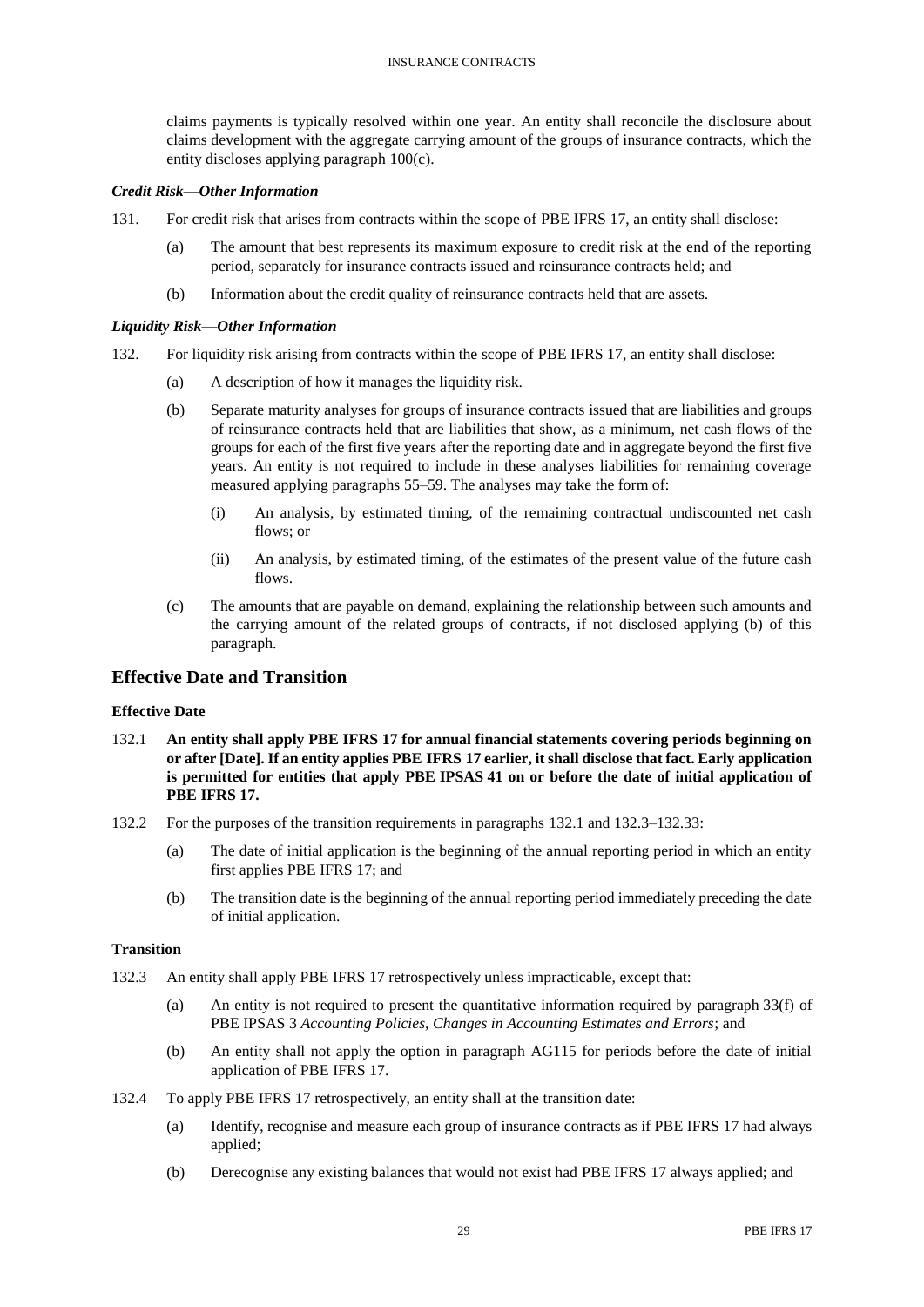claims payments is typically resolved within one year. An entity shall reconcile the disclosure about claims development with the aggregate carrying amount of the groups of insurance contracts, which the entity discloses applying paragraph 100(c).

### *Credit Risk—Other Information*

- 131. For credit risk that arises from contracts within the scope of PBE IFRS 17, an entity shall disclose:
	- (a) The amount that best represents its maximum exposure to credit risk at the end of the reporting period, separately for insurance contracts issued and reinsurance contracts held; and
	- (b) Information about the credit quality of reinsurance contracts held that are assets.

#### *Liquidity Risk—Other Information*

- 132. For liquidity risk arising from contracts within the scope of PBE IFRS 17, an entity shall disclose:
	- (a) A description of how it manages the liquidity risk.
	- (b) Separate maturity analyses for groups of insurance contracts issued that are liabilities and groups of reinsurance contracts held that are liabilities that show, as a minimum, net cash flows of the groups for each of the first five years after the reporting date and in aggregate beyond the first five years. An entity is not required to include in these analyses liabilities for remaining coverage measured applying paragraphs 55–59. The analyses may take the form of:
		- (i) An analysis, by estimated timing, of the remaining contractual undiscounted net cash flows; or
		- (ii) An analysis, by estimated timing, of the estimates of the present value of the future cash flows.
	- (c) The amounts that are payable on demand, explaining the relationship between such amounts and the carrying amount of the related groups of contracts, if not disclosed applying (b) of this paragraph.

## **Effective Date and Transition**

#### **Effective Date**

- 132.1 **An entity shall apply PBE IFRS 17 for annual financial statements covering periods beginning on or after [Date]. If an entity applies PBE IFRS 17 earlier, it shall disclose that fact. Early application is permitted for entities that apply PBE IPSAS 41 on or before the date of initial application of PBE IFRS 17.**
- 132.2 For the purposes of the transition requirements in paragraphs 132.1 and 132.3–132.33:
	- (a) The date of initial application is the beginning of the annual reporting period in which an entity first applies PBE IFRS 17; and
	- (b) The transition date is the beginning of the annual reporting period immediately preceding the date of initial application.

#### **Transition**

- 132.3 An entity shall apply PBE IFRS 17 retrospectively unless impracticable, except that:
	- (a) An entity is not required to present the quantitative information required by paragraph 33(f) of PBE IPSAS 3 *Accounting Policies, Changes in Accounting Estimates and Errors*; and
	- (b) An entity shall not apply the option in paragraph AG115 for periods before the date of initial application of PBE IFRS 17.
- 132.4 To apply PBE IFRS 17 retrospectively, an entity shall at the transition date:
	- (a) Identify, recognise and measure each group of insurance contracts as if PBE IFRS 17 had always applied;
	- (b) Derecognise any existing balances that would not exist had PBE IFRS 17 always applied; and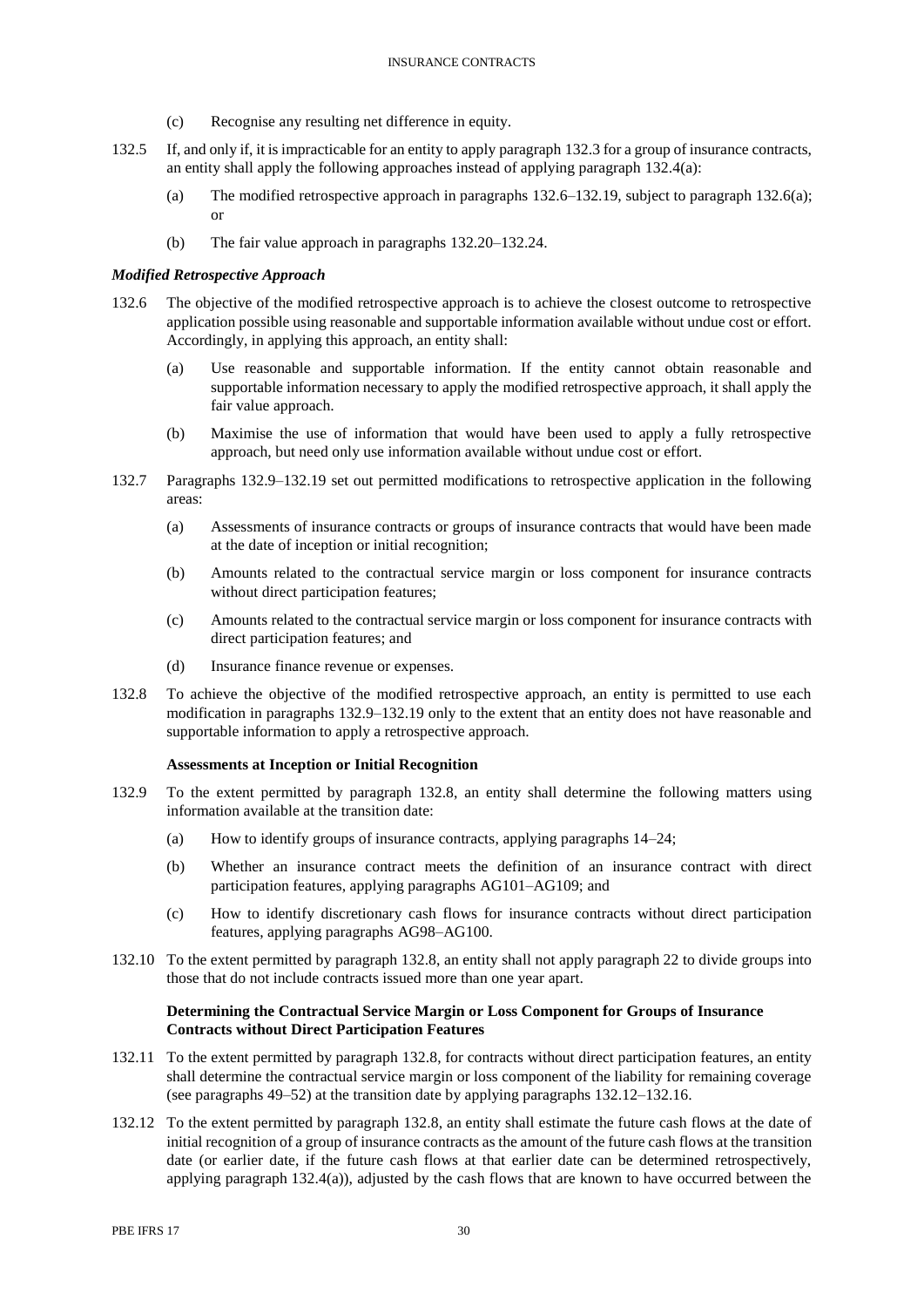- (c) Recognise any resulting net difference in equity.
- 132.5 If, and only if, it is impracticable for an entity to apply paragraph 132.3 for a group of insurance contracts, an entity shall apply the following approaches instead of applying paragraph 132.4(a):
	- (a) The modified retrospective approach in paragraphs 132.6–132.19, subject to paragraph 132.6(a); or
	- (b) The fair value approach in paragraphs 132.20–132.24.

#### *Modified Retrospective Approach*

- 132.6 The objective of the modified retrospective approach is to achieve the closest outcome to retrospective application possible using reasonable and supportable information available without undue cost or effort. Accordingly, in applying this approach, an entity shall:
	- (a) Use reasonable and supportable information. If the entity cannot obtain reasonable and supportable information necessary to apply the modified retrospective approach, it shall apply the fair value approach.
	- (b) Maximise the use of information that would have been used to apply a fully retrospective approach, but need only use information available without undue cost or effort.
- 132.7 Paragraphs 132.9–132.19 set out permitted modifications to retrospective application in the following areas:
	- (a) Assessments of insurance contracts or groups of insurance contracts that would have been made at the date of inception or initial recognition;
	- (b) Amounts related to the contractual service margin or loss component for insurance contracts without direct participation features;
	- (c) Amounts related to the contractual service margin or loss component for insurance contracts with direct participation features; and
	- (d) Insurance finance revenue or expenses.
- 132.8 To achieve the objective of the modified retrospective approach, an entity is permitted to use each modification in paragraphs 132.9–132.19 only to the extent that an entity does not have reasonable and supportable information to apply a retrospective approach.

#### **Assessments at Inception or Initial Recognition**

- 132.9 To the extent permitted by paragraph 132.8, an entity shall determine the following matters using information available at the transition date:
	- (a) How to identify groups of insurance contracts, applying paragraphs 14–24;
	- (b) Whether an insurance contract meets the definition of an insurance contract with direct participation features, applying paragraphs AG101–AG109; and
	- (c) How to identify discretionary cash flows for insurance contracts without direct participation features, applying paragraphs AG98–AG100.
- 132.10 To the extent permitted by paragraph 132.8, an entity shall not apply paragraph 22 to divide groups into those that do not include contracts issued more than one year apart.

#### **Determining the Contractual Service Margin or Loss Component for Groups of Insurance Contracts without Direct Participation Features**

- 132.11 To the extent permitted by paragraph 132.8, for contracts without direct participation features, an entity shall determine the contractual service margin or loss component of the liability for remaining coverage (see paragraphs 49–52) at the transition date by applying paragraphs 132.12–132.16.
- 132.12 To the extent permitted by paragraph 132.8, an entity shall estimate the future cash flows at the date of initial recognition of a group of insurance contracts as the amount of the future cash flows at the transition date (or earlier date, if the future cash flows at that earlier date can be determined retrospectively, applying paragraph 132.4(a)), adjusted by the cash flows that are known to have occurred between the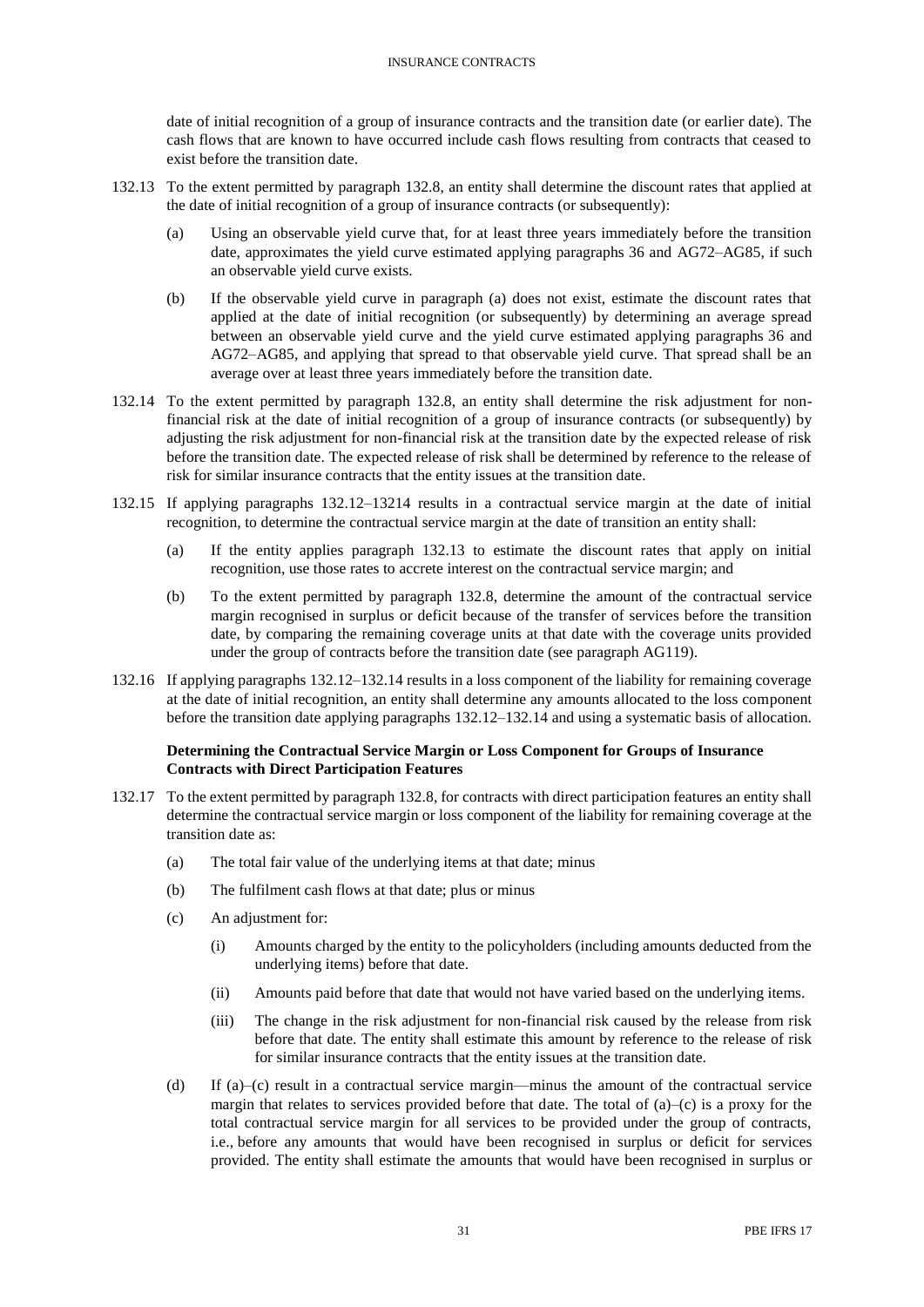date of initial recognition of a group of insurance contracts and the transition date (or earlier date). The cash flows that are known to have occurred include cash flows resulting from contracts that ceased to exist before the transition date.

- 132.13 To the extent permitted by paragraph 132.8, an entity shall determine the discount rates that applied at the date of initial recognition of a group of insurance contracts (or subsequently):
	- (a) Using an observable yield curve that, for at least three years immediately before the transition date, approximates the yield curve estimated applying paragraphs 36 and AG72–AG85, if such an observable yield curve exists.
	- (b) If the observable yield curve in paragraph (a) does not exist, estimate the discount rates that applied at the date of initial recognition (or subsequently) by determining an average spread between an observable yield curve and the yield curve estimated applying paragraphs 36 and AG72–AG85, and applying that spread to that observable yield curve. That spread shall be an average over at least three years immediately before the transition date.
- 132.14 To the extent permitted by paragraph 132.8, an entity shall determine the risk adjustment for nonfinancial risk at the date of initial recognition of a group of insurance contracts (or subsequently) by adjusting the risk adjustment for non-financial risk at the transition date by the expected release of risk before the transition date. The expected release of risk shall be determined by reference to the release of risk for similar insurance contracts that the entity issues at the transition date.
- 132.15 If applying paragraphs 132.12–13214 results in a contractual service margin at the date of initial recognition, to determine the contractual service margin at the date of transition an entity shall:
	- (a) If the entity applies paragraph 132.13 to estimate the discount rates that apply on initial recognition, use those rates to accrete interest on the contractual service margin; and
	- (b) To the extent permitted by paragraph 132.8, determine the amount of the contractual service margin recognised in surplus or deficit because of the transfer of services before the transition date, by comparing the remaining coverage units at that date with the coverage units provided under the group of contracts before the transition date (see paragraph AG119).
- 132.16 If applying paragraphs 132.12–132.14 results in a loss component of the liability for remaining coverage at the date of initial recognition, an entity shall determine any amounts allocated to the loss component before the transition date applying paragraphs 132.12–132.14 and using a systematic basis of allocation.

### **Determining the Contractual Service Margin or Loss Component for Groups of Insurance Contracts with Direct Participation Features**

- 132.17 To the extent permitted by paragraph 132.8, for contracts with direct participation features an entity shall determine the contractual service margin or loss component of the liability for remaining coverage at the transition date as:
	- (a) The total fair value of the underlying items at that date; minus
	- (b) The fulfilment cash flows at that date; plus or minus
	- (c) An adjustment for:
		- (i) Amounts charged by the entity to the policyholders (including amounts deducted from the underlying items) before that date.
		- (ii) Amounts paid before that date that would not have varied based on the underlying items.
		- (iii) The change in the risk adjustment for non-financial risk caused by the release from risk before that date. The entity shall estimate this amount by reference to the release of risk for similar insurance contracts that the entity issues at the transition date.
	- (d) If (a)–(c) result in a contractual service margin—minus the amount of the contractual service margin that relates to services provided before that date. The total of  $(a)$ – $(c)$  is a proxy for the total contractual service margin for all services to be provided under the group of contracts, i.e., before any amounts that would have been recognised in surplus or deficit for services provided. The entity shall estimate the amounts that would have been recognised in surplus or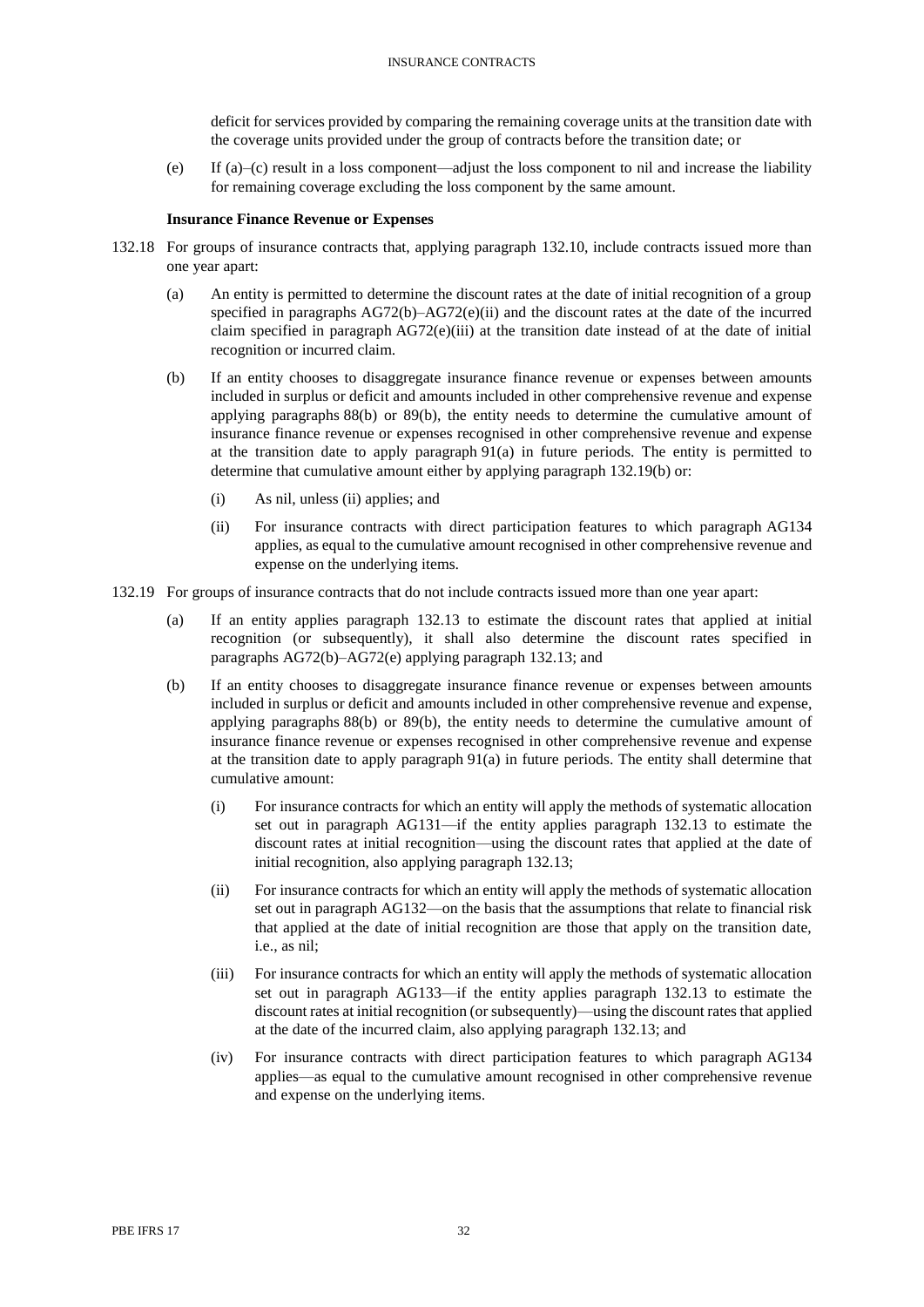deficit for services provided by comparing the remaining coverage units at the transition date with the coverage units provided under the group of contracts before the transition date; or

(e) If (a)–(c) result in a loss component—adjust the loss component to nil and increase the liability for remaining coverage excluding the loss component by the same amount.

#### **Insurance Finance Revenue or Expenses**

- 132.18 For groups of insurance contracts that, applying paragraph 132.10, include contracts issued more than one year apart:
	- (a) An entity is permitted to determine the discount rates at the date of initial recognition of a group specified in paragraphs  $AG72(b)-AG72(e)(ii)$  and the discount rates at the date of the incurred claim specified in paragraph  $AG72(e)$ (iii) at the transition date instead of at the date of initial recognition or incurred claim.
	- (b) If an entity chooses to disaggregate insurance finance revenue or expenses between amounts included in surplus or deficit and amounts included in other comprehensive revenue and expense applying paragraphs 88(b) or 89(b), the entity needs to determine the cumulative amount of insurance finance revenue or expenses recognised in other comprehensive revenue and expense at the transition date to apply paragraph  $91(a)$  in future periods. The entity is permitted to determine that cumulative amount either by applying paragraph 132.19(b) or:
		- (i) As nil, unless (ii) applies; and
		- (ii) For insurance contracts with direct participation features to which paragraph AG134 applies, as equal to the cumulative amount recognised in other comprehensive revenue and expense on the underlying items.
- 132.19 For groups of insurance contracts that do not include contracts issued more than one year apart:
	- (a) If an entity applies paragraph 132.13 to estimate the discount rates that applied at initial recognition (or subsequently), it shall also determine the discount rates specified in paragraphs AG72(b)–AG72(e) applying paragraph 132.13; and
	- (b) If an entity chooses to disaggregate insurance finance revenue or expenses between amounts included in surplus or deficit and amounts included in other comprehensive revenue and expense, applying paragraphs 88(b) or 89(b), the entity needs to determine the cumulative amount of insurance finance revenue or expenses recognised in other comprehensive revenue and expense at the transition date to apply paragraph  $91(a)$  in future periods. The entity shall determine that cumulative amount:
		- (i) For insurance contracts for which an entity will apply the methods of systematic allocation set out in paragraph AG131—if the entity applies paragraph 132.13 to estimate the discount rates at initial recognition—using the discount rates that applied at the date of initial recognition, also applying paragraph 132.13;
		- (ii) For insurance contracts for which an entity will apply the methods of systematic allocation set out in paragraph AG132—on the basis that the assumptions that relate to financial risk that applied at the date of initial recognition are those that apply on the transition date, i.e., as nil;
		- (iii) For insurance contracts for which an entity will apply the methods of systematic allocation set out in paragraph AG133—if the entity applies paragraph 132.13 to estimate the discount rates at initial recognition (or subsequently)—using the discount rates that applied at the date of the incurred claim, also applying paragraph 132.13; and
		- (iv) For insurance contracts with direct participation features to which paragraph AG134 applies—as equal to the cumulative amount recognised in other comprehensive revenue and expense on the underlying items.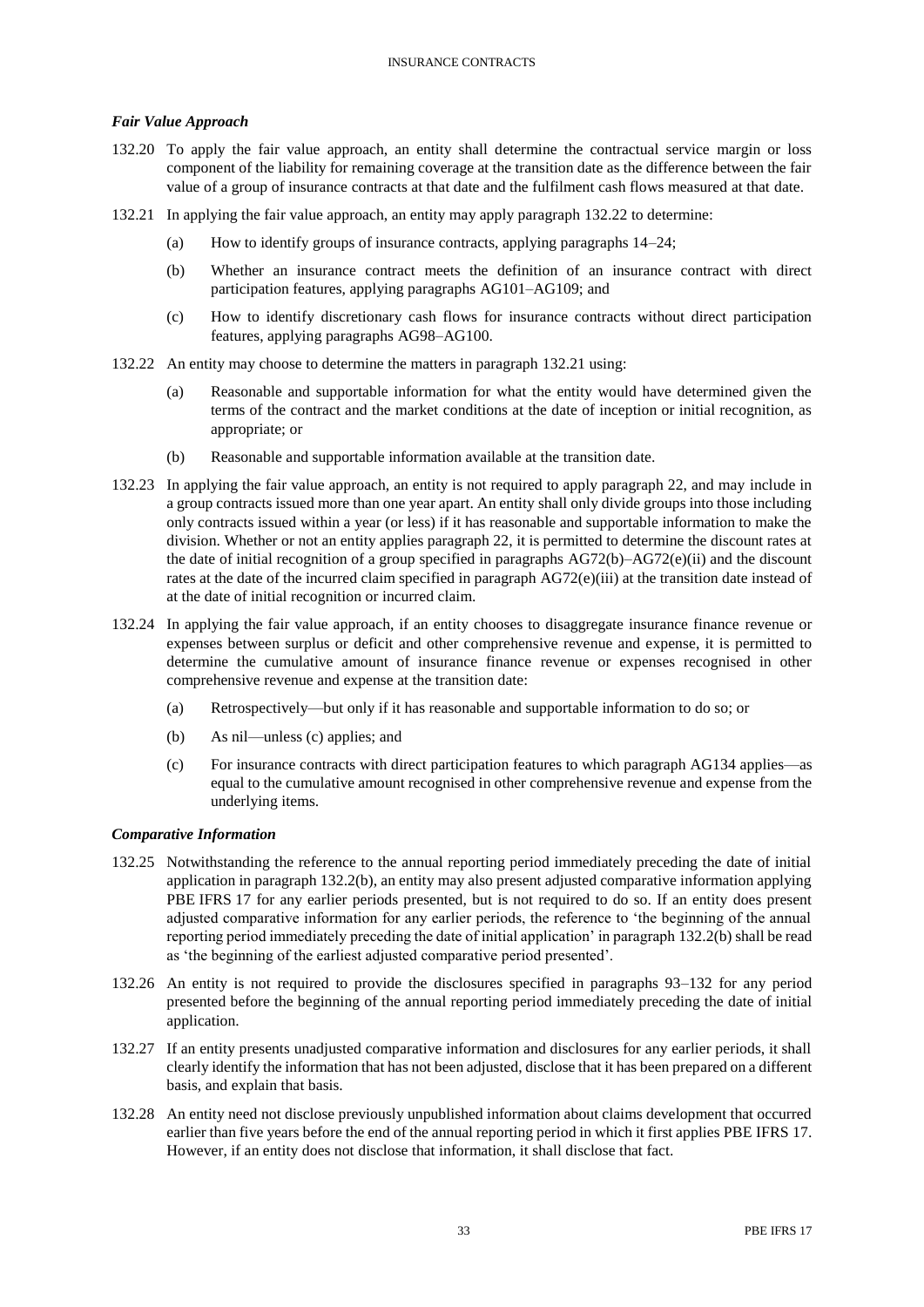### *Fair Value Approach*

- 132.20 To apply the fair value approach, an entity shall determine the contractual service margin or loss component of the liability for remaining coverage at the transition date as the difference between the fair value of a group of insurance contracts at that date and the fulfilment cash flows measured at that date.
- 132.21 In applying the fair value approach, an entity may apply paragraph 132.22 to determine:
	- (a) How to identify groups of insurance contracts, applying paragraphs 14–24;
	- (b) Whether an insurance contract meets the definition of an insurance contract with direct participation features, applying paragraphs AG101–AG109; and
	- (c) How to identify discretionary cash flows for insurance contracts without direct participation features, applying paragraphs AG98–AG100.
- 132.22 An entity may choose to determine the matters in paragraph 132.21 using:
	- (a) Reasonable and supportable information for what the entity would have determined given the terms of the contract and the market conditions at the date of inception or initial recognition, as appropriate; or
	- (b) Reasonable and supportable information available at the transition date.
- 132.23 In applying the fair value approach, an entity is not required to apply paragraph 22, and may include in a group contracts issued more than one year apart. An entity shall only divide groups into those including only contracts issued within a year (or less) if it has reasonable and supportable information to make the division. Whether or not an entity applies paragraph 22, it is permitted to determine the discount rates at the date of initial recognition of a group specified in paragraphs  $AG72(b)$ – $AG72(e)(ii)$  and the discount rates at the date of the incurred claim specified in paragraph AG72(e)(iii) at the transition date instead of at the date of initial recognition or incurred claim.
- 132.24 In applying the fair value approach, if an entity chooses to disaggregate insurance finance revenue or expenses between surplus or deficit and other comprehensive revenue and expense, it is permitted to determine the cumulative amount of insurance finance revenue or expenses recognised in other comprehensive revenue and expense at the transition date:
	- (a) Retrospectively—but only if it has reasonable and supportable information to do so; or
	- (b) As nil—unless (c) applies; and
	- (c) For insurance contracts with direct participation features to which paragraph AG134 applies—as equal to the cumulative amount recognised in other comprehensive revenue and expense from the underlying items.

#### *Comparative Information*

- 132.25 Notwithstanding the reference to the annual reporting period immediately preceding the date of initial application in paragraph 132.2(b), an entity may also present adjusted comparative information applying PBE IFRS 17 for any earlier periods presented, but is not required to do so. If an entity does present adjusted comparative information for any earlier periods, the reference to 'the beginning of the annual reporting period immediately preceding the date of initial application' in paragraph 132.2(b) shall be read as 'the beginning of the earliest adjusted comparative period presented'.
- 132.26 An entity is not required to provide the disclosures specified in paragraphs 93–132 for any period presented before the beginning of the annual reporting period immediately preceding the date of initial application.
- 132.27 If an entity presents unadjusted comparative information and disclosures for any earlier periods, it shall clearly identify the information that has not been adjusted, disclose that it has been prepared on a different basis, and explain that basis.
- 132.28 An entity need not disclose previously unpublished information about claims development that occurred earlier than five years before the end of the annual reporting period in which it first applies PBE IFRS 17. However, if an entity does not disclose that information, it shall disclose that fact.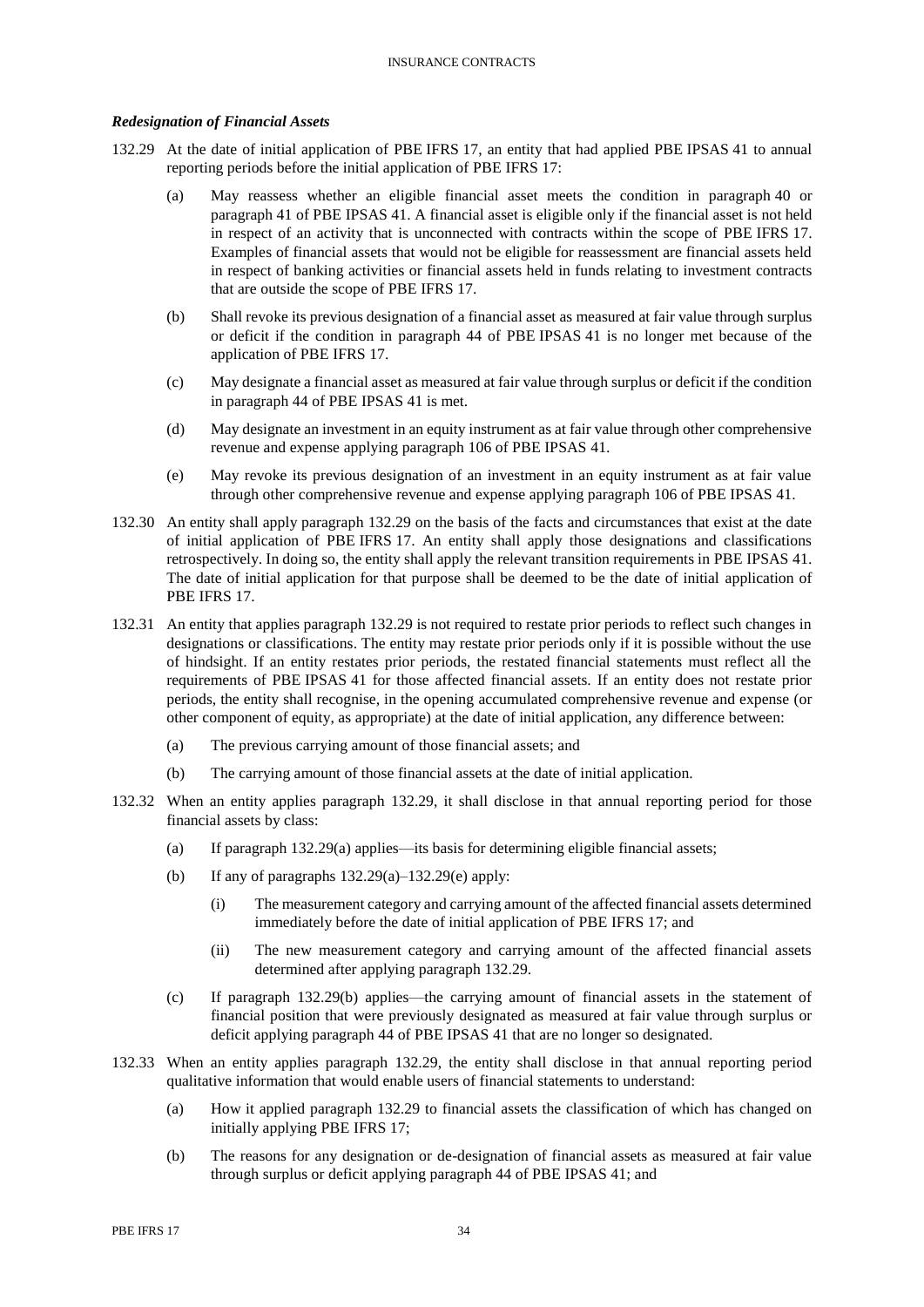#### *Redesignation of Financial Assets*

- 132.29 At the date of initial application of PBE IFRS 17, an entity that had applied PBE IPSAS 41 to annual reporting periods before the initial application of PBE IFRS 17:
	- (a) May reassess whether an eligible financial asset meets the condition in paragraph 40 or paragraph 41 of PBE IPSAS 41. A financial asset is eligible only if the financial asset is not held in respect of an activity that is unconnected with contracts within the scope of PBE IFRS 17. Examples of financial assets that would not be eligible for reassessment are financial assets held in respect of banking activities or financial assets held in funds relating to investment contracts that are outside the scope of PBE IFRS 17.
	- (b) Shall revoke its previous designation of a financial asset as measured at fair value through surplus or deficit if the condition in paragraph 44 of PBE IPSAS 41 is no longer met because of the application of PBE IFRS 17.
	- (c) May designate a financial asset as measured at fair value through surplus or deficit if the condition in paragraph 44 of PBE IPSAS 41 is met.
	- (d) May designate an investment in an equity instrument as at fair value through other comprehensive revenue and expense applying paragraph 106 of PBE IPSAS 41.
	- (e) May revoke its previous designation of an investment in an equity instrument as at fair value through other comprehensive revenue and expense applying paragraph 106 of PBE IPSAS 41.
- 132.30 An entity shall apply paragraph 132.29 on the basis of the facts and circumstances that exist at the date of initial application of PBE IFRS 17. An entity shall apply those designations and classifications retrospectively. In doing so, the entity shall apply the relevant transition requirements in PBE IPSAS 41. The date of initial application for that purpose shall be deemed to be the date of initial application of PBE IFRS 17.
- 132.31 An entity that applies paragraph 132.29 is not required to restate prior periods to reflect such changes in designations or classifications. The entity may restate prior periods only if it is possible without the use of hindsight. If an entity restates prior periods, the restated financial statements must reflect all the requirements of PBE IPSAS 41 for those affected financial assets. If an entity does not restate prior periods, the entity shall recognise, in the opening accumulated comprehensive revenue and expense (or other component of equity, as appropriate) at the date of initial application, any difference between:
	- (a) The previous carrying amount of those financial assets; and
	- (b) The carrying amount of those financial assets at the date of initial application.
- 132.32 When an entity applies paragraph 132.29, it shall disclose in that annual reporting period for those financial assets by class:
	- (a) If paragraph 132.29(a) applies—its basis for determining eligible financial assets;
	- (b) If any of paragraphs  $132.29(a) 132.29(e)$  apply:
		- (i) The measurement category and carrying amount of the affected financial assets determined immediately before the date of initial application of PBE IFRS 17; and
		- (ii) The new measurement category and carrying amount of the affected financial assets determined after applying paragraph 132.29.
	- (c) If paragraph 132.29(b) applies—the carrying amount of financial assets in the statement of financial position that were previously designated as measured at fair value through surplus or deficit applying paragraph 44 of PBE IPSAS 41 that are no longer so designated.
- 132.33 When an entity applies paragraph 132.29, the entity shall disclose in that annual reporting period qualitative information that would enable users of financial statements to understand:
	- (a) How it applied paragraph 132.29 to financial assets the classification of which has changed on initially applying PBE IFRS 17;
	- (b) The reasons for any designation or de-designation of financial assets as measured at fair value through surplus or deficit applying paragraph 44 of PBE IPSAS 41; and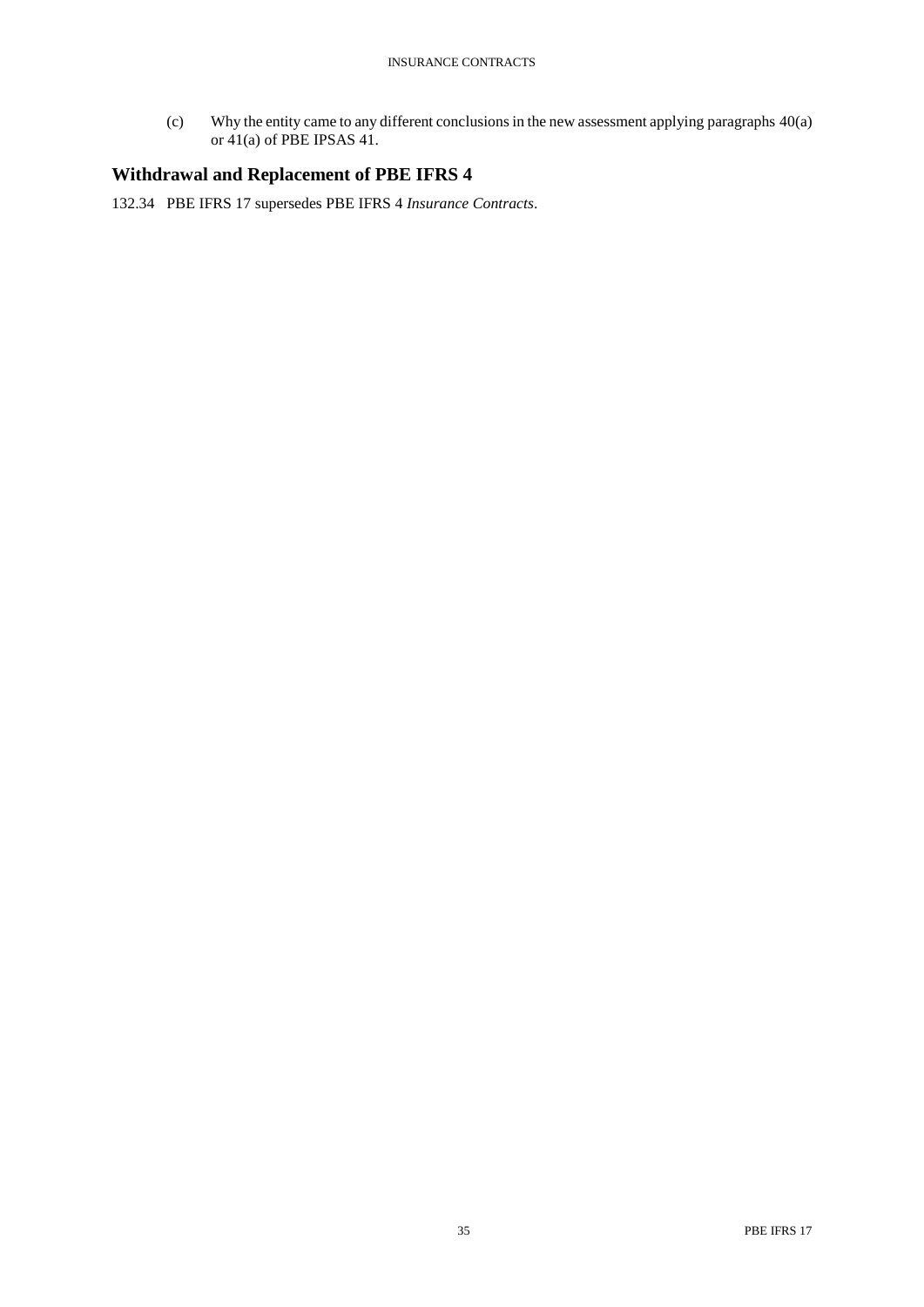(c) Why the entity came to any different conclusions in the new assessment applying paragraphs 40(a) or 41(a) of PBE IPSAS 41.

# **Withdrawal and Replacement of PBE IFRS 4**

132.34 PBE IFRS 17 supersedes PBE IFRS 4 *Insurance Contracts*.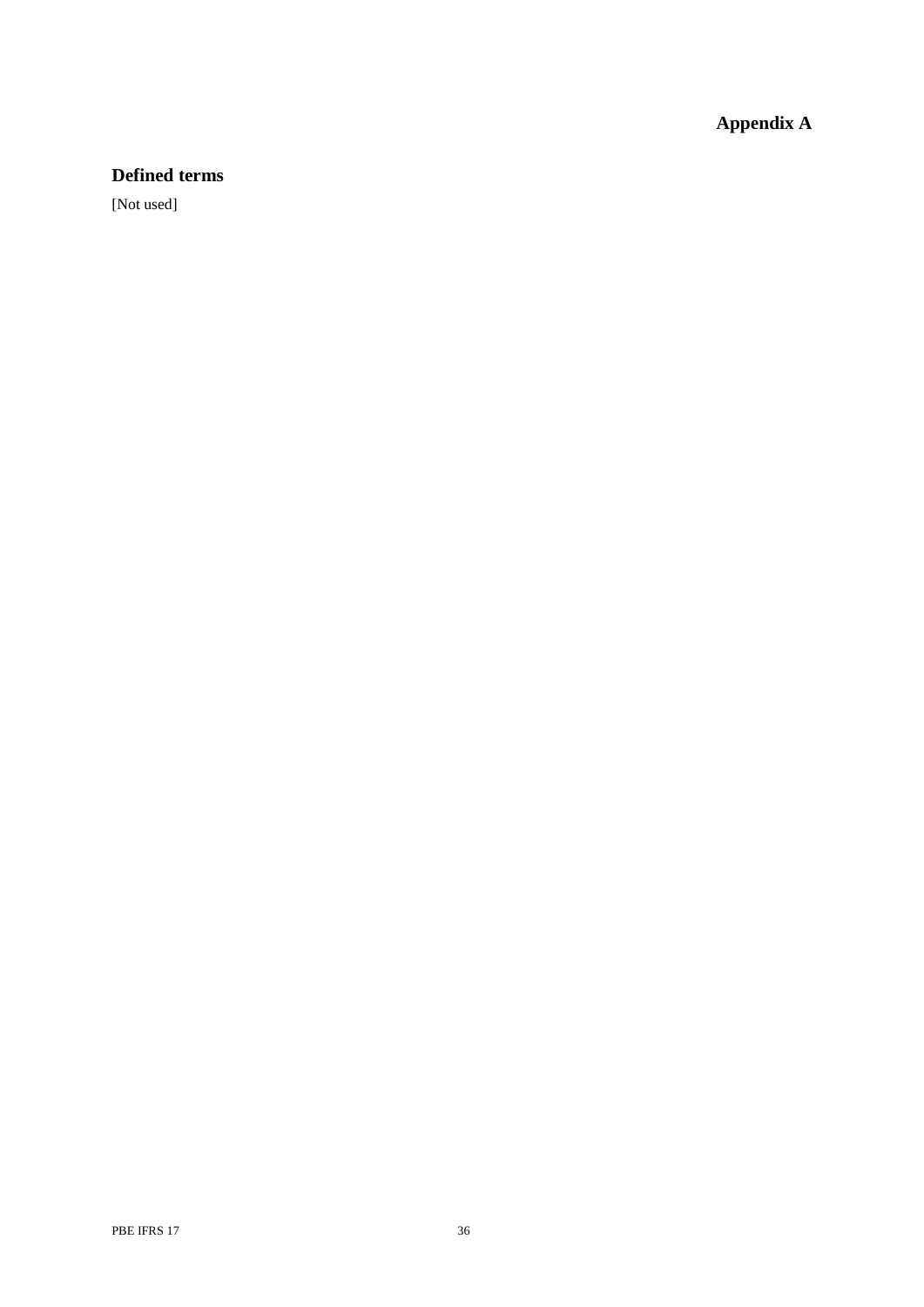**Appendix A**

# **Defined terms**

[Not used]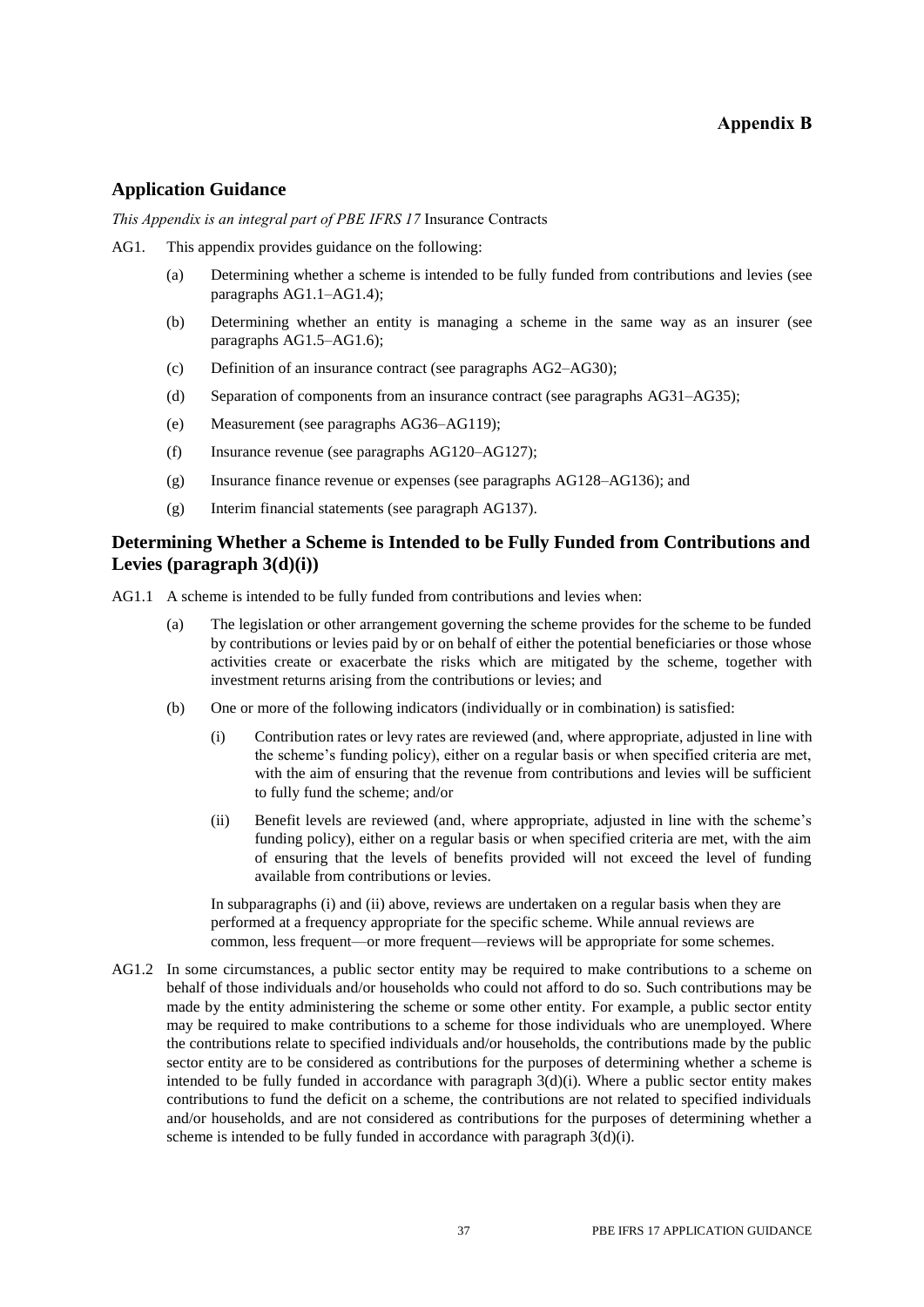## **Application Guidance**

*This Appendix is an integral part of PBE IFRS 17* Insurance Contracts

- AG1. This appendix provides guidance on the following:
	- (a) Determining whether a scheme is intended to be fully funded from contributions and levies (see paragraphs AG1.1–AG1.4);
	- (b) Determining whether an entity is managing a scheme in the same way as an insurer (see paragraphs AG1.5–AG1.6);
	- (c) Definition of an insurance contract (see paragraphs AG2–AG30);
	- (d) Separation of components from an insurance contract (see paragraphs AG31–AG35);
	- (e) Measurement (see paragraphs AG36–AG119);
	- (f) Insurance revenue (see paragraphs AG120–AG127);
	- (g) Insurance finance revenue or expenses (see paragraphs AG128–AG136); and
	- (g) Interim financial statements (see paragraph AG137).

## **Determining Whether a Scheme is Intended to be Fully Funded from Contributions and Levies (paragraph 3(d)(i))**

- <span id="page-36-0"></span>AG1.1 A scheme is intended to be fully funded from contributions and levies when:
	- (a) The legislation or other arrangement governing the scheme provides for the scheme to be funded by contributions or levies paid by or on behalf of either the potential beneficiaries or those whose activities create or exacerbate the risks which are mitigated by the scheme, together with investment returns arising from the contributions or levies; and
	- (b) One or more of the following indicators (individually or in combination) is satisfied:
		- (i) Contribution rates or levy rates are reviewed (and, where appropriate, adjusted in line with the scheme's funding policy), either on a regular basis or when specified criteria are met, with the aim of ensuring that the revenue from contributions and levies will be sufficient to fully fund the scheme; and/or
		- (ii) Benefit levels are reviewed (and, where appropriate, adjusted in line with the scheme's funding policy), either on a regular basis or when specified criteria are met, with the aim of ensuring that the levels of benefits provided will not exceed the level of funding available from contributions or levies.

<span id="page-36-1"></span>In subparagraphs [\(i\)](#page-36-0) and [\(ii\)](#page-36-1) above, reviews are undertaken on a regular basis when they are performed at a frequency appropriate for the specific scheme. While annual reviews are common, less frequent—or more frequent—reviews will be appropriate for some schemes.

AG1.2 In some circumstances, a public sector entity may be required to make contributions to a scheme on behalf of those individuals and/or households who could not afford to do so. Such contributions may be made by the entity administering the scheme or some other entity. For example, a public sector entity may be required to make contributions to a scheme for those individuals who are unemployed. Where the contributions relate to specified individuals and/or households, the contributions made by the public sector entity are to be considered as contributions for the purposes of determining whether a scheme is intended to be fully funded in accordance with paragraph  $3(d)(i)$ . Where a public sector entity makes contributions to fund the deficit on a scheme, the contributions are not related to specified individuals and/or households, and are not considered as contributions for the purposes of determining whether a scheme is intended to be fully funded in accordance with paragraph 3(d)(i).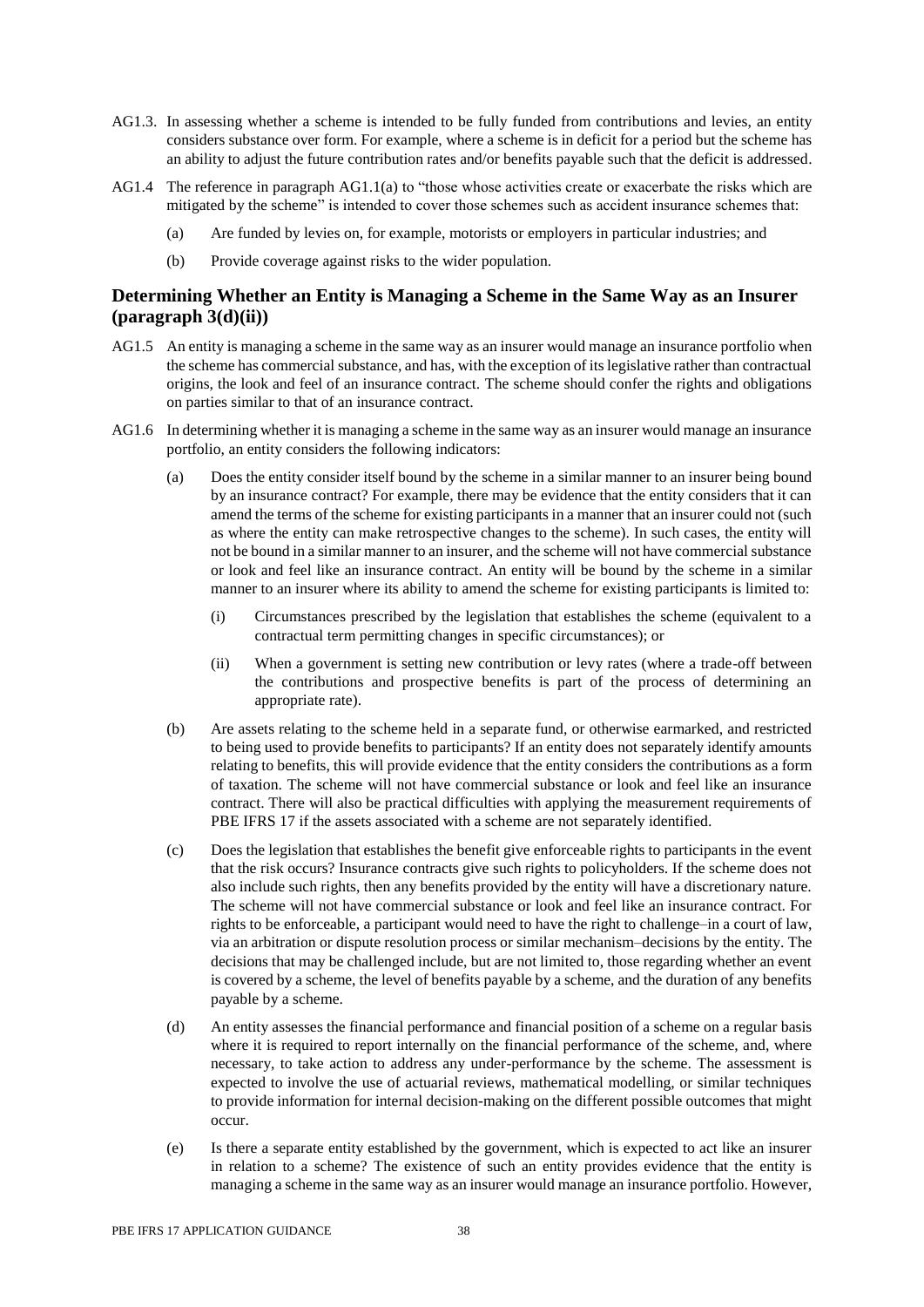- AG1.3. In assessing whether a scheme is intended to be fully funded from contributions and levies, an entity considers substance over form. For example, where a scheme is in deficit for a period but the scheme has an ability to adjust the future contribution rates and/or benefits payable such that the deficit is addressed.
- AG1.4 The reference in paragraph AG1.1(a) to "those whose activities create or exacerbate the risks which are mitigated by the scheme" is intended to cover those schemes such as accident insurance schemes that:
	- (a) Are funded by levies on, for example, motorists or employers in particular industries; and
	- (b) Provide coverage against risks to the wider population.

## **Determining Whether an Entity is Managing a Scheme in the Same Way as an Insurer (paragraph 3(d)(ii))**

- AG1.5 An entity is managing a scheme in the same way as an insurer would manage an insurance portfolio when the scheme has commercial substance, and has, with the exception of its legislative rather than contractual origins, the look and feel of an insurance contract. The scheme should confer the rights and obligations on parties similar to that of an insurance contract.
- AG1.6 In determining whether it is managing a scheme in the same way as an insurer would manage an insurance portfolio, an entity considers the following indicators:
	- (a) Does the entity consider itself bound by the scheme in a similar manner to an insurer being bound by an insurance contract? For example, there may be evidence that the entity considers that it can amend the terms of the scheme for existing participants in a manner that an insurer could not (such as where the entity can make retrospective changes to the scheme). In such cases, the entity will not be bound in a similar manner to an insurer, and the scheme will not have commercial substance or look and feel like an insurance contract. An entity will be bound by the scheme in a similar manner to an insurer where its ability to amend the scheme for existing participants is limited to:
		- (i) Circumstances prescribed by the legislation that establishes the scheme (equivalent to a contractual term permitting changes in specific circumstances); or
		- (ii) When a government is setting new contribution or levy rates (where a trade-off between the contributions and prospective benefits is part of the process of determining an appropriate rate).
	- (b) Are assets relating to the scheme held in a separate fund, or otherwise earmarked, and restricted to being used to provide benefits to participants? If an entity does not separately identify amounts relating to benefits, this will provide evidence that the entity considers the contributions as a form of taxation. The scheme will not have commercial substance or look and feel like an insurance contract. There will also be practical difficulties with applying the measurement requirements of PBE IFRS 17 if the assets associated with a scheme are not separately identified.
	- (c) Does the legislation that establishes the benefit give enforceable rights to participants in the event that the risk occurs? Insurance contracts give such rights to policyholders. If the scheme does not also include such rights, then any benefits provided by the entity will have a discretionary nature. The scheme will not have commercial substance or look and feel like an insurance contract. For rights to be enforceable, a participant would need to have the right to challenge–in a court of law, via an arbitration or dispute resolution process or similar mechanism–decisions by the entity. The decisions that may be challenged include, but are not limited to, those regarding whether an event is covered by a scheme, the level of benefits payable by a scheme, and the duration of any benefits payable by a scheme.
	- (d) An entity assesses the financial performance and financial position of a scheme on a regular basis where it is required to report internally on the financial performance of the scheme, and, where necessary, to take action to address any under-performance by the scheme. The assessment is expected to involve the use of actuarial reviews, mathematical modelling, or similar techniques to provide information for internal decision-making on the different possible outcomes that might occur.
	- (e) Is there a separate entity established by the government, which is expected to act like an insurer in relation to a scheme? The existence of such an entity provides evidence that the entity is managing a scheme in the same way as an insurer would manage an insurance portfolio. However,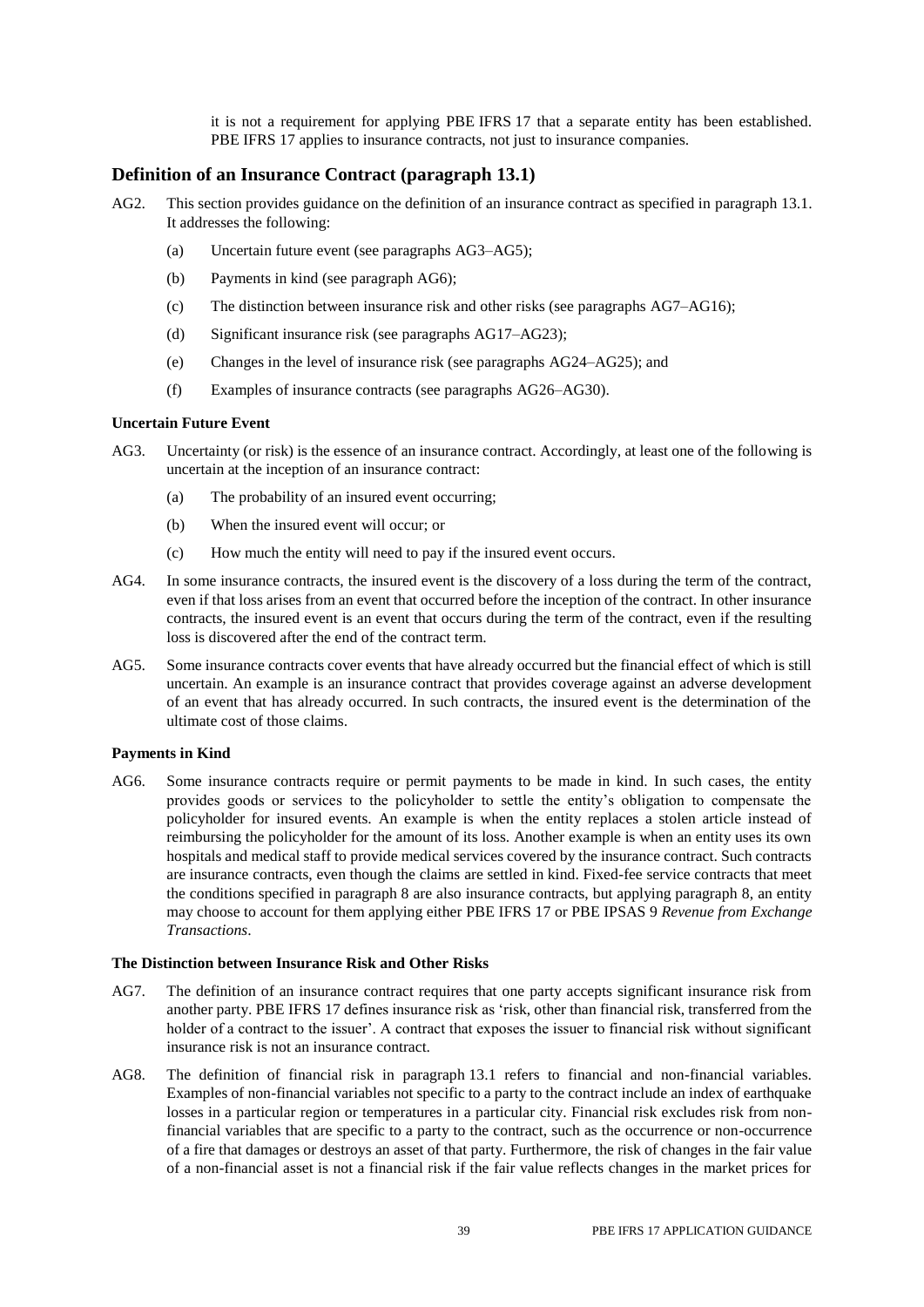it is not a requirement for applying PBE IFRS 17 that a separate entity has been established. PBE IFRS 17 applies to insurance contracts, not just to insurance companies.

### **Definition of an Insurance Contract (paragraph 13.1)**

- AG2. This section provides guidance on the definition of an insurance contract as specified in paragraph 13.1. It addresses the following:
	- (a) Uncertain future event (see paragraphs AG3–AG5);
	- (b) Payments in kind (see paragraph AG6);
	- (c) The distinction between insurance risk and other risks (see paragraphs AG7–AG16);
	- (d) Significant insurance risk (see paragraphs AG17–AG23);
	- (e) Changes in the level of insurance risk (see paragraphs AG24–AG25); and
	- (f) Examples of insurance contracts (see paragraphs AG26–AG30).

#### **Uncertain Future Event**

- AG3. Uncertainty (or risk) is the essence of an insurance contract. Accordingly, at least one of the following is uncertain at the inception of an insurance contract:
	- (a) The probability of an insured event occurring;
	- (b) When the insured event will occur; or
	- (c) How much the entity will need to pay if the insured event occurs.
- AG4. In some insurance contracts, the insured event is the discovery of a loss during the term of the contract, even if that loss arises from an event that occurred before the inception of the contract. In other insurance contracts, the insured event is an event that occurs during the term of the contract, even if the resulting loss is discovered after the end of the contract term.
- AG5. Some insurance contracts cover events that have already occurred but the financial effect of which is still uncertain. An example is an insurance contract that provides coverage against an adverse development of an event that has already occurred. In such contracts, the insured event is the determination of the ultimate cost of those claims.

#### **Payments in Kind**

AG6. Some insurance contracts require or permit payments to be made in kind. In such cases, the entity provides goods or services to the policyholder to settle the entity's obligation to compensate the policyholder for insured events. An example is when the entity replaces a stolen article instead of reimbursing the policyholder for the amount of its loss. Another example is when an entity uses its own hospitals and medical staff to provide medical services covered by the insurance contract. Such contracts are insurance contracts, even though the claims are settled in kind. Fixed-fee service contracts that meet the conditions specified in paragraph 8 are also insurance contracts, but applying paragraph 8, an entity may choose to account for them applying either PBE IFRS 17 or PBE IPSAS 9 *Revenue from Exchange Transactions*.

#### **The Distinction between Insurance Risk and Other Risks**

- AG7. The definition of an insurance contract requires that one party accepts significant insurance risk from another party. PBE IFRS 17 defines insurance risk as 'risk, other than financial risk, transferred from the holder of a contract to the issuer'. A contract that exposes the issuer to financial risk without significant insurance risk is not an insurance contract.
- AG8. The definition of financial risk in paragraph 13.1 refers to financial and non-financial variables. Examples of non-financial variables not specific to a party to the contract include an index of earthquake losses in a particular region or temperatures in a particular city. Financial risk excludes risk from nonfinancial variables that are specific to a party to the contract, such as the occurrence or non-occurrence of a fire that damages or destroys an asset of that party. Furthermore, the risk of changes in the fair value of a non-financial asset is not a financial risk if the fair value reflects changes in the market prices for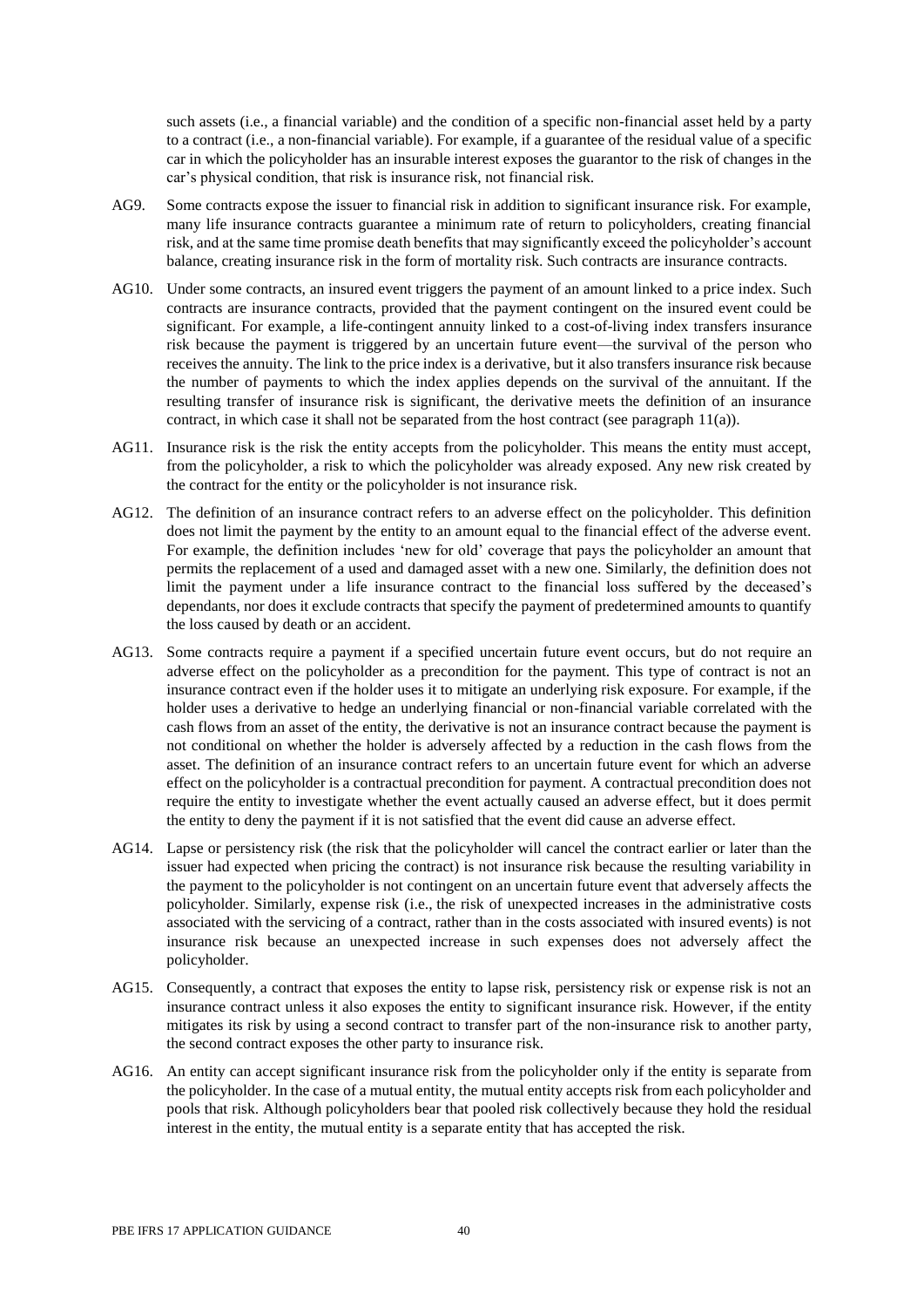such assets (i.e., a financial variable) and the condition of a specific non-financial asset held by a party to a contract (i.e., a non-financial variable). For example, if a guarantee of the residual value of a specific car in which the policyholder has an insurable interest exposes the guarantor to the risk of changes in the car's physical condition, that risk is insurance risk, not financial risk.

- AG9. Some contracts expose the issuer to financial risk in addition to significant insurance risk. For example, many life insurance contracts guarantee a minimum rate of return to policyholders, creating financial risk, and at the same time promise death benefits that may significantly exceed the policyholder's account balance, creating insurance risk in the form of mortality risk. Such contracts are insurance contracts.
- AG10. Under some contracts, an insured event triggers the payment of an amount linked to a price index. Such contracts are insurance contracts, provided that the payment contingent on the insured event could be significant. For example, a life-contingent annuity linked to a cost-of-living index transfers insurance risk because the payment is triggered by an uncertain future event—the survival of the person who receives the annuity. The link to the price index is a derivative, but it also transfers insurance risk because the number of payments to which the index applies depends on the survival of the annuitant. If the resulting transfer of insurance risk is significant, the derivative meets the definition of an insurance contract, in which case it shall not be separated from the host contract (see paragraph 11(a)).
- AG11. Insurance risk is the risk the entity accepts from the policyholder. This means the entity must accept, from the policyholder, a risk to which the policyholder was already exposed. Any new risk created by the contract for the entity or the policyholder is not insurance risk.
- AG12. The definition of an insurance contract refers to an adverse effect on the policyholder. This definition does not limit the payment by the entity to an amount equal to the financial effect of the adverse event. For example, the definition includes 'new for old' coverage that pays the policyholder an amount that permits the replacement of a used and damaged asset with a new one. Similarly, the definition does not limit the payment under a life insurance contract to the financial loss suffered by the deceased's dependants, nor does it exclude contracts that specify the payment of predetermined amounts to quantify the loss caused by death or an accident.
- AG13. Some contracts require a payment if a specified uncertain future event occurs, but do not require an adverse effect on the policyholder as a precondition for the payment. This type of contract is not an insurance contract even if the holder uses it to mitigate an underlying risk exposure. For example, if the holder uses a derivative to hedge an underlying financial or non-financial variable correlated with the cash flows from an asset of the entity, the derivative is not an insurance contract because the payment is not conditional on whether the holder is adversely affected by a reduction in the cash flows from the asset. The definition of an insurance contract refers to an uncertain future event for which an adverse effect on the policyholder is a contractual precondition for payment. A contractual precondition does not require the entity to investigate whether the event actually caused an adverse effect, but it does permit the entity to deny the payment if it is not satisfied that the event did cause an adverse effect.
- AG14. Lapse or persistency risk (the risk that the policyholder will cancel the contract earlier or later than the issuer had expected when pricing the contract) is not insurance risk because the resulting variability in the payment to the policyholder is not contingent on an uncertain future event that adversely affects the policyholder. Similarly, expense risk (i.e., the risk of unexpected increases in the administrative costs associated with the servicing of a contract, rather than in the costs associated with insured events) is not insurance risk because an unexpected increase in such expenses does not adversely affect the policyholder.
- AG15. Consequently, a contract that exposes the entity to lapse risk, persistency risk or expense risk is not an insurance contract unless it also exposes the entity to significant insurance risk. However, if the entity mitigates its risk by using a second contract to transfer part of the non-insurance risk to another party, the second contract exposes the other party to insurance risk.
- AG16. An entity can accept significant insurance risk from the policyholder only if the entity is separate from the policyholder. In the case of a mutual entity, the mutual entity accepts risk from each policyholder and pools that risk. Although policyholders bear that pooled risk collectively because they hold the residual interest in the entity, the mutual entity is a separate entity that has accepted the risk.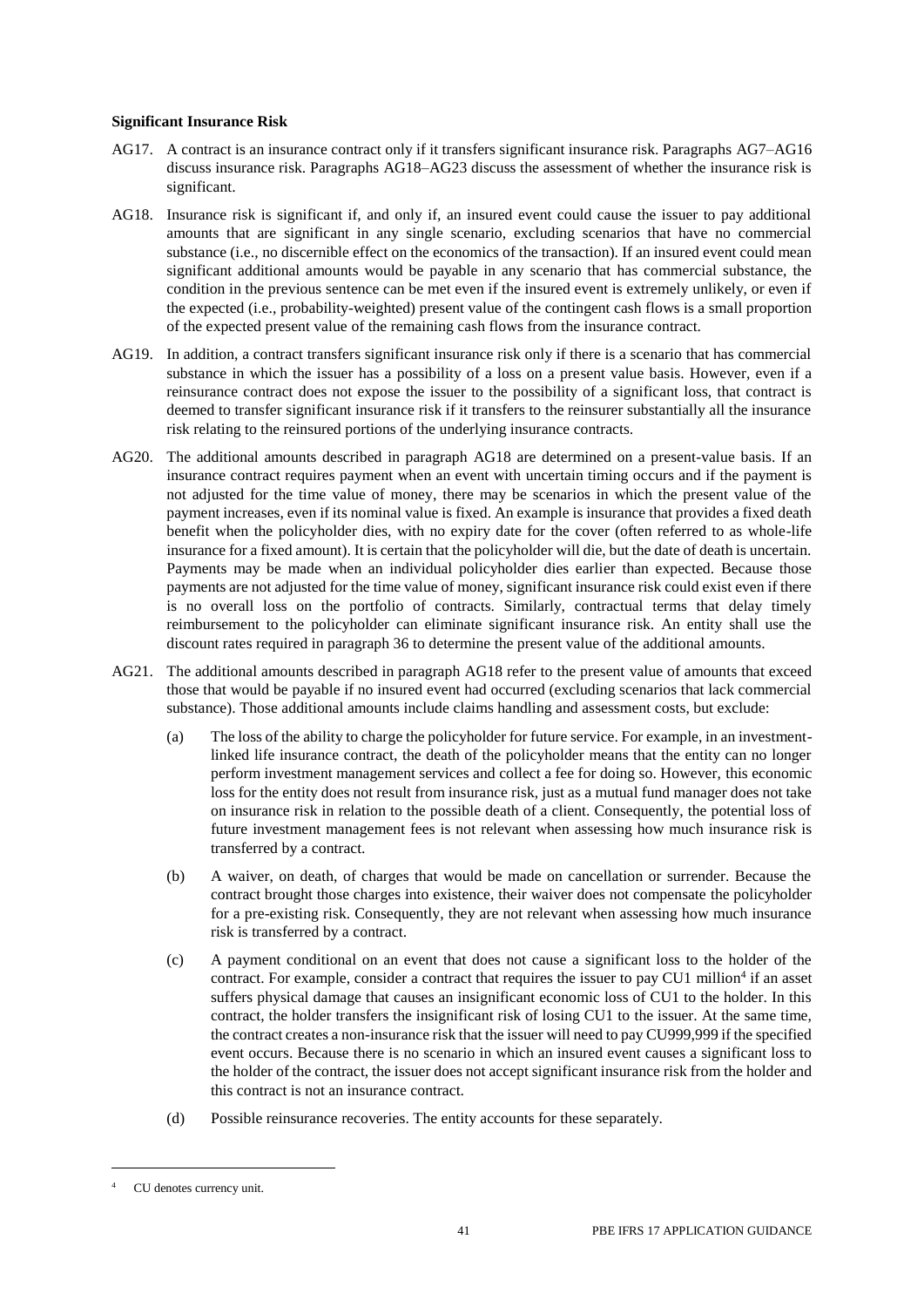#### **Significant Insurance Risk**

- AG17. A contract is an insurance contract only if it transfers significant insurance risk. Paragraphs AG7–AG16 discuss insurance risk. Paragraphs AG18–AG23 discuss the assessment of whether the insurance risk is significant.
- AG18. Insurance risk is significant if, and only if, an insured event could cause the issuer to pay additional amounts that are significant in any single scenario, excluding scenarios that have no commercial substance (i.e., no discernible effect on the economics of the transaction). If an insured event could mean significant additional amounts would be payable in any scenario that has commercial substance, the condition in the previous sentence can be met even if the insured event is extremely unlikely, or even if the expected (i.e., probability-weighted) present value of the contingent cash flows is a small proportion of the expected present value of the remaining cash flows from the insurance contract.
- AG19. In addition, a contract transfers significant insurance risk only if there is a scenario that has commercial substance in which the issuer has a possibility of a loss on a present value basis. However, even if a reinsurance contract does not expose the issuer to the possibility of a significant loss, that contract is deemed to transfer significant insurance risk if it transfers to the reinsurer substantially all the insurance risk relating to the reinsured portions of the underlying insurance contracts.
- AG20. The additional amounts described in paragraph AG18 are determined on a present-value basis. If an insurance contract requires payment when an event with uncertain timing occurs and if the payment is not adjusted for the time value of money, there may be scenarios in which the present value of the payment increases, even if its nominal value is fixed. An example is insurance that provides a fixed death benefit when the policyholder dies, with no expiry date for the cover (often referred to as whole-life insurance for a fixed amount). It is certain that the policyholder will die, but the date of death is uncertain. Payments may be made when an individual policyholder dies earlier than expected. Because those payments are not adjusted for the time value of money, significant insurance risk could exist even if there is no overall loss on the portfolio of contracts. Similarly, contractual terms that delay timely reimbursement to the policyholder can eliminate significant insurance risk. An entity shall use the discount rates required in paragraph 36 to determine the present value of the additional amounts.
- AG21. The additional amounts described in paragraph AG18 refer to the present value of amounts that exceed those that would be payable if no insured event had occurred (excluding scenarios that lack commercial substance). Those additional amounts include claims handling and assessment costs, but exclude:
	- (a) The loss of the ability to charge the policyholder for future service. For example, in an investmentlinked life insurance contract, the death of the policyholder means that the entity can no longer perform investment management services and collect a fee for doing so. However, this economic loss for the entity does not result from insurance risk, just as a mutual fund manager does not take on insurance risk in relation to the possible death of a client. Consequently, the potential loss of future investment management fees is not relevant when assessing how much insurance risk is transferred by a contract.
	- (b) A waiver, on death, of charges that would be made on cancellation or surrender. Because the contract brought those charges into existence, their waiver does not compensate the policyholder for a pre-existing risk. Consequently, they are not relevant when assessing how much insurance risk is transferred by a contract.
	- (c) A payment conditional on an event that does not cause a significant loss to the holder of the contract. For example, consider a contract that requires the issuer to pay CU1 million<sup>4</sup> if an asset suffers physical damage that causes an insignificant economic loss of CU1 to the holder. In this contract, the holder transfers the insignificant risk of losing CU1 to the issuer. At the same time, the contract creates a non-insurance risk that the issuer will need to pay CU999,999 if the specified event occurs. Because there is no scenario in which an insured event causes a significant loss to the holder of the contract, the issuer does not accept significant insurance risk from the holder and this contract is not an insurance contract.
	- (d) Possible reinsurance recoveries. The entity accounts for these separately.

<u>.</u>

CU denotes currency unit.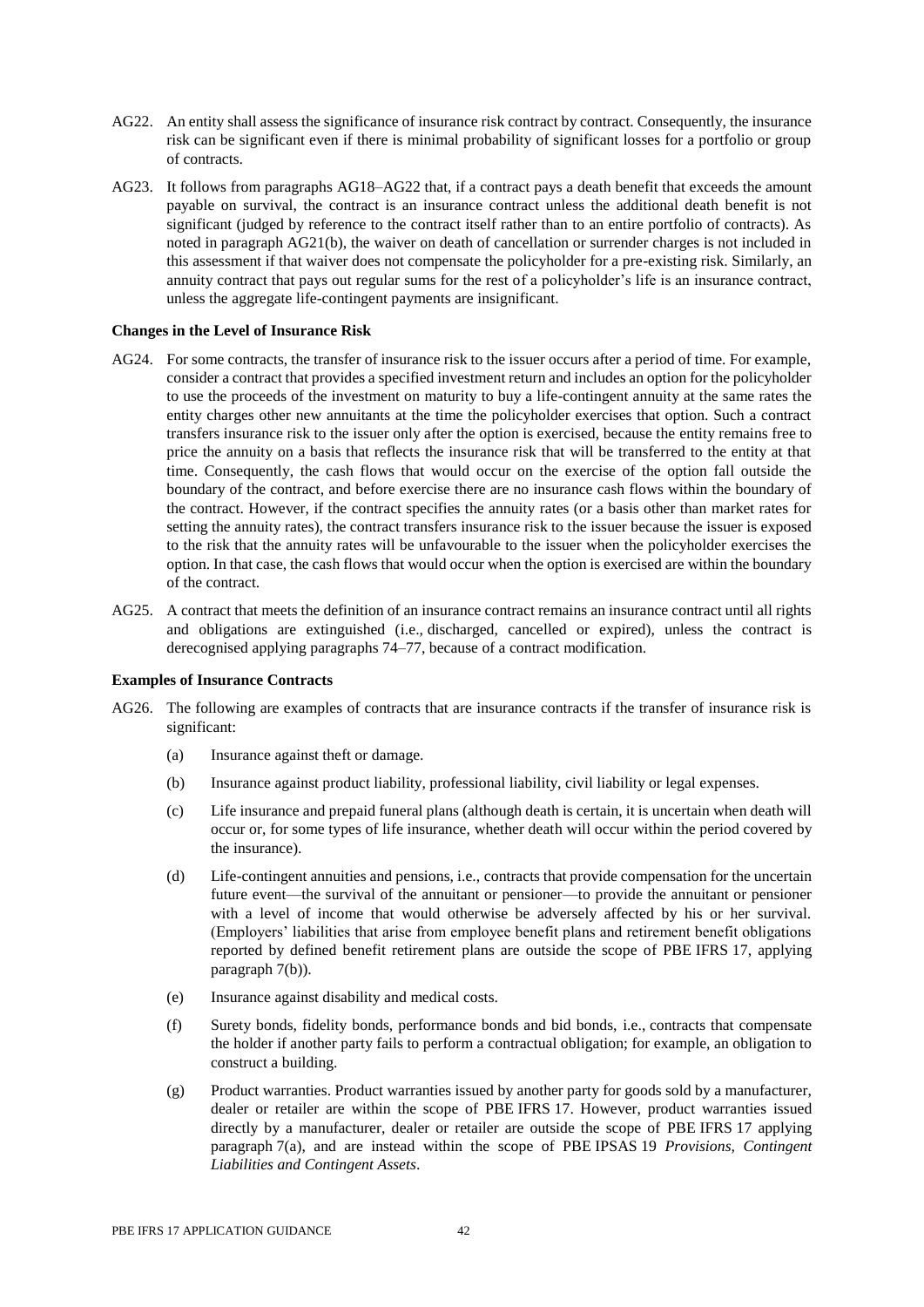- AG22. An entity shall assess the significance of insurance risk contract by contract. Consequently, the insurance risk can be significant even if there is minimal probability of significant losses for a portfolio or group of contracts.
- AG23. It follows from paragraphs AG18–AG22 that, if a contract pays a death benefit that exceeds the amount payable on survival, the contract is an insurance contract unless the additional death benefit is not significant (judged by reference to the contract itself rather than to an entire portfolio of contracts). As noted in paragraph AG21(b), the waiver on death of cancellation or surrender charges is not included in this assessment if that waiver does not compensate the policyholder for a pre-existing risk. Similarly, an annuity contract that pays out regular sums for the rest of a policyholder's life is an insurance contract, unless the aggregate life-contingent payments are insignificant.

#### **Changes in the Level of Insurance Risk**

- AG24. For some contracts, the transfer of insurance risk to the issuer occurs after a period of time. For example, consider a contract that provides a specified investment return and includes an option for the policyholder to use the proceeds of the investment on maturity to buy a life-contingent annuity at the same rates the entity charges other new annuitants at the time the policyholder exercises that option. Such a contract transfers insurance risk to the issuer only after the option is exercised, because the entity remains free to price the annuity on a basis that reflects the insurance risk that will be transferred to the entity at that time. Consequently, the cash flows that would occur on the exercise of the option fall outside the boundary of the contract, and before exercise there are no insurance cash flows within the boundary of the contract. However, if the contract specifies the annuity rates (or a basis other than market rates for setting the annuity rates), the contract transfers insurance risk to the issuer because the issuer is exposed to the risk that the annuity rates will be unfavourable to the issuer when the policyholder exercises the option. In that case, the cash flows that would occur when the option is exercised are within the boundary of the contract.
- AG25. A contract that meets the definition of an insurance contract remains an insurance contract until all rights and obligations are extinguished (i.e., discharged, cancelled or expired), unless the contract is derecognised applying paragraphs 74–77, because of a contract modification.

#### **Examples of Insurance Contracts**

- AG26. The following are examples of contracts that are insurance contracts if the transfer of insurance risk is significant:
	- (a) Insurance against theft or damage.
	- (b) Insurance against product liability, professional liability, civil liability or legal expenses.
	- (c) Life insurance and prepaid funeral plans (although death is certain, it is uncertain when death will occur or, for some types of life insurance, whether death will occur within the period covered by the insurance).
	- (d) Life-contingent annuities and pensions, i.e., contracts that provide compensation for the uncertain future event—the survival of the annuitant or pensioner—to provide the annuitant or pensioner with a level of income that would otherwise be adversely affected by his or her survival. (Employers' liabilities that arise from employee benefit plans and retirement benefit obligations reported by defined benefit retirement plans are outside the scope of PBE IFRS 17, applying paragraph 7(b)).
	- (e) Insurance against disability and medical costs.
	- (f) Surety bonds, fidelity bonds, performance bonds and bid bonds, i.e., contracts that compensate the holder if another party fails to perform a contractual obligation; for example, an obligation to construct a building.
	- (g) Product warranties. Product warranties issued by another party for goods sold by a manufacturer, dealer or retailer are within the scope of PBE IFRS 17. However, product warranties issued directly by a manufacturer, dealer or retailer are outside the scope of PBE IFRS 17 applying paragraph 7(a), and are instead within the scope of PBE IPSAS 19 *Provisions, Contingent Liabilities and Contingent Assets*.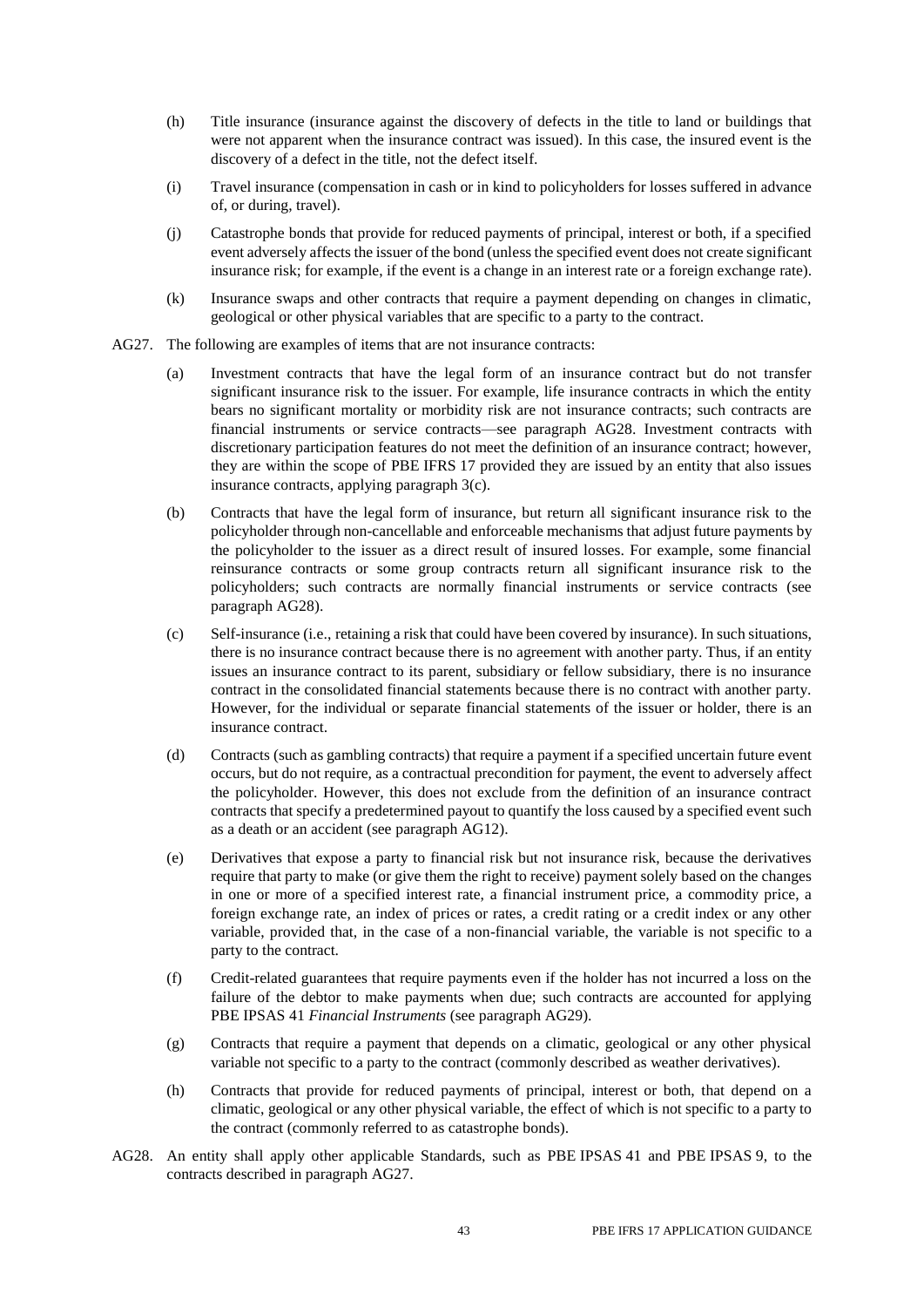- (h) Title insurance (insurance against the discovery of defects in the title to land or buildings that were not apparent when the insurance contract was issued). In this case, the insured event is the discovery of a defect in the title, not the defect itself.
- (i) Travel insurance (compensation in cash or in kind to policyholders for losses suffered in advance of, or during, travel).
- (j) Catastrophe bonds that provide for reduced payments of principal, interest or both, if a specified event adversely affects the issuer of the bond (unless the specified event does not create significant insurance risk; for example, if the event is a change in an interest rate or a foreign exchange rate).
- (k) Insurance swaps and other contracts that require a payment depending on changes in climatic, geological or other physical variables that are specific to a party to the contract.
- AG27. The following are examples of items that are not insurance contracts:
	- (a) Investment contracts that have the legal form of an insurance contract but do not transfer significant insurance risk to the issuer. For example, life insurance contracts in which the entity bears no significant mortality or morbidity risk are not insurance contracts; such contracts are financial instruments or service contracts—see paragraph AG28. Investment contracts with discretionary participation features do not meet the definition of an insurance contract; however, they are within the scope of PBE IFRS 17 provided they are issued by an entity that also issues insurance contracts, applying paragraph 3(c).
	- (b) Contracts that have the legal form of insurance, but return all significant insurance risk to the policyholder through non-cancellable and enforceable mechanisms that adjust future payments by the policyholder to the issuer as a direct result of insured losses. For example, some financial reinsurance contracts or some group contracts return all significant insurance risk to the policyholders; such contracts are normally financial instruments or service contracts (see paragraph AG28).
	- (c) Self-insurance (i.e., retaining a risk that could have been covered by insurance). In such situations, there is no insurance contract because there is no agreement with another party. Thus, if an entity issues an insurance contract to its parent, subsidiary or fellow subsidiary, there is no insurance contract in the consolidated financial statements because there is no contract with another party. However, for the individual or separate financial statements of the issuer or holder, there is an insurance contract.
	- (d) Contracts (such as gambling contracts) that require a payment if a specified uncertain future event occurs, but do not require, as a contractual precondition for payment, the event to adversely affect the policyholder. However, this does not exclude from the definition of an insurance contract contracts that specify a predetermined payout to quantify the loss caused by a specified event such as a death or an accident (see paragraph AG12).
	- (e) Derivatives that expose a party to financial risk but not insurance risk, because the derivatives require that party to make (or give them the right to receive) payment solely based on the changes in one or more of a specified interest rate, a financial instrument price, a commodity price, a foreign exchange rate, an index of prices or rates, a credit rating or a credit index or any other variable, provided that, in the case of a non-financial variable, the variable is not specific to a party to the contract.
	- (f) Credit-related guarantees that require payments even if the holder has not incurred a loss on the failure of the debtor to make payments when due; such contracts are accounted for applying PBE IPSAS 41 *Financial Instruments* (see paragraph AG29).
	- (g) Contracts that require a payment that depends on a climatic, geological or any other physical variable not specific to a party to the contract (commonly described as weather derivatives).
	- (h) Contracts that provide for reduced payments of principal, interest or both, that depend on a climatic, geological or any other physical variable, the effect of which is not specific to a party to the contract (commonly referred to as catastrophe bonds).
- AG28. An entity shall apply other applicable Standards, such as PBE IPSAS 41 and PBE IPSAS 9, to the contracts described in paragraph AG27.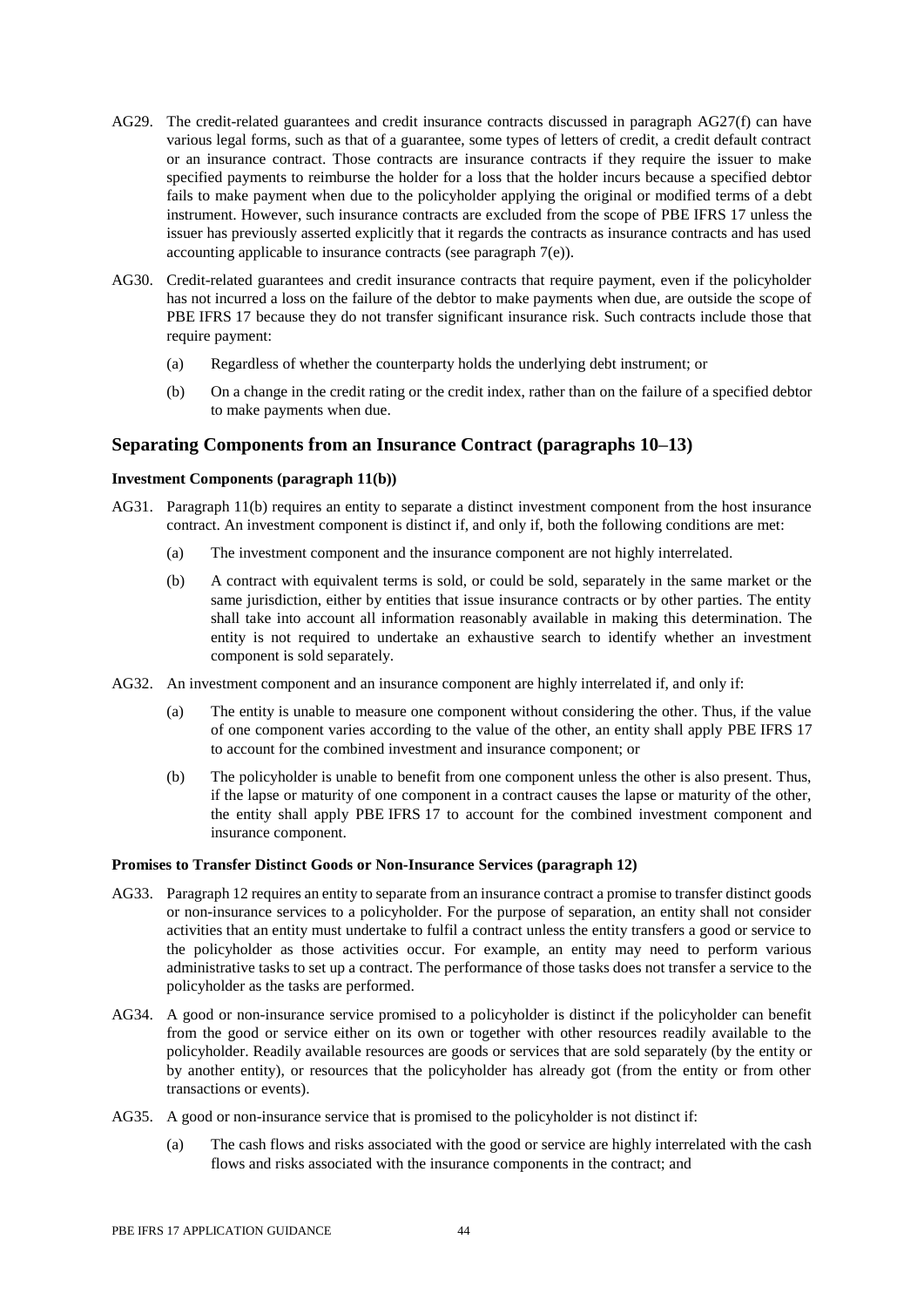- AG29. The credit-related guarantees and credit insurance contracts discussed in paragraph AG27(f) can have various legal forms, such as that of a guarantee, some types of letters of credit, a credit default contract or an insurance contract. Those contracts are insurance contracts if they require the issuer to make specified payments to reimburse the holder for a loss that the holder incurs because a specified debtor fails to make payment when due to the policyholder applying the original or modified terms of a debt instrument. However, such insurance contracts are excluded from the scope of PBE IFRS 17 unless the issuer has previously asserted explicitly that it regards the contracts as insurance contracts and has used accounting applicable to insurance contracts (see paragraph 7(e)).
- AG30. Credit-related guarantees and credit insurance contracts that require payment, even if the policyholder has not incurred a loss on the failure of the debtor to make payments when due, are outside the scope of PBE IFRS 17 because they do not transfer significant insurance risk. Such contracts include those that require payment:
	- (a) Regardless of whether the counterparty holds the underlying debt instrument; or
	- (b) On a change in the credit rating or the credit index, rather than on the failure of a specified debtor to make payments when due.

## **Separating Components from an Insurance Contract (paragraphs 10–13)**

#### **Investment Components (paragraph 11(b))**

- AG31. Paragraph 11(b) requires an entity to separate a distinct investment component from the host insurance contract. An investment component is distinct if, and only if, both the following conditions are met:
	- (a) The investment component and the insurance component are not highly interrelated.
	- (b) A contract with equivalent terms is sold, or could be sold, separately in the same market or the same jurisdiction, either by entities that issue insurance contracts or by other parties. The entity shall take into account all information reasonably available in making this determination. The entity is not required to undertake an exhaustive search to identify whether an investment component is sold separately.
- AG32. An investment component and an insurance component are highly interrelated if, and only if:
	- (a) The entity is unable to measure one component without considering the other. Thus, if the value of one component varies according to the value of the other, an entity shall apply PBE IFRS 17 to account for the combined investment and insurance component; or
	- (b) The policyholder is unable to benefit from one component unless the other is also present. Thus, if the lapse or maturity of one component in a contract causes the lapse or maturity of the other, the entity shall apply PBE IFRS 17 to account for the combined investment component and insurance component.

## **Promises to Transfer Distinct Goods or Non-Insurance Services (paragraph 12)**

- AG33. Paragraph 12 requires an entity to separate from an insurance contract a promise to transfer distinct goods or non-insurance services to a policyholder. For the purpose of separation, an entity shall not consider activities that an entity must undertake to fulfil a contract unless the entity transfers a good or service to the policyholder as those activities occur. For example, an entity may need to perform various administrative tasks to set up a contract. The performance of those tasks does not transfer a service to the policyholder as the tasks are performed.
- AG34. A good or non-insurance service promised to a policyholder is distinct if the policyholder can benefit from the good or service either on its own or together with other resources readily available to the policyholder. Readily available resources are goods or services that are sold separately (by the entity or by another entity), or resources that the policyholder has already got (from the entity or from other transactions or events).
- AG35. A good or non-insurance service that is promised to the policyholder is not distinct if:
	- (a) The cash flows and risks associated with the good or service are highly interrelated with the cash flows and risks associated with the insurance components in the contract; and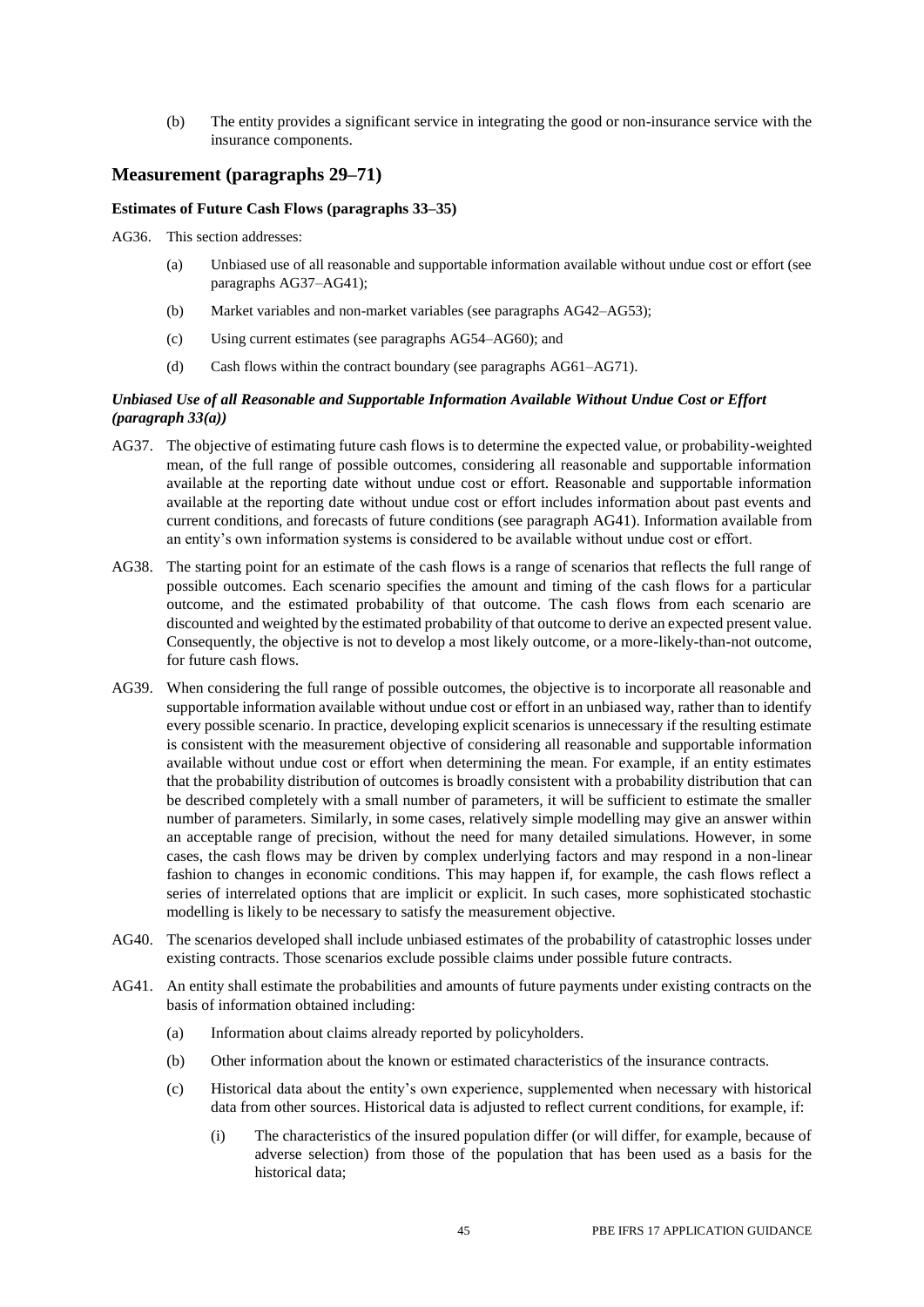(b) The entity provides a significant service in integrating the good or non-insurance service with the insurance components.

## **Measurement (paragraphs 29–71)**

#### **Estimates of Future Cash Flows (paragraphs 33–35)**

- AG36. This section addresses:
	- (a) Unbiased use of all reasonable and supportable information available without undue cost or effort (see paragraphs AG37–AG41);
	- (b) Market variables and non-market variables (see paragraphs AG42–AG53);
	- (c) Using current estimates (see paragraphs AG54–AG60); and
	- (d) Cash flows within the contract boundary (see paragraphs AG61–AG71).

### *Unbiased Use of all Reasonable and Supportable Information Available Without Undue Cost or Effort (paragraph 33(a))*

- AG37. The objective of estimating future cash flows is to determine the expected value, or probability-weighted mean, of the full range of possible outcomes, considering all reasonable and supportable information available at the reporting date without undue cost or effort. Reasonable and supportable information available at the reporting date without undue cost or effort includes information about past events and current conditions, and forecasts of future conditions (see paragraph AG41). Information available from an entity's own information systems is considered to be available without undue cost or effort.
- AG38. The starting point for an estimate of the cash flows is a range of scenarios that reflects the full range of possible outcomes. Each scenario specifies the amount and timing of the cash flows for a particular outcome, and the estimated probability of that outcome. The cash flows from each scenario are discounted and weighted by the estimated probability of that outcome to derive an expected present value. Consequently, the objective is not to develop a most likely outcome, or a more-likely-than-not outcome, for future cash flows.
- AG39. When considering the full range of possible outcomes, the objective is to incorporate all reasonable and supportable information available without undue cost or effort in an unbiased way, rather than to identify every possible scenario. In practice, developing explicit scenarios is unnecessary if the resulting estimate is consistent with the measurement objective of considering all reasonable and supportable information available without undue cost or effort when determining the mean. For example, if an entity estimates that the probability distribution of outcomes is broadly consistent with a probability distribution that can be described completely with a small number of parameters, it will be sufficient to estimate the smaller number of parameters. Similarly, in some cases, relatively simple modelling may give an answer within an acceptable range of precision, without the need for many detailed simulations. However, in some cases, the cash flows may be driven by complex underlying factors and may respond in a non-linear fashion to changes in economic conditions. This may happen if, for example, the cash flows reflect a series of interrelated options that are implicit or explicit. In such cases, more sophisticated stochastic modelling is likely to be necessary to satisfy the measurement objective.
- AG40. The scenarios developed shall include unbiased estimates of the probability of catastrophic losses under existing contracts. Those scenarios exclude possible claims under possible future contracts.
- AG41. An entity shall estimate the probabilities and amounts of future payments under existing contracts on the basis of information obtained including:
	- (a) Information about claims already reported by policyholders.
	- (b) Other information about the known or estimated characteristics of the insurance contracts.
	- (c) Historical data about the entity's own experience, supplemented when necessary with historical data from other sources. Historical data is adjusted to reflect current conditions, for example, if:
		- (i) The characteristics of the insured population differ (or will differ, for example, because of adverse selection) from those of the population that has been used as a basis for the historical data;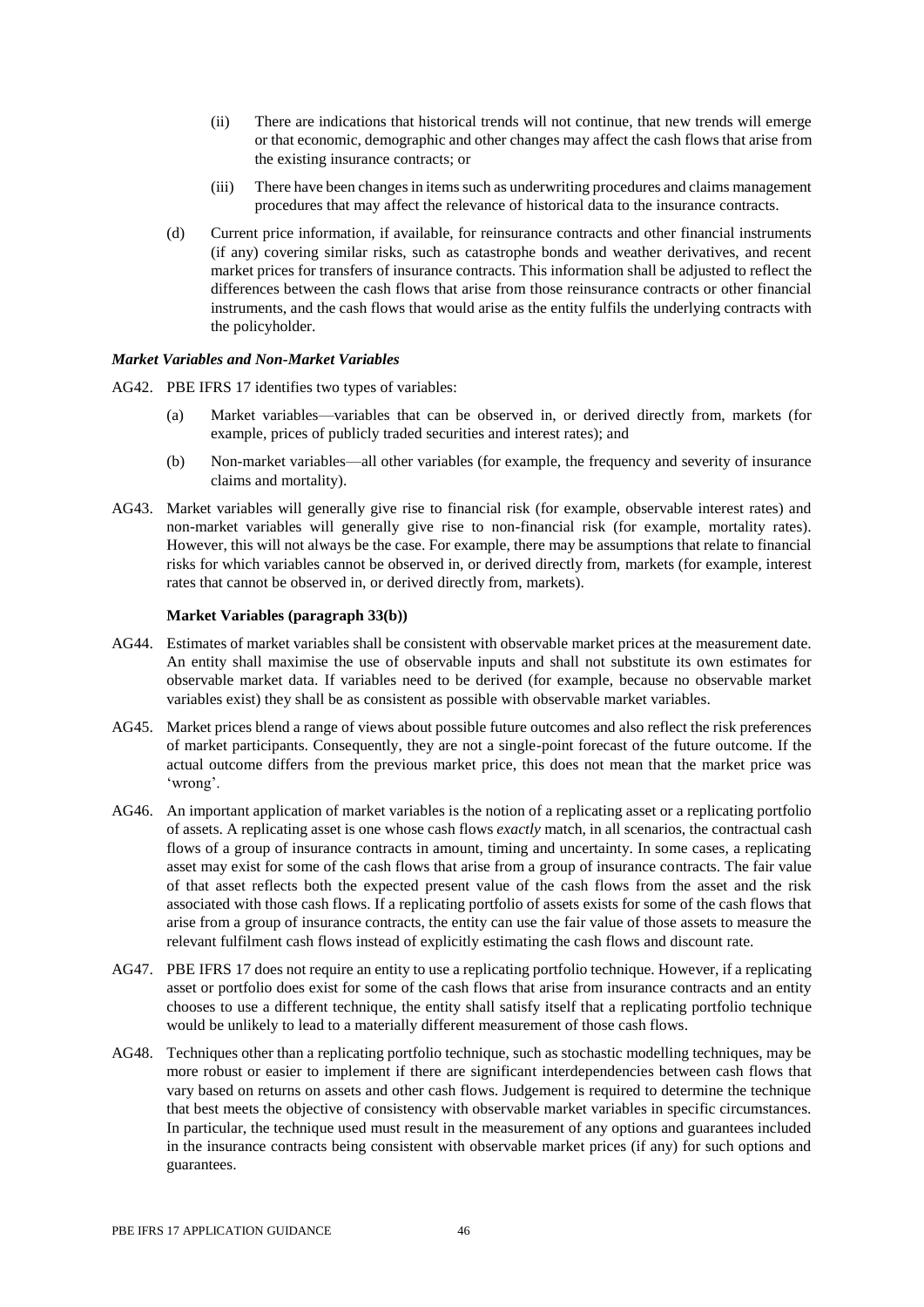- (ii) There are indications that historical trends will not continue, that new trends will emerge or that economic, demographic and other changes may affect the cash flows that arise from the existing insurance contracts; or
- (iii) There have been changes in items such as underwriting procedures and claims management procedures that may affect the relevance of historical data to the insurance contracts.
- (d) Current price information, if available, for reinsurance contracts and other financial instruments (if any) covering similar risks, such as catastrophe bonds and weather derivatives, and recent market prices for transfers of insurance contracts. This information shall be adjusted to reflect the differences between the cash flows that arise from those reinsurance contracts or other financial instruments, and the cash flows that would arise as the entity fulfils the underlying contracts with the policyholder.

#### *Market Variables and Non-Market Variables*

AG42. PBE IFRS 17 identifies two types of variables:

- (a) Market variables—variables that can be observed in, or derived directly from, markets (for example, prices of publicly traded securities and interest rates); and
- (b) Non-market variables—all other variables (for example, the frequency and severity of insurance claims and mortality).
- AG43. Market variables will generally give rise to financial risk (for example, observable interest rates) and non-market variables will generally give rise to non-financial risk (for example, mortality rates). However, this will not always be the case. For example, there may be assumptions that relate to financial risks for which variables cannot be observed in, or derived directly from, markets (for example, interest rates that cannot be observed in, or derived directly from, markets).

#### **Market Variables (paragraph 33(b))**

- AG44. Estimates of market variables shall be consistent with observable market prices at the measurement date. An entity shall maximise the use of observable inputs and shall not substitute its own estimates for observable market data. If variables need to be derived (for example, because no observable market variables exist) they shall be as consistent as possible with observable market variables.
- AG45. Market prices blend a range of views about possible future outcomes and also reflect the risk preferences of market participants. Consequently, they are not a single-point forecast of the future outcome. If the actual outcome differs from the previous market price, this does not mean that the market price was 'wrong'.
- AG46. An important application of market variables is the notion of a replicating asset or a replicating portfolio of assets. A replicating asset is one whose cash flows *exactly* match, in all scenarios, the contractual cash flows of a group of insurance contracts in amount, timing and uncertainty. In some cases, a replicating asset may exist for some of the cash flows that arise from a group of insurance contracts. The fair value of that asset reflects both the expected present value of the cash flows from the asset and the risk associated with those cash flows. If a replicating portfolio of assets exists for some of the cash flows that arise from a group of insurance contracts, the entity can use the fair value of those assets to measure the relevant fulfilment cash flows instead of explicitly estimating the cash flows and discount rate.
- AG47. PBE IFRS 17 does not require an entity to use a replicating portfolio technique. However, if a replicating asset or portfolio does exist for some of the cash flows that arise from insurance contracts and an entity chooses to use a different technique, the entity shall satisfy itself that a replicating portfolio technique would be unlikely to lead to a materially different measurement of those cash flows.
- AG48. Techniques other than a replicating portfolio technique, such as stochastic modelling techniques, may be more robust or easier to implement if there are significant interdependencies between cash flows that vary based on returns on assets and other cash flows. Judgement is required to determine the technique that best meets the objective of consistency with observable market variables in specific circumstances. In particular, the technique used must result in the measurement of any options and guarantees included in the insurance contracts being consistent with observable market prices (if any) for such options and guarantees.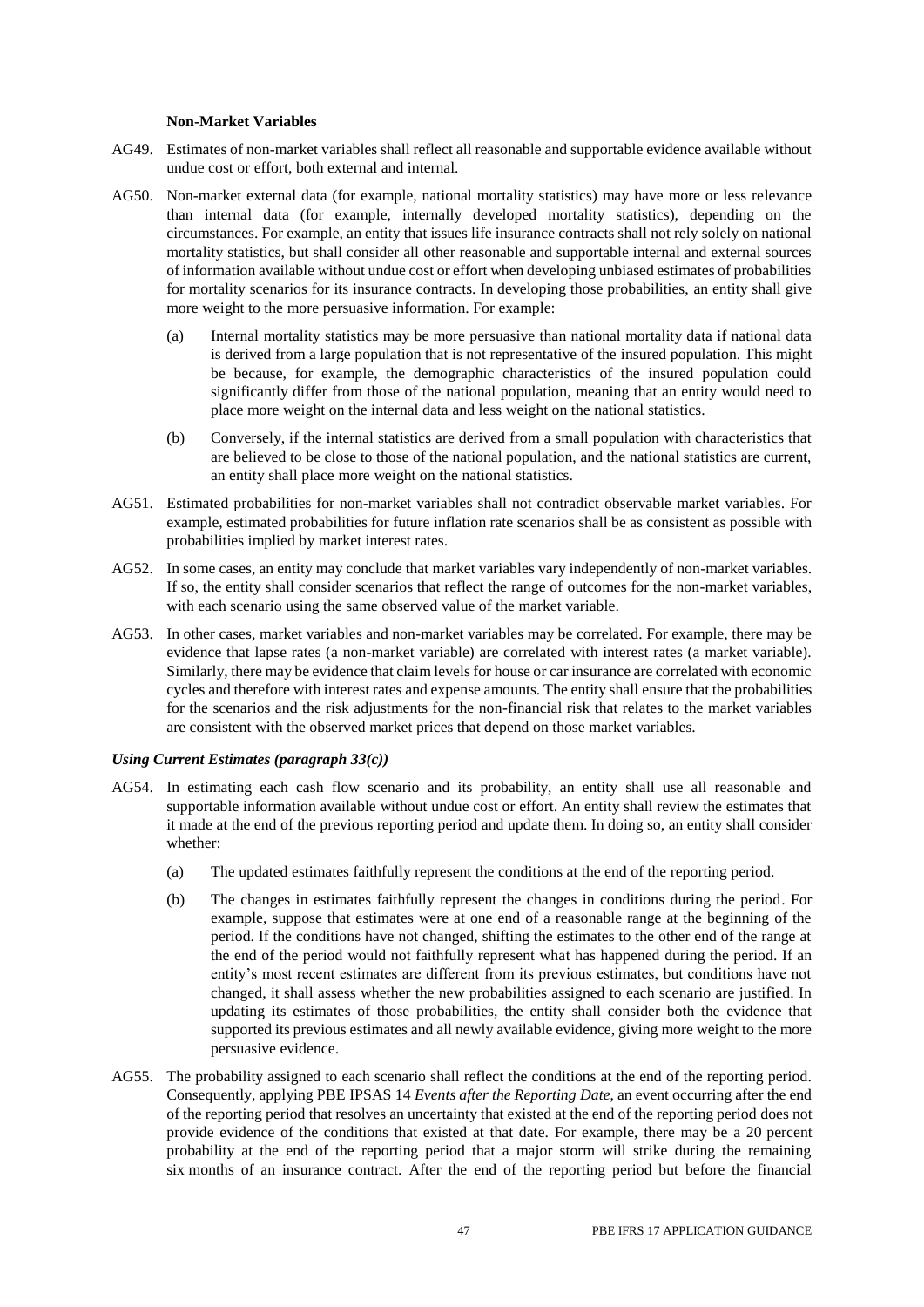#### **Non-Market Variables**

- AG49. Estimates of non-market variables shall reflect all reasonable and supportable evidence available without undue cost or effort, both external and internal.
- AG50. Non-market external data (for example, national mortality statistics) may have more or less relevance than internal data (for example, internally developed mortality statistics), depending on the circumstances. For example, an entity that issues life insurance contracts shall not rely solely on national mortality statistics, but shall consider all other reasonable and supportable internal and external sources of information available without undue cost or effort when developing unbiased estimates of probabilities for mortality scenarios for its insurance contracts. In developing those probabilities, an entity shall give more weight to the more persuasive information. For example:
	- (a) Internal mortality statistics may be more persuasive than national mortality data if national data is derived from a large population that is not representative of the insured population. This might be because, for example, the demographic characteristics of the insured population could significantly differ from those of the national population, meaning that an entity would need to place more weight on the internal data and less weight on the national statistics.
	- (b) Conversely, if the internal statistics are derived from a small population with characteristics that are believed to be close to those of the national population, and the national statistics are current, an entity shall place more weight on the national statistics.
- AG51. Estimated probabilities for non-market variables shall not contradict observable market variables. For example, estimated probabilities for future inflation rate scenarios shall be as consistent as possible with probabilities implied by market interest rates.
- AG52. In some cases, an entity may conclude that market variables vary independently of non-market variables. If so, the entity shall consider scenarios that reflect the range of outcomes for the non-market variables, with each scenario using the same observed value of the market variable.
- AG53. In other cases, market variables and non-market variables may be correlated. For example, there may be evidence that lapse rates (a non-market variable) are correlated with interest rates (a market variable). Similarly, there may be evidence that claim levels for house or car insurance are correlated with economic cycles and therefore with interest rates and expense amounts. The entity shall ensure that the probabilities for the scenarios and the risk adjustments for the non-financial risk that relates to the market variables are consistent with the observed market prices that depend on those market variables.

### *Using Current Estimates (paragraph 33(c))*

- AG54. In estimating each cash flow scenario and its probability, an entity shall use all reasonable and supportable information available without undue cost or effort. An entity shall review the estimates that it made at the end of the previous reporting period and update them. In doing so, an entity shall consider whether:
	- (a) The updated estimates faithfully represent the conditions at the end of the reporting period.
	- (b) The changes in estimates faithfully represent the changes in conditions during the period. For example, suppose that estimates were at one end of a reasonable range at the beginning of the period. If the conditions have not changed, shifting the estimates to the other end of the range at the end of the period would not faithfully represent what has happened during the period. If an entity's most recent estimates are different from its previous estimates, but conditions have not changed, it shall assess whether the new probabilities assigned to each scenario are justified. In updating its estimates of those probabilities, the entity shall consider both the evidence that supported its previous estimates and all newly available evidence, giving more weight to the more persuasive evidence.
- AG55. The probability assigned to each scenario shall reflect the conditions at the end of the reporting period. Consequently, applying PBE IPSAS 14 *Events after the Reporting Date*, an event occurring after the end of the reporting period that resolves an uncertainty that existed at the end of the reporting period does not provide evidence of the conditions that existed at that date. For example, there may be a 20 percent probability at the end of the reporting period that a major storm will strike during the remaining six months of an insurance contract. After the end of the reporting period but before the financial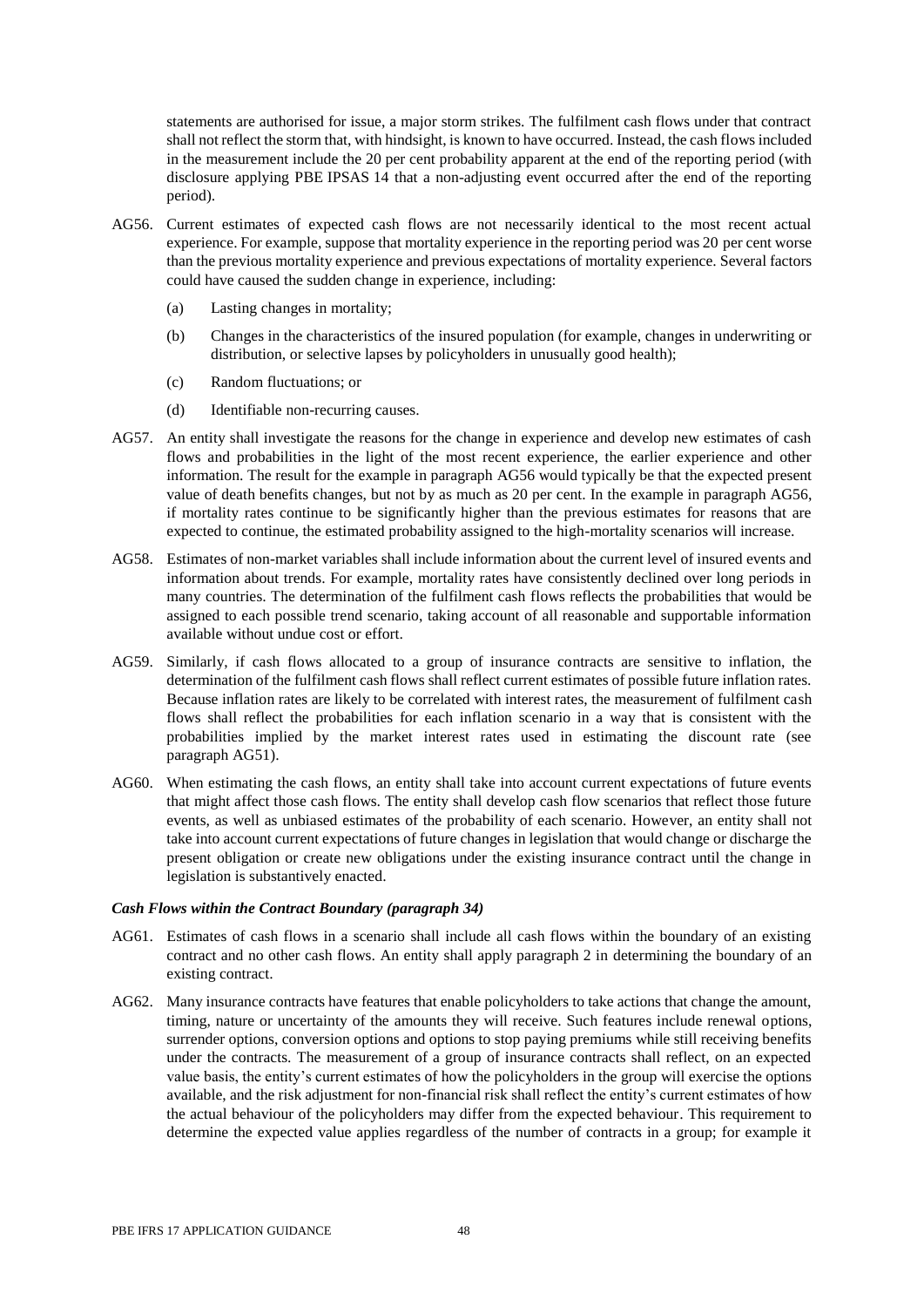statements are authorised for issue, a major storm strikes. The fulfilment cash flows under that contract shall not reflect the storm that, with hindsight, is known to have occurred. Instead, the cash flows included in the measurement include the 20 per cent probability apparent at the end of the reporting period (with disclosure applying PBE IPSAS 14 that a non-adjusting event occurred after the end of the reporting period).

- AG56. Current estimates of expected cash flows are not necessarily identical to the most recent actual experience. For example, suppose that mortality experience in the reporting period was 20 per cent worse than the previous mortality experience and previous expectations of mortality experience. Several factors could have caused the sudden change in experience, including:
	- (a) Lasting changes in mortality;
	- (b) Changes in the characteristics of the insured population (for example, changes in underwriting or distribution, or selective lapses by policyholders in unusually good health);
	- (c) Random fluctuations; or
	- (d) Identifiable non-recurring causes.
- AG57. An entity shall investigate the reasons for the change in experience and develop new estimates of cash flows and probabilities in the light of the most recent experience, the earlier experience and other information. The result for the example in paragraph AG56 would typically be that the expected present value of death benefits changes, but not by as much as 20 per cent. In the example in paragraph AG56, if mortality rates continue to be significantly higher than the previous estimates for reasons that are expected to continue, the estimated probability assigned to the high-mortality scenarios will increase.
- AG58. Estimates of non-market variables shall include information about the current level of insured events and information about trends. For example, mortality rates have consistently declined over long periods in many countries. The determination of the fulfilment cash flows reflects the probabilities that would be assigned to each possible trend scenario, taking account of all reasonable and supportable information available without undue cost or effort.
- AG59. Similarly, if cash flows allocated to a group of insurance contracts are sensitive to inflation, the determination of the fulfilment cash flows shall reflect current estimates of possible future inflation rates. Because inflation rates are likely to be correlated with interest rates, the measurement of fulfilment cash flows shall reflect the probabilities for each inflation scenario in a way that is consistent with the probabilities implied by the market interest rates used in estimating the discount rate (see paragraph AG51).
- AG60. When estimating the cash flows, an entity shall take into account current expectations of future events that might affect those cash flows. The entity shall develop cash flow scenarios that reflect those future events, as well as unbiased estimates of the probability of each scenario. However, an entity shall not take into account current expectations of future changes in legislation that would change or discharge the present obligation or create new obligations under the existing insurance contract until the change in legislation is substantively enacted.

#### *Cash Flows within the Contract Boundary (paragraph 34)*

- AG61. Estimates of cash flows in a scenario shall include all cash flows within the boundary of an existing contract and no other cash flows. An entity shall apply paragraph 2 in determining the boundary of an existing contract.
- AG62. Many insurance contracts have features that enable policyholders to take actions that change the amount, timing, nature or uncertainty of the amounts they will receive. Such features include renewal options, surrender options, conversion options and options to stop paying premiums while still receiving benefits under the contracts. The measurement of a group of insurance contracts shall reflect, on an expected value basis, the entity's current estimates of how the policyholders in the group will exercise the options available, and the risk adjustment for non-financial risk shall reflect the entity's current estimates of how the actual behaviour of the policyholders may differ from the expected behaviour. This requirement to determine the expected value applies regardless of the number of contracts in a group; for example it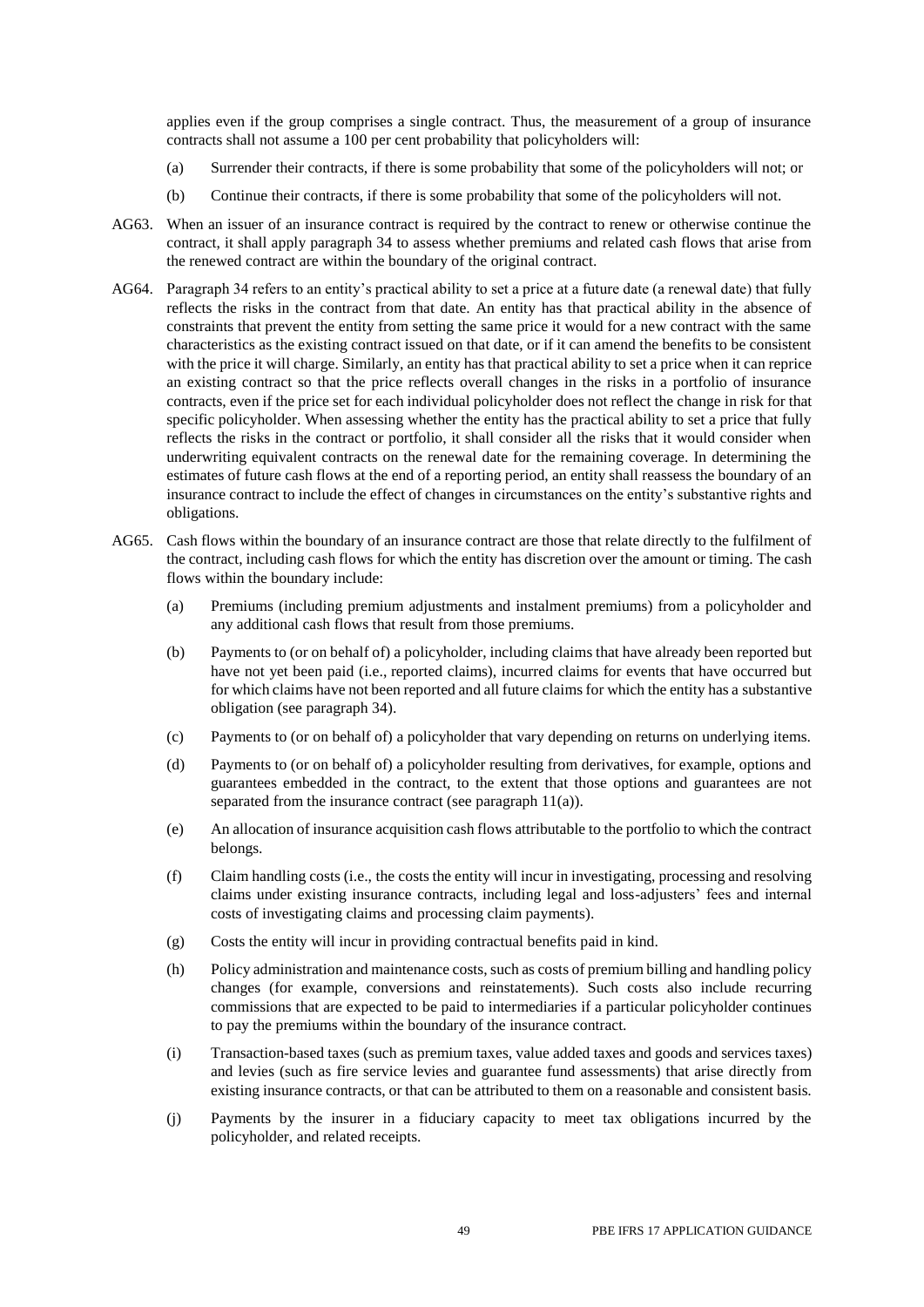applies even if the group comprises a single contract. Thus, the measurement of a group of insurance contracts shall not assume a 100 per cent probability that policyholders will:

- (a) Surrender their contracts, if there is some probability that some of the policyholders will not; or
- (b) Continue their contracts, if there is some probability that some of the policyholders will not.
- AG63. When an issuer of an insurance contract is required by the contract to renew or otherwise continue the contract, it shall apply paragraph 34 to assess whether premiums and related cash flows that arise from the renewed contract are within the boundary of the original contract.
- AG64. Paragraph 34 refers to an entity's practical ability to set a price at a future date (a renewal date) that fully reflects the risks in the contract from that date. An entity has that practical ability in the absence of constraints that prevent the entity from setting the same price it would for a new contract with the same characteristics as the existing contract issued on that date, or if it can amend the benefits to be consistent with the price it will charge. Similarly, an entity has that practical ability to set a price when it can reprice an existing contract so that the price reflects overall changes in the risks in a portfolio of insurance contracts, even if the price set for each individual policyholder does not reflect the change in risk for that specific policyholder. When assessing whether the entity has the practical ability to set a price that fully reflects the risks in the contract or portfolio, it shall consider all the risks that it would consider when underwriting equivalent contracts on the renewal date for the remaining coverage. In determining the estimates of future cash flows at the end of a reporting period, an entity shall reassess the boundary of an insurance contract to include the effect of changes in circumstances on the entity's substantive rights and obligations.
- AG65. Cash flows within the boundary of an insurance contract are those that relate directly to the fulfilment of the contract, including cash flows for which the entity has discretion over the amount or timing. The cash flows within the boundary include:
	- (a) Premiums (including premium adjustments and instalment premiums) from a policyholder and any additional cash flows that result from those premiums.
	- (b) Payments to (or on behalf of) a policyholder, including claims that have already been reported but have not yet been paid (i.e., reported claims), incurred claims for events that have occurred but for which claims have not been reported and all future claims for which the entity has a substantive obligation (see paragraph 34).
	- (c) Payments to (or on behalf of) a policyholder that vary depending on returns on underlying items.
	- (d) Payments to (or on behalf of) a policyholder resulting from derivatives, for example, options and guarantees embedded in the contract, to the extent that those options and guarantees are not separated from the insurance contract (see paragraph 11(a)).
	- (e) An allocation of insurance acquisition cash flows attributable to the portfolio to which the contract belongs.
	- (f) Claim handling costs (i.e., the costs the entity will incur in investigating, processing and resolving claims under existing insurance contracts, including legal and loss-adjusters' fees and internal costs of investigating claims and processing claim payments).
	- (g) Costs the entity will incur in providing contractual benefits paid in kind.
	- (h) Policy administration and maintenance costs, such as costs of premium billing and handling policy changes (for example, conversions and reinstatements). Such costs also include recurring commissions that are expected to be paid to intermediaries if a particular policyholder continues to pay the premiums within the boundary of the insurance contract.
	- (i) Transaction-based taxes (such as premium taxes, value added taxes and goods and services taxes) and levies (such as fire service levies and guarantee fund assessments) that arise directly from existing insurance contracts, or that can be attributed to them on a reasonable and consistent basis.
	- (j) Payments by the insurer in a fiduciary capacity to meet tax obligations incurred by the policyholder, and related receipts.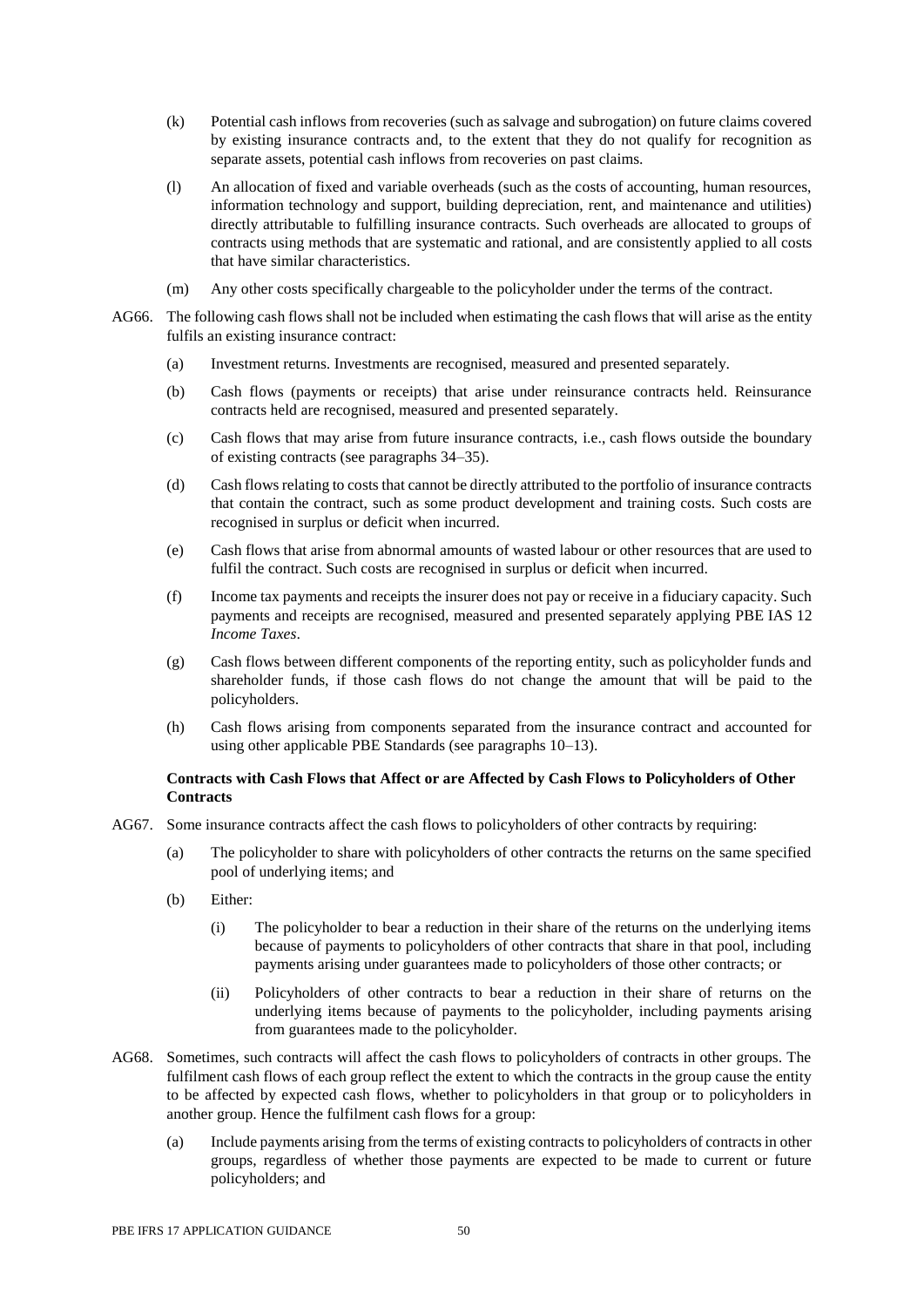- (k) Potential cash inflows from recoveries (such as salvage and subrogation) on future claims covered by existing insurance contracts and, to the extent that they do not qualify for recognition as separate assets, potential cash inflows from recoveries on past claims.
- (l) An allocation of fixed and variable overheads (such as the costs of accounting, human resources, information technology and support, building depreciation, rent, and maintenance and utilities) directly attributable to fulfilling insurance contracts. Such overheads are allocated to groups of contracts using methods that are systematic and rational, and are consistently applied to all costs that have similar characteristics.
- (m) Any other costs specifically chargeable to the policyholder under the terms of the contract.
- AG66. The following cash flows shall not be included when estimating the cash flows that will arise as the entity fulfils an existing insurance contract:
	- (a) Investment returns. Investments are recognised, measured and presented separately.
	- (b) Cash flows (payments or receipts) that arise under reinsurance contracts held. Reinsurance contracts held are recognised, measured and presented separately.
	- (c) Cash flows that may arise from future insurance contracts, i.e., cash flows outside the boundary of existing contracts (see paragraphs 34–35).
	- (d) Cash flows relating to costs that cannot be directly attributed to the portfolio of insurance contracts that contain the contract, such as some product development and training costs. Such costs are recognised in surplus or deficit when incurred.
	- (e) Cash flows that arise from abnormal amounts of wasted labour or other resources that are used to fulfil the contract. Such costs are recognised in surplus or deficit when incurred.
	- (f) Income tax payments and receipts the insurer does not pay or receive in a fiduciary capacity. Such payments and receipts are recognised, measured and presented separately applying PBE IAS 12 *Income Taxes*.
	- (g) Cash flows between different components of the reporting entity, such as policyholder funds and shareholder funds, if those cash flows do not change the amount that will be paid to the policyholders.
	- (h) Cash flows arising from components separated from the insurance contract and accounted for using other applicable PBE Standards (see paragraphs 10–13).

#### **Contracts with Cash Flows that Affect or are Affected by Cash Flows to Policyholders of Other Contracts**

- AG67. Some insurance contracts affect the cash flows to policyholders of other contracts by requiring:
	- (a) The policyholder to share with policyholders of other contracts the returns on the same specified pool of underlying items; and
	- (b) Either:
		- (i) The policyholder to bear a reduction in their share of the returns on the underlying items because of payments to policyholders of other contracts that share in that pool, including payments arising under guarantees made to policyholders of those other contracts; or
		- (ii) Policyholders of other contracts to bear a reduction in their share of returns on the underlying items because of payments to the policyholder, including payments arising from guarantees made to the policyholder.
- AG68. Sometimes, such contracts will affect the cash flows to policyholders of contracts in other groups. The fulfilment cash flows of each group reflect the extent to which the contracts in the group cause the entity to be affected by expected cash flows, whether to policyholders in that group or to policyholders in another group. Hence the fulfilment cash flows for a group:
	- (a) Include payments arising from the terms of existing contracts to policyholders of contracts in other groups, regardless of whether those payments are expected to be made to current or future policyholders; and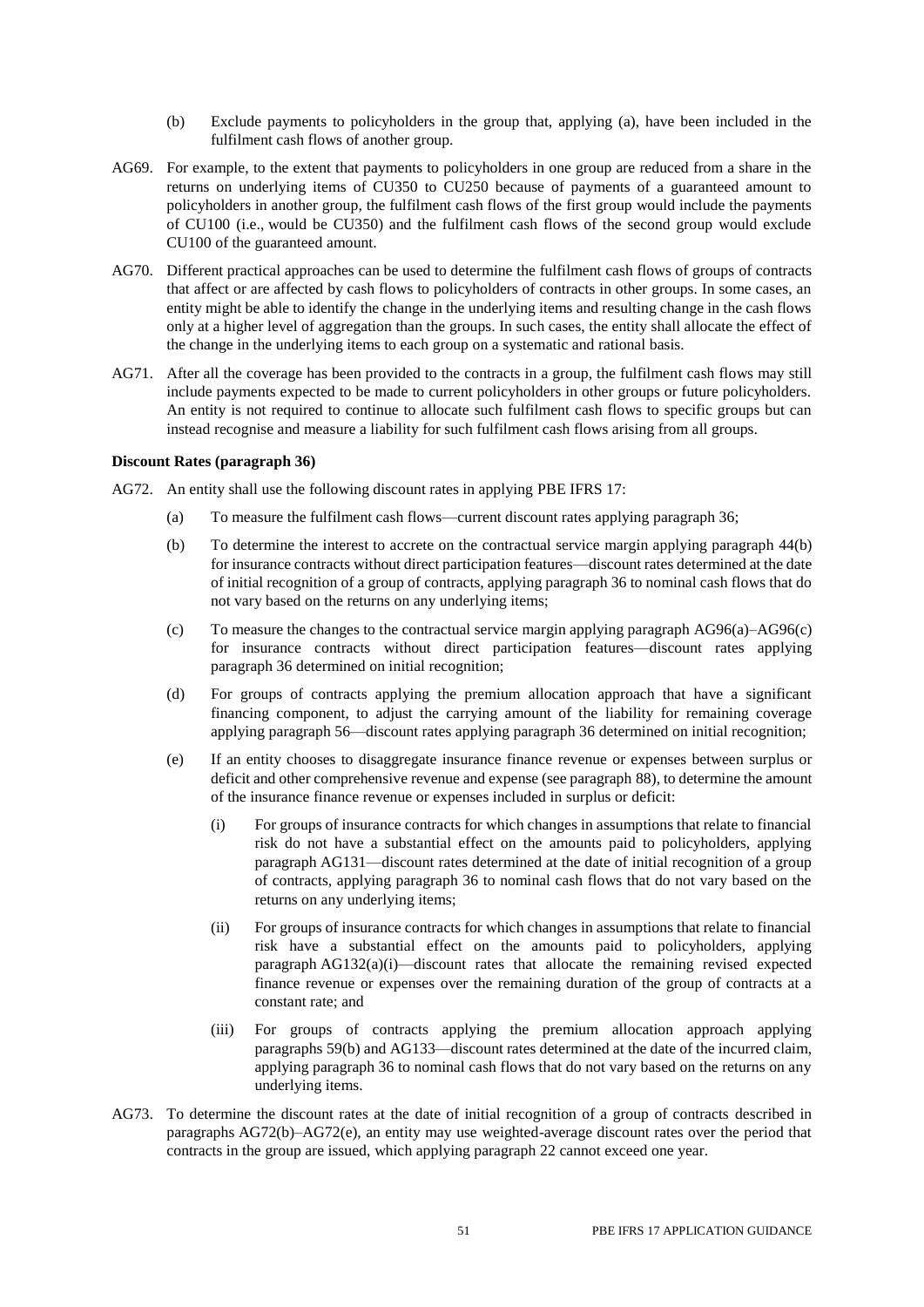- (b) Exclude payments to policyholders in the group that, applying (a), have been included in the fulfilment cash flows of another group.
- AG69. For example, to the extent that payments to policyholders in one group are reduced from a share in the returns on underlying items of CU350 to CU250 because of payments of a guaranteed amount to policyholders in another group, the fulfilment cash flows of the first group would include the payments of CU100 (i.e., would be CU350) and the fulfilment cash flows of the second group would exclude CU100 of the guaranteed amount.
- AG70. Different practical approaches can be used to determine the fulfilment cash flows of groups of contracts that affect or are affected by cash flows to policyholders of contracts in other groups. In some cases, an entity might be able to identify the change in the underlying items and resulting change in the cash flows only at a higher level of aggregation than the groups. In such cases, the entity shall allocate the effect of the change in the underlying items to each group on a systematic and rational basis.
- AG71. After all the coverage has been provided to the contracts in a group, the fulfilment cash flows may still include payments expected to be made to current policyholders in other groups or future policyholders. An entity is not required to continue to allocate such fulfilment cash flows to specific groups but can instead recognise and measure a liability for such fulfilment cash flows arising from all groups.

#### **Discount Rates (paragraph 36)**

AG72. An entity shall use the following discount rates in applying PBE IFRS 17:

- (a) To measure the fulfilment cash flows—current discount rates applying paragraph 36;
- (b) To determine the interest to accrete on the contractual service margin applying paragraph 44(b) for insurance contracts without direct participation features—discount rates determined at the date of initial recognition of a group of contracts, applying paragraph 36 to nominal cash flows that do not vary based on the returns on any underlying items;
- (c) To measure the changes to the contractual service margin applying paragraph AG96(a)–AG96(c) for insurance contracts without direct participation features—discount rates applying paragraph 36 determined on initial recognition;
- (d) For groups of contracts applying the premium allocation approach that have a significant financing component, to adjust the carrying amount of the liability for remaining coverage applying paragraph 56—discount rates applying paragraph 36 determined on initial recognition;
- (e) If an entity chooses to disaggregate insurance finance revenue or expenses between surplus or deficit and other comprehensive revenue and expense (see paragraph 88), to determine the amount of the insurance finance revenue or expenses included in surplus or deficit:
	- (i) For groups of insurance contracts for which changes in assumptions that relate to financial risk do not have a substantial effect on the amounts paid to policyholders, applying paragraph AG131—discount rates determined at the date of initial recognition of a group of contracts, applying paragraph 36 to nominal cash flows that do not vary based on the returns on any underlying items;
	- (ii) For groups of insurance contracts for which changes in assumptions that relate to financial risk have a substantial effect on the amounts paid to policyholders, applying paragraph AG132(a)(i)—discount rates that allocate the remaining revised expected finance revenue or expenses over the remaining duration of the group of contracts at a constant rate; and
	- (iii) For groups of contracts applying the premium allocation approach applying paragraphs 59(b) and AG133—discount rates determined at the date of the incurred claim, applying paragraph 36 to nominal cash flows that do not vary based on the returns on any underlying items.
- AG73. To determine the discount rates at the date of initial recognition of a group of contracts described in paragraphs AG72(b)–AG72(e), an entity may use weighted-average discount rates over the period that contracts in the group are issued, which applying paragraph 22 cannot exceed one year.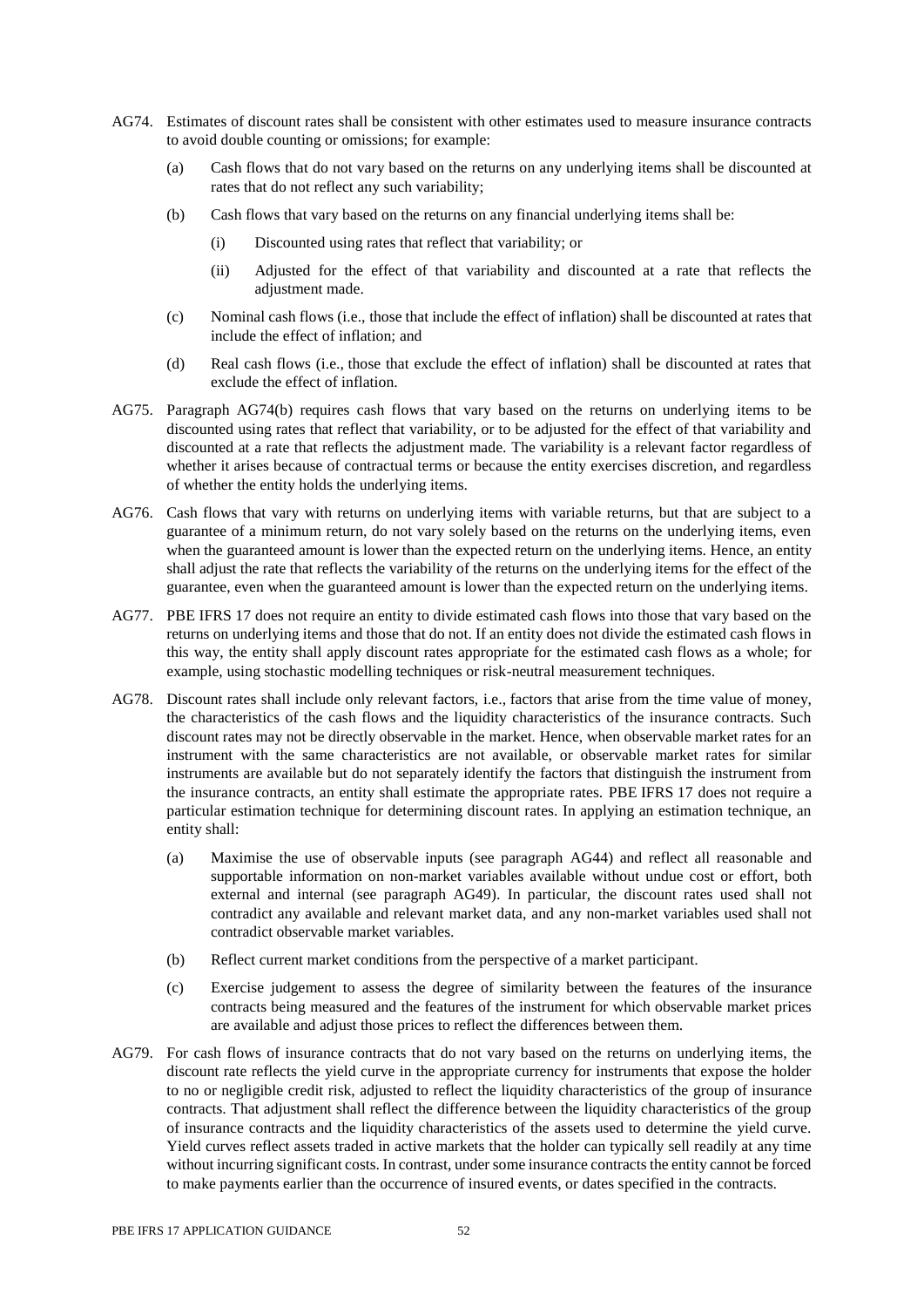- AG74. Estimates of discount rates shall be consistent with other estimates used to measure insurance contracts to avoid double counting or omissions; for example:
	- (a) Cash flows that do not vary based on the returns on any underlying items shall be discounted at rates that do not reflect any such variability;
	- (b) Cash flows that vary based on the returns on any financial underlying items shall be:
		- (i) Discounted using rates that reflect that variability; or
		- (ii) Adjusted for the effect of that variability and discounted at a rate that reflects the adjustment made.
	- (c) Nominal cash flows (i.e., those that include the effect of inflation) shall be discounted at rates that include the effect of inflation; and
	- (d) Real cash flows (i.e., those that exclude the effect of inflation) shall be discounted at rates that exclude the effect of inflation.
- AG75. Paragraph AG74(b) requires cash flows that vary based on the returns on underlying items to be discounted using rates that reflect that variability, or to be adjusted for the effect of that variability and discounted at a rate that reflects the adjustment made. The variability is a relevant factor regardless of whether it arises because of contractual terms or because the entity exercises discretion, and regardless of whether the entity holds the underlying items.
- AG76. Cash flows that vary with returns on underlying items with variable returns, but that are subject to a guarantee of a minimum return, do not vary solely based on the returns on the underlying items, even when the guaranteed amount is lower than the expected return on the underlying items. Hence, an entity shall adjust the rate that reflects the variability of the returns on the underlying items for the effect of the guarantee, even when the guaranteed amount is lower than the expected return on the underlying items.
- AG77. PBE IFRS 17 does not require an entity to divide estimated cash flows into those that vary based on the returns on underlying items and those that do not. If an entity does not divide the estimated cash flows in this way, the entity shall apply discount rates appropriate for the estimated cash flows as a whole; for example, using stochastic modelling techniques or risk-neutral measurement techniques.
- AG78. Discount rates shall include only relevant factors, i.e., factors that arise from the time value of money, the characteristics of the cash flows and the liquidity characteristics of the insurance contracts. Such discount rates may not be directly observable in the market. Hence, when observable market rates for an instrument with the same characteristics are not available, or observable market rates for similar instruments are available but do not separately identify the factors that distinguish the instrument from the insurance contracts, an entity shall estimate the appropriate rates. PBE IFRS 17 does not require a particular estimation technique for determining discount rates. In applying an estimation technique, an entity shall:
	- (a) Maximise the use of observable inputs (see paragraph AG44) and reflect all reasonable and supportable information on non-market variables available without undue cost or effort, both external and internal (see paragraph AG49). In particular, the discount rates used shall not contradict any available and relevant market data, and any non-market variables used shall not contradict observable market variables.
	- (b) Reflect current market conditions from the perspective of a market participant.
	- (c) Exercise judgement to assess the degree of similarity between the features of the insurance contracts being measured and the features of the instrument for which observable market prices are available and adjust those prices to reflect the differences between them.
- AG79. For cash flows of insurance contracts that do not vary based on the returns on underlying items, the discount rate reflects the yield curve in the appropriate currency for instruments that expose the holder to no or negligible credit risk, adjusted to reflect the liquidity characteristics of the group of insurance contracts. That adjustment shall reflect the difference between the liquidity characteristics of the group of insurance contracts and the liquidity characteristics of the assets used to determine the yield curve. Yield curves reflect assets traded in active markets that the holder can typically sell readily at any time without incurring significant costs. In contrast, under some insurance contracts the entity cannot be forced to make payments earlier than the occurrence of insured events, or dates specified in the contracts.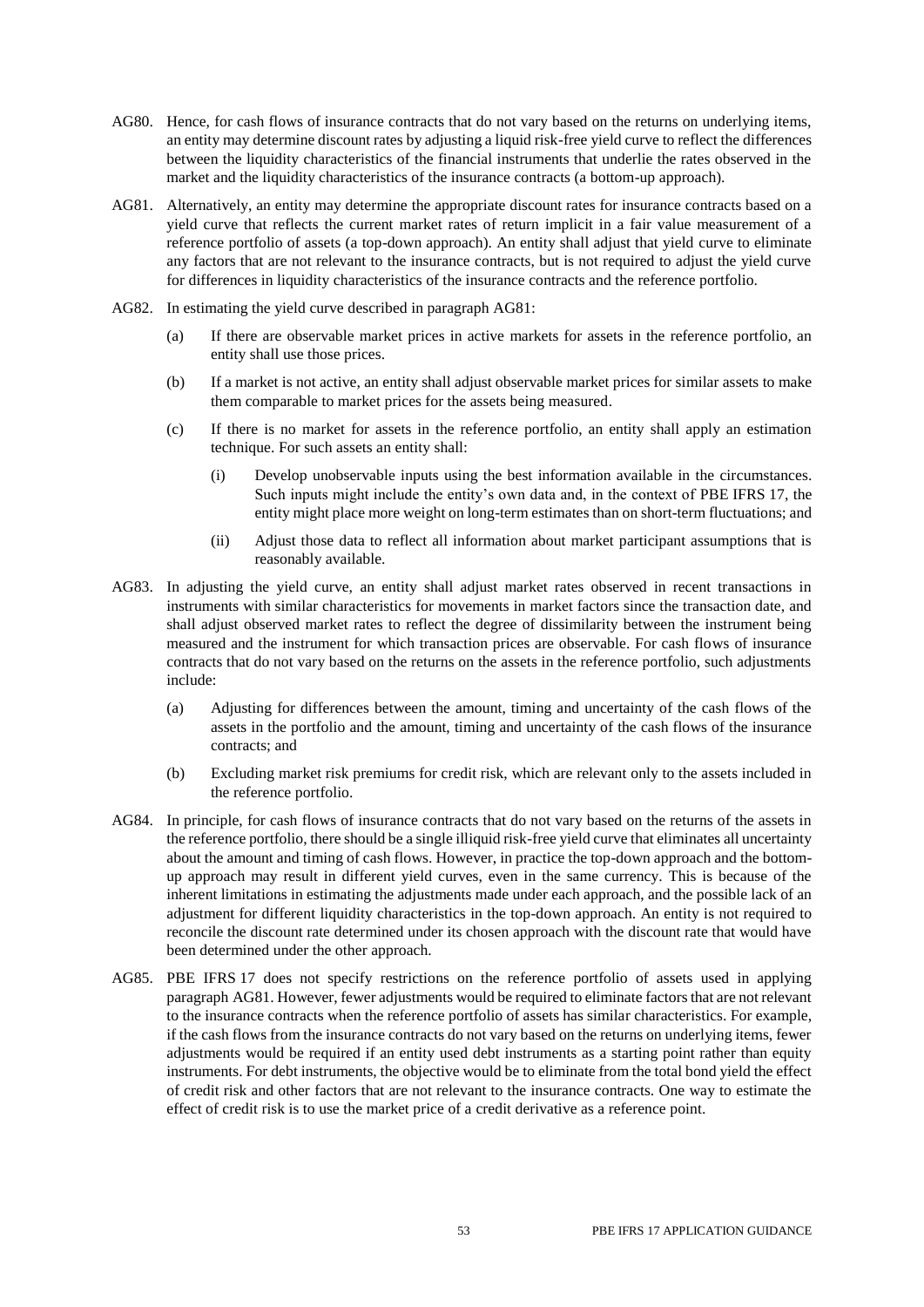- AG80. Hence, for cash flows of insurance contracts that do not vary based on the returns on underlying items, an entity may determine discount rates by adjusting a liquid risk-free yield curve to reflect the differences between the liquidity characteristics of the financial instruments that underlie the rates observed in the market and the liquidity characteristics of the insurance contracts (a bottom-up approach).
- AG81. Alternatively, an entity may determine the appropriate discount rates for insurance contracts based on a yield curve that reflects the current market rates of return implicit in a fair value measurement of a reference portfolio of assets (a top-down approach). An entity shall adjust that yield curve to eliminate any factors that are not relevant to the insurance contracts, but is not required to adjust the yield curve for differences in liquidity characteristics of the insurance contracts and the reference portfolio.
- AG82. In estimating the yield curve described in paragraph AG81:
	- (a) If there are observable market prices in active markets for assets in the reference portfolio, an entity shall use those prices.
	- (b) If a market is not active, an entity shall adjust observable market prices for similar assets to make them comparable to market prices for the assets being measured.
	- (c) If there is no market for assets in the reference portfolio, an entity shall apply an estimation technique. For such assets an entity shall:
		- (i) Develop unobservable inputs using the best information available in the circumstances. Such inputs might include the entity's own data and, in the context of PBE IFRS 17, the entity might place more weight on long-term estimates than on short-term fluctuations; and
		- (ii) Adjust those data to reflect all information about market participant assumptions that is reasonably available.
- AG83. In adjusting the yield curve, an entity shall adjust market rates observed in recent transactions in instruments with similar characteristics for movements in market factors since the transaction date, and shall adjust observed market rates to reflect the degree of dissimilarity between the instrument being measured and the instrument for which transaction prices are observable. For cash flows of insurance contracts that do not vary based on the returns on the assets in the reference portfolio, such adjustments include:
	- (a) Adjusting for differences between the amount, timing and uncertainty of the cash flows of the assets in the portfolio and the amount, timing and uncertainty of the cash flows of the insurance contracts; and
	- (b) Excluding market risk premiums for credit risk, which are relevant only to the assets included in the reference portfolio.
- AG84. In principle, for cash flows of insurance contracts that do not vary based on the returns of the assets in the reference portfolio, there should be a single illiquid risk-free yield curve that eliminates all uncertainty about the amount and timing of cash flows. However, in practice the top-down approach and the bottomup approach may result in different yield curves, even in the same currency. This is because of the inherent limitations in estimating the adjustments made under each approach, and the possible lack of an adjustment for different liquidity characteristics in the top-down approach. An entity is not required to reconcile the discount rate determined under its chosen approach with the discount rate that would have been determined under the other approach.
- AG85. PBE IFRS 17 does not specify restrictions on the reference portfolio of assets used in applying paragraph AG81. However, fewer adjustments would be required to eliminate factors that are not relevant to the insurance contracts when the reference portfolio of assets has similar characteristics. For example, if the cash flows from the insurance contracts do not vary based on the returns on underlying items, fewer adjustments would be required if an entity used debt instruments as a starting point rather than equity instruments. For debt instruments, the objective would be to eliminate from the total bond yield the effect of credit risk and other factors that are not relevant to the insurance contracts. One way to estimate the effect of credit risk is to use the market price of a credit derivative as a reference point.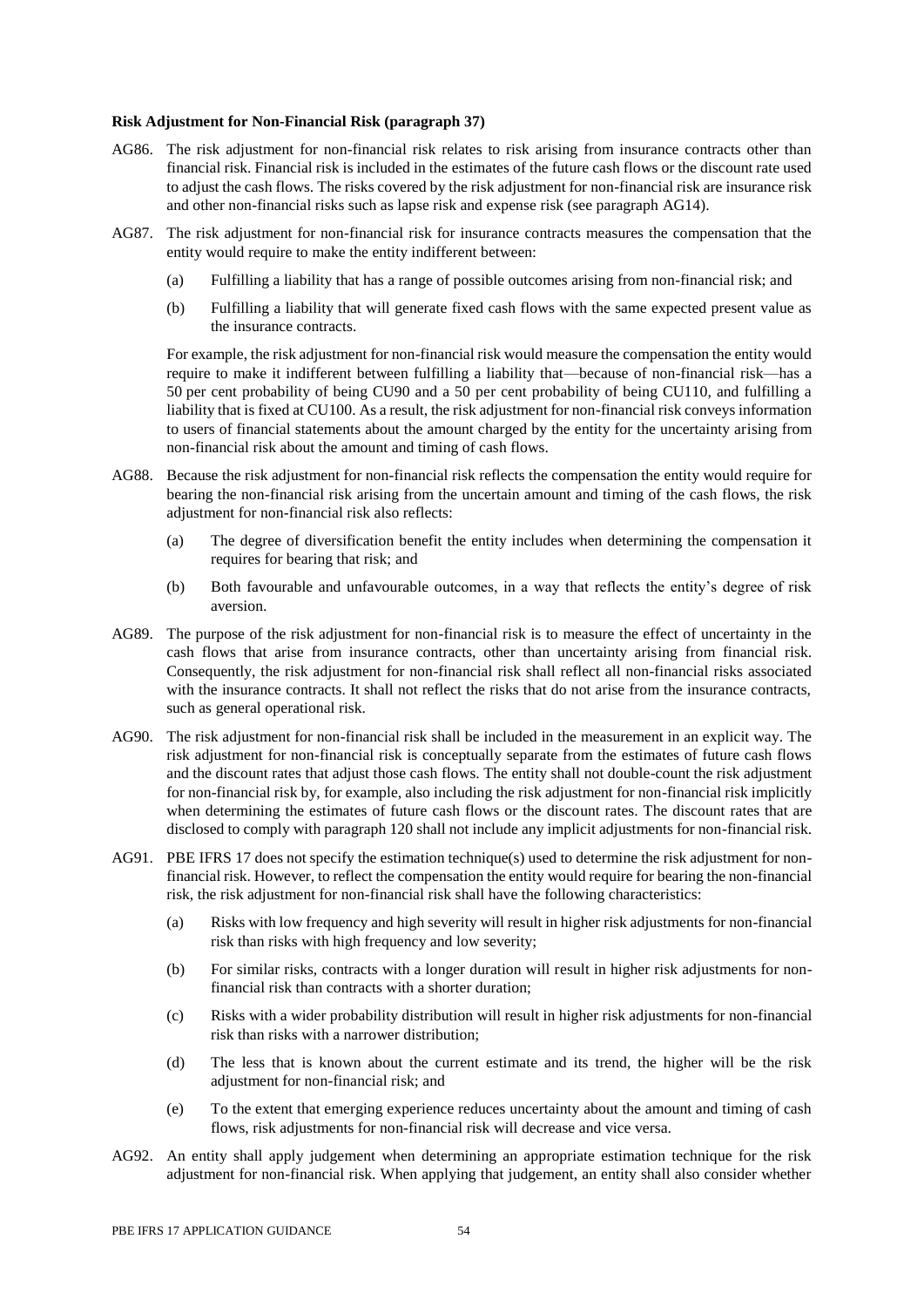#### **Risk Adjustment for Non-Financial Risk (paragraph 37)**

- AG86. The risk adjustment for non-financial risk relates to risk arising from insurance contracts other than financial risk. Financial risk is included in the estimates of the future cash flows or the discount rate used to adjust the cash flows. The risks covered by the risk adjustment for non-financial risk are insurance risk and other non-financial risks such as lapse risk and expense risk (see paragraph AG14).
- AG87. The risk adjustment for non-financial risk for insurance contracts measures the compensation that the entity would require to make the entity indifferent between:
	- (a) Fulfilling a liability that has a range of possible outcomes arising from non-financial risk; and
	- (b) Fulfilling a liability that will generate fixed cash flows with the same expected present value as the insurance contracts.

For example, the risk adjustment for non-financial risk would measure the compensation the entity would require to make it indifferent between fulfilling a liability that—because of non-financial risk—has a 50 per cent probability of being CU90 and a 50 per cent probability of being CU110, and fulfilling a liability that is fixed at CU100. As a result, the risk adjustment for non-financial risk conveys information to users of financial statements about the amount charged by the entity for the uncertainty arising from non-financial risk about the amount and timing of cash flows.

- AG88. Because the risk adjustment for non-financial risk reflects the compensation the entity would require for bearing the non-financial risk arising from the uncertain amount and timing of the cash flows, the risk adjustment for non-financial risk also reflects:
	- (a) The degree of diversification benefit the entity includes when determining the compensation it requires for bearing that risk; and
	- (b) Both favourable and unfavourable outcomes, in a way that reflects the entity's degree of risk aversion.
- AG89. The purpose of the risk adjustment for non-financial risk is to measure the effect of uncertainty in the cash flows that arise from insurance contracts, other than uncertainty arising from financial risk. Consequently, the risk adjustment for non-financial risk shall reflect all non-financial risks associated with the insurance contracts. It shall not reflect the risks that do not arise from the insurance contracts, such as general operational risk.
- AG90. The risk adjustment for non-financial risk shall be included in the measurement in an explicit way. The risk adjustment for non-financial risk is conceptually separate from the estimates of future cash flows and the discount rates that adjust those cash flows. The entity shall not double-count the risk adjustment for non-financial risk by, for example, also including the risk adjustment for non-financial risk implicitly when determining the estimates of future cash flows or the discount rates. The discount rates that are disclosed to comply with paragraph 120 shall not include any implicit adjustments for non-financial risk.
- AG91. PBE IFRS 17 does not specify the estimation technique(s) used to determine the risk adjustment for nonfinancial risk. However, to reflect the compensation the entity would require for bearing the non-financial risk, the risk adjustment for non-financial risk shall have the following characteristics:
	- (a) Risks with low frequency and high severity will result in higher risk adjustments for non-financial risk than risks with high frequency and low severity;
	- (b) For similar risks, contracts with a longer duration will result in higher risk adjustments for nonfinancial risk than contracts with a shorter duration;
	- (c) Risks with a wider probability distribution will result in higher risk adjustments for non-financial risk than risks with a narrower distribution;
	- (d) The less that is known about the current estimate and its trend, the higher will be the risk adjustment for non-financial risk; and
	- (e) To the extent that emerging experience reduces uncertainty about the amount and timing of cash flows, risk adjustments for non-financial risk will decrease and vice versa.
- AG92. An entity shall apply judgement when determining an appropriate estimation technique for the risk adjustment for non-financial risk. When applying that judgement, an entity shall also consider whether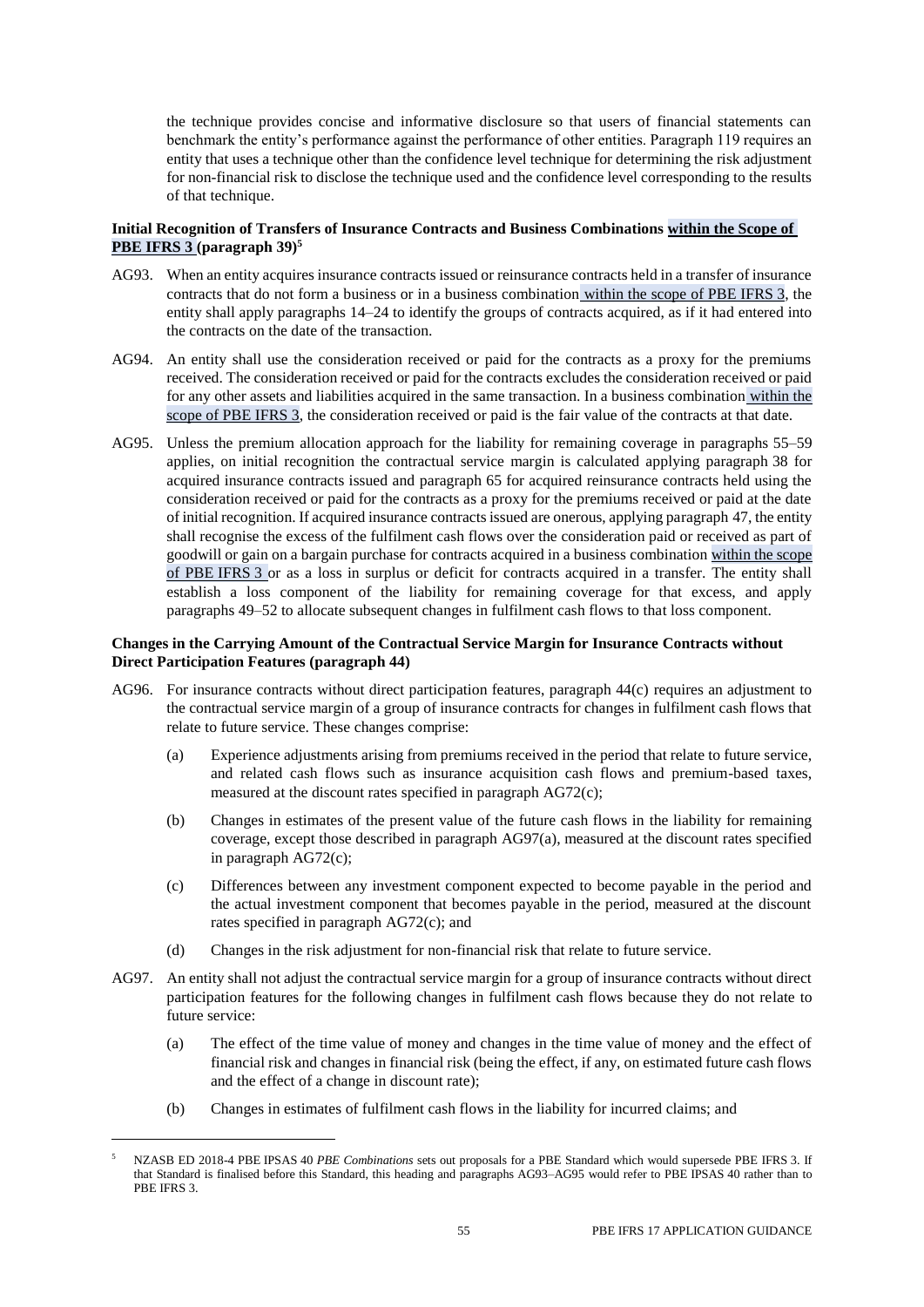the technique provides concise and informative disclosure so that users of financial statements can benchmark the entity's performance against the performance of other entities. Paragraph 119 requires an entity that uses a technique other than the confidence level technique for determining the risk adjustment for non-financial risk to disclose the technique used and the confidence level corresponding to the results of that technique.

### **Initial Recognition of Transfers of Insurance Contracts and Business Combinations within the Scope of PBE IFRS 3 (paragraph 39)<sup>5</sup>**

- AG93. When an entity acquires insurance contracts issued or reinsurance contracts held in a transfer of insurance contracts that do not form a business or in a business combination within the scope of PBE IFRS 3, the entity shall apply paragraphs 14–24 to identify the groups of contracts acquired, as if it had entered into the contracts on the date of the transaction.
- AG94. An entity shall use the consideration received or paid for the contracts as a proxy for the premiums received. The consideration received or paid for the contracts excludes the consideration received or paid for any other assets and liabilities acquired in the same transaction. In a business combination within the scope of PBE IFRS 3, the consideration received or paid is the fair value of the contracts at that date.
- AG95. Unless the premium allocation approach for the liability for remaining coverage in paragraphs 55–59 applies, on initial recognition the contractual service margin is calculated applying paragraph 38 for acquired insurance contracts issued and paragraph 65 for acquired reinsurance contracts held using the consideration received or paid for the contracts as a proxy for the premiums received or paid at the date of initial recognition. If acquired insurance contracts issued are onerous, applying paragraph 47, the entity shall recognise the excess of the fulfilment cash flows over the consideration paid or received as part of goodwill or gain on a bargain purchase for contracts acquired in a business combination within the scope of PBE IFRS 3 or as a loss in surplus or deficit for contracts acquired in a transfer. The entity shall establish a loss component of the liability for remaining coverage for that excess, and apply paragraphs 49–52 to allocate subsequent changes in fulfilment cash flows to that loss component.

## **Changes in the Carrying Amount of the Contractual Service Margin for Insurance Contracts without Direct Participation Features (paragraph 44)**

- AG96. For insurance contracts without direct participation features, paragraph 44(c) requires an adjustment to the contractual service margin of a group of insurance contracts for changes in fulfilment cash flows that relate to future service. These changes comprise:
	- (a) Experience adjustments arising from premiums received in the period that relate to future service, and related cash flows such as insurance acquisition cash flows and premium-based taxes, measured at the discount rates specified in paragraph AG72(c);
	- (b) Changes in estimates of the present value of the future cash flows in the liability for remaining coverage, except those described in paragraph AG97(a), measured at the discount rates specified in paragraph AG72(c);
	- (c) Differences between any investment component expected to become payable in the period and the actual investment component that becomes payable in the period, measured at the discount rates specified in paragraph AG72(c); and
	- (d) Changes in the risk adjustment for non-financial risk that relate to future service.
- AG97. An entity shall not adjust the contractual service margin for a group of insurance contracts without direct participation features for the following changes in fulfilment cash flows because they do not relate to future service:
	- (a) The effect of the time value of money and changes in the time value of money and the effect of financial risk and changes in financial risk (being the effect, if any, on estimated future cash flows and the effect of a change in discount rate);
	- (b) Changes in estimates of fulfilment cash flows in the liability for incurred claims; and

1

<sup>5</sup> NZASB ED 2018-4 PBE IPSAS 40 *PBE Combinations* sets out proposals for a PBE Standard which would supersede PBE IFRS 3. If that Standard is finalised before this Standard, this heading and paragraphs AG93–AG95 would refer to PBE IPSAS 40 rather than to PBE IFRS 3.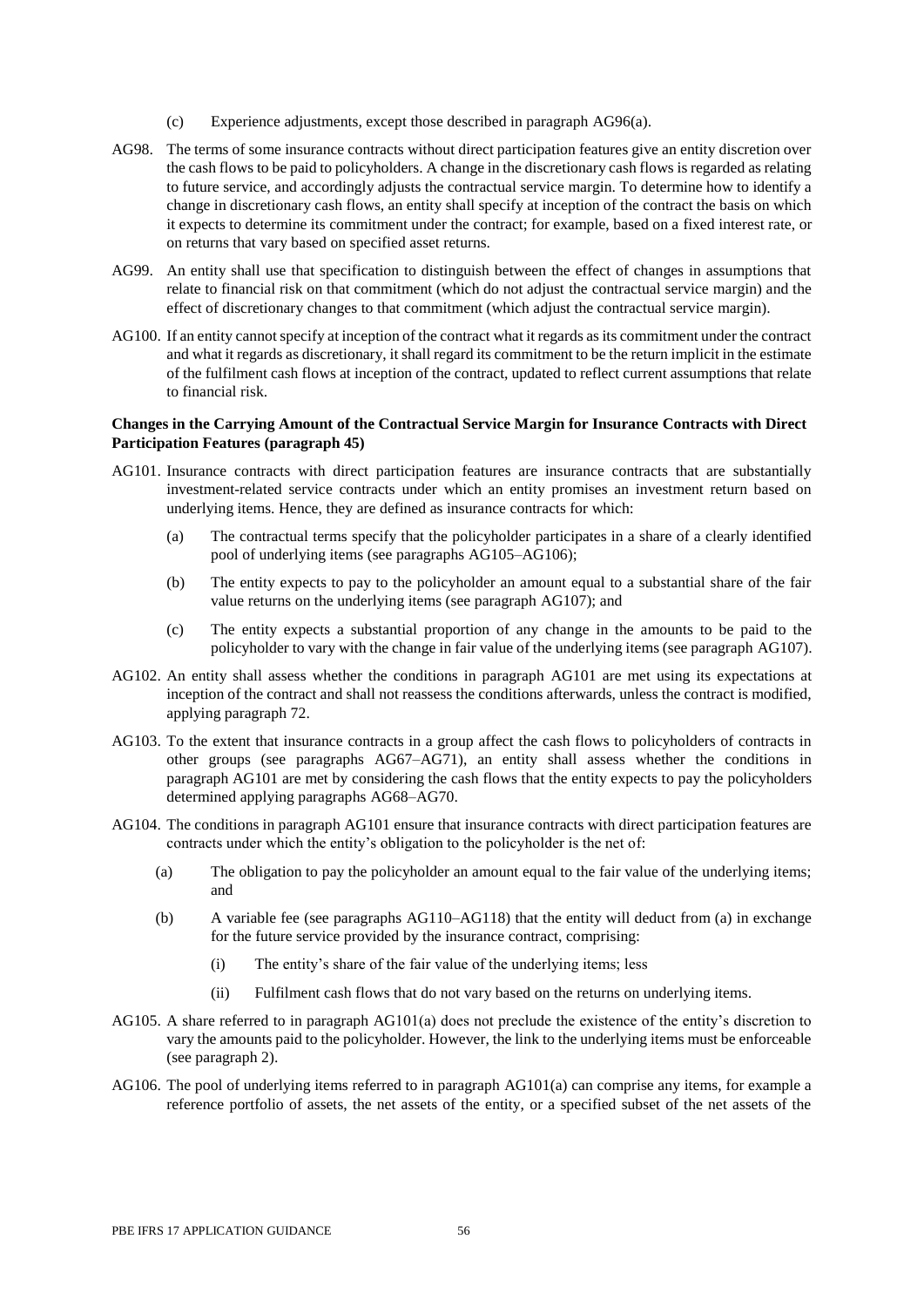- (c) Experience adjustments, except those described in paragraph AG96(a).
- AG98. The terms of some insurance contracts without direct participation features give an entity discretion over the cash flows to be paid to policyholders. A change in the discretionary cash flows is regarded as relating to future service, and accordingly adjusts the contractual service margin. To determine how to identify a change in discretionary cash flows, an entity shall specify at inception of the contract the basis on which it expects to determine its commitment under the contract; for example, based on a fixed interest rate, or on returns that vary based on specified asset returns.
- AG99. An entity shall use that specification to distinguish between the effect of changes in assumptions that relate to financial risk on that commitment (which do not adjust the contractual service margin) and the effect of discretionary changes to that commitment (which adjust the contractual service margin).
- AG100. If an entity cannot specify at inception of the contract what it regards as its commitment under the contract and what it regards as discretionary, it shall regard its commitment to be the return implicit in the estimate of the fulfilment cash flows at inception of the contract, updated to reflect current assumptions that relate to financial risk.

### **Changes in the Carrying Amount of the Contractual Service Margin for Insurance Contracts with Direct Participation Features (paragraph 45)**

- AG101. Insurance contracts with direct participation features are insurance contracts that are substantially investment-related service contracts under which an entity promises an investment return based on underlying items. Hence, they are defined as insurance contracts for which:
	- (a) The contractual terms specify that the policyholder participates in a share of a clearly identified pool of underlying items (see paragraphs AG105–AG106);
	- (b) The entity expects to pay to the policyholder an amount equal to a substantial share of the fair value returns on the underlying items (see paragraph AG107); and
	- (c) The entity expects a substantial proportion of any change in the amounts to be paid to the policyholder to vary with the change in fair value of the underlying items (see paragraph AG107).
- AG102. An entity shall assess whether the conditions in paragraph AG101 are met using its expectations at inception of the contract and shall not reassess the conditions afterwards, unless the contract is modified, applying paragraph 72.
- AG103. To the extent that insurance contracts in a group affect the cash flows to policyholders of contracts in other groups (see paragraphs AG67–AG71), an entity shall assess whether the conditions in paragraph AG101 are met by considering the cash flows that the entity expects to pay the policyholders determined applying paragraphs AG68–AG70.
- AG104. The conditions in paragraph AG101 ensure that insurance contracts with direct participation features are contracts under which the entity's obligation to the policyholder is the net of:
	- (a) The obligation to pay the policyholder an amount equal to the fair value of the underlying items; and
	- (b) A variable fee (see paragraphs AG110–AG118) that the entity will deduct from (a) in exchange for the future service provided by the insurance contract, comprising:
		- (i) The entity's share of the fair value of the underlying items; less
		- (ii) Fulfilment cash flows that do not vary based on the returns on underlying items.
- AG105. A share referred to in paragraph AG101(a) does not preclude the existence of the entity's discretion to vary the amounts paid to the policyholder. However, the link to the underlying items must be enforceable (see paragraph 2).
- AG106. The pool of underlying items referred to in paragraph AG101(a) can comprise any items, for example a reference portfolio of assets, the net assets of the entity, or a specified subset of the net assets of the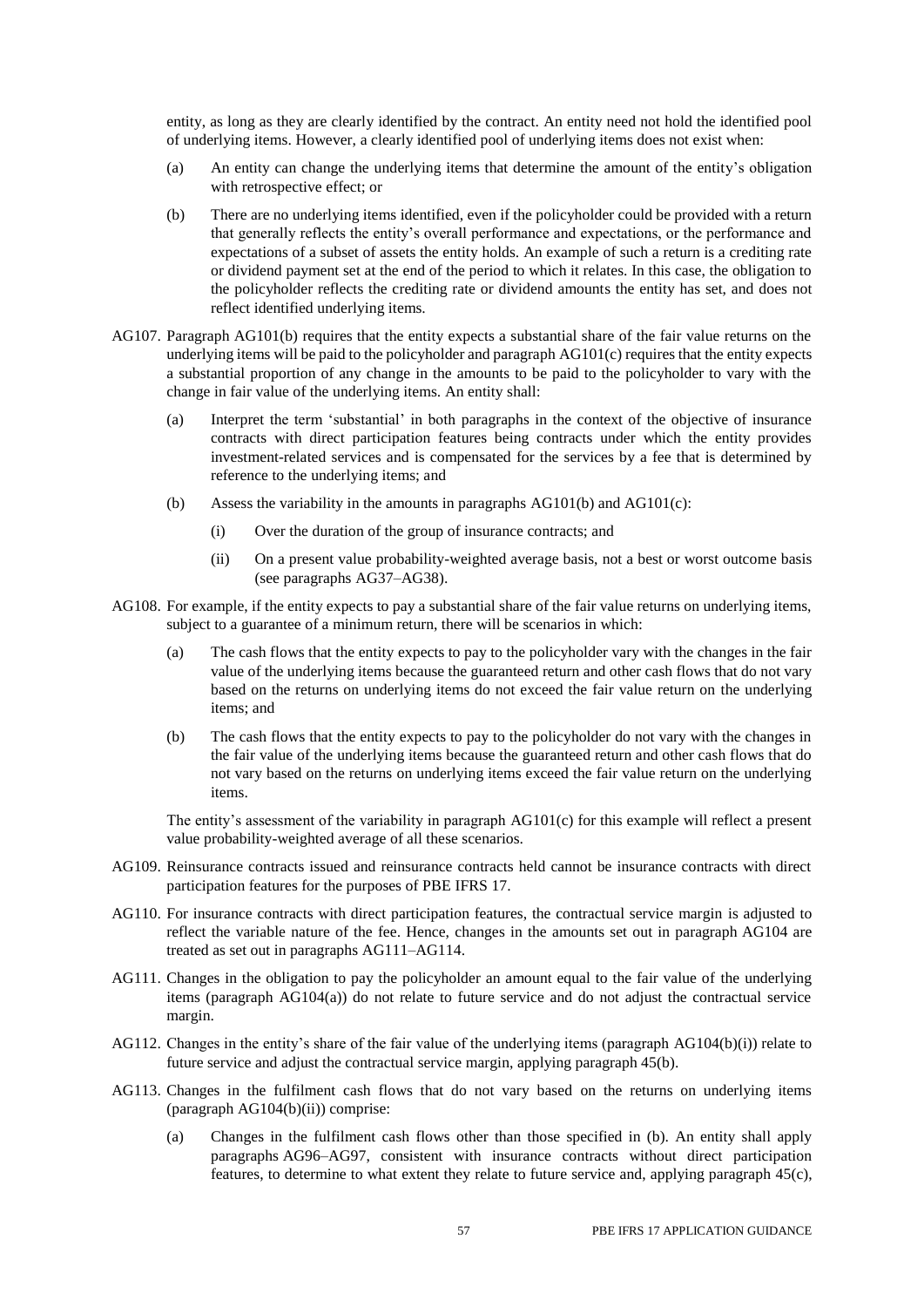entity, as long as they are clearly identified by the contract. An entity need not hold the identified pool of underlying items. However, a clearly identified pool of underlying items does not exist when:

- (a) An entity can change the underlying items that determine the amount of the entity's obligation with retrospective effect; or
- (b) There are no underlying items identified, even if the policyholder could be provided with a return that generally reflects the entity's overall performance and expectations, or the performance and expectations of a subset of assets the entity holds. An example of such a return is a crediting rate or dividend payment set at the end of the period to which it relates. In this case, the obligation to the policyholder reflects the crediting rate or dividend amounts the entity has set, and does not reflect identified underlying items.
- AG107. Paragraph AG101(b) requires that the entity expects a substantial share of the fair value returns on the underlying items will be paid to the policyholder and paragraph AG101(c) requires that the entity expects a substantial proportion of any change in the amounts to be paid to the policyholder to vary with the change in fair value of the underlying items. An entity shall:
	- (a) Interpret the term 'substantial' in both paragraphs in the context of the objective of insurance contracts with direct participation features being contracts under which the entity provides investment-related services and is compensated for the services by a fee that is determined by reference to the underlying items; and
	- (b) Assess the variability in the amounts in paragraphs AG101(b) and AG101(c):
		- (i) Over the duration of the group of insurance contracts; and
		- (ii) On a present value probability-weighted average basis, not a best or worst outcome basis (see paragraphs AG37–AG38).
- AG108. For example, if the entity expects to pay a substantial share of the fair value returns on underlying items, subject to a guarantee of a minimum return, there will be scenarios in which:
	- (a) The cash flows that the entity expects to pay to the policyholder vary with the changes in the fair value of the underlying items because the guaranteed return and other cash flows that do not vary based on the returns on underlying items do not exceed the fair value return on the underlying items; and
	- (b) The cash flows that the entity expects to pay to the policyholder do not vary with the changes in the fair value of the underlying items because the guaranteed return and other cash flows that do not vary based on the returns on underlying items exceed the fair value return on the underlying items.

The entity's assessment of the variability in paragraph AG101(c) for this example will reflect a present value probability-weighted average of all these scenarios.

- AG109. Reinsurance contracts issued and reinsurance contracts held cannot be insurance contracts with direct participation features for the purposes of PBE IFRS 17.
- AG110. For insurance contracts with direct participation features, the contractual service margin is adjusted to reflect the variable nature of the fee. Hence, changes in the amounts set out in paragraph AG104 are treated as set out in paragraphs AG111–AG114.
- AG111. Changes in the obligation to pay the policyholder an amount equal to the fair value of the underlying items (paragraph AG104(a)) do not relate to future service and do not adjust the contractual service margin.
- AG112. Changes in the entity's share of the fair value of the underlying items (paragraph AG104(b)(i)) relate to future service and adjust the contractual service margin, applying paragraph 45(b).
- AG113. Changes in the fulfilment cash flows that do not vary based on the returns on underlying items (paragraph AG104(b)(ii)) comprise:
	- (a) Changes in the fulfilment cash flows other than those specified in (b). An entity shall apply paragraphs AG96–AG97, consistent with insurance contracts without direct participation features, to determine to what extent they relate to future service and, applying paragraph 45(c),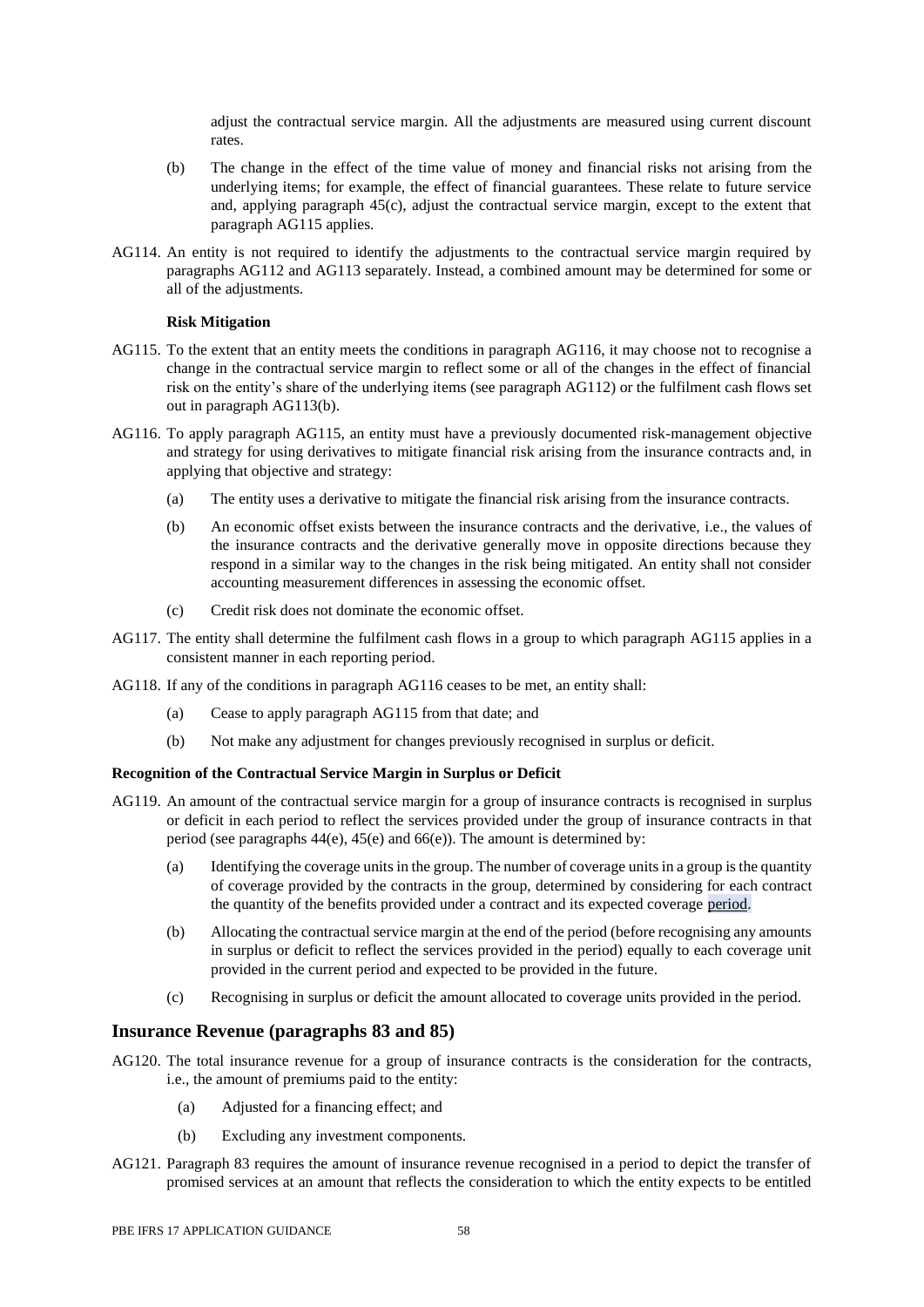adjust the contractual service margin. All the adjustments are measured using current discount rates.

- (b) The change in the effect of the time value of money and financial risks not arising from the underlying items; for example, the effect of financial guarantees. These relate to future service and, applying paragraph 45(c), adjust the contractual service margin, except to the extent that paragraph AG115 applies.
- AG114. An entity is not required to identify the adjustments to the contractual service margin required by paragraphs AG112 and AG113 separately. Instead, a combined amount may be determined for some or all of the adjustments.

#### **Risk Mitigation**

- AG115. To the extent that an entity meets the conditions in paragraph AG116, it may choose not to recognise a change in the contractual service margin to reflect some or all of the changes in the effect of financial risk on the entity's share of the underlying items (see paragraph AG112) or the fulfilment cash flows set out in paragraph AG113(b).
- AG116. To apply paragraph AG115, an entity must have a previously documented risk-management objective and strategy for using derivatives to mitigate financial risk arising from the insurance contracts and, in applying that objective and strategy:
	- (a) The entity uses a derivative to mitigate the financial risk arising from the insurance contracts.
	- (b) An economic offset exists between the insurance contracts and the derivative, i.e., the values of the insurance contracts and the derivative generally move in opposite directions because they respond in a similar way to the changes in the risk being mitigated. An entity shall not consider accounting measurement differences in assessing the economic offset.
	- (c) Credit risk does not dominate the economic offset.
- AG117. The entity shall determine the fulfilment cash flows in a group to which paragraph AG115 applies in a consistent manner in each reporting period.
- AG118. If any of the conditions in paragraph AG116 ceases to be met, an entity shall:
	- (a) Cease to apply paragraph AG115 from that date; and
	- (b) Not make any adjustment for changes previously recognised in surplus or deficit.

#### **Recognition of the Contractual Service Margin in Surplus or Deficit**

- AG119. An amount of the contractual service margin for a group of insurance contracts is recognised in surplus or deficit in each period to reflect the services provided under the group of insurance contracts in that period (see paragraphs 44(e), 45(e) and 66(e)). The amount is determined by:
	- (a) Identifying the coverage units in the group. The number of coverage units in a group is the quantity of coverage provided by the contracts in the group, determined by considering for each contract the quantity of the benefits provided under a contract and its expected coverage period.
	- (b) Allocating the contractual service margin at the end of the period (before recognising any amounts in surplus or deficit to reflect the services provided in the period) equally to each coverage unit provided in the current period and expected to be provided in the future.
	- (c) Recognising in surplus or deficit the amount allocated to coverage units provided in the period.

## **Insurance Revenue (paragraphs 83 and 85)**

- AG120. The total insurance revenue for a group of insurance contracts is the consideration for the contracts, i.e., the amount of premiums paid to the entity:
	- (a) Adjusted for a financing effect; and
	- (b) Excluding any investment components.
- AG121. Paragraph 83 requires the amount of insurance revenue recognised in a period to depict the transfer of promised services at an amount that reflects the consideration to which the entity expects to be entitled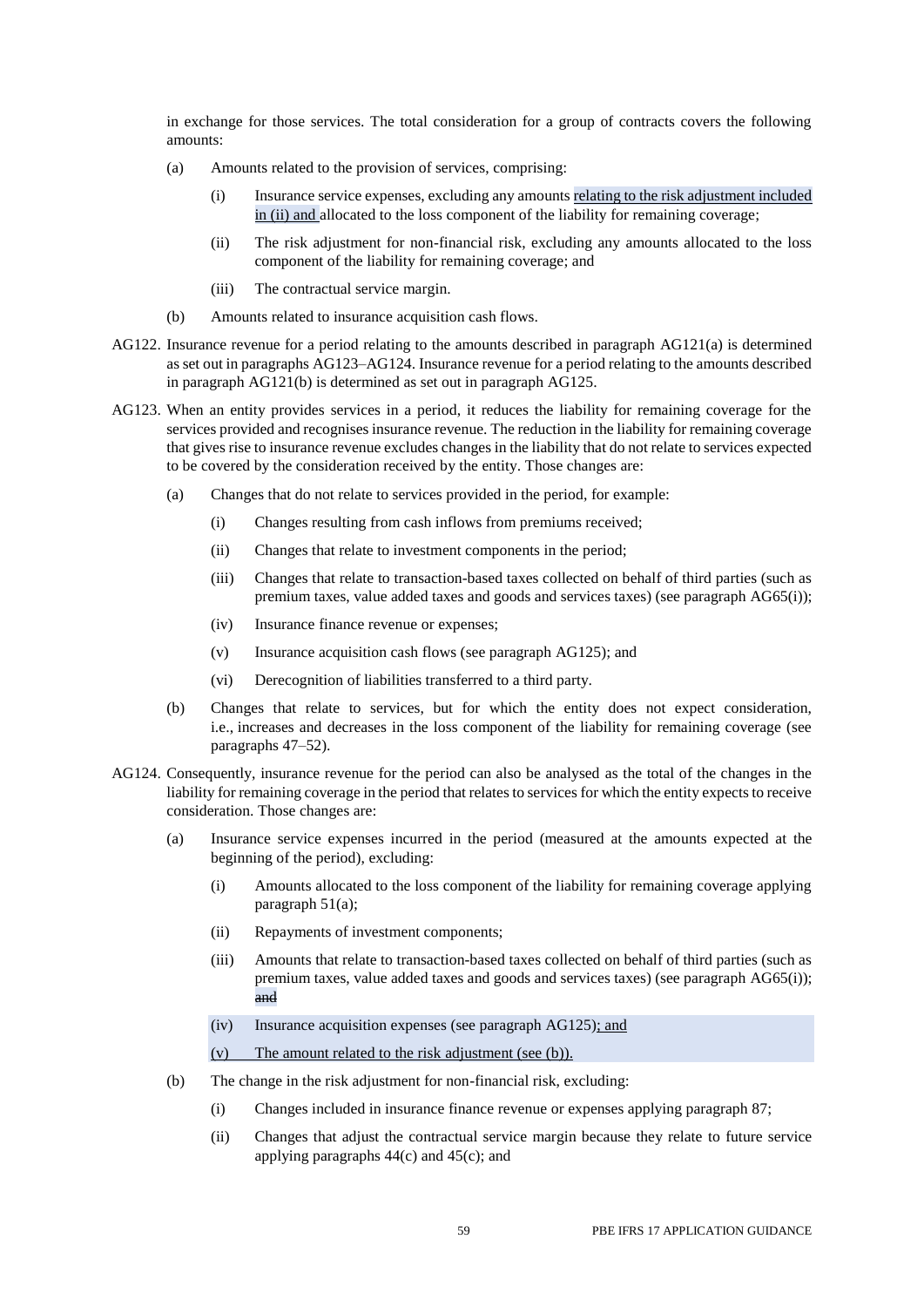in exchange for those services. The total consideration for a group of contracts covers the following amounts:

- (a) Amounts related to the provision of services, comprising:
	- (i) Insurance service expenses, excluding any amounts relating to the risk adjustment included in (ii) and allocated to the loss component of the liability for remaining coverage;
	- (ii) The risk adjustment for non-financial risk, excluding any amounts allocated to the loss component of the liability for remaining coverage; and
	- (iii) The contractual service margin.
- (b) Amounts related to insurance acquisition cash flows.
- AG122. Insurance revenue for a period relating to the amounts described in paragraph AG121(a) is determined as set out in paragraphs AG123–AG124. Insurance revenue for a period relating to the amounts described in paragraph AG121(b) is determined as set out in paragraph AG125.
- AG123. When an entity provides services in a period, it reduces the liability for remaining coverage for the services provided and recognises insurance revenue. The reduction in the liability for remaining coverage that gives rise to insurance revenue excludes changes in the liability that do not relate to services expected to be covered by the consideration received by the entity. Those changes are:
	- (a) Changes that do not relate to services provided in the period, for example:
		- (i) Changes resulting from cash inflows from premiums received;
		- (ii) Changes that relate to investment components in the period;
		- (iii) Changes that relate to transaction-based taxes collected on behalf of third parties (such as premium taxes, value added taxes and goods and services taxes) (see paragraph AG65(i));
		- (iv) Insurance finance revenue or expenses;
		- (v) Insurance acquisition cash flows (see paragraph AG125); and
		- (vi) Derecognition of liabilities transferred to a third party.
	- (b) Changes that relate to services, but for which the entity does not expect consideration, i.e., increases and decreases in the loss component of the liability for remaining coverage (see paragraphs 47–52).
- AG124. Consequently, insurance revenue for the period can also be analysed as the total of the changes in the liability for remaining coverage in the period that relates to services for which the entity expects to receive consideration. Those changes are:
	- (a) Insurance service expenses incurred in the period (measured at the amounts expected at the beginning of the period), excluding:
		- (i) Amounts allocated to the loss component of the liability for remaining coverage applying paragraph 51(a);
		- (ii) Repayments of investment components;
		- (iii) Amounts that relate to transaction-based taxes collected on behalf of third parties (such as premium taxes, value added taxes and goods and services taxes) (see paragraph AG65(i)); and
		- (iv) Insurance acquisition expenses (see paragraph AG125); and
		- (v) The amount related to the risk adjustment (see (b)).
	- (b) The change in the risk adjustment for non-financial risk, excluding:
		- (i) Changes included in insurance finance revenue or expenses applying paragraph 87;
		- (ii) Changes that adjust the contractual service margin because they relate to future service applying paragraphs  $44(c)$  and  $45(c)$ ; and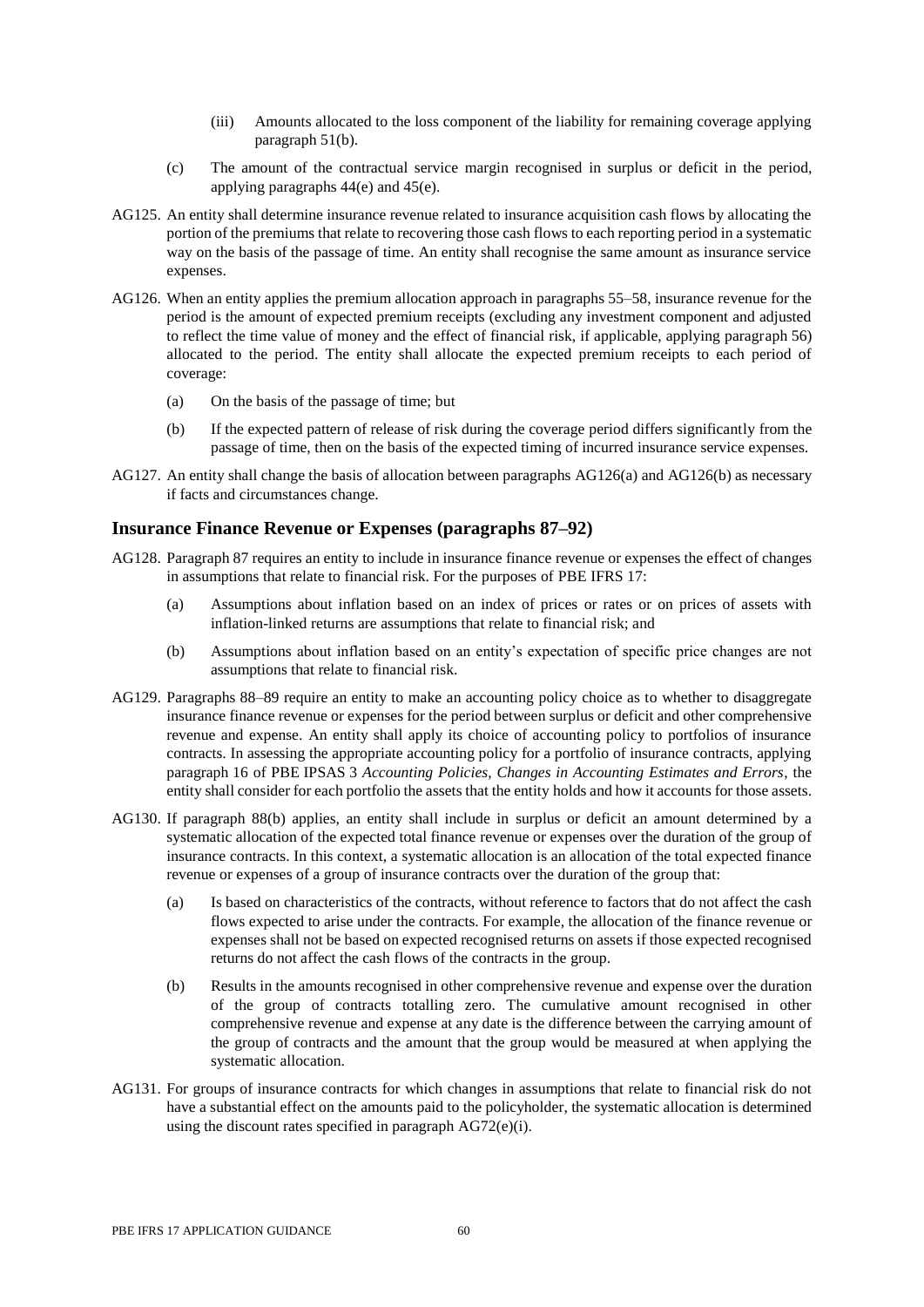- (iii) Amounts allocated to the loss component of the liability for remaining coverage applying paragraph 51(b).
- (c) The amount of the contractual service margin recognised in surplus or deficit in the period, applying paragraphs 44(e) and 45(e).
- AG125. An entity shall determine insurance revenue related to insurance acquisition cash flows by allocating the portion of the premiums that relate to recovering those cash flows to each reporting period in a systematic way on the basis of the passage of time. An entity shall recognise the same amount as insurance service expenses.
- AG126. When an entity applies the premium allocation approach in paragraphs 55–58, insurance revenue for the period is the amount of expected premium receipts (excluding any investment component and adjusted to reflect the time value of money and the effect of financial risk, if applicable, applying paragraph 56) allocated to the period. The entity shall allocate the expected premium receipts to each period of coverage:
	- (a) On the basis of the passage of time; but
	- (b) If the expected pattern of release of risk during the coverage period differs significantly from the passage of time, then on the basis of the expected timing of incurred insurance service expenses.
- AG127. An entity shall change the basis of allocation between paragraphs AG126(a) and AG126(b) as necessary if facts and circumstances change.

### **Insurance Finance Revenue or Expenses (paragraphs 87–92)**

- AG128. Paragraph 87 requires an entity to include in insurance finance revenue or expenses the effect of changes in assumptions that relate to financial risk. For the purposes of PBE IFRS 17:
	- (a) Assumptions about inflation based on an index of prices or rates or on prices of assets with inflation-linked returns are assumptions that relate to financial risk; and
	- (b) Assumptions about inflation based on an entity's expectation of specific price changes are not assumptions that relate to financial risk.
- AG129. Paragraphs 88–89 require an entity to make an accounting policy choice as to whether to disaggregate insurance finance revenue or expenses for the period between surplus or deficit and other comprehensive revenue and expense. An entity shall apply its choice of accounting policy to portfolios of insurance contracts. In assessing the appropriate accounting policy for a portfolio of insurance contracts, applying paragraph 16 of PBE IPSAS 3 *Accounting Policies, Changes in Accounting Estimates and Errors*, the entity shall consider for each portfolio the assets that the entity holds and how it accounts for those assets.
- AG130. If paragraph 88(b) applies, an entity shall include in surplus or deficit an amount determined by a systematic allocation of the expected total finance revenue or expenses over the duration of the group of insurance contracts. In this context, a systematic allocation is an allocation of the total expected finance revenue or expenses of a group of insurance contracts over the duration of the group that:
	- (a) Is based on characteristics of the contracts, without reference to factors that do not affect the cash flows expected to arise under the contracts. For example, the allocation of the finance revenue or expenses shall not be based on expected recognised returns on assets if those expected recognised returns do not affect the cash flows of the contracts in the group.
	- (b) Results in the amounts recognised in other comprehensive revenue and expense over the duration of the group of contracts totalling zero. The cumulative amount recognised in other comprehensive revenue and expense at any date is the difference between the carrying amount of the group of contracts and the amount that the group would be measured at when applying the systematic allocation.
- AG131. For groups of insurance contracts for which changes in assumptions that relate to financial risk do not have a substantial effect on the amounts paid to the policyholder, the systematic allocation is determined using the discount rates specified in paragraph AG72(e)(i).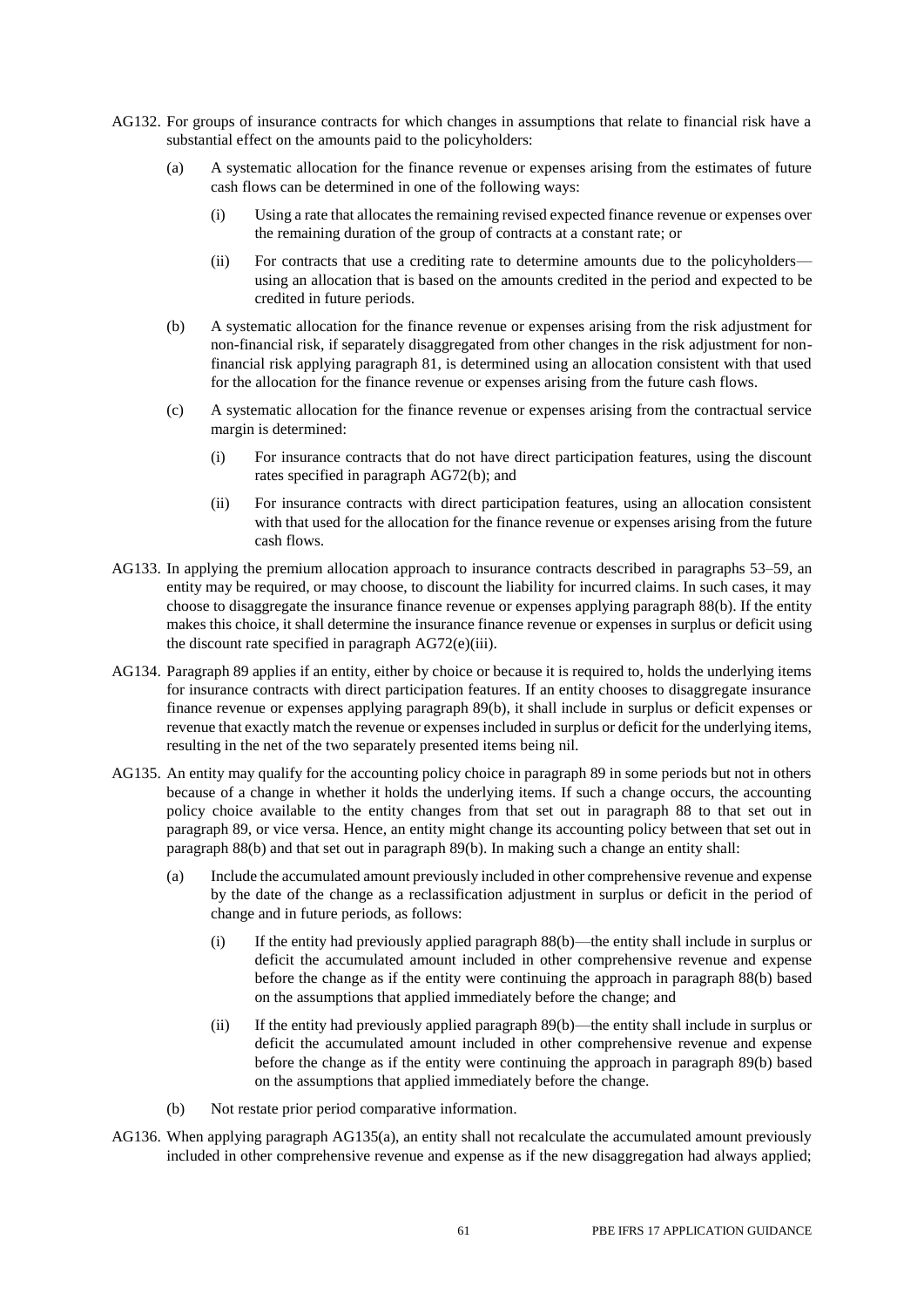- AG132. For groups of insurance contracts for which changes in assumptions that relate to financial risk have a substantial effect on the amounts paid to the policyholders:
	- (a) A systematic allocation for the finance revenue or expenses arising from the estimates of future cash flows can be determined in one of the following ways:
		- (i) Using a rate that allocates the remaining revised expected finance revenue or expenses over the remaining duration of the group of contracts at a constant rate; or
		- (ii) For contracts that use a crediting rate to determine amounts due to the policyholders using an allocation that is based on the amounts credited in the period and expected to be credited in future periods.
	- (b) A systematic allocation for the finance revenue or expenses arising from the risk adjustment for non-financial risk, if separately disaggregated from other changes in the risk adjustment for nonfinancial risk applying paragraph 81, is determined using an allocation consistent with that used for the allocation for the finance revenue or expenses arising from the future cash flows.
	- (c) A systematic allocation for the finance revenue or expenses arising from the contractual service margin is determined:
		- (i) For insurance contracts that do not have direct participation features, using the discount rates specified in paragraph AG72(b); and
		- (ii) For insurance contracts with direct participation features, using an allocation consistent with that used for the allocation for the finance revenue or expenses arising from the future cash flows.
- AG133. In applying the premium allocation approach to insurance contracts described in paragraphs 53–59, an entity may be required, or may choose, to discount the liability for incurred claims. In such cases, it may choose to disaggregate the insurance finance revenue or expenses applying paragraph 88(b). If the entity makes this choice, it shall determine the insurance finance revenue or expenses in surplus or deficit using the discount rate specified in paragraph  $AG72(e)(iii)$ .
- AG134. Paragraph 89 applies if an entity, either by choice or because it is required to, holds the underlying items for insurance contracts with direct participation features. If an entity chooses to disaggregate insurance finance revenue or expenses applying paragraph 89(b), it shall include in surplus or deficit expenses or revenue that exactly match the revenue or expenses included in surplus or deficit for the underlying items, resulting in the net of the two separately presented items being nil.
- AG135. An entity may qualify for the accounting policy choice in paragraph 89 in some periods but not in others because of a change in whether it holds the underlying items. If such a change occurs, the accounting policy choice available to the entity changes from that set out in paragraph 88 to that set out in paragraph 89, or vice versa. Hence, an entity might change its accounting policy between that set out in paragraph 88(b) and that set out in paragraph 89(b). In making such a change an entity shall:
	- (a) Include the accumulated amount previously included in other comprehensive revenue and expense by the date of the change as a reclassification adjustment in surplus or deficit in the period of change and in future periods, as follows:
		- (i) If the entity had previously applied paragraph 88(b)—the entity shall include in surplus or deficit the accumulated amount included in other comprehensive revenue and expense before the change as if the entity were continuing the approach in paragraph 88(b) based on the assumptions that applied immediately before the change; and
		- (ii) If the entity had previously applied paragraph 89(b)—the entity shall include in surplus or deficit the accumulated amount included in other comprehensive revenue and expense before the change as if the entity were continuing the approach in paragraph 89(b) based on the assumptions that applied immediately before the change.
	- (b) Not restate prior period comparative information.
- AG136. When applying paragraph AG135(a), an entity shall not recalculate the accumulated amount previously included in other comprehensive revenue and expense as if the new disaggregation had always applied;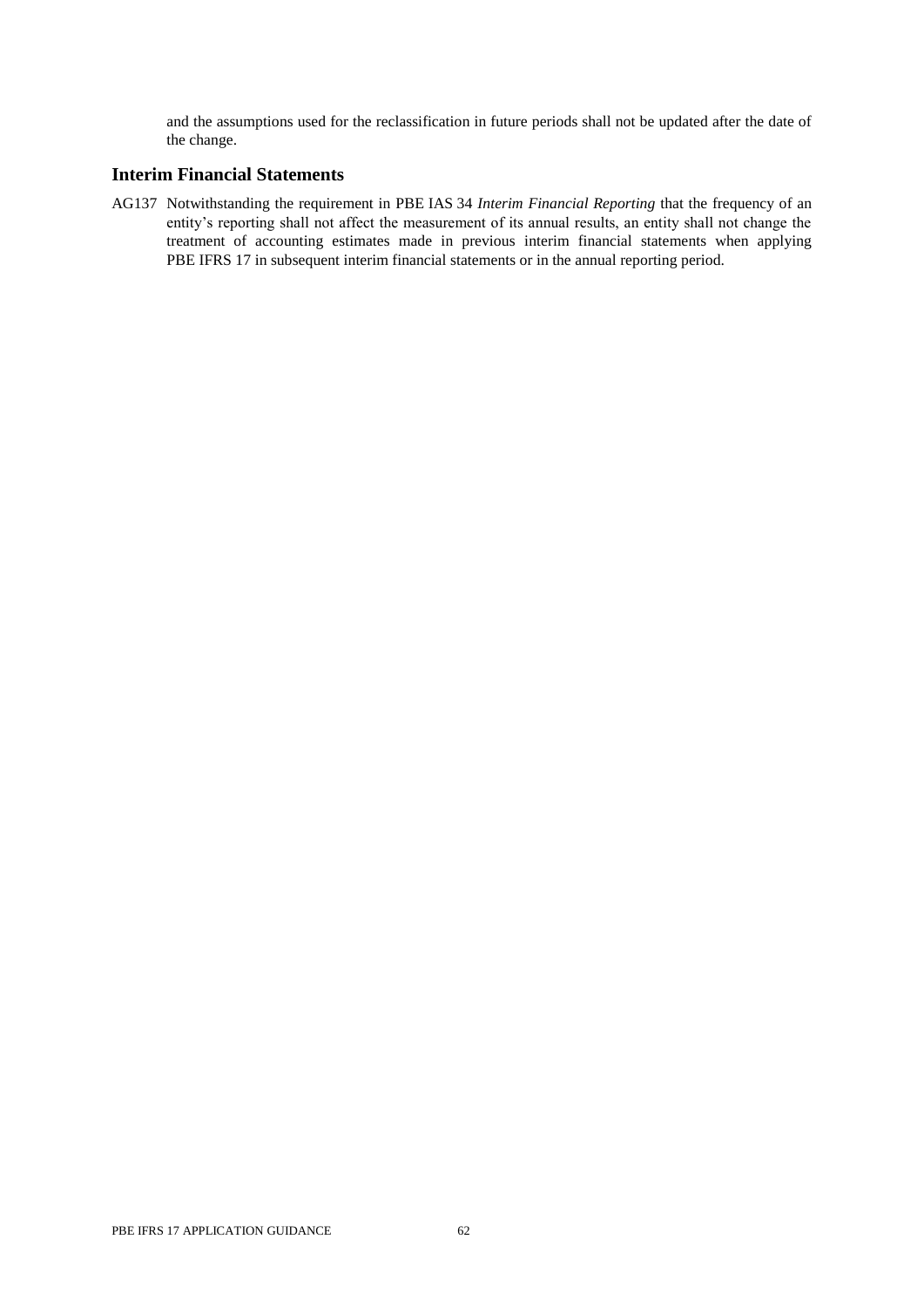and the assumptions used for the reclassification in future periods shall not be updated after the date of the change.

## **Interim Financial Statements**

AG137 Notwithstanding the requirement in PBE IAS 34 *Interim Financial Reporting* that the frequency of an entity's reporting shall not affect the measurement of its annual results, an entity shall not change the treatment of accounting estimates made in previous interim financial statements when applying PBE IFRS 17 in subsequent interim financial statements or in the annual reporting period.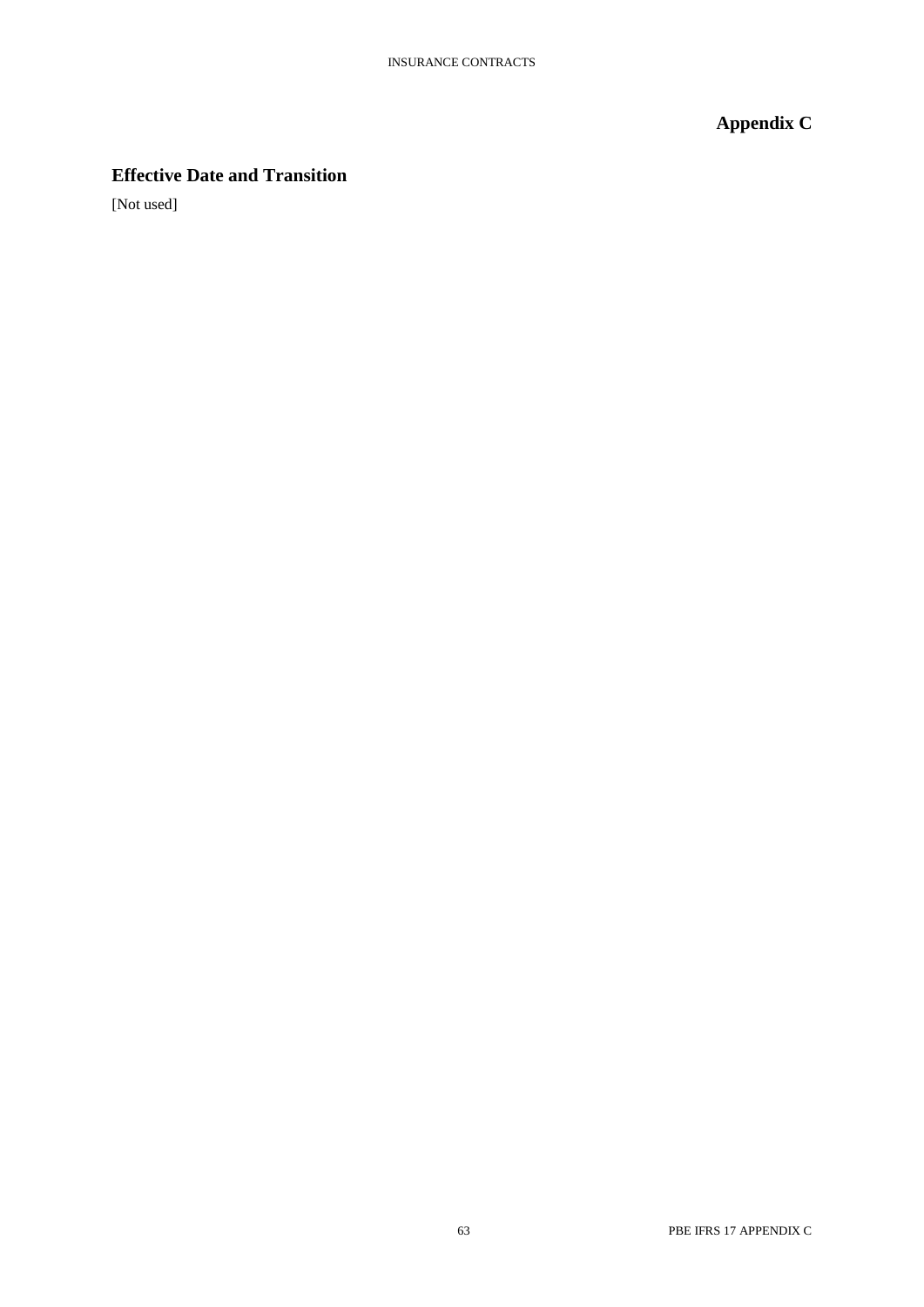**Appendix C**

# **Effective Date and Transition**

[Not used]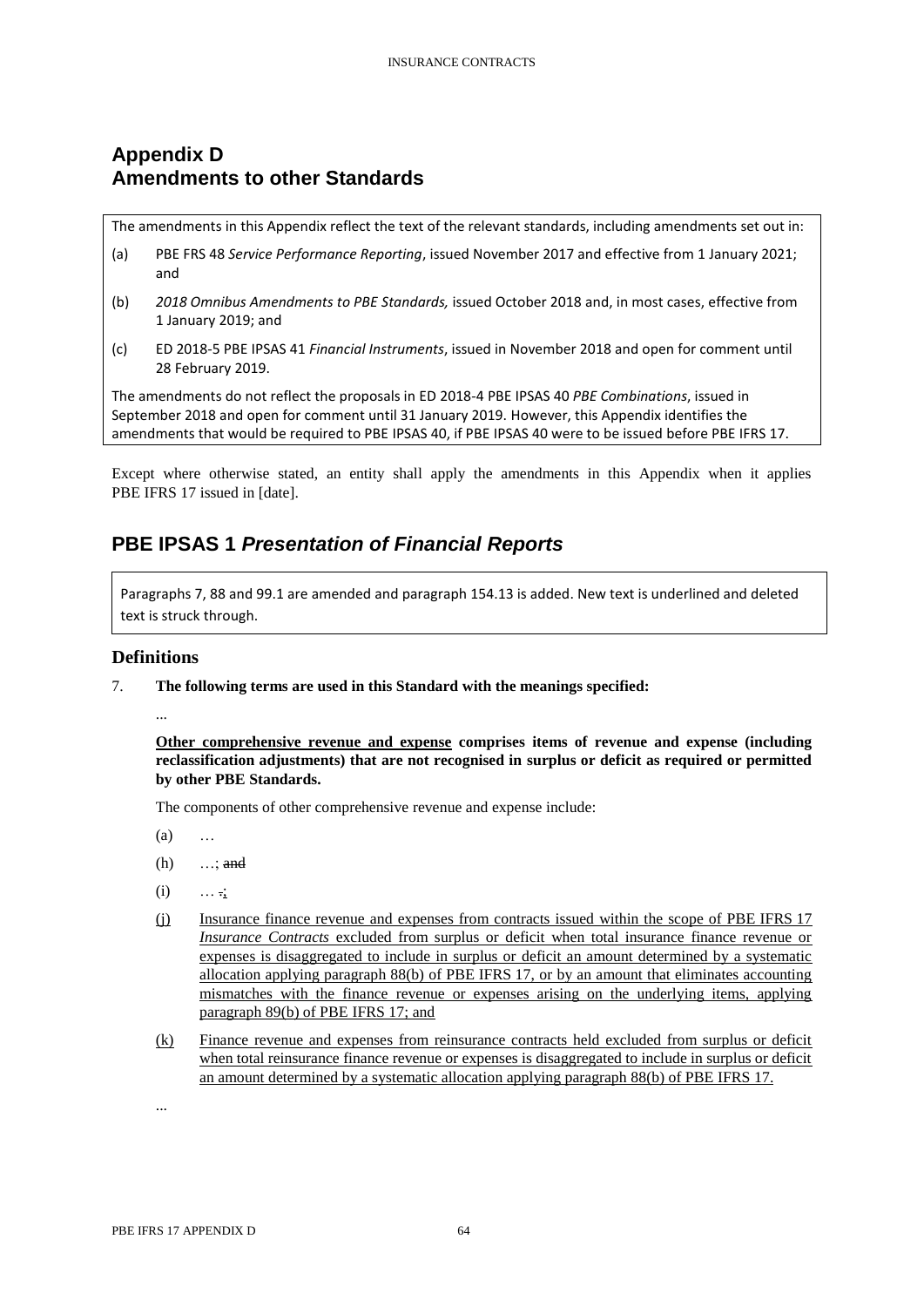# **Appendix D Amendments to other Standards**

The amendments in this Appendix reflect the text of the relevant standards, including amendments set out in:

- (a) PBE FRS 48 *Service Performance Reporting*, issued November 2017 and effective from 1 January 2021; and
- (b) *2018 Omnibus Amendments to PBE Standards,* issued October 2018 and, in most cases, effective from 1 January 2019; and
- (c) ED 2018-5 PBE IPSAS 41 *Financial Instruments*, issued in November 2018 and open for comment until 28 February 2019.

The amendments do not reflect the proposals in ED 2018-4 PBE IPSAS 40 *PBE Combinations*, issued in September 2018 and open for comment until 31 January 2019. However, this Appendix identifies the amendments that would be required to PBE IPSAS 40, if PBE IPSAS 40 were to be issued before PBE IFRS 17.

Except where otherwise stated, an entity shall apply the amendments in this Appendix when it applies PBE IFRS 17 issued in [date].

# **PBE IPSAS 1** *Presentation of Financial Reports*

Paragraphs 7, 88 and 99.1 are amended and paragraph 154.13 is added. New text is underlined and deleted text is struck through.

## **Definitions**

7. **The following terms are used in this Standard with the meanings specified:**

...

**Other comprehensive revenue and expense comprises items of revenue and expense (including reclassification adjustments) that are not recognised in surplus or deficit as required or permitted by other PBE Standards.**

The components of other comprehensive revenue and expense include:

- (a) …
- (h) …; and
- $(i)$  … .:
- (j) Insurance finance revenue and expenses from contracts issued within the scope of PBE IFRS 17 *Insurance Contracts* excluded from surplus or deficit when total insurance finance revenue or expenses is disaggregated to include in surplus or deficit an amount determined by a systematic allocation applying paragraph 88(b) of PBE IFRS 17, or by an amount that eliminates accounting mismatches with the finance revenue or expenses arising on the underlying items, applying paragraph 89(b) of PBE IFRS 17; and
- (k) Finance revenue and expenses from reinsurance contracts held excluded from surplus or deficit when total reinsurance finance revenue or expenses is disaggregated to include in surplus or deficit an amount determined by a systematic allocation applying paragraph 88(b) of PBE IFRS 17.

...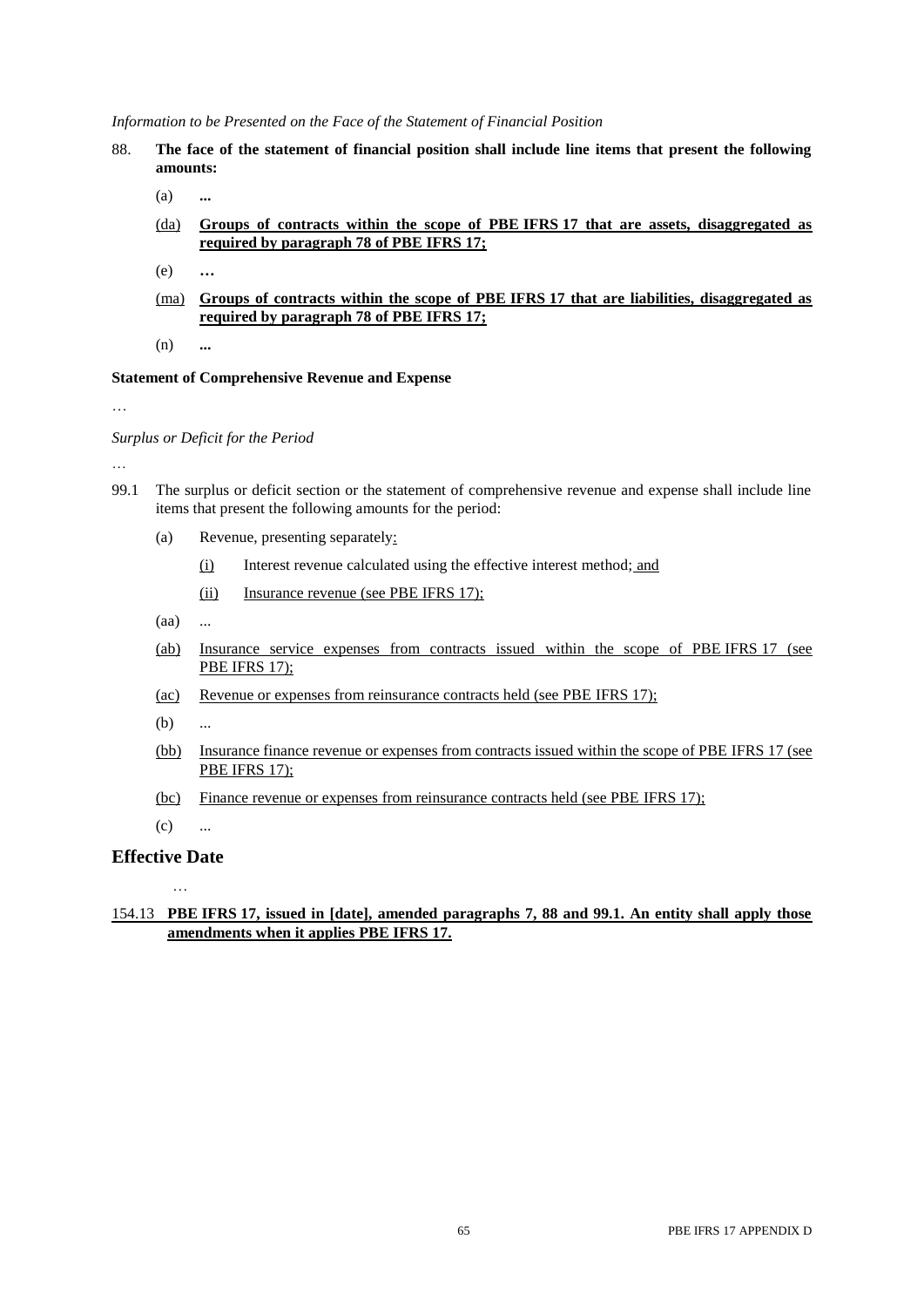*Information to be Presented on the Face of the Statement of Financial Position*

- 88. **The face of the statement of financial position shall include line items that present the following amounts:**
	- (a) **...**
	- (da) **Groups of contracts within the scope of PBE IFRS 17 that are assets, disaggregated as required by paragraph 78 of PBE IFRS 17;**
	- (e) **…**
	- (ma) **Groups of contracts within the scope of PBE IFRS 17 that are liabilities, disaggregated as required by paragraph 78 of PBE IFRS 17;**
	- (n) **...**

**Statement of Comprehensive Revenue and Expense**

…

#### *Surplus or Deficit for the Period*

…

- 99.1 The surplus or deficit section or the statement of comprehensive revenue and expense shall include line items that present the following amounts for the period:
	- (a) Revenue, presenting separately:
		- (i) Interest revenue calculated using the effective interest method; and
		- (ii) Insurance revenue (see PBE IFRS 17);
	- (aa) ...
	- (ab) Insurance service expenses from contracts issued within the scope of PBE IFRS 17 (see PBE IFRS 17);
	- (ac) Revenue or expenses from reinsurance contracts held (see PBE IFRS 17);
	- $(b)$  ...
	- (bb) Insurance finance revenue or expenses from contracts issued within the scope of PBE IFRS 17 (see PBE IFRS 17);
	- (bc) Finance revenue or expenses from reinsurance contracts held (see PBE IFRS 17);
	- $(c)$  ...

…

## **Effective Date**

154.13 **PBE IFRS 17, issued in [date], amended paragraphs 7, 88 and 99.1. An entity shall apply those amendments when it applies PBE IFRS 17.**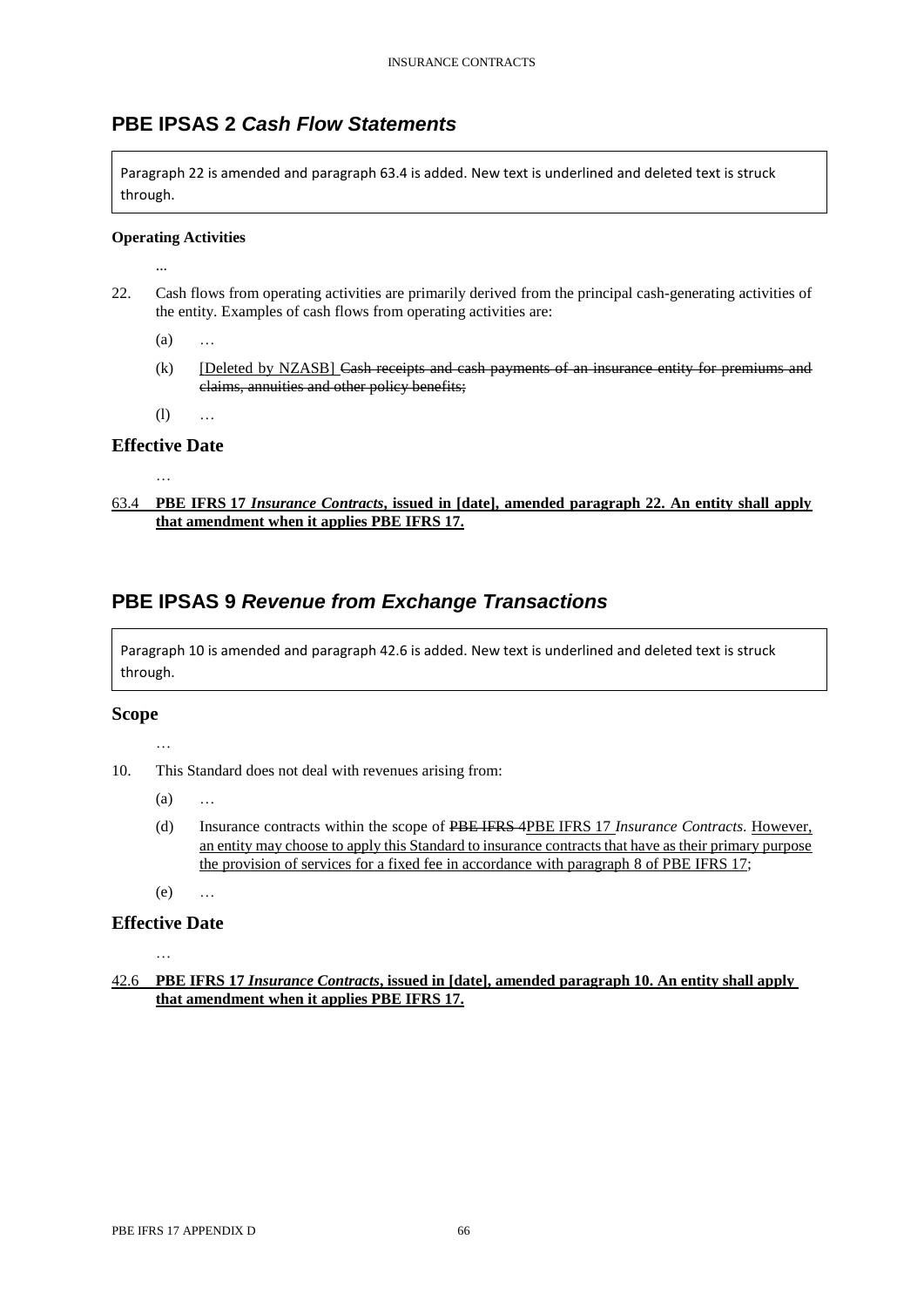## **PBE IPSAS 2** *Cash Flow Statements*

Paragraph 22 is amended and paragraph 63.4 is added. New text is underlined and deleted text is struck through.

#### **Operating Activities**

...

- 22. Cash flows from operating activities are primarily derived from the principal cash-generating activities of the entity. Examples of cash flows from operating activities are:
	- $(a)$
	- (k) [Deleted by NZASB] Cash receipts and cash payments of an insurance entity for premiums and claims, annuities and other policy benefits;
	- (l) …

## **Effective Date**

…

63.4 **PBE IFRS 17** *Insurance Contracts***, issued in [date], amended paragraph 22. An entity shall apply that amendment when it applies PBE IFRS 17.**

## **PBE IPSAS 9** *Revenue from Exchange Transactions*

Paragraph 10 is amended and paragraph 42.6 is added. New text is underlined and deleted text is struck through.

### **Scope**

…

- 10. This Standard does not deal with revenues arising from:
	- (a) …
	- (d) Insurance contracts within the scope of PBE IFRS 4PBE IFRS 17 *Insurance Contracts*. However, an entity may choose to apply this Standard to insurance contracts that have as their primary purpose the provision of services for a fixed fee in accordance with paragraph 8 of PBE IFRS 17;
	- (e) …

### **Effective Date**

…

42.6 **PBE IFRS 17** *Insurance Contracts***, issued in [date], amended paragraph 10. An entity shall apply that amendment when it applies PBE IFRS 17.**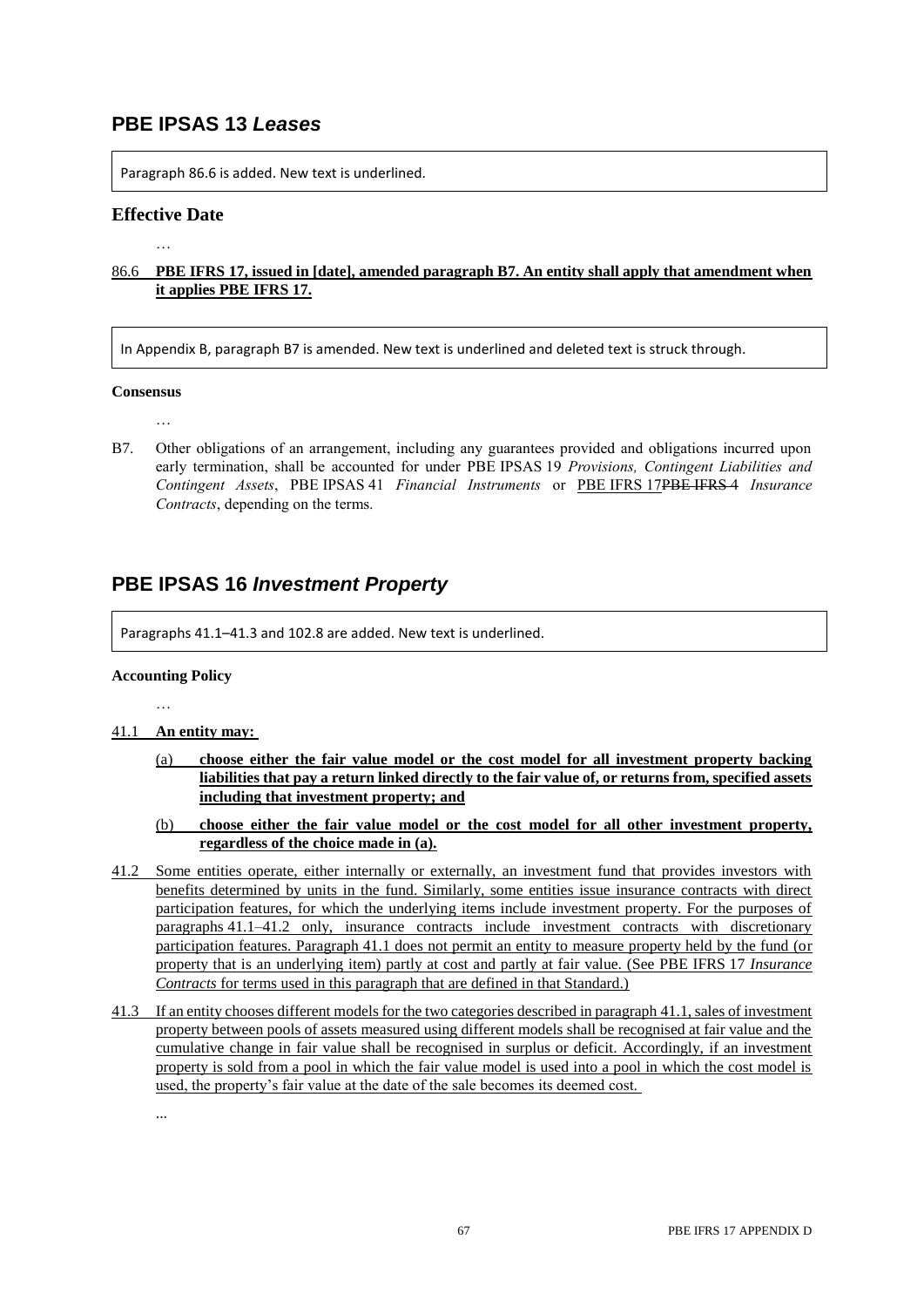# **PBE IPSAS 13** *Leases*

Paragraph 86.6 is added. New text is underlined.

## **Effective Date**

…

## 86.6 **PBE IFRS 17, issued in [date], amended paragraph B7. An entity shall apply that amendment when it applies PBE IFRS 17.**

In Appendix B, paragraph B7 is amended. New text is underlined and deleted text is struck through.

#### **Consensus**

…

B7. Other obligations of an arrangement, including any guarantees provided and obligations incurred upon early termination, shall be accounted for under PBE IPSAS 19 *Provisions, Contingent Liabilities and Contingent Assets*, PBE IPSAS 41 *Financial Instruments* or PBE IFRS 17PBE IFRS 4 *Insurance Contracts*, depending on the terms.

## **PBE IPSAS 16** *Investment Property*

Paragraphs 41.1–41.3 and 102.8 are added. New text is underlined.

### **Accounting Policy**

…

### 41.1 **An entity may:**

- (a) **choose either the fair value model or the cost model for all investment property backing liabilities that pay a return linked directly to the fair value of, or returns from, specified assets including that investment property; and**
- (b) **choose either the fair value model or the cost model for all other investment property, regardless of the choice made in (a).**
- 41.2 Some entities operate, either internally or externally, an investment fund that provides investors with benefits determined by units in the fund. Similarly, some entities issue insurance contracts with direct participation features, for which the underlying items include investment property. For the purposes of paragraphs 41.1–41.2 only, insurance contracts include investment contracts with discretionary participation features. Paragraph 41.1 does not permit an entity to measure property held by the fund (or property that is an underlying item) partly at cost and partly at fair value. (See PBE IFRS 17 *Insurance Contracts* for terms used in this paragraph that are defined in that Standard.)
- 41.3 If an entity chooses different models for the two categories described in paragraph 41.1, sales of investment property between pools of assets measured using different models shall be recognised at fair value and the cumulative change in fair value shall be recognised in surplus or deficit. Accordingly, if an investment property is sold from a pool in which the fair value model is used into a pool in which the cost model is used, the property's fair value at the date of the sale becomes its deemed cost.

...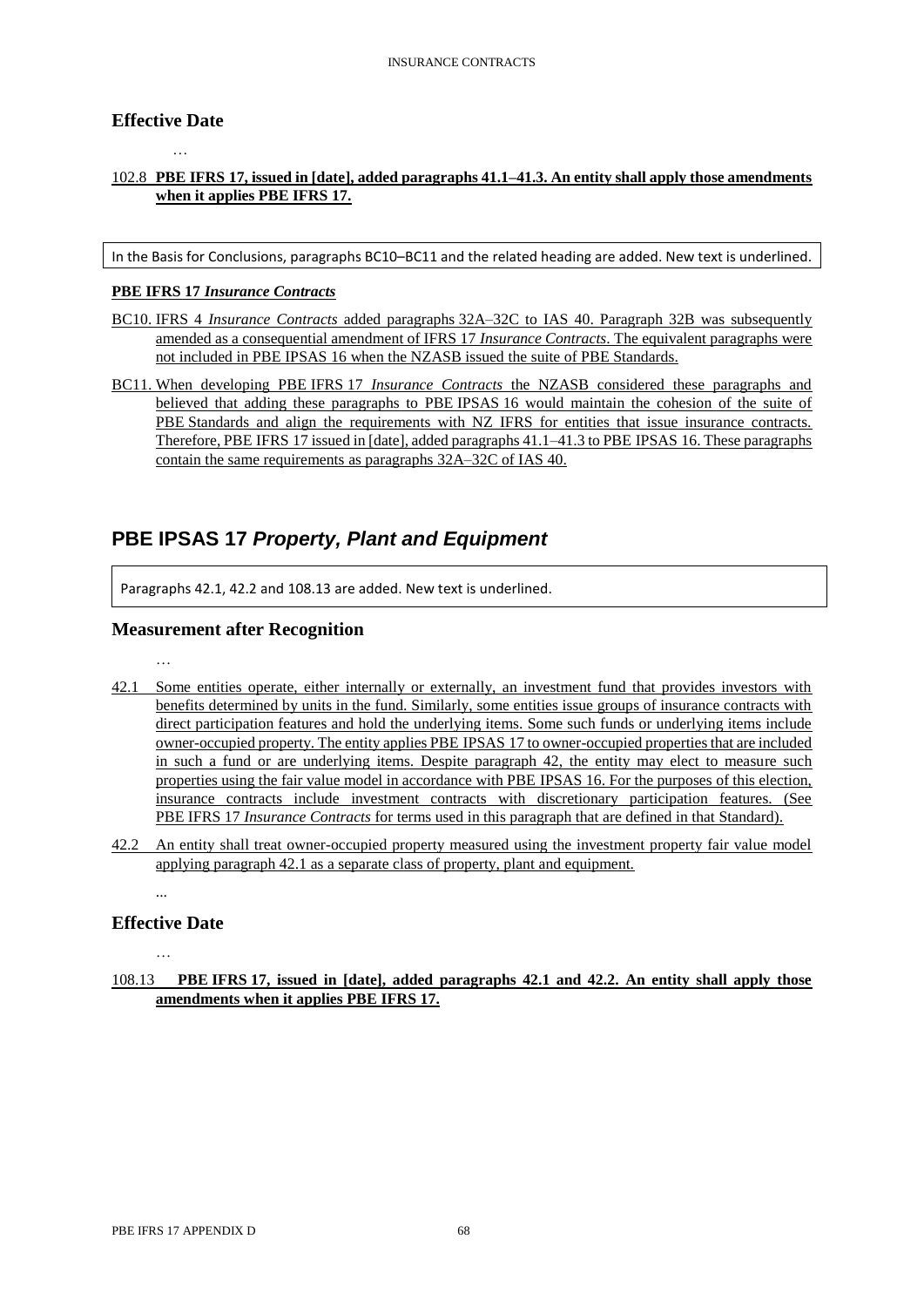## **Effective Date**

…

## 102.8 **PBE IFRS 17, issued in [date], added paragraphs 41.1–41.3. An entity shall apply those amendments when it applies PBE IFRS 17.**

In the Basis for Conclusions, paragraphs BC10–BC11 and the related heading are added. New text is underlined.

### **PBE IFRS 17** *Insurance Contracts*

- BC10. IFRS 4 *Insurance Contracts* added paragraphs 32A–32C to IAS 40. Paragraph 32B was subsequently amended as a consequential amendment of IFRS 17 *Insurance Contracts*. The equivalent paragraphs were not included in PBE IPSAS 16 when the NZASB issued the suite of PBE Standards.
- BC11. When developing PBE IFRS 17 *Insurance Contracts* the NZASB considered these paragraphs and believed that adding these paragraphs to PBE IPSAS 16 would maintain the cohesion of the suite of PBE Standards and align the requirements with NZ IFRS for entities that issue insurance contracts. Therefore, PBE IFRS 17 issued in [date], added paragraphs 41.1–41.3 to PBE IPSAS 16. These paragraphs contain the same requirements as paragraphs 32A–32C of IAS 40.

# **PBE IPSAS 17** *Property, Plant and Equipment*

Paragraphs 42.1, 42.2 and 108.13 are added. New text is underlined.

## **Measurement after Recognition**

…

- 42.1 Some entities operate, either internally or externally, an investment fund that provides investors with benefits determined by units in the fund. Similarly, some entities issue groups of insurance contracts with direct participation features and hold the underlying items. Some such funds or underlying items include owner-occupied property. The entity applies PBE IPSAS 17 to owner-occupied properties that are included in such a fund or are underlying items. Despite paragraph 42, the entity may elect to measure such properties using the fair value model in accordance with PBE IPSAS 16. For the purposes of this election, insurance contracts include investment contracts with discretionary participation features. (See PBE IFRS 17 *Insurance Contracts* for terms used in this paragraph that are defined in that Standard).
- 42.2 An entity shall treat owner-occupied property measured using the investment property fair value model applying paragraph 42.1 as a separate class of property, plant and equipment.

## ...

# **Effective Date** …

108.13 **PBE IFRS 17, issued in [date], added paragraphs 42.1 and 42.2. An entity shall apply those amendments when it applies PBE IFRS 17.**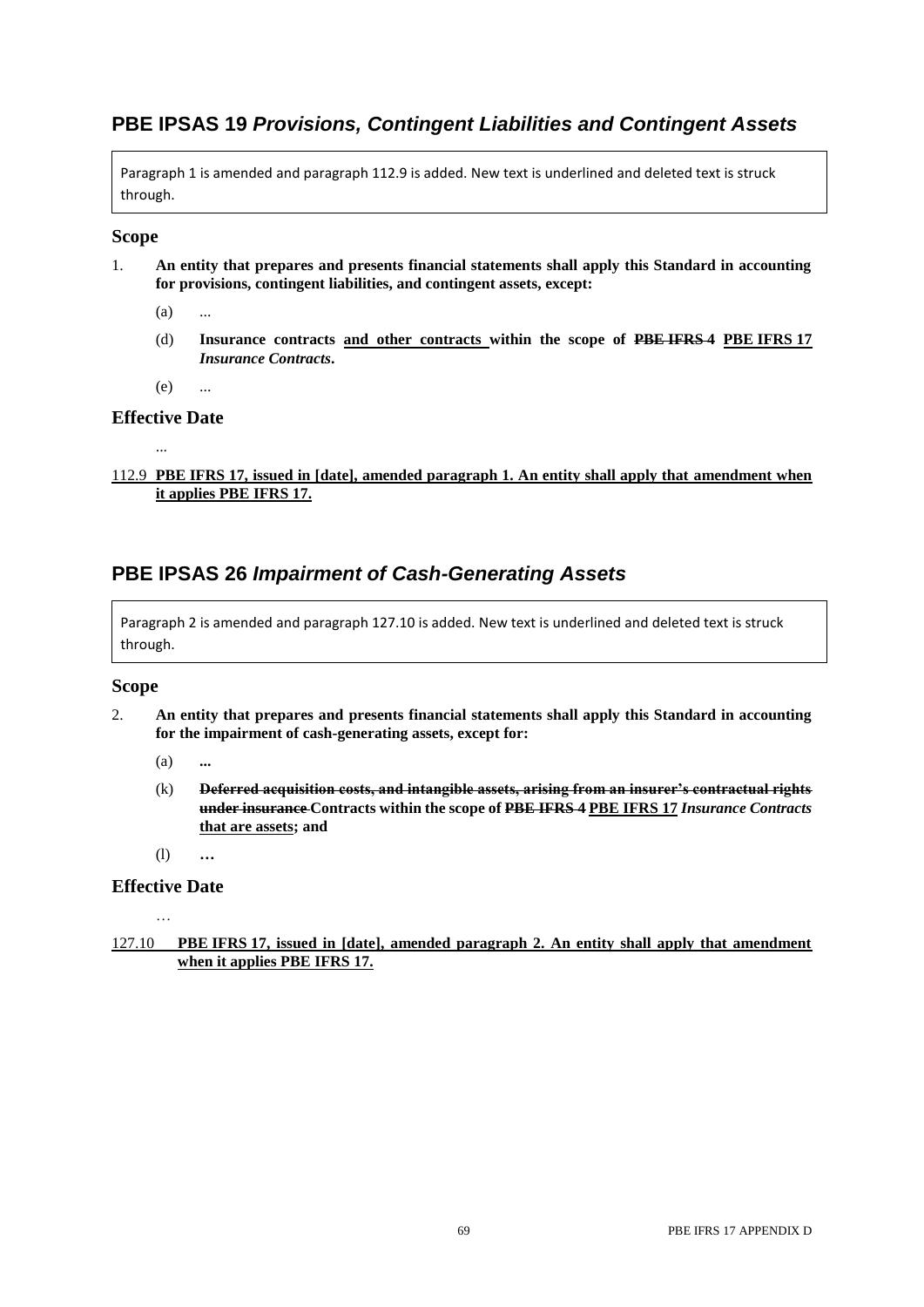# **PBE IPSAS 19** *Provisions, Contingent Liabilities and Contingent Assets*

Paragraph 1 is amended and paragraph 112.9 is added. New text is underlined and deleted text is struck through.

## **Scope**

- 1. **An entity that prepares and presents financial statements shall apply this Standard in accounting for provisions, contingent liabilities, and contingent assets, except:**
	- $(a)$
	- (d) **Insurance contracts and other contracts within the scope of PBE IFRS 4 PBE IFRS 17** *Insurance Contracts***.**
	- (e) ...

## **Effective Date**

...

112.9 **PBE IFRS 17, issued in [date], amended paragraph 1. An entity shall apply that amendment when it applies PBE IFRS 17.**

## **PBE IPSAS 26** *Impairment of Cash-Generating Assets*

Paragraph 2 is amended and paragraph 127.10 is added. New text is underlined and deleted text is struck through.

## **Scope**

- 2. **An entity that prepares and presents financial statements shall apply this Standard in accounting for the impairment of cash-generating assets, except for:**
	- (a) **...**
	- (k) **Deferred acquisition costs, and intangible assets, arising from an insurer's contractual rights under insurance Contracts within the scope of PBE IFRS 4 PBE IFRS 17** *Insurance Contracts* **that are assets; and**
	- (l) **…**

## **Effective Date**

…

127.10 **PBE IFRS 17, issued in [date], amended paragraph 2. An entity shall apply that amendment when it applies PBE IFRS 17.**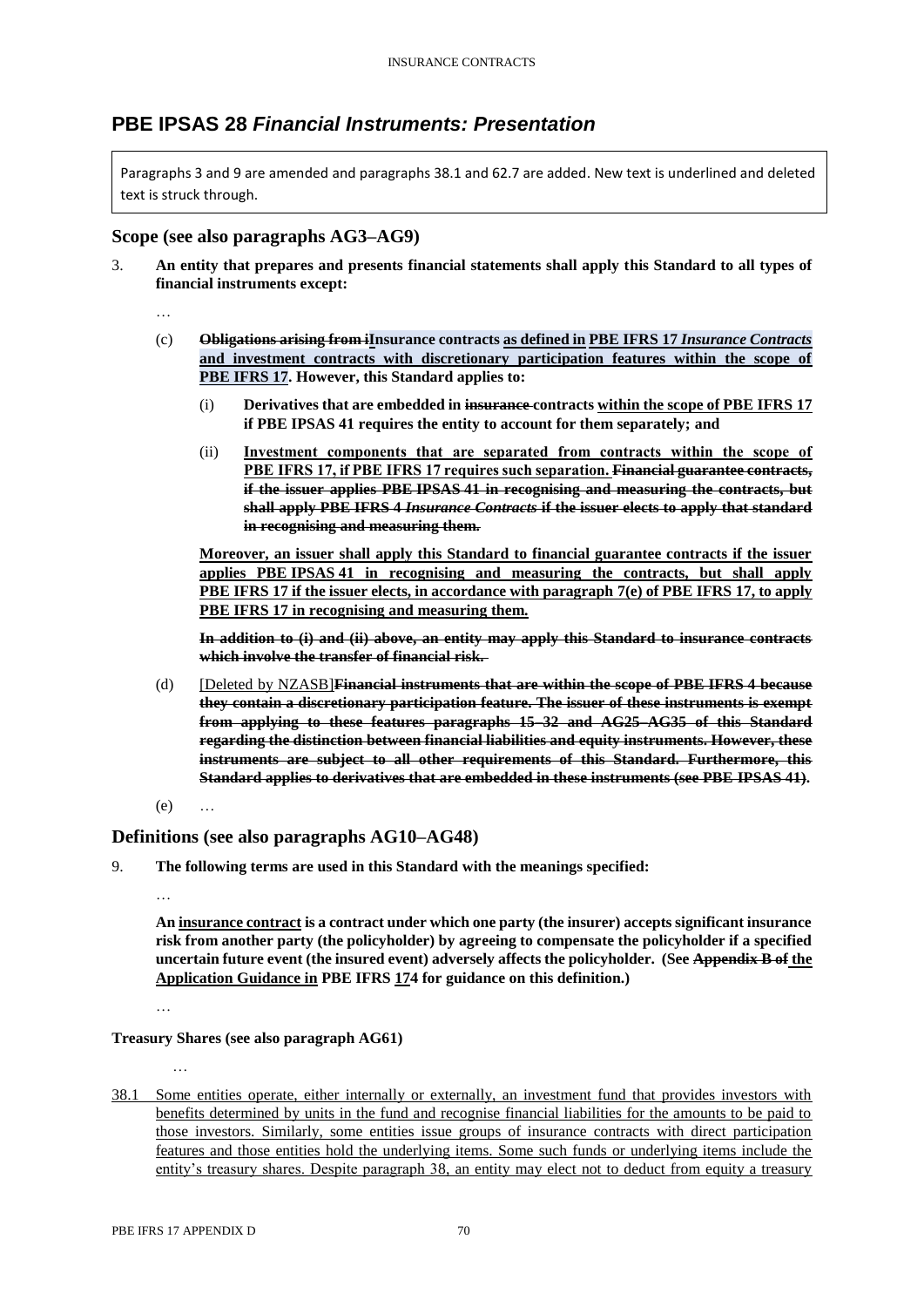## **PBE IPSAS 28** *Financial Instruments: Presentation*

Paragraphs 3 and 9 are amended and paragraphs 38.1 and 62.7 are added. New text is underlined and deleted text is struck through.

## **Scope (see also paragraphs AG3–AG9)**

3. **An entity that prepares and presents financial statements shall apply this Standard to all types of financial instruments except:**

…

- (c) **Obligations arising from iInsurance contracts as defined in PBE IFRS 17** *Insurance Contracts* **and investment contracts with discretionary participation features within the scope of PBE IFRS 17. However, this Standard applies to:** 
	- (i) **Derivatives that are embedded in insurance contracts within the scope of PBE IFRS 17 if PBE IPSAS 41 requires the entity to account for them separately; and**
	- (ii) **Investment components that are separated from contracts within the scope of PBE IFRS 17, if PBE IFRS 17 requires such separation. Financial guarantee contracts, if the issuer applies PBE IPSAS 41 in recognising and measuring the contracts, but shall apply PBE IFRS 4** *Insurance Contracts* **if the issuer elects to apply that standard in recognising and measuring them.**

**Moreover, an issuer shall apply this Standard to financial guarantee contracts if the issuer applies PBE IPSAS 41 in recognising and measuring the contracts, but shall apply PBE IFRS 17 if the issuer elects, in accordance with paragraph 7(e) of PBE IFRS 17, to apply PBE IFRS 17 in recognising and measuring them.**

**In addition to (i) and (ii) above, an entity may apply this Standard to insurance contracts which involve the transfer of financial risk.** 

- (d) [Deleted by NZASB]**Financial instruments that are within the scope of PBE IFRS 4 because they contain a discretionary participation feature. The issuer of these instruments is exempt from applying to these features paragraphs 15–32 and AG25–AG35 of this Standard regarding the distinction between financial liabilities and equity instruments. However, these instruments are subject to all other requirements of this Standard. Furthermore, this Standard applies to derivatives that are embedded in these instruments (see PBE IPSAS 41).**
- (e) …

## **Definitions (see also paragraphs AG10–AG48)**

9. **The following terms are used in this Standard with the meanings specified:**

…

**An insurance contract is a contract under which one party (the insurer) accepts significant insurance risk from another party (the policyholder) by agreeing to compensate the policyholder if a specified uncertain future event (the insured event) adversely affects the policyholder. (See Appendix B of the Application Guidance in PBE IFRS 174 for guidance on this definition.)**

…

…

**Treasury Shares (see also paragraph AG61)**

38.1 Some entities operate, either internally or externally, an investment fund that provides investors with benefits determined by units in the fund and recognise financial liabilities for the amounts to be paid to those investors. Similarly, some entities issue groups of insurance contracts with direct participation features and those entities hold the underlying items. Some such funds or underlying items include the entity's treasury shares. Despite paragraph 38, an entity may elect not to deduct from equity a treasury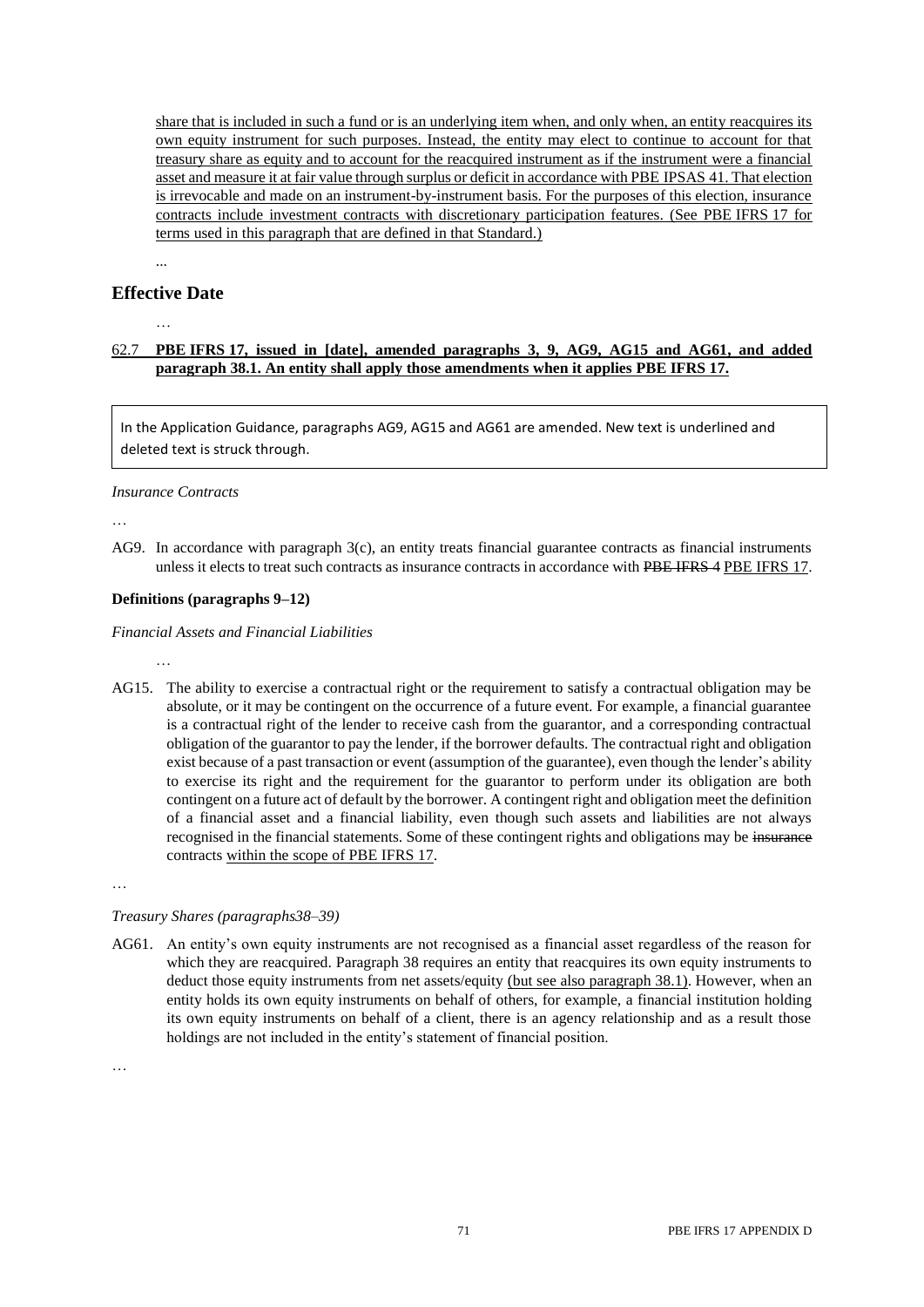share that is included in such a fund or is an underlying item when, and only when, an entity reacquires its own equity instrument for such purposes. Instead, the entity may elect to continue to account for that treasury share as equity and to account for the reacquired instrument as if the instrument were a financial asset and measure it at fair value through surplus or deficit in accordance with PBE IPSAS 41. That election is irrevocable and made on an instrument-by-instrument basis. For the purposes of this election, insurance contracts include investment contracts with discretionary participation features. (See PBE IFRS 17 for terms used in this paragraph that are defined in that Standard.)

## **Effective Date**

…

## 62.7 **PBE IFRS 17, issued in [date], amended paragraphs 3, 9, AG9, AG15 and AG61, and added paragraph 38.1. An entity shall apply those amendments when it applies PBE IFRS 17.**

In the Application Guidance, paragraphs AG9, AG15 and AG61 are amended. New text is underlined and deleted text is struck through.

#### *Insurance Contracts*

…

AG9. In accordance with paragraph 3(c), an entity treats financial guarantee contracts as financial instruments unless it elects to treat such contracts as insurance contracts in accordance with PBE IFRS 4 PBE IFRS 17.

#### **Definitions (paragraphs 9–12)**

*Financial Assets and Financial Liabilities*

…

AG15. The ability to exercise a contractual right or the requirement to satisfy a contractual obligation may be absolute, or it may be contingent on the occurrence of a future event. For example, a financial guarantee is a contractual right of the lender to receive cash from the guarantor, and a corresponding contractual obligation of the guarantor to pay the lender, if the borrower defaults. The contractual right and obligation exist because of a past transaction or event (assumption of the guarantee), even though the lender's ability to exercise its right and the requirement for the guarantor to perform under its obligation are both contingent on a future act of default by the borrower. A contingent right and obligation meet the definition of a financial asset and a financial liability, even though such assets and liabilities are not always recognised in the financial statements. Some of these contingent rights and obligations may be insurance contracts within the scope of PBE IFRS 17.

…

### *Treasury Shares (paragraphs38–39)*

AG61. An entity's own equity instruments are not recognised as a financial asset regardless of the reason for which they are reacquired. Paragraph 38 requires an entity that reacquires its own equity instruments to deduct those equity instruments from net assets/equity (but see also paragraph 38.1). However, when an entity holds its own equity instruments on behalf of others, for example, a financial institution holding its own equity instruments on behalf of a client, there is an agency relationship and as a result those holdings are not included in the entity's statement of financial position.

…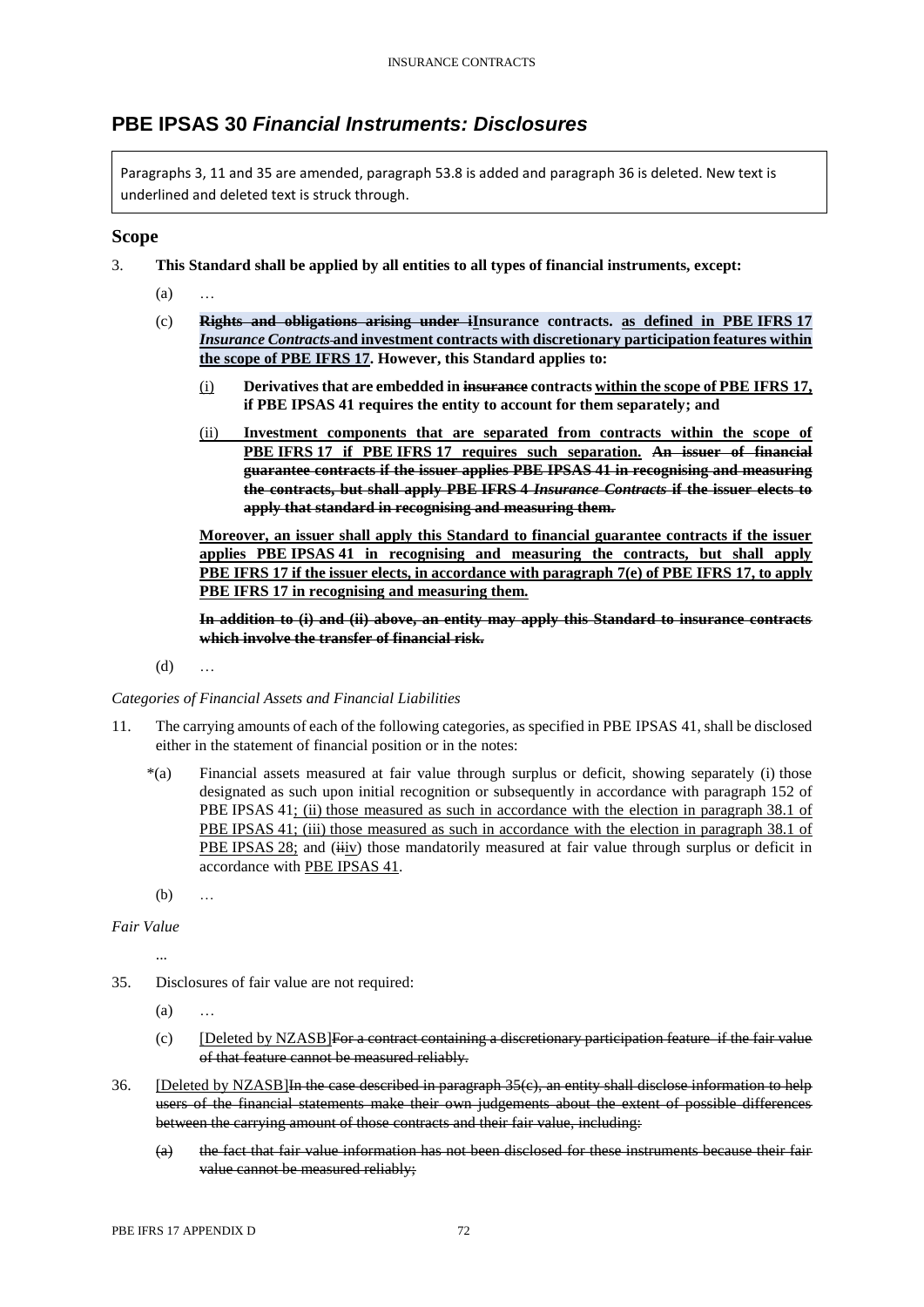## **PBE IPSAS 30** *Financial Instruments: Disclosures*

Paragraphs 3, 11 and 35 are amended, paragraph 53.8 is added and paragraph 36 is deleted. New text is underlined and deleted text is struck through.

## **Scope**

- 3. **This Standard shall be applied by all entities to all types of financial instruments, except:** 
	- $(a)$
	- (c) **Rights and obligations arising under iInsurance contracts. as defined in PBE IFRS 17** *Insurance Contracts* **and investment contracts with discretionary participation features within the scope of PBE IFRS 17. However, this Standard applies to:**
		- (i) **Derivatives that are embedded in insurance contracts within the scope of PBE IFRS 17, if PBE IPSAS 41 requires the entity to account for them separately; and**
		- (ii) **Investment components that are separated from contracts within the scope of PBE IFRS 17 if PBE IFRS 17 requires such separation. An issuer of financial guarantee contracts if the issuer applies PBE IPSAS 41 in recognising and measuring the contracts, but shall apply PBE IFRS 4** *Insurance Contracts* **if the issuer elects to apply that standard in recognising and measuring them.**

**Moreover, an issuer shall apply this Standard to financial guarantee contracts if the issuer applies PBE IPSAS 41 in recognising and measuring the contracts, but shall apply PBE IFRS 17 if the issuer elects, in accordance with paragraph 7(e) of PBE IFRS 17, to apply PBE IFRS 17 in recognising and measuring them.**

**In addition to (i) and (ii) above, an entity may apply this Standard to insurance contracts which involve the transfer of financial risk.**

(d) …

*Categories of Financial Assets and Financial Liabilities*

- 11. The carrying amounts of each of the following categories, as specified in PBE IPSAS 41, shall be disclosed either in the statement of financial position or in the notes:
	- \*(a) Financial assets measured at fair value through surplus or deficit, showing separately (i) those designated as such upon initial recognition or subsequently in accordance with paragraph 152 of PBE IPSAS 41; (ii) those measured as such in accordance with the election in paragraph 38.1 of PBE IPSAS 41; (iii) those measured as such in accordance with the election in paragraph 38.1 of PBE IPSAS  $28$ ; and  $(iiiy)$  those mandatorily measured at fair value through surplus or deficit in accordance with PBE IPSAS 41.

(b) …

*Fair Value*

...

- 35. Disclosures of fair value are not required:
	- (a) …
	- (c) [Deleted by NZASB]For a contract containing a discretionary participation feature if the fair value of that feature cannot be measured reliably.
- 36. [Deleted by NZASB]In the case described in paragraph 35(c), an entity shall disclose information to help users of the financial statements make their own judgements about the extent of possible differences between the carrying amount of those contracts and their fair value, including:
	- (a) the fact that fair value information has not been disclosed for these instruments because their fair value cannot be measured reliably;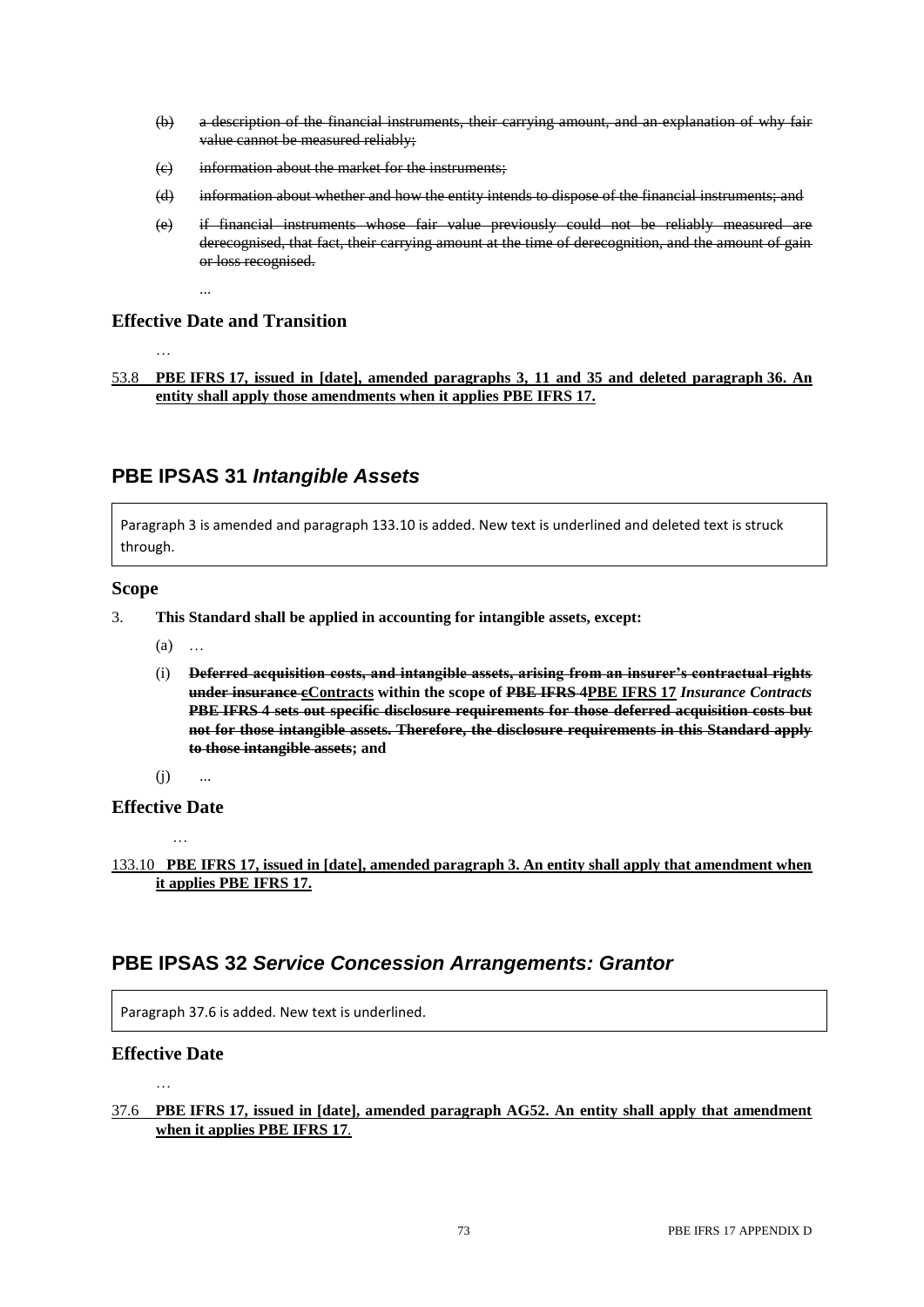- (b) a description of the financial instruments, their carrying amount, and an explanation of why fair value cannot be measured reliably;
- (c) information about the market for the instruments;
- (d) information about whether and how the entity intends to dispose of the financial instruments; and
- (e) if financial instruments whose fair value previously could not be reliably measured are derecognised, that fact, their carrying amount at the time of derecognition, and the amount of gain or loss recognised.

...

### **Effective Date and Transition**

- …
- 53.8 **PBE IFRS 17, issued in [date], amended paragraphs 3, 11 and 35 and deleted paragraph 36. An entity shall apply those amendments when it applies PBE IFRS 17.**

# **PBE IPSAS 31** *Intangible Assets*

Paragraph 3 is amended and paragraph 133.10 is added. New text is underlined and deleted text is struck through.

#### **Scope**

- 3. **This Standard shall be applied in accounting for intangible assets, except:**
	- $(a)$
	- (i) **Deferred acquisition costs, and intangible assets, arising from an insurer's contractual rights under insurance cContracts within the scope of PBE IFRS 4PBE IFRS 17** *Insurance Contracts* **PBE IFRS 4 sets out specific disclosure requirements for those deferred acquisition costs but not for those intangible assets. Therefore, the disclosure requirements in this Standard apply to those intangible assets; and**
	- $(i)$  ...

## **Effective Date**

…

133.10 **PBE IFRS 17, issued in [date], amended paragraph 3. An entity shall apply that amendment when it applies PBE IFRS 17.**

## **PBE IPSAS 32** *Service Concession Arrangements: Grantor*

Paragraph 37.6 is added. New text is underlined.

# **Effective Date** …

#### 37.6 **PBE IFRS 17, issued in [date], amended paragraph AG52. An entity shall apply that amendment when it applies PBE IFRS 17**.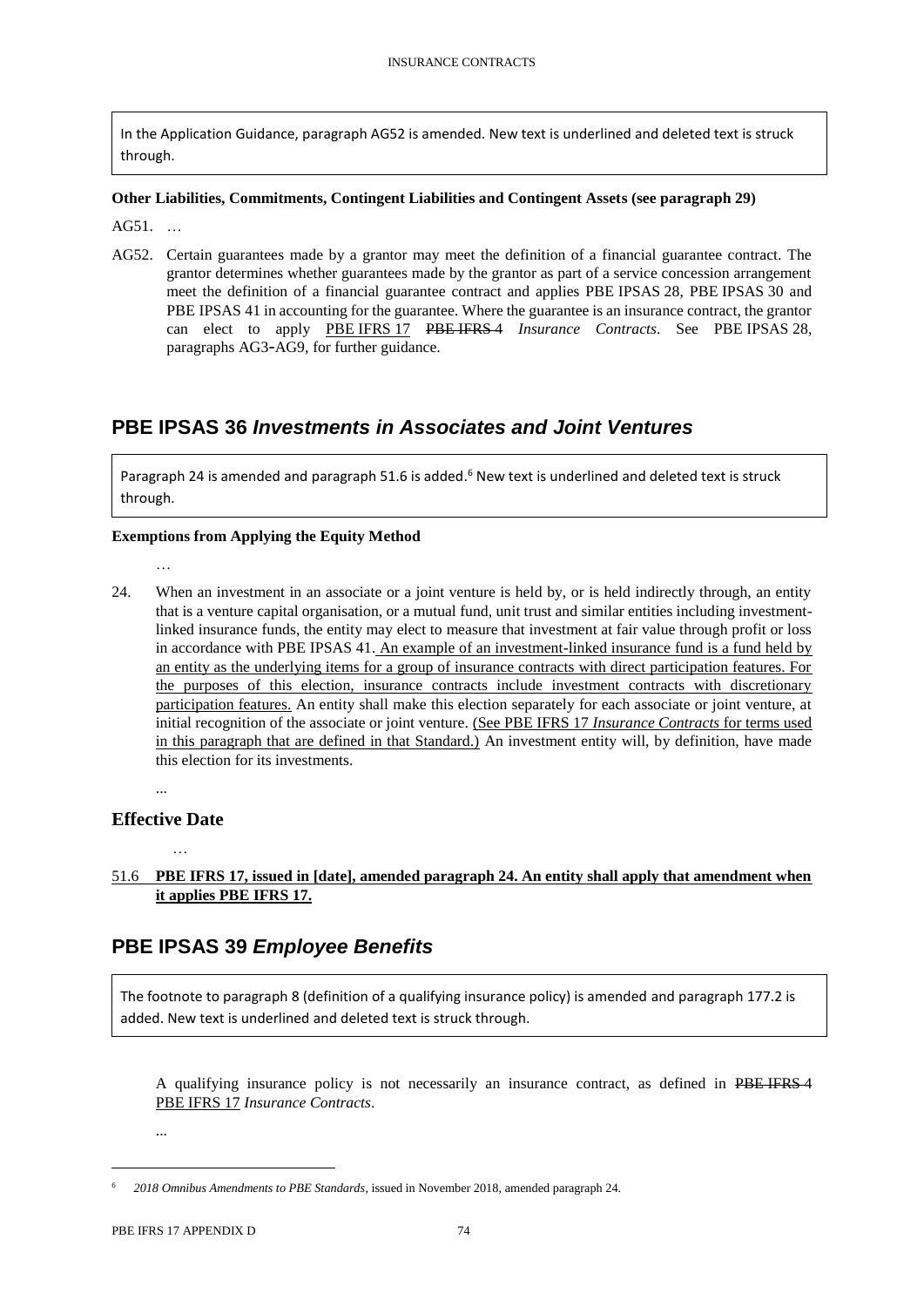In the Application Guidance, paragraph AG52 is amended. New text is underlined and deleted text is struck through.

#### **Other Liabilities, Commitments, Contingent Liabilities and Contingent Assets (see paragraph 29)**

AG51. …

AG52. Certain guarantees made by a grantor may meet the definition of a financial guarantee contract. The grantor determines whether guarantees made by the grantor as part of a service concession arrangement meet the definition of a financial guarantee contract and applies PBE IPSAS 28, PBE IPSAS 30 and PBE IPSAS 41 in accounting for the guarantee. Where the guarantee is an insurance contract, the grantor can elect to apply PBE IFRS 17 PBE IFRS 4 *Insurance Contracts*. See PBE IPSAS 28, paragraphs AG3-AG9, for further guidance.

# **PBE IPSAS 36** *Investments in Associates and Joint Ventures*

Paragraph 24 is amended and paragraph 51.6 is added.<sup>6</sup> New text is underlined and deleted text is struck through.

#### **Exemptions from Applying the Equity Method**

24. When an investment in an associate or a joint venture is held by, or is held indirectly through, an entity that is a venture capital organisation, or a mutual fund, unit trust and similar entities including investmentlinked insurance funds, the entity may elect to measure that investment at fair value through profit or loss in accordance with PBE IPSAS 41. An example of an investment-linked insurance fund is a fund held by an entity as the underlying items for a group of insurance contracts with direct participation features. For the purposes of this election, insurance contracts include investment contracts with discretionary participation features. An entity shall make this election separately for each associate or joint venture, at initial recognition of the associate or joint venture. (See PBE IFRS 17 *Insurance Contracts* for terms used in this paragraph that are defined in that Standard.) An investment entity will, by definition, have made this election for its investments.

```
...
```
### **Effective Date**

…

…

## 51.6 **PBE IFRS 17, issued in [date], amended paragraph 24. An entity shall apply that amendment when it applies PBE IFRS 17.**

# **PBE IPSAS 39** *Employee Benefits*

The footnote to paragraph 8 (definition of a qualifying insurance policy) is amended and paragraph 177.2 is added. New text is underlined and deleted text is struck through.

A qualifying insurance policy is not necessarily an insurance contract, as defined in PBE IFRS 4 PBE IFRS 17 *Insurance Contracts*.

...

<u>.</u>

<sup>6</sup> *2018 Omnibus Amendments to PBE Standards*, issued in November 2018, amended paragraph 24.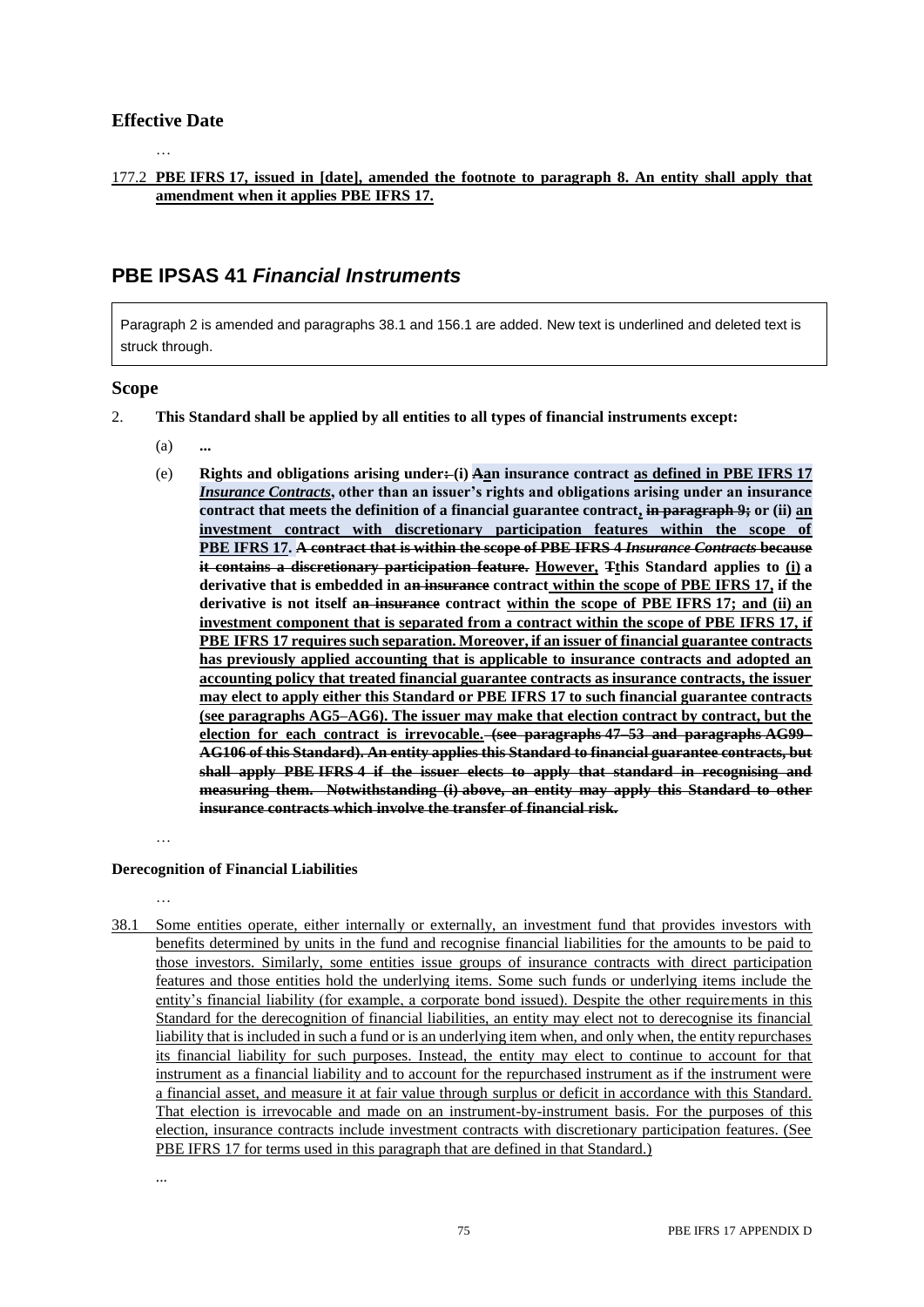### **Effective Date**

177.2 **PBE IFRS 17, issued in [date], amended the footnote to paragraph 8. An entity shall apply that amendment when it applies PBE IFRS 17.**

# **PBE IPSAS 41** *Financial Instruments*

Paragraph 2 is amended and paragraphs 38.1 and 156.1 are added. New text is underlined and deleted text is struck through.

### **Scope**

- 2. **This Standard shall be applied by all entities to all types of financial instruments except:**
	- (a) **...**
	- (e) **Rights and obligations arising under: (i) Aan insurance contract as defined in PBE IFRS 17**  *Insurance Contracts***, other than an issuer's rights and obligations arising under an insurance contract that meets the definition of a financial guarantee contract, in paragraph 9; or (ii) an investment contract with discretionary participation features within the scope of PBE IFRS 17. A contract that is within the scope of PBE IFRS 4** *Insurance Contracts* **because it contains a discretionary participation feature. However, Tthis Standard applies to (i) a derivative that is embedded in an insurance contract within the scope of PBE IFRS 17, if the derivative is not itself an insurance contract within the scope of PBE IFRS 17; and (ii) an investment component that is separated from a contract within the scope of PBE IFRS 17, if PBE IFRS 17 requires such separation. Moreover, if an issuer of financial guarantee contracts has previously applied accounting that is applicable to insurance contracts and adopted an accounting policy that treated financial guarantee contracts as insurance contracts, the issuer may elect to apply either this Standard or PBE IFRS 17 to such financial guarantee contracts (see paragraphs AG5–AG6). The issuer may make that election contract by contract, but the election for each contract is irrevocable. (see paragraphs 47–53 and paragraphs AG99– AG106 of this Standard). An entity applies this Standard to financial guarantee contracts, but shall apply PBE IFRS 4 if the issuer elects to apply that standard in recognising and measuring them. Notwithstanding (i) above, an entity may apply this Standard to other insurance contracts which involve the transfer of financial risk.**

…

#### **Derecognition of Financial Liabilities**

…

38.1 Some entities operate, either internally or externally, an investment fund that provides investors with benefits determined by units in the fund and recognise financial liabilities for the amounts to be paid to those investors. Similarly, some entities issue groups of insurance contracts with direct participation features and those entities hold the underlying items. Some such funds or underlying items include the entity's financial liability (for example, a corporate bond issued). Despite the other requirements in this Standard for the derecognition of financial liabilities, an entity may elect not to derecognise its financial liability that is included in such a fund or is an underlying item when, and only when, the entity repurchases its financial liability for such purposes. Instead, the entity may elect to continue to account for that instrument as a financial liability and to account for the repurchased instrument as if the instrument were a financial asset, and measure it at fair value through surplus or deficit in accordance with this Standard. That election is irrevocable and made on an instrument-by-instrument basis. For the purposes of this election, insurance contracts include investment contracts with discretionary participation features. (See PBE IFRS 17 for terms used in this paragraph that are defined in that Standard.)

...

<sup>…</sup>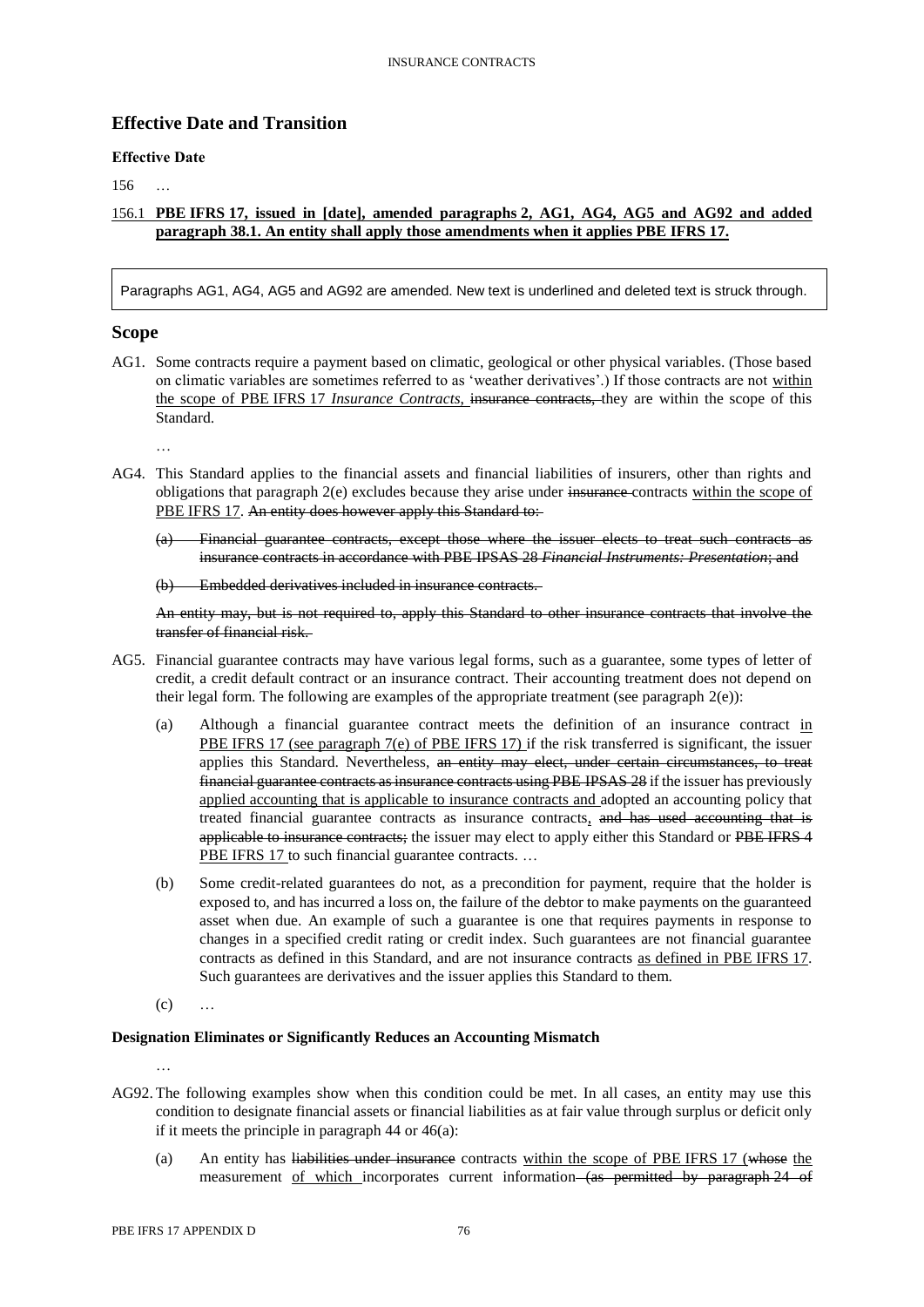# **Effective Date and Transition**

#### **Effective Date**

156 …

### 156.1 **PBE IFRS 17, issued in [date], amended paragraphs 2, AG1, AG4, AG5 and AG92 and added paragraph 38.1. An entity shall apply those amendments when it applies PBE IFRS 17.**

Paragraphs AG1, AG4, AG5 and AG92 are amended. New text is underlined and deleted text is struck through.

#### **Scope**

AG1. Some contracts require a payment based on climatic, geological or other physical variables. (Those based on climatic variables are sometimes referred to as 'weather derivatives'.) If those contracts are not within the scope of PBE IFRS 17 *Insurance Contracts*, insurance contracts, they are within the scope of this Standard.

…

- AG4. This Standard applies to the financial assets and financial liabilities of insurers, other than rights and obligations that paragraph  $2(e)$  excludes because they arise under insurance contracts within the scope of PBE IFRS 17. An entity does however apply this Standard to:
	- (a) Financial guarantee contracts, except those where the issuer elects to treat such contracts as insurance contracts in accordance with PBE IPSAS 28 *Financial Instruments: Presentation*; and
	- (b) Embedded derivatives included in insurance contracts.

An entity may, but is not required to, apply this Standard to other insurance contracts that involve the transfer of financial risk.

- AG5. Financial guarantee contracts may have various legal forms, such as a guarantee, some types of letter of credit, a credit default contract or an insurance contract. Their accounting treatment does not depend on their legal form. The following are examples of the appropriate treatment (see paragraph  $2(e)$ ):
	- (a) Although a financial guarantee contract meets the definition of an insurance contract in PBE IFRS 17 (see paragraph 7(e) of PBE IFRS 17) if the risk transferred is significant, the issuer applies this Standard. Nevertheless, an entity may elect, under certain circumstances, to treat financial guarantee contracts as insurance contracts using PBE IPSAS 28 if the issuer has previously applied accounting that is applicable to insurance contracts and adopted an accounting policy that treated financial guarantee contracts as insurance contracts, and has used accounting that is applicable to insurance contracts; the issuer may elect to apply either this Standard or PBE IFRS 4 PBE IFRS 17 to such financial guarantee contracts. ...
	- (b) Some credit-related guarantees do not, as a precondition for payment, require that the holder is exposed to, and has incurred a loss on, the failure of the debtor to make payments on the guaranteed asset when due. An example of such a guarantee is one that requires payments in response to changes in a specified credit rating or credit index. Such guarantees are not financial guarantee contracts as defined in this Standard, and are not insurance contracts as defined in PBE IFRS 17. Such guarantees are derivatives and the issuer applies this Standard to them.
	- $(c)$  ...

#### **Designation Eliminates or Significantly Reduces an Accounting Mismatch**

…

- AG92.The following examples show when this condition could be met. In all cases, an entity may use this condition to designate financial assets or financial liabilities as at fair value through surplus or deficit only if it meets the principle in paragraph  $44$  or  $46(a)$ :
	- (a) An entity has liabilities under insurance contracts within the scope of PBE IFRS 17 (whose the measurement of which incorporates current information (as permitted by paragraph 24 of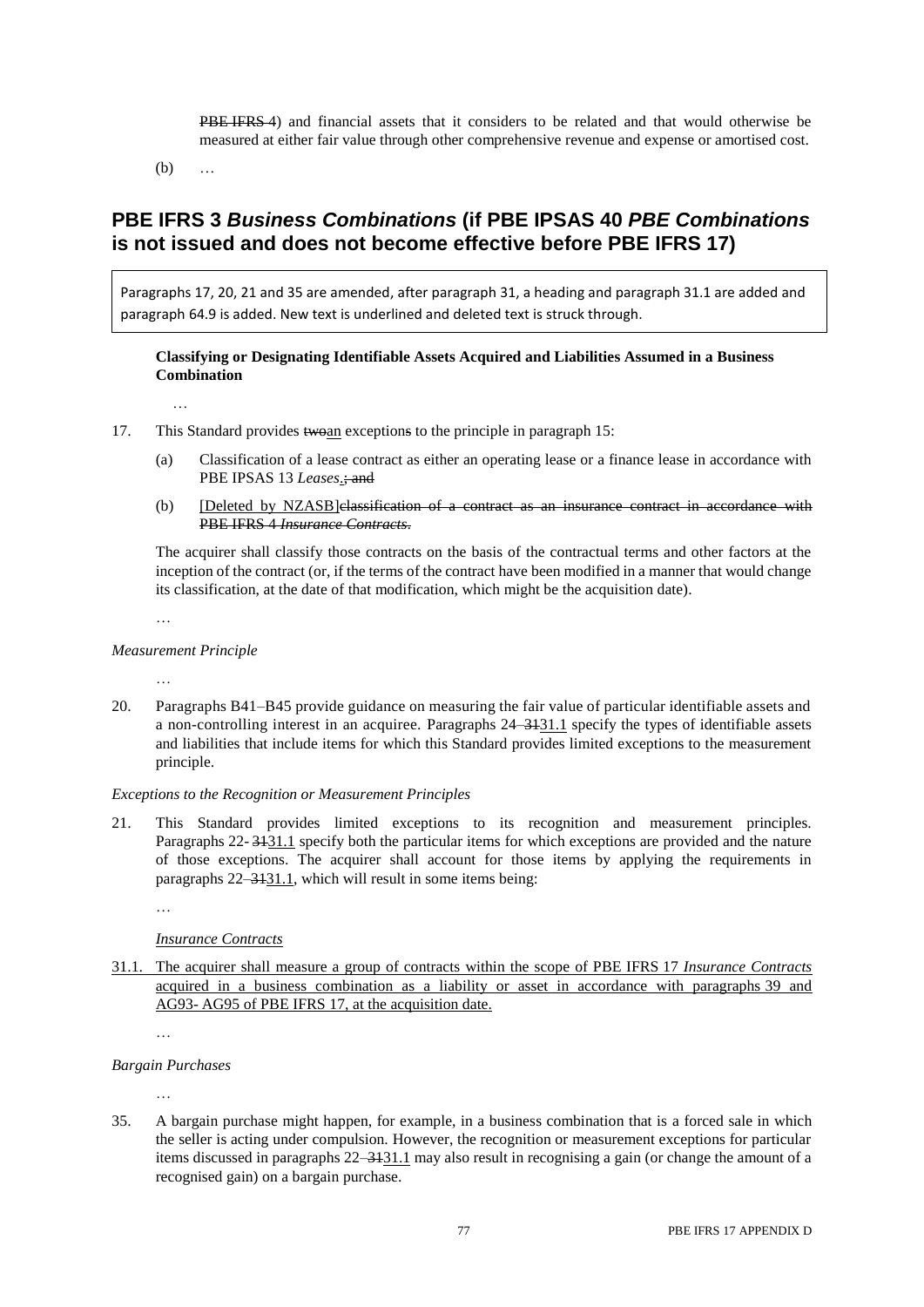PBE IFRS 4) and financial assets that it considers to be related and that would otherwise be measured at either fair value through other comprehensive revenue and expense or amortised cost.

(b) …

…

# **PBE IFRS 3** *Business Combinations* **(if PBE IPSAS 40** *PBE Combinations*  **is not issued and does not become effective before PBE IFRS 17)**

Paragraphs 17, 20, 21 and 35 are amended, after paragraph 31, a heading and paragraph 31.1 are added and paragraph 64.9 is added. New text is underlined and deleted text is struck through.

#### **Classifying or Designating Identifiable Assets Acquired and Liabilities Assumed in a Business Combination**

- 17. This Standard provides twoan exceptions to the principle in paragraph 15:
	- (a) Classification of a lease contract as either an operating lease or a finance lease in accordance with PBE IPSAS 13 *Leases*.; and
	- (b) [Deleted by NZASB]classification of a contract as an insurance contract in accordance with PBE IFRS 4 *Insurance Contracts*.

The acquirer shall classify those contracts on the basis of the contractual terms and other factors at the inception of the contract (or, if the terms of the contract have been modified in a manner that would change its classification, at the date of that modification, which might be the acquisition date).

…

#### *Measurement Principle*

…

20. Paragraphs B41–B45 provide guidance on measuring the fair value of particular identifiable assets and a non-controlling interest in an acquiree. Paragraphs 24–3131.1 specify the types of identifiable assets and liabilities that include items for which this Standard provides limited exceptions to the measurement principle.

#### *Exceptions to the Recognition or Measurement Principles*

21. This Standard provides limited exceptions to its recognition and measurement principles. Paragraphs 22- 3131.1 specify both the particular items for which exceptions are provided and the nature of those exceptions. The acquirer shall account for those items by applying the requirements in paragraphs 22–3131.1, which will result in some items being:

…

#### *Insurance Contracts*

31.1. The acquirer shall measure a group of contracts within the scope of PBE IFRS 17 *Insurance Contracts* acquired in a business combination as a liability or asset in accordance with paragraphs 39 and AG93- AG95 of PBE IFRS 17, at the acquisition date.

…

## *Bargain Purchases*

…

35. A bargain purchase might happen, for example, in a business combination that is a forced sale in which the seller is acting under compulsion. However, the recognition or measurement exceptions for particular items discussed in paragraphs 22–3131.1 may also result in recognising a gain (or change the amount of a recognised gain) on a bargain purchase.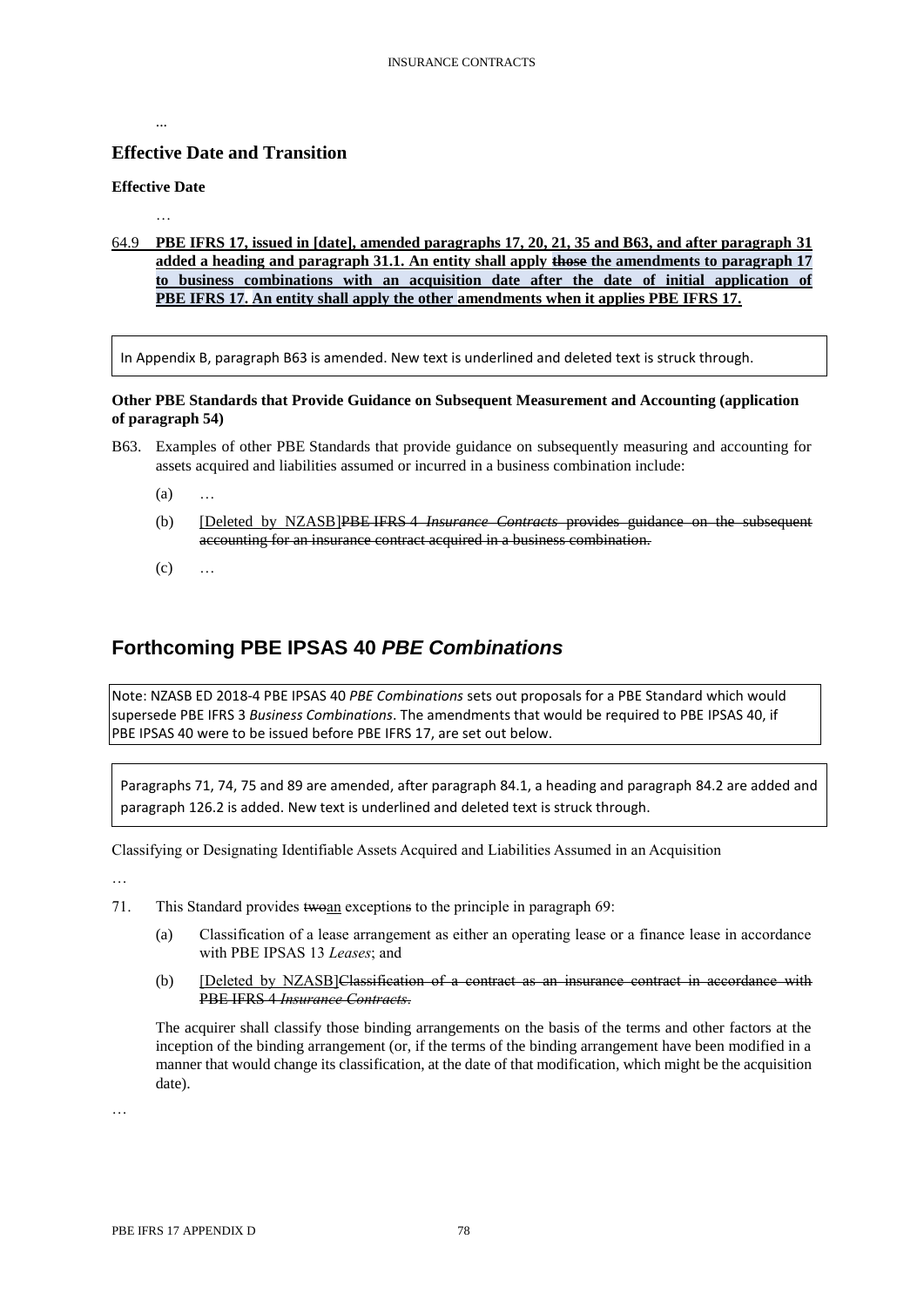...

## **Effective Date and Transition**

#### **Effective Date**

…

64.9 **PBE IFRS 17, issued in [date], amended paragraphs 17, 20, 21, 35 and B63, and after paragraph 31 added a heading and paragraph 31.1. An entity shall apply those the amendments to paragraph 17 to business combinations with an acquisition date after the date of initial application of PBE IFRS 17. An entity shall apply the other amendments when it applies PBE IFRS 17.**

In Appendix B, paragraph B63 is amended. New text is underlined and deleted text is struck through.

**Other PBE Standards that Provide Guidance on Subsequent Measurement and Accounting (application of paragraph 54)**

- B63. Examples of other PBE Standards that provide guidance on subsequently measuring and accounting for assets acquired and liabilities assumed or incurred in a business combination include:
	- (a) …
	- (b) [Deleted by NZASB]PBE IFRS 4 *Insurance Contracts* provides guidance on the subsequent accounting for an insurance contract acquired in a business combination.
	- $(c)$  ...

# **Forthcoming PBE IPSAS 40** *PBE Combinations*

Note: NZASB ED 2018-4 PBE IPSAS 40 *PBE Combinations* sets out proposals for a PBE Standard which would supersede PBE IFRS 3 *Business Combinations*. The amendments that would be required to PBE IPSAS 40, if PBE IPSAS 40 were to be issued before PBE IFRS 17, are set out below.

Paragraphs 71, 74, 75 and 89 are amended, after paragraph 84.1, a heading and paragraph 84.2 are added and paragraph 126.2 is added. New text is underlined and deleted text is struck through.

Classifying or Designating Identifiable Assets Acquired and Liabilities Assumed in an Acquisition

…

- 71. This Standard provides twoan exceptions to the principle in paragraph 69:
	- (a) Classification of a lease arrangement as either an operating lease or a finance lease in accordance with PBE IPSAS 13 *Leases*; and
	- (b) [Deleted by NZASB]Classification of a contract as an insurance contract in accordance with PBE IFRS 4 *Insurance Contracts*.

The acquirer shall classify those binding arrangements on the basis of the terms and other factors at the inception of the binding arrangement (or, if the terms of the binding arrangement have been modified in a manner that would change its classification, at the date of that modification, which might be the acquisition date).

…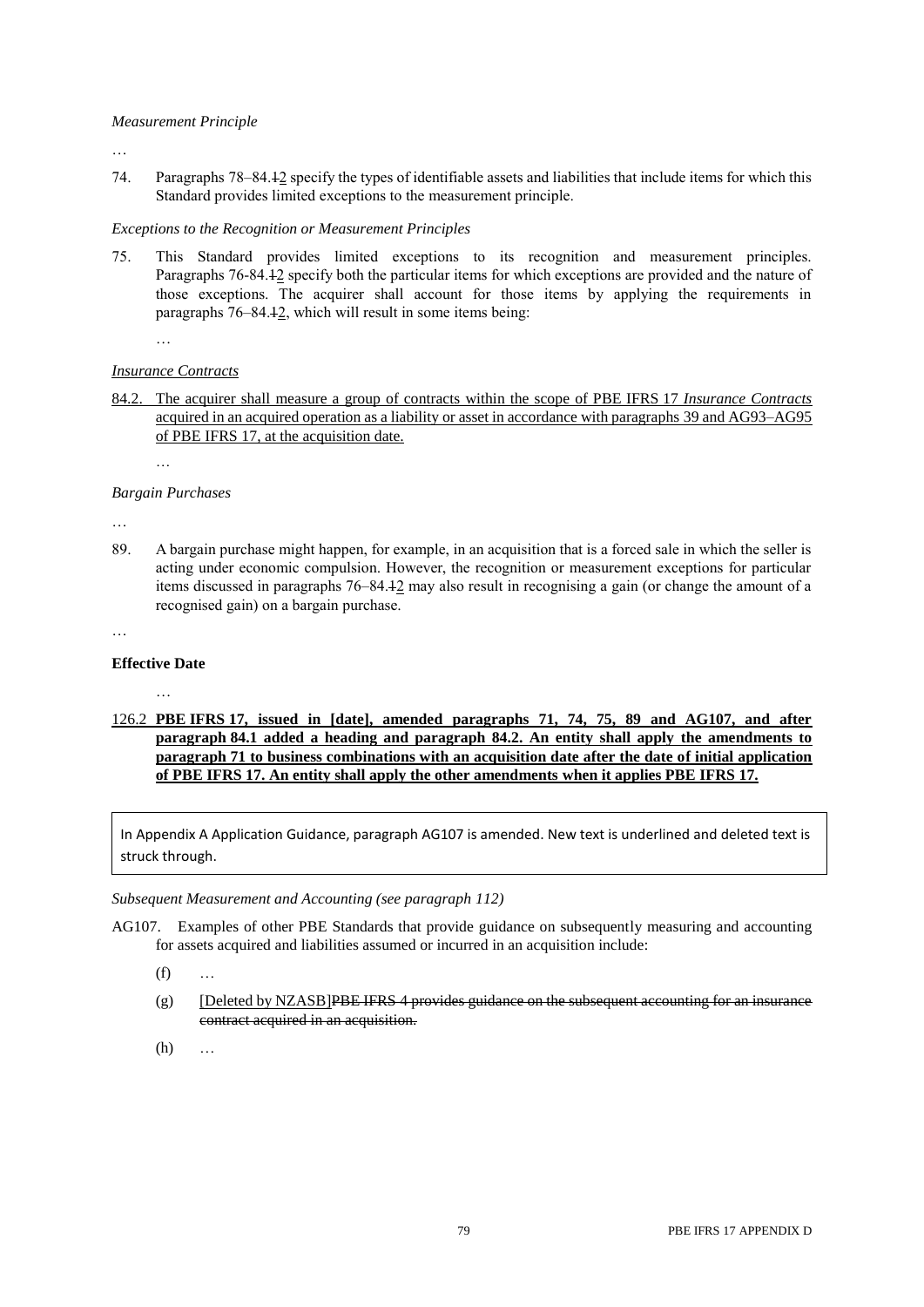#### *Measurement Principle*

…

74. Paragraphs 78–84.12 specify the types of identifiable assets and liabilities that include items for which this Standard provides limited exceptions to the measurement principle.

#### *Exceptions to the Recognition or Measurement Principles*

75. This Standard provides limited exceptions to its recognition and measurement principles. Paragraphs 76-84.12 specify both the particular items for which exceptions are provided and the nature of those exceptions. The acquirer shall account for those items by applying the requirements in paragraphs 76–84.12, which will result in some items being:

…

#### *Insurance Contracts*

84.2. The acquirer shall measure a group of contracts within the scope of PBE IFRS 17 *Insurance Contracts* acquired in an acquired operation as a liability or asset in accordance with paragraphs 39 and AG93–AG95 of PBE IFRS 17, at the acquisition date.

…

#### *Bargain Purchases*

…

89. A bargain purchase might happen, for example, in an acquisition that is a forced sale in which the seller is acting under economic compulsion. However, the recognition or measurement exceptions for particular items discussed in paragraphs 76–84.12 may also result in recognising a gain (or change the amount of a recognised gain) on a bargain purchase.

…

#### **Effective Date**

…

126.2 **PBE IFRS 17, issued in [date], amended paragraphs 71, 74, 75, 89 and AG107, and after paragraph 84.1 added a heading and paragraph 84.2. An entity shall apply the amendments to paragraph 71 to business combinations with an acquisition date after the date of initial application of PBE IFRS 17. An entity shall apply the other amendments when it applies PBE IFRS 17.**

In Appendix A Application Guidance, paragraph AG107 is amended. New text is underlined and deleted text is struck through.

#### *Subsequent Measurement and Accounting (see paragraph 112)*

- AG107. Examples of other PBE Standards that provide guidance on subsequently measuring and accounting for assets acquired and liabilities assumed or incurred in an acquisition include:
	- $(f)$
	- $(g)$  [Deleted by NZASB]PBE IFRS 4 provides guidance on the subsequent accounting for an insurance contract acquired in an acquisition.

(h) …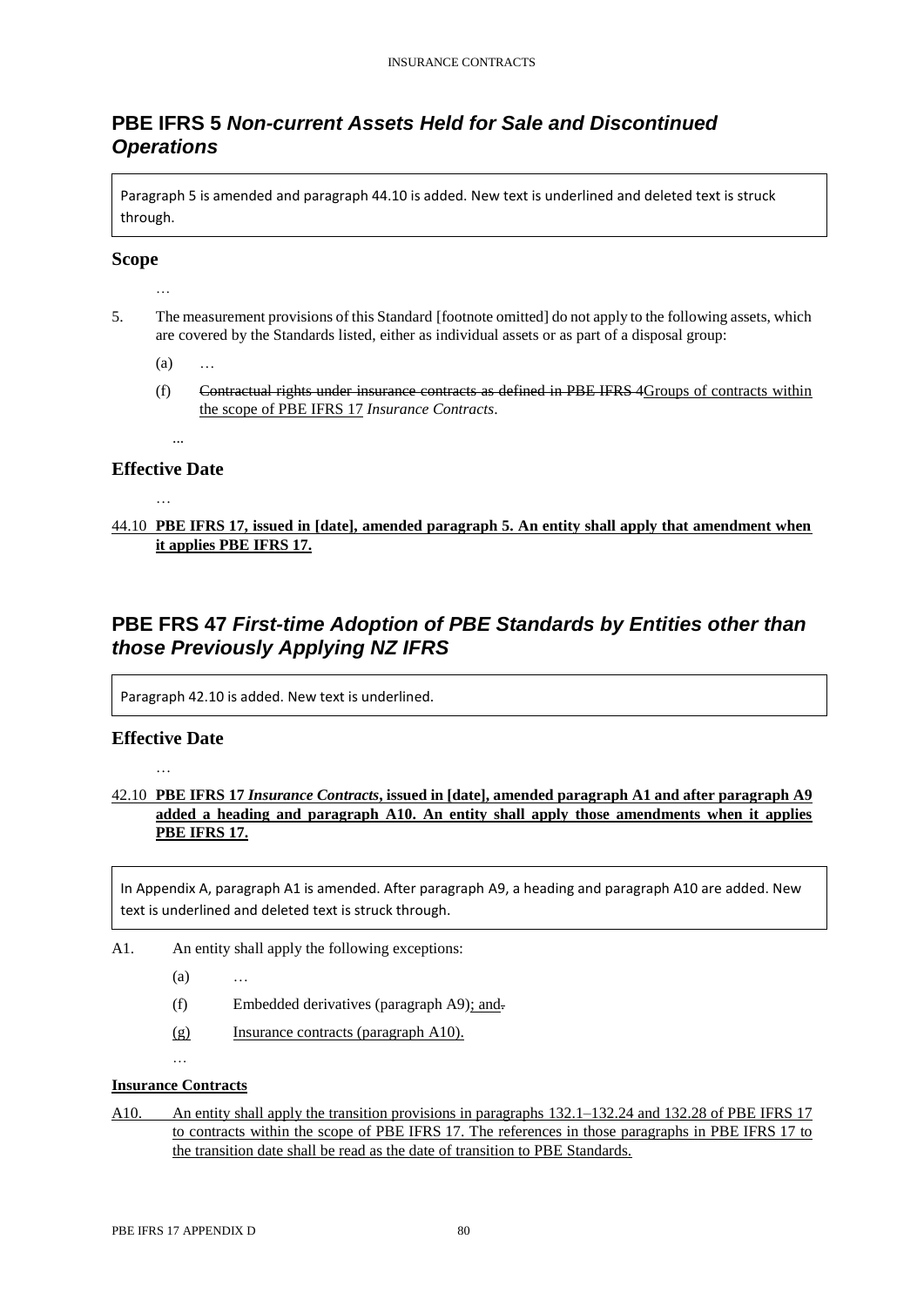# **PBE IFRS 5** *Non-current Assets Held for Sale and Discontinued Operations*

Paragraph 5 is amended and paragraph 44.10 is added. New text is underlined and deleted text is struck through.

## **Scope**

- 
- 5. The measurement provisions of this Standard [footnote omitted] do not apply to the following assets, which are covered by the Standards listed, either as individual assets or as part of a disposal group:
	- (a) …
	- (f) Contractual rights under insurance contracts as defined in PBE IFRS 4Groups of contracts within the scope of PBE IFRS 17 *Insurance Contracts*.

# **Effective Date**

…

### 44.10 **PBE IFRS 17, issued in [date], amended paragraph 5. An entity shall apply that amendment when it applies PBE IFRS 17.**

# **PBE FRS 47** *First-time Adoption of PBE Standards by Entities other than those Previously Applying NZ IFRS*

Paragraph 42.10 is added. New text is underlined.

## **Effective Date**

…

### 42.10 **PBE IFRS 17** *Insurance Contracts***, issued in [date], amended paragraph A1 and after paragraph A9 added a heading and paragraph A10. An entity shall apply those amendments when it applies PBE IFRS 17.**

In Appendix A, paragraph A1 is amended. After paragraph A9, a heading and paragraph A10 are added. New text is underlined and deleted text is struck through.

- A1. An entity shall apply the following exceptions:
	- (a) …
	- (f) Embedded derivatives (paragraph A9); and.
	- (g) Insurance contracts (paragraph A10).

# … **Insurance Contracts**

A10. An entity shall apply the transition provisions in paragraphs 132.1–132.24 and 132.28 of PBE IFRS 17 to contracts within the scope of PBE IFRS 17. The references in those paragraphs in PBE IFRS 17 to the transition date shall be read as the date of transition to PBE Standards.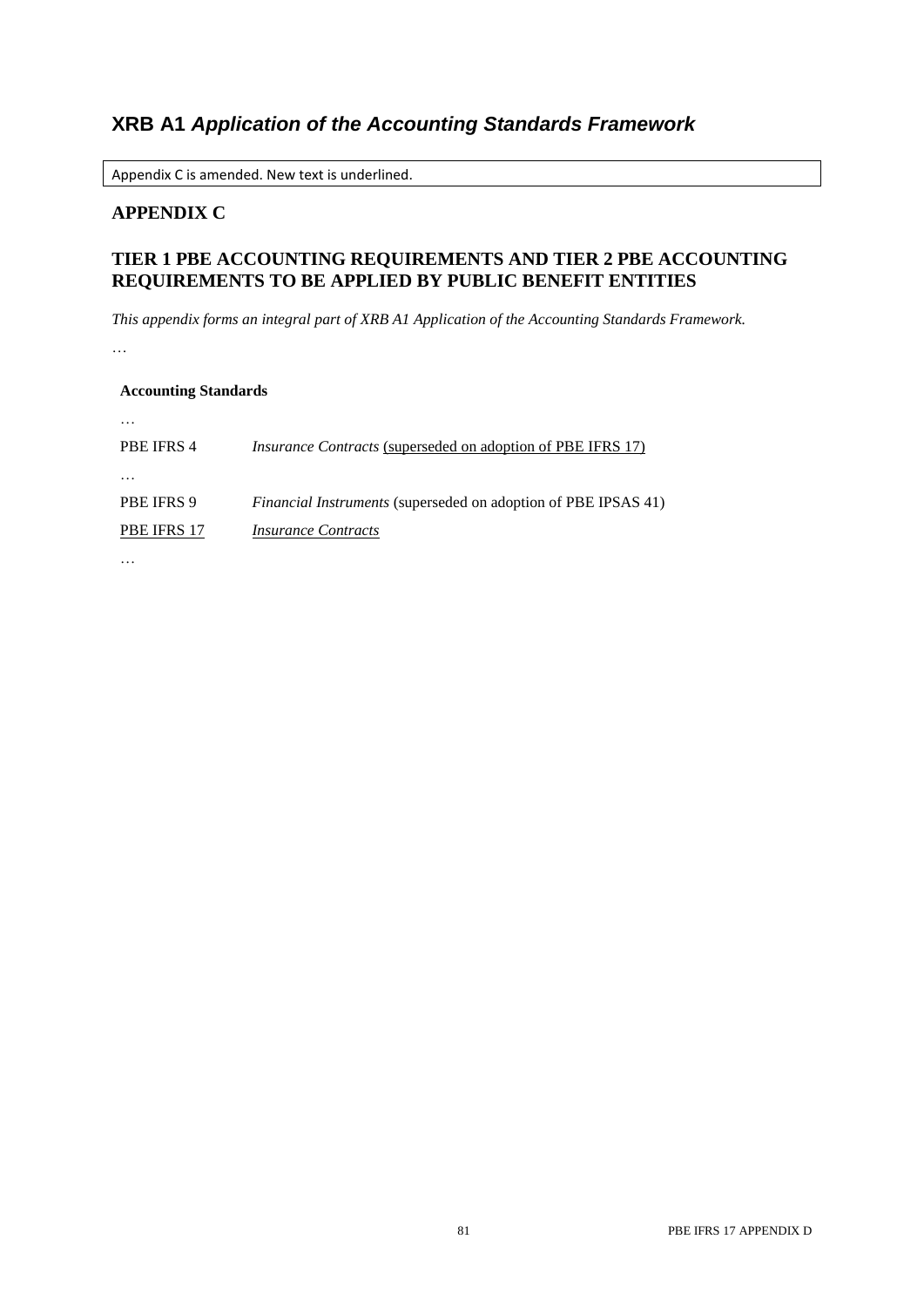# **XRB A1** *Application of the Accounting Standards Framework*

Appendix C is amended. New text is underlined.

# **APPENDIX C**

# **TIER 1 PBE ACCOUNTING REQUIREMENTS AND TIER 2 PBE ACCOUNTING REQUIREMENTS TO BE APPLIED BY PUBLIC BENEFIT ENTITIES**

*This appendix forms an integral part of XRB A1 Application of the Accounting Standards Framework.*

…

### **Accounting Standards**

| $\cdots$<br>PBE IFRS 4 | <i>Insurance Contracts</i> (superseded on adoption of PBE IFRS 17)    |
|------------------------|-----------------------------------------------------------------------|
| $\cdots$               |                                                                       |
| PBE IFRS 9             | <i>Financial Instruments</i> (superseded on adoption of PBE IPSAS 41) |
| PBE IFRS 17            | <i>Insurance Contracts</i>                                            |

…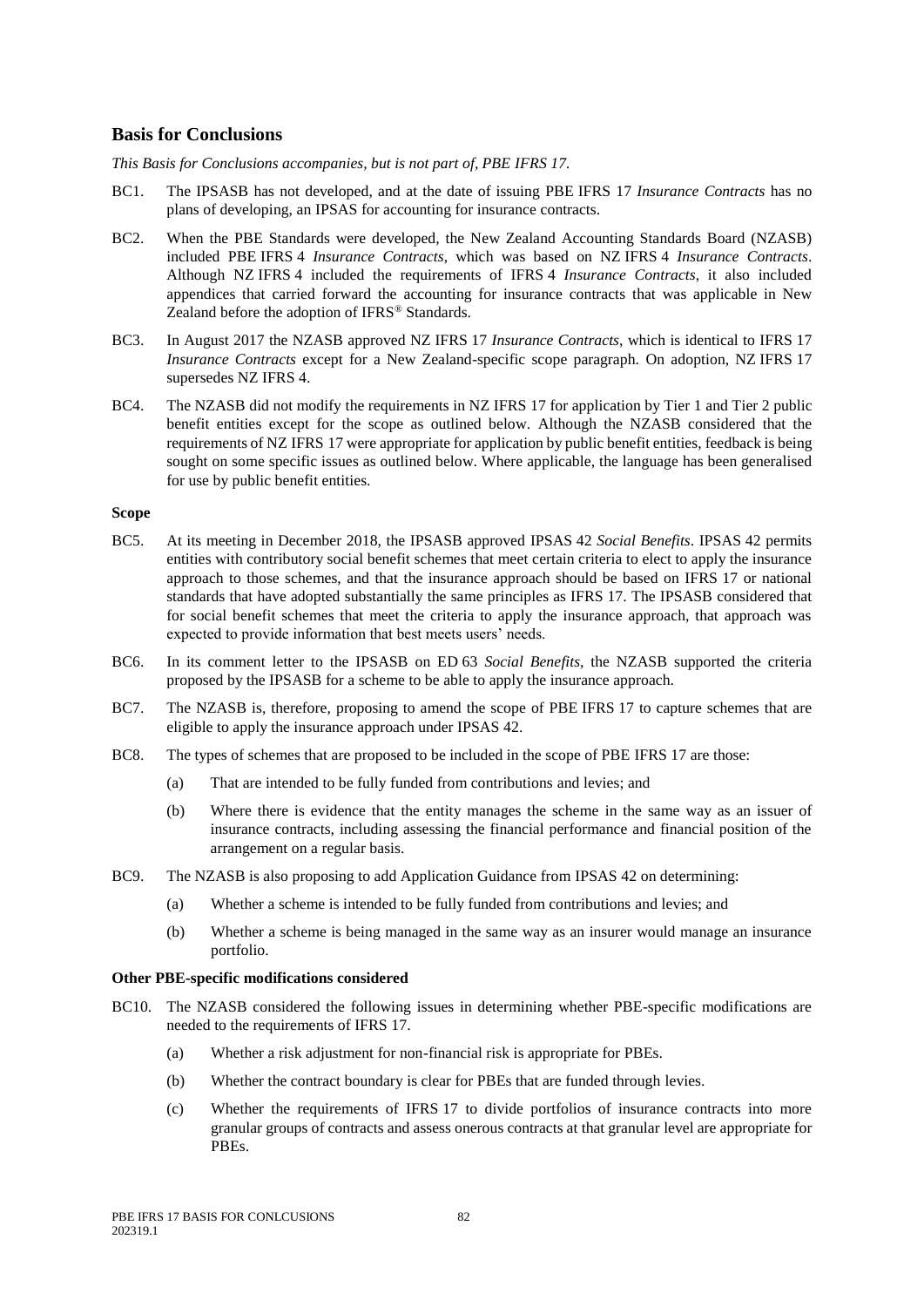## **Basis for Conclusions**

*This Basis for Conclusions accompanies, but is not part of, PBE IFRS 17.* 

- BC1. The IPSASB has not developed, and at the date of issuing PBE IFRS 17 *Insurance Contracts* has no plans of developing, an IPSAS for accounting for insurance contracts.
- BC2. When the PBE Standards were developed, the New Zealand Accounting Standards Board (NZASB) included PBE IFRS 4 *Insurance Contracts*, which was based on NZ IFRS 4 *Insurance Contracts*. Although NZ IFRS 4 included the requirements of IFRS 4 *Insurance Contracts*, it also included appendices that carried forward the accounting for insurance contracts that was applicable in New Zealand before the adoption of IFRS® Standards.
- BC3. In August 2017 the NZASB approved NZ IFRS 17 *Insurance Contracts*, which is identical to IFRS 17 *Insurance Contracts* except for a New Zealand-specific scope paragraph. On adoption, NZ IFRS 17 supersedes NZ IFRS 4.
- BC4. The NZASB did not modify the requirements in NZ IFRS 17 for application by Tier 1 and Tier 2 public benefit entities except for the scope as outlined below. Although the NZASB considered that the requirements of NZ IFRS 17 were appropriate for application by public benefit entities, feedback is being sought on some specific issues as outlined below. Where applicable, the language has been generalised for use by public benefit entities.

#### **Scope**

- BC5. At its meeting in December 2018, the IPSASB approved IPSAS 42 *Social Benefits*. IPSAS 42 permits entities with contributory social benefit schemes that meet certain criteria to elect to apply the insurance approach to those schemes, and that the insurance approach should be based on IFRS 17 or national standards that have adopted substantially the same principles as IFRS 17. The IPSASB considered that for social benefit schemes that meet the criteria to apply the insurance approach, that approach was expected to provide information that best meets users' needs.
- BC6. In its comment letter to the IPSASB on ED 63 *Social Benefits*, the NZASB supported the criteria proposed by the IPSASB for a scheme to be able to apply the insurance approach.
- BC7. The NZASB is, therefore, proposing to amend the scope of PBE IFRS 17 to capture schemes that are eligible to apply the insurance approach under IPSAS 42.
- BC8. The types of schemes that are proposed to be included in the scope of PBE IFRS 17 are those:
	- (a) That are intended to be fully funded from contributions and levies; and
	- (b) Where there is evidence that the entity manages the scheme in the same way as an issuer of insurance contracts, including assessing the financial performance and financial position of the arrangement on a regular basis.
- BC9. The NZASB is also proposing to add Application Guidance from IPSAS 42 on determining:
	- (a) Whether a scheme is intended to be fully funded from contributions and levies; and
	- (b) Whether a scheme is being managed in the same way as an insurer would manage an insurance portfolio.

#### **Other PBE-specific modifications considered**

- BC10. The NZASB considered the following issues in determining whether PBE-specific modifications are needed to the requirements of IFRS 17.
	- (a) Whether a risk adjustment for non-financial risk is appropriate for PBEs.
	- (b) Whether the contract boundary is clear for PBEs that are funded through levies.
	- (c) Whether the requirements of IFRS 17 to divide portfolios of insurance contracts into more granular groups of contracts and assess onerous contracts at that granular level are appropriate for PBEs.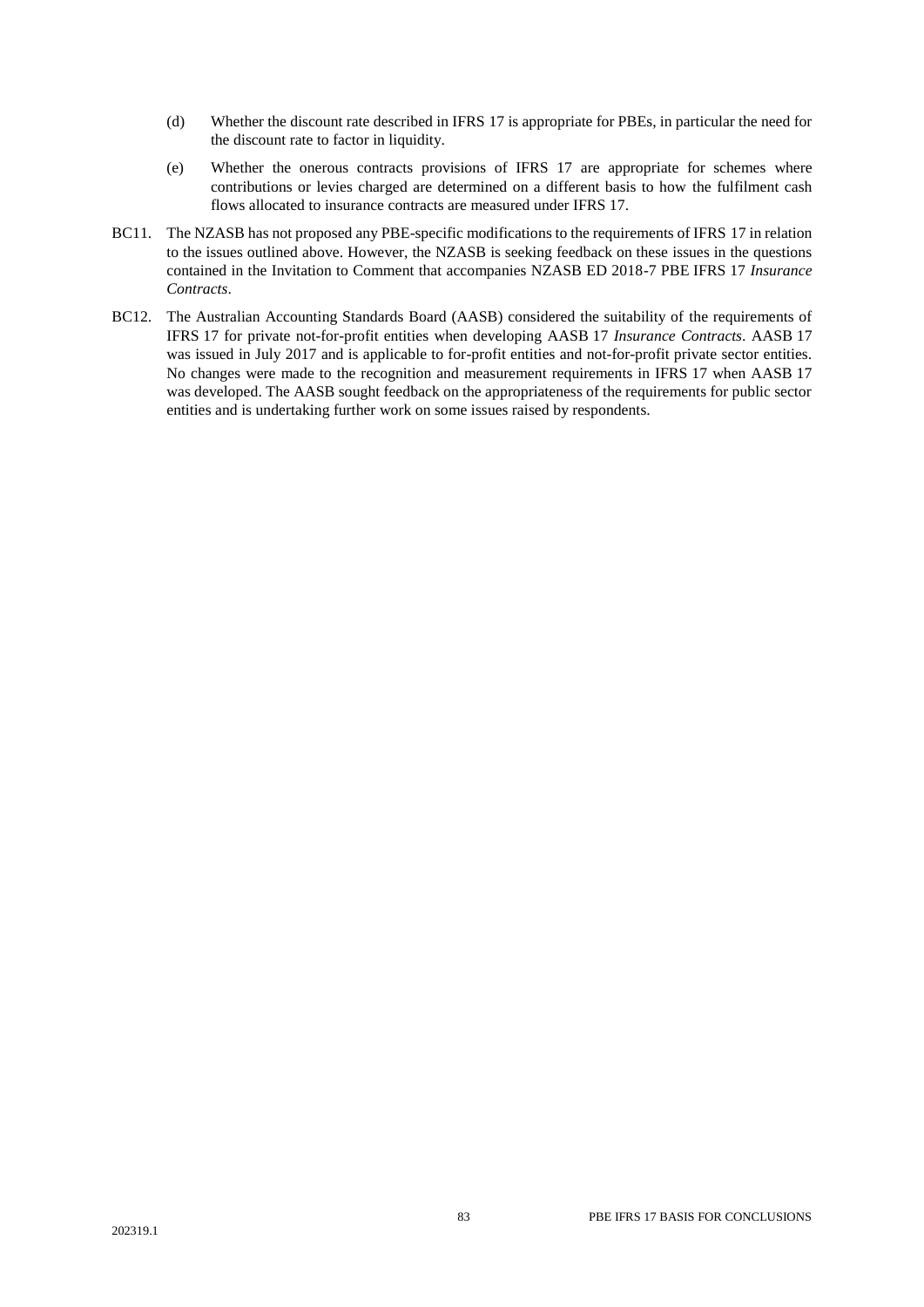- (d) Whether the discount rate described in IFRS 17 is appropriate for PBEs, in particular the need for the discount rate to factor in liquidity.
- (e) Whether the onerous contracts provisions of IFRS 17 are appropriate for schemes where contributions or levies charged are determined on a different basis to how the fulfilment cash flows allocated to insurance contracts are measured under IFRS 17.
- BC11. The NZASB has not proposed any PBE-specific modifications to the requirements of IFRS 17 in relation to the issues outlined above. However, the NZASB is seeking feedback on these issues in the questions contained in the Invitation to Comment that accompanies NZASB ED 2018-7 PBE IFRS 17 *Insurance Contracts*.
- BC12. The Australian Accounting Standards Board (AASB) considered the suitability of the requirements of IFRS 17 for private not-for-profit entities when developing AASB 17 *Insurance Contracts*. AASB 17 was issued in July 2017 and is applicable to for-profit entities and not-for-profit private sector entities. No changes were made to the recognition and measurement requirements in IFRS 17 when AASB 17 was developed. The AASB sought feedback on the appropriateness of the requirements for public sector entities and is undertaking further work on some issues raised by respondents.